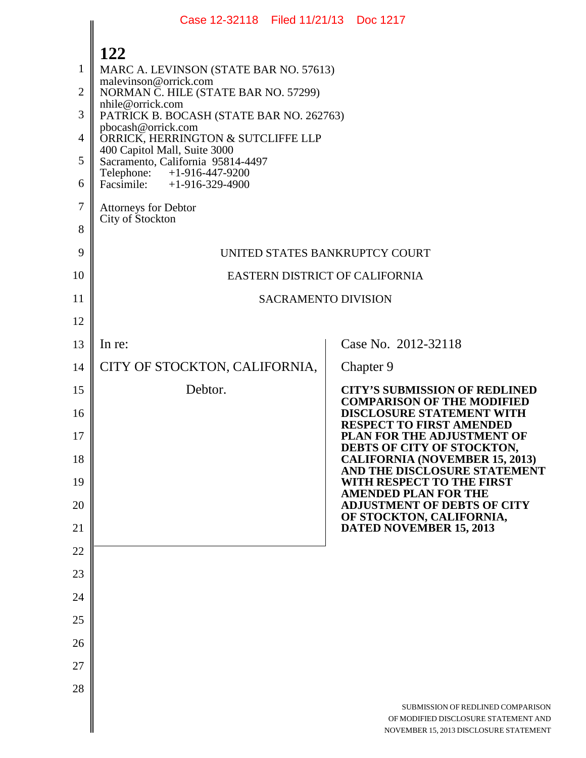|                                                              | Case 12-32118 Filed 11/21/13 Doc 1217                                                                                                                                                                                                                                                                                                                                                                                            |                                                                                                                                 |
|--------------------------------------------------------------|----------------------------------------------------------------------------------------------------------------------------------------------------------------------------------------------------------------------------------------------------------------------------------------------------------------------------------------------------------------------------------------------------------------------------------|---------------------------------------------------------------------------------------------------------------------------------|
| $\mathbf{1}$<br>$\overline{2}$<br>3<br>4<br>5<br>6<br>$\tau$ | 122<br>MARC A. LEVINSON (STATE BAR NO. 57613)<br>malevinson@orrick.com<br>NORMAN C. HILE (STATE BAR NO. 57299)<br>nhile@orrick.com<br>PATRICK B. BOCASH (STATE BAR NO. 262763)<br>pbocash@orrick.com<br>ORRICK, HERRINGTON & SUTCLIFFE LLP<br>400 Capitol Mall, Suite 3000<br>Sacramento, California 95814-4497<br>Telephone: +1-916-447-9200<br>Facsimile: $+1-916-329-4900$<br><b>Attorneys for Debtor</b><br>City of Stockton |                                                                                                                                 |
| 8<br>9                                                       |                                                                                                                                                                                                                                                                                                                                                                                                                                  |                                                                                                                                 |
| 10                                                           | UNITED STATES BANKRUPTCY COURT<br>EASTERN DISTRICT OF CALIFORNIA                                                                                                                                                                                                                                                                                                                                                                 |                                                                                                                                 |
| 11                                                           | <b>SACRAMENTO DIVISION</b>                                                                                                                                                                                                                                                                                                                                                                                                       |                                                                                                                                 |
| 12                                                           |                                                                                                                                                                                                                                                                                                                                                                                                                                  |                                                                                                                                 |
| 13                                                           | In re:                                                                                                                                                                                                                                                                                                                                                                                                                           | Case No. 2012-32118                                                                                                             |
| 14                                                           | CITY OF STOCKTON, CALIFORNIA,                                                                                                                                                                                                                                                                                                                                                                                                    | Chapter 9                                                                                                                       |
| 15                                                           | Debtor.                                                                                                                                                                                                                                                                                                                                                                                                                          | <b>CITY'S SUBMISSION OF REDLINED</b><br><b>COMPARISON OF THE MODIFIED</b>                                                       |
| 16<br>17                                                     |                                                                                                                                                                                                                                                                                                                                                                                                                                  | <b>DISCLOSURE STATEMENT WITH</b><br><b>RESPECT TO FIRST AMENDED</b><br>PLAN FOR THE ADJUSTMENT OF<br>DEBTS OF CITY OF STOCKTON, |
| 18                                                           |                                                                                                                                                                                                                                                                                                                                                                                                                                  | <b>CALIFORNIA (NOVEMBER 15, 2013)</b><br>AND THE DISCLOSURE STATEMENT                                                           |
| 19                                                           |                                                                                                                                                                                                                                                                                                                                                                                                                                  | WITH RESPECT TO THE FIRST<br><b>AMENDED PLAN FOR THE</b>                                                                        |
| 20                                                           |                                                                                                                                                                                                                                                                                                                                                                                                                                  | <b>ADJUSTMENT OF DEBTS OF CITY</b><br>OF STOCKTON, CALIFORNIA,                                                                  |
| 21                                                           |                                                                                                                                                                                                                                                                                                                                                                                                                                  | <b>DATED NOVEMBER 15, 2013</b>                                                                                                  |
| 22<br>23                                                     |                                                                                                                                                                                                                                                                                                                                                                                                                                  |                                                                                                                                 |
| 24                                                           |                                                                                                                                                                                                                                                                                                                                                                                                                                  |                                                                                                                                 |
| 25                                                           |                                                                                                                                                                                                                                                                                                                                                                                                                                  |                                                                                                                                 |
| 26                                                           |                                                                                                                                                                                                                                                                                                                                                                                                                                  |                                                                                                                                 |
| 27                                                           |                                                                                                                                                                                                                                                                                                                                                                                                                                  |                                                                                                                                 |
| 28                                                           |                                                                                                                                                                                                                                                                                                                                                                                                                                  |                                                                                                                                 |
|                                                              |                                                                                                                                                                                                                                                                                                                                                                                                                                  | SUBMISSION OF REDLINED COMPARISON<br>OF MODIFIED DISCLOSURE STATEMENT AND<br>NOVEMBER 15, 2013 DISCLOSURE STATEMENT             |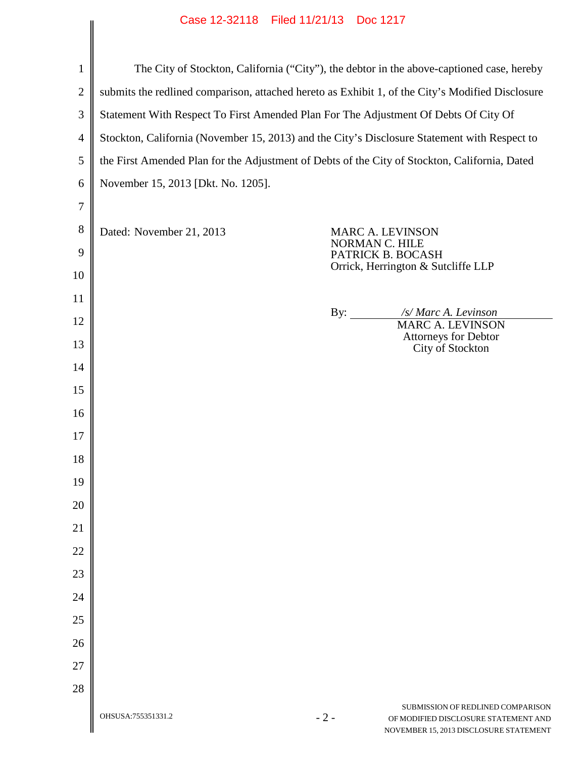| $\mathbf{1}$   | The City of Stockton, California ("City"), the debtor in the above-captioned case, hereby        |       |                                                                                                                     |
|----------------|--------------------------------------------------------------------------------------------------|-------|---------------------------------------------------------------------------------------------------------------------|
| $\overline{2}$ | submits the redlined comparison, attached hereto as Exhibit 1, of the City's Modified Disclosure |       |                                                                                                                     |
| 3              | Statement With Respect To First Amended Plan For The Adjustment Of Debts Of City Of              |       |                                                                                                                     |
| $\overline{4}$ | Stockton, California (November 15, 2013) and the City's Disclosure Statement with Respect to     |       |                                                                                                                     |
| 5              | the First Amended Plan for the Adjustment of Debts of the City of Stockton, California, Dated    |       |                                                                                                                     |
| 6              | November 15, 2013 [Dkt. No. 1205].                                                               |       |                                                                                                                     |
| 7              |                                                                                                  |       |                                                                                                                     |
| 8              | Dated: November 21, 2013                                                                         |       | <b>MARC A. LEVINSON</b>                                                                                             |
| 9              |                                                                                                  |       | NORMAN C. HILE<br>PATRICK B. BOCASH                                                                                 |
| 10             |                                                                                                  |       | Orrick, Herrington & Sutcliffe LLP                                                                                  |
| 11             |                                                                                                  |       |                                                                                                                     |
| 12             |                                                                                                  |       | /s/ Marc A. Levinson<br><b>MARC A. LEVINSON</b>                                                                     |
| 13             |                                                                                                  |       | <b>Attorneys for Debtor</b><br>City of Stockton                                                                     |
| 14             |                                                                                                  |       |                                                                                                                     |
| 15             |                                                                                                  |       |                                                                                                                     |
| 16             |                                                                                                  |       |                                                                                                                     |
| 17             |                                                                                                  |       |                                                                                                                     |
| 18             |                                                                                                  |       |                                                                                                                     |
| 19             |                                                                                                  |       |                                                                                                                     |
| 20             |                                                                                                  |       |                                                                                                                     |
| 21             |                                                                                                  |       |                                                                                                                     |
| 22             |                                                                                                  |       |                                                                                                                     |
| 23             |                                                                                                  |       |                                                                                                                     |
| 24             |                                                                                                  |       |                                                                                                                     |
| 25             |                                                                                                  |       |                                                                                                                     |
| 26             |                                                                                                  |       |                                                                                                                     |
| 27             |                                                                                                  |       |                                                                                                                     |
| 28             |                                                                                                  |       |                                                                                                                     |
|                | OHSUSA:755351331.2                                                                               | $-2-$ | SUBMISSION OF REDLINED COMPARISON<br>OF MODIFIED DISCLOSURE STATEMENT AND<br>NOVEMBER 15, 2013 DISCLOSURE STATEMENT |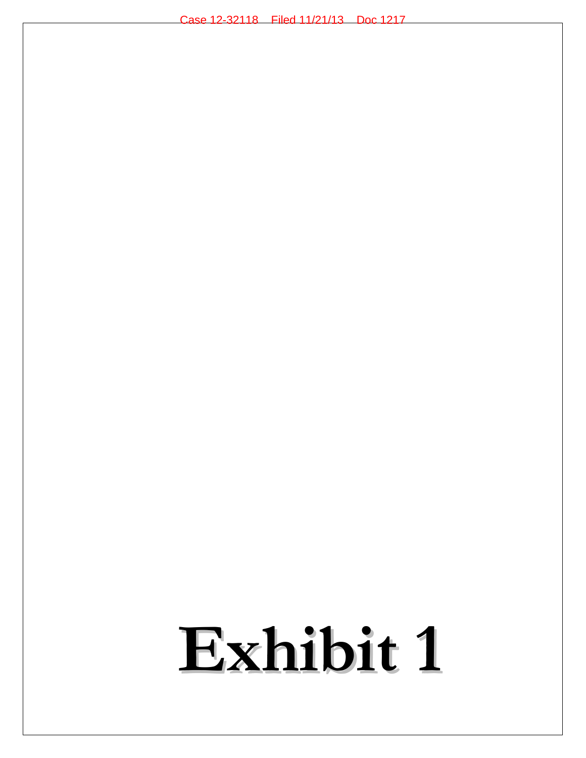# **Exhibit 1**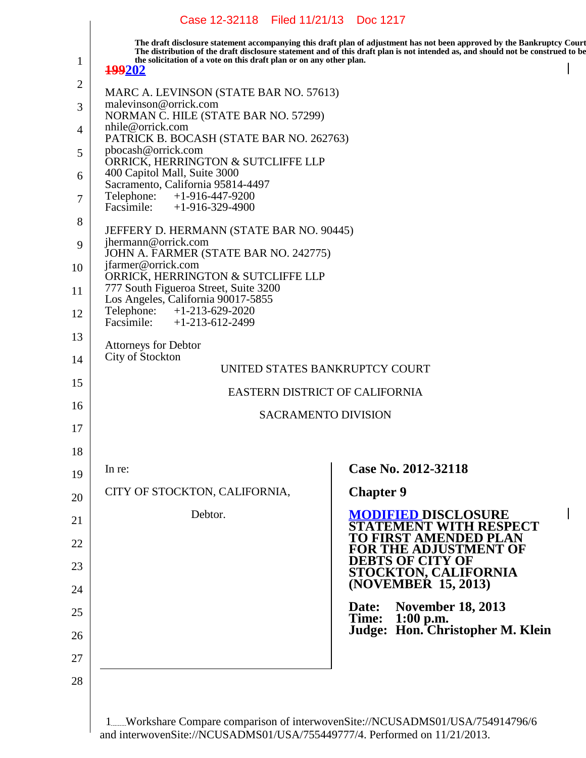|              | Case 12-32118 Filed 11/21/13 Doc 1217                                                |                            |                                                                                                                                                                                                                                                            |
|--------------|--------------------------------------------------------------------------------------|----------------------------|------------------------------------------------------------------------------------------------------------------------------------------------------------------------------------------------------------------------------------------------------------|
| $\mathbf{1}$ | the solicitation of a vote on this draft plan or on any other plan.<br><b>199202</b> |                            | The draft disclosure statement accompanying this draft plan of adjustment has not been approved by the Bankruptcy Court<br>The distribution of the draft disclosure statement and of this draft plan is not intended as, and should not be construed to be |
| 2            | MARC A. LEVINSON (STATE BAR NO. 57613)                                               |                            |                                                                                                                                                                                                                                                            |
| 3            | malevinson@orrick.com<br>NORMAN C. HILE (STATE BAR NO. 57299)                        |                            |                                                                                                                                                                                                                                                            |
| 4            | nhile@orrick.com<br>PATRICK B. BOCASH (STATE BAR NO. 262763)                         |                            |                                                                                                                                                                                                                                                            |
| 5            | pbocash@orrick.com<br>ORRICK, HERRINGTON & SUTCLIFFE LLP                             |                            |                                                                                                                                                                                                                                                            |
| 6            | 400 Capitol Mall, Suite 3000<br>Sacramento, California 95814-4497                    |                            |                                                                                                                                                                                                                                                            |
| 7            | Telephone: +1-916-447-9200<br>Facsimile: $+1-916-329-4900$                           |                            |                                                                                                                                                                                                                                                            |
| 8            | JEFFERY D. HERMANN (STATE BAR NO. 90445)                                             |                            |                                                                                                                                                                                                                                                            |
| 9            | jhermann@orrick.com<br>JOHN A. FARMER (STATE BAR NO. 242775)                         |                            |                                                                                                                                                                                                                                                            |
| 10           | jfarmer@orrick.com<br>ORRICK, HERRINGTON & SUTCLIFFE LLP                             |                            |                                                                                                                                                                                                                                                            |
| 11           | 777 South Figueroa Street, Suite 3200<br>Los Angeles, California 90017-5855          |                            |                                                                                                                                                                                                                                                            |
| 12           | Telephone: +1-213-629-2020<br>Facsimile: $+1-213-612-2499$                           |                            |                                                                                                                                                                                                                                                            |
| 13           | <b>Attorneys for Debtor</b>                                                          |                            |                                                                                                                                                                                                                                                            |
| 14           | City of Stockton                                                                     |                            | UNITED STATES BANKRUPTCY COURT                                                                                                                                                                                                                             |
| 15           |                                                                                      |                            | EASTERN DISTRICT OF CALIFORNIA                                                                                                                                                                                                                             |
| 16           |                                                                                      | <b>SACRAMENTO DIVISION</b> |                                                                                                                                                                                                                                                            |
| 17           |                                                                                      |                            |                                                                                                                                                                                                                                                            |
| 18           | In re:                                                                               |                            | Case No. 2012-32118                                                                                                                                                                                                                                        |
| 19           | CITY OF STOCKTON, CALIFORNIA,                                                        |                            | <b>Chapter 9</b>                                                                                                                                                                                                                                           |
| 20           | Debtor.                                                                              |                            | <b>MODIFIED DISCLOSURE</b>                                                                                                                                                                                                                                 |
| 21           |                                                                                      |                            | <b>EMENT WITH RESPECT</b><br>TO FIRST AMENDED PLAN                                                                                                                                                                                                         |
| 22<br>23     |                                                                                      |                            | <b>FOR THE ADJUSTMENT OF</b><br><b>DEBTS OF CITY OF</b>                                                                                                                                                                                                    |
| 24           |                                                                                      |                            | <b>STOCKTON, CALIFORNIA (NOVEMBER 15, 2013)</b>                                                                                                                                                                                                            |
| 25           |                                                                                      |                            | <b>November 18, 2013</b><br>Date:                                                                                                                                                                                                                          |
| 26           |                                                                                      |                            | Time: 1:00 p.m.<br>Judge: Hon. Christopher M. Klein                                                                                                                                                                                                        |
| 27           |                                                                                      |                            |                                                                                                                                                                                                                                                            |
| 28           |                                                                                      |                            |                                                                                                                                                                                                                                                            |
|              |                                                                                      |                            |                                                                                                                                                                                                                                                            |
|              |                                                                                      |                            |                                                                                                                                                                                                                                                            |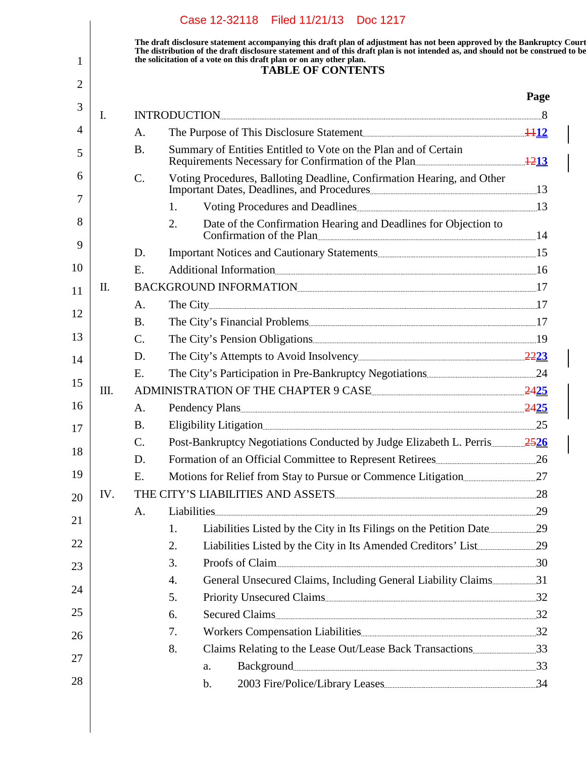|      |             | The draft disclosure statement accompanying this draft plan of adjustment has not been approved by the Bankruptcy Court<br>The distribution of the draft disclosure statement and of this draft plan is not intended as, and should not be construed to be<br>the solicitation of a vote on this draft plan or on any other plan.<br><b>TABLE OF CONTENTS</b> |      |
|------|-------------|---------------------------------------------------------------------------------------------------------------------------------------------------------------------------------------------------------------------------------------------------------------------------------------------------------------------------------------------------------------|------|
|      |             |                                                                                                                                                                                                                                                                                                                                                               | Page |
| Ι.   |             | $\bf INTRODUCTION$                                                                                                                                                                                                                                                                                                                                            |      |
|      | A.          |                                                                                                                                                                                                                                                                                                                                                               |      |
|      | <b>B.</b>   | Summary of Entities Entitled to Vote on the Plan and of Certain<br>Requirements Necessary for Confirmation of the Plan                                                                                                                                                                                                                                        |      |
|      | $C$ .       | Voting Procedures, Balloting Deadline, Confirmation Hearing, and Other                                                                                                                                                                                                                                                                                        |      |
|      |             | 1.                                                                                                                                                                                                                                                                                                                                                            |      |
|      |             | Date of the Confirmation Hearing and Deadlines for Objection to<br>2.<br>Confirmation of the Plan                                                                                                                                                                                                                                                             |      |
|      | D.          |                                                                                                                                                                                                                                                                                                                                                               |      |
|      | E.          | Additional Information 16                                                                                                                                                                                                                                                                                                                                     |      |
| П.   |             | BACKGROUND INFORMATION                                                                                                                                                                                                                                                                                                                                        |      |
|      | A.          |                                                                                                                                                                                                                                                                                                                                                               |      |
|      | <b>B.</b>   |                                                                                                                                                                                                                                                                                                                                                               |      |
|      | $C_{\cdot}$ |                                                                                                                                                                                                                                                                                                                                                               |      |
|      | D.          |                                                                                                                                                                                                                                                                                                                                                               |      |
|      | E.          |                                                                                                                                                                                                                                                                                                                                                               |      |
| III. |             | ADMINISTRATION OF THE CHAPTER 9 CASE                                                                                                                                                                                                                                                                                                                          |      |
|      | A.          |                                                                                                                                                                                                                                                                                                                                                               |      |
|      | <b>B.</b>   | Eligibility Litigation                                                                                                                                                                                                                                                                                                                                        |      |
|      | C.          | Post-Bankruptcy Negotiations Conducted by Judge Elizabeth L. Perris 2526                                                                                                                                                                                                                                                                                      |      |
|      | D.          |                                                                                                                                                                                                                                                                                                                                                               |      |
|      | E.          |                                                                                                                                                                                                                                                                                                                                                               |      |
| IV.  |             | THE CITY'S LIABILITIES AND ASSETS 28                                                                                                                                                                                                                                                                                                                          |      |
|      | A.          | Liabilities 29                                                                                                                                                                                                                                                                                                                                                |      |
|      |             | 1.                                                                                                                                                                                                                                                                                                                                                            |      |
|      |             | 2.<br>Proofs of Claim 30<br>3.                                                                                                                                                                                                                                                                                                                                |      |
|      |             | 4.                                                                                                                                                                                                                                                                                                                                                            |      |
|      |             | 5.                                                                                                                                                                                                                                                                                                                                                            |      |
|      |             | 6.                                                                                                                                                                                                                                                                                                                                                            |      |
|      |             | 7.                                                                                                                                                                                                                                                                                                                                                            |      |
|      |             | 8.                                                                                                                                                                                                                                                                                                                                                            |      |
|      |             | Background 33<br>a.                                                                                                                                                                                                                                                                                                                                           |      |
|      |             | b.                                                                                                                                                                                                                                                                                                                                                            |      |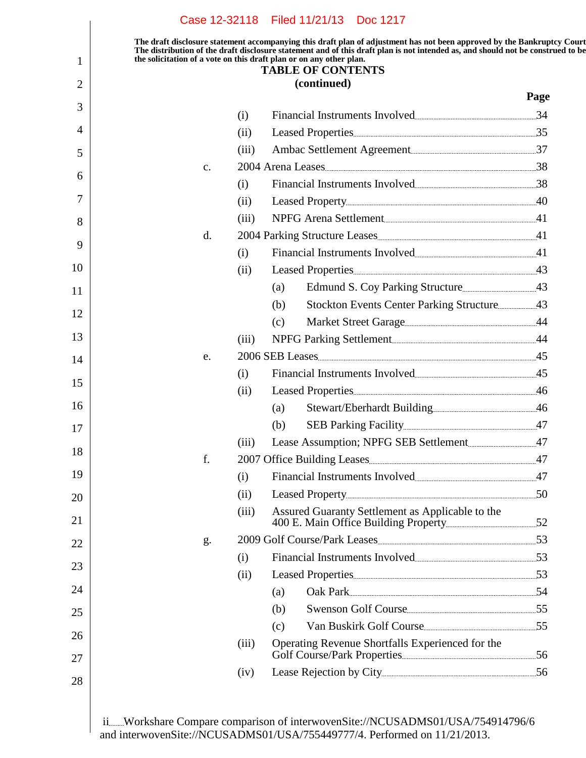|    |       | <b>TABLE OF CONTENTS</b>                         |      |
|----|-------|--------------------------------------------------|------|
|    |       | (continued)                                      | Page |
|    | (i)   | Financial Instruments Involved 34                |      |
|    | (ii)  |                                                  |      |
|    | (iii) |                                                  |      |
| c. |       | 2004 Arena Leases 38                             |      |
|    | (i)   | Financial Instruments Involved                   |      |
|    | (ii)  |                                                  |      |
|    | (iii) | NPFG Arena Settlement                            |      |
| d. |       |                                                  |      |
|    | (i)   | Financial Instruments Involved 41                |      |
|    | (ii)  |                                                  |      |
|    |       | (a)                                              |      |
|    |       | (b)                                              |      |
|    |       | (c)                                              |      |
|    | (iii) | NPFG Parking Settlement                          |      |
| e. |       | 2006 SEB Leases 45                               |      |
|    | (i)   | Financial Instruments Involved 45                |      |
|    | (ii)  |                                                  |      |
|    |       | (a)                                              |      |
|    |       | (b)                                              |      |
|    | (iii) |                                                  |      |
| f. |       |                                                  |      |
|    | (i)   | Financial Instruments Involved                   |      |
|    | (ii)  |                                                  |      |
|    | (iii) | Assured Guaranty Settlement as Applicable to the |      |
| g. |       |                                                  |      |
|    | (i)   | Financial Instruments Involved                   |      |
|    | (ii)  |                                                  |      |
|    |       | Oak Park 54<br>(a)                               |      |
|    |       | Swenson Golf Course<br>(b)                       |      |
|    |       | Van Buskirk Golf Course<br>(c)                   |      |
|    | (iii) | Operating Revenue Shortfalls Experienced for the |      |
|    | (iv)  |                                                  |      |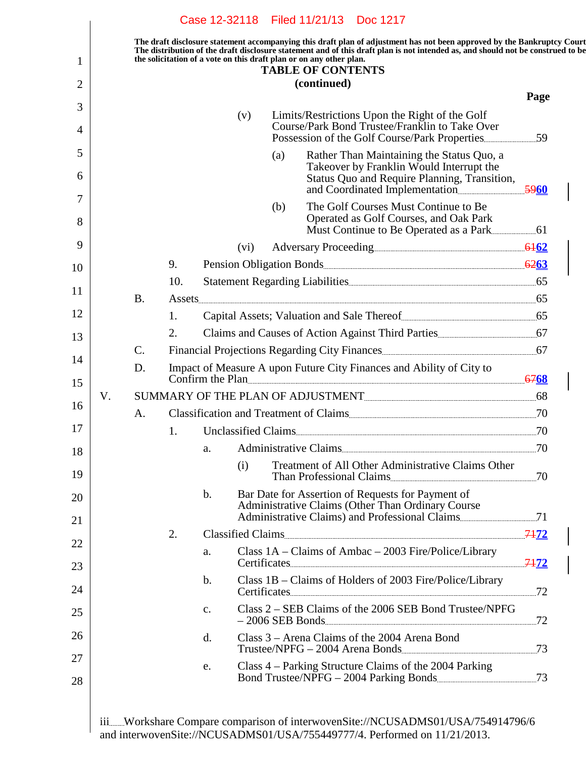|    |                 |     |                |      |     | The draft disclosure statement accompanying this draft plan of adjustment has not been approved by the Bankruptcy Court<br>The distribution of the draft disclosure statement and of this draft plan is not intended as, and should not be construed to be<br>the solicitation of a vote on this draft plan or on any other plan.<br><b>TABLE OF CONTENTS</b> |      |
|----|-----------------|-----|----------------|------|-----|---------------------------------------------------------------------------------------------------------------------------------------------------------------------------------------------------------------------------------------------------------------------------------------------------------------------------------------------------------------|------|
|    |                 |     |                |      |     | (continued)                                                                                                                                                                                                                                                                                                                                                   | Page |
|    |                 |     |                | (v)  |     | Limits/Restrictions Upon the Right of the Golf                                                                                                                                                                                                                                                                                                                |      |
|    |                 |     |                |      |     | Course/Park Bond Trustee/Franklin to Take Over                                                                                                                                                                                                                                                                                                                | .59  |
|    |                 |     |                |      | (a) | Rather Than Maintaining the Status Quo, a<br>Takeover by Franklin Would Interrupt the<br>Status Quo and Require Planning, Transition,                                                                                                                                                                                                                         |      |
|    |                 |     |                |      | (b) | The Golf Courses Must Continue to Be                                                                                                                                                                                                                                                                                                                          |      |
|    |                 |     |                |      |     | Operated as Golf Courses, and Oak Park                                                                                                                                                                                                                                                                                                                        |      |
|    |                 |     |                | (vi) |     |                                                                                                                                                                                                                                                                                                                                                               |      |
|    |                 | 9.  |                |      |     |                                                                                                                                                                                                                                                                                                                                                               |      |
|    |                 | 10. |                |      |     |                                                                                                                                                                                                                                                                                                                                                               |      |
|    | <b>B.</b>       |     |                |      |     |                                                                                                                                                                                                                                                                                                                                                               |      |
|    |                 | 1.  |                |      |     |                                                                                                                                                                                                                                                                                                                                                               |      |
|    |                 | 2.  |                |      |     |                                                                                                                                                                                                                                                                                                                                                               |      |
|    | $\mathcal{C}$ . |     |                |      |     |                                                                                                                                                                                                                                                                                                                                                               |      |
|    | D.              |     |                |      |     | Impact of Measure A upon Future City Finances and Ability of City to<br>Confirm the Plan                                                                                                                                                                                                                                                                      |      |
| V. |                 |     |                |      |     |                                                                                                                                                                                                                                                                                                                                                               |      |
|    | A.              |     |                |      |     | Classification and Treatment of Claims                                                                                                                                                                                                                                                                                                                        |      |
|    |                 | 1.  |                |      |     |                                                                                                                                                                                                                                                                                                                                                               |      |
|    |                 |     | a.             |      |     | Administrative Claims                                                                                                                                                                                                                                                                                                                                         | 70   |
|    |                 |     |                | (i)  |     | Treatment of All Other Administrative Claims Other<br>Than Professional Claims 70                                                                                                                                                                                                                                                                             |      |
|    |                 |     | $\mathbf{b}$ . |      |     | Bar Date for Assertion of Requests for Payment of<br>Administrative Claims (Other Than Ordinary Course                                                                                                                                                                                                                                                        |      |
|    |                 | 2.  |                |      |     |                                                                                                                                                                                                                                                                                                                                                               |      |
|    |                 |     | a.             |      |     | Class 1A - Claims of Ambac - 2003 Fire/Police/Library<br>Certificates 7472                                                                                                                                                                                                                                                                                    |      |
|    |                 |     | $\mathbf{b}$ . |      |     | Class 1B - Claims of Holders of 2003 Fire/Police/Library<br>Certificates 72                                                                                                                                                                                                                                                                                   |      |
|    |                 |     | c.             |      |     | Class 2 – SEB Claims of the 2006 SEB Bond Trustee/NPFG<br>-2006 SEB Bonds 72                                                                                                                                                                                                                                                                                  |      |
|    |                 |     | d.             |      |     | Class 3 – Arena Claims of the 2004 Arena Bond                                                                                                                                                                                                                                                                                                                 |      |
|    |                 |     | e.             |      |     | Class 4 – Parking Structure Claims of the 2004 Parking<br>Bond Trustee/NPFG - 2004 Parking Bonds                                                                                                                                                                                                                                                              |      |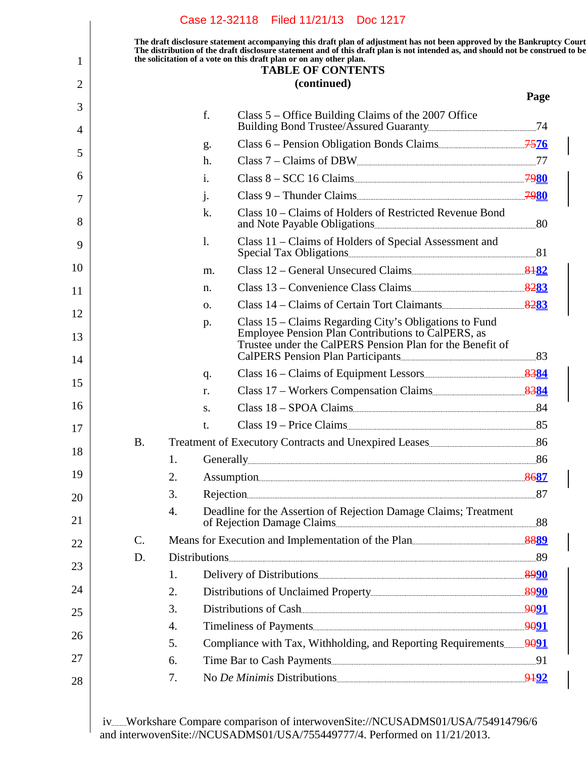|    |                 |    |    | the solicitation of a vote on this draft plan or on any other plan.<br><b>TABLE OF CONTENTS</b>                                                                           |      |
|----|-----------------|----|----|---------------------------------------------------------------------------------------------------------------------------------------------------------------------------|------|
|    |                 |    |    | (continued)                                                                                                                                                               | Page |
|    |                 |    | f. | Class 5 – Office Building Claims of the 2007 Office                                                                                                                       |      |
|    |                 |    | g. | Class 6 – Pension Obligation Bonds Claims                                                                                                                                 |      |
|    |                 |    | h. | Class 7 – Claims of DBW                                                                                                                                                   |      |
|    |                 |    | 1. | Class $8 - SCC$ 16 Claims                                                                                                                                                 |      |
|    |                 |    | j. | Class 9 – Thunder Claims                                                                                                                                                  |      |
|    |                 |    | k. | Class 10 – Claims of Holders of Restricted Revenue Bond                                                                                                                   |      |
|    |                 |    | 1. | Class 11 - Claims of Holders of Special Assessment and                                                                                                                    |      |
| 10 |                 |    | m. | Class 12 – General Unsecured Claims                                                                                                                                       |      |
|    |                 |    | n. | Class 13 – Convenience Class Claims                                                                                                                                       |      |
|    |                 |    | Ο. | Class 14 – Claims of Certain Tort Claimants                                                                                                                               |      |
|    |                 |    | p. | Class 15 – Claims Regarding City's Obligations to Fund<br>Employee Pension Plan Contributions to CalPERS, as<br>Trustee under the CalPERS Pension Plan for the Benefit of |      |
| 14 |                 |    |    |                                                                                                                                                                           |      |
|    |                 |    | q. |                                                                                                                                                                           |      |
|    |                 |    | r. | Class 17 - Workers Compensation Claims                                                                                                                                    |      |
|    |                 |    | S. | Class 18 - SPOA Claims 84                                                                                                                                                 |      |
|    |                 |    | t. | Class 19 – Price Claims                                                                                                                                                   |      |
|    | В.              |    |    |                                                                                                                                                                           |      |
|    |                 | 1. |    |                                                                                                                                                                           |      |
|    |                 | 2. |    | Assumption 8687                                                                                                                                                           |      |
| 20 |                 | 3. |    | Rejection 87                                                                                                                                                              |      |
|    |                 | 4. |    | Deadline for the Assertion of Rejection Damage Claims; Treatment<br>of Rejection Damage Claims                                                                            |      |
| 22 | $\mathcal{C}$ . |    |    | Means for Execution and Implementation of the Plan                                                                                                                        |      |
|    | D.              |    |    |                                                                                                                                                                           |      |
|    |                 | 1. |    |                                                                                                                                                                           |      |
|    |                 | 2. |    |                                                                                                                                                                           |      |
|    |                 | 3. |    | Distributions of Cash                                                                                                                                                     |      |
|    |                 | 4. |    |                                                                                                                                                                           |      |
|    |                 | 5. |    |                                                                                                                                                                           |      |
|    |                 | 6. |    | Time Bar to Cash Payments                                                                                                                                                 |      |
| 28 |                 | 7. |    | No De Minimis Distributions 9492                                                                                                                                          |      |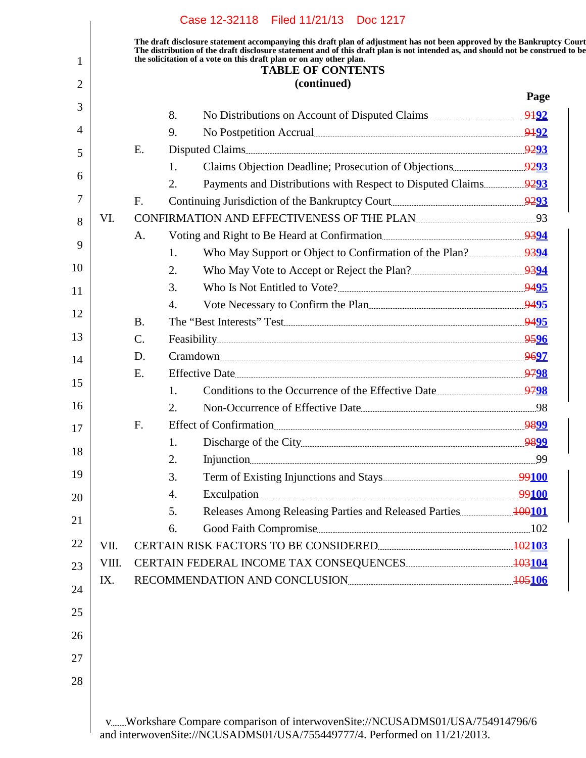| 2  |       |                |    | <b>TABLE OF CONTENTS</b><br>(continued)                                                                                                                                                                                                                                        |      |
|----|-------|----------------|----|--------------------------------------------------------------------------------------------------------------------------------------------------------------------------------------------------------------------------------------------------------------------------------|------|
|    |       |                |    |                                                                                                                                                                                                                                                                                | Page |
| 3  |       |                | 8. |                                                                                                                                                                                                                                                                                |      |
| 4  |       |                | 9. | No Postpetition Accrual <u>contracts</u> and the set of the set of the set of the set of the set of the set of the set of the set of the set of the set of the set of the set of the set of the set of the set of the set of the se                                            |      |
| 5  |       | E.             |    |                                                                                                                                                                                                                                                                                |      |
|    |       |                | 1. |                                                                                                                                                                                                                                                                                |      |
| 6  |       |                | 2. |                                                                                                                                                                                                                                                                                |      |
| 7  |       | F.             |    |                                                                                                                                                                                                                                                                                |      |
| 8  | VI.   |                |    | CONFIRMATION AND EFFECTIVENESS OF THE PLAN                                                                                                                                                                                                                                     |      |
| 9  |       | A.             |    |                                                                                                                                                                                                                                                                                |      |
|    |       |                | 1. |                                                                                                                                                                                                                                                                                |      |
| 10 |       |                | 2. |                                                                                                                                                                                                                                                                                |      |
| 11 |       |                | 3. | Who Is Not Entitled to Vote?                                                                                                                                                                                                                                                   |      |
| 12 |       |                | 4. | Vote Necessary to Confirm the Plan                                                                                                                                                                                                                                             |      |
|    |       | <b>B.</b>      |    | The "Best Interests" Test                                                                                                                                                                                                                                                      |      |
| 13 |       | $\mathbf{C}$ . |    |                                                                                                                                                                                                                                                                                |      |
| 14 |       | D.             |    | Cramdown 9697                                                                                                                                                                                                                                                                  |      |
| 15 |       | E.             |    | Effective Date 2798                                                                                                                                                                                                                                                            |      |
|    |       |                | 1. |                                                                                                                                                                                                                                                                                |      |
| 16 |       |                | 2. | Non-Occurrence of Effective Date                                                                                                                                                                                                                                               |      |
| 17 |       | F.             |    | Effect of Confirmation                                                                                                                                                                                                                                                         |      |
| 18 |       |                |    |                                                                                                                                                                                                                                                                                |      |
|    |       |                | 2. | Injunction 99                                                                                                                                                                                                                                                                  |      |
| 19 |       |                | 3. |                                                                                                                                                                                                                                                                                |      |
| 20 |       |                | 4. | Exculpation 99100                                                                                                                                                                                                                                                              |      |
| 21 |       |                | 5. |                                                                                                                                                                                                                                                                                |      |
| 22 | VII.  |                | 6. | Good Faith Compromise [102] [102] [102] [102] [102] [103] [103] [103] [103] [103] [103] [103] [103] [103] [103] [103] [103] [103] [103] [103] [103] [103] [103] [103] [103] [103] [103] [103] [103] [103] [103] [103] [103] [1<br>CERTAIN RISK FACTORS TO BE CONSIDERED 102103 |      |
|    | VIII. |                |    |                                                                                                                                                                                                                                                                                |      |
| 23 | IX.   |                |    | RECOMMENDATION AND CONCLUSION                                                                                                                                                                                                                                                  |      |
| 24 |       |                |    |                                                                                                                                                                                                                                                                                |      |
| 25 |       |                |    |                                                                                                                                                                                                                                                                                |      |
|    |       |                |    |                                                                                                                                                                                                                                                                                |      |
| 26 |       |                |    |                                                                                                                                                                                                                                                                                |      |
| 27 |       |                |    |                                                                                                                                                                                                                                                                                |      |
| 28 |       |                |    |                                                                                                                                                                                                                                                                                |      |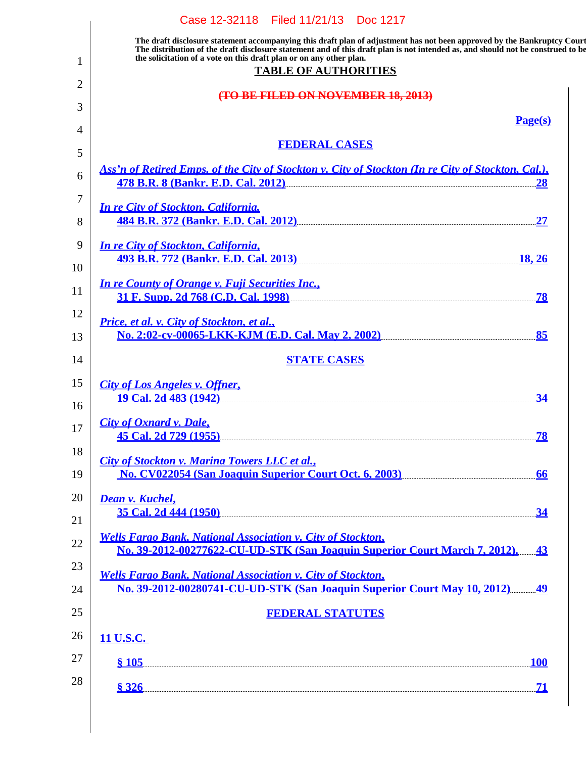|          | Case 12-32118 Filed 11/21/13 Doc 1217                                                                                                                                                                                                                                                                                                                            |
|----------|------------------------------------------------------------------------------------------------------------------------------------------------------------------------------------------------------------------------------------------------------------------------------------------------------------------------------------------------------------------|
| 1        | The draft disclosure statement accompanying this draft plan of adjustment has not been approved by the Bankruptcy Court<br>The distribution of the draft disclosure statement and of this draft plan is not intended as, and should not be construed to be<br>the solicitation of a vote on this draft plan or on any other plan.<br><b>TABLE OF AUTHORITIES</b> |
| 2        | (TO BE FILED ON NOVEMBER 18, 2013)                                                                                                                                                                                                                                                                                                                               |
| 3        | Page(s)                                                                                                                                                                                                                                                                                                                                                          |
| 4        |                                                                                                                                                                                                                                                                                                                                                                  |
| 5        | <b>FEDERAL CASES</b>                                                                                                                                                                                                                                                                                                                                             |
| 6        | Ass'n of Retired Emps. of the City of Stockton v. City of Stockton (In re City of Stockton, Cal.),<br>478 B.R. 8 (Bankr. E.D. Cal. 2012)<br><u>28</u>                                                                                                                                                                                                            |
| 7<br>8   | <b>In re City of Stockton, California,</b><br>484 B.R. 372 (Bankr. E.D. Cal. 2012) 2012 2020 2020 21 227                                                                                                                                                                                                                                                         |
| 9<br>10  | <b>In re City of Stockton, California,</b><br>493 B.R. 772 (Bankr. E.D. Cal. 2013)<br>18, 26                                                                                                                                                                                                                                                                     |
| 11       | <b>In re County of Orange v. Fuji Securities Inc.,</b><br>31 F. Supp. 2d 768 (C.D. Cal. 1998)<br>.78                                                                                                                                                                                                                                                             |
| 12<br>13 | Price, et al. v. City of Stockton, et al.,<br>No. 2:02-cv-00065-LKK-KJM (E.D. Cal. May 2, 2002)<br>85                                                                                                                                                                                                                                                            |
| 14       | <b>STATE CASES</b>                                                                                                                                                                                                                                                                                                                                               |
| 15       | <b>City of Los Angeles v. Offner,</b>                                                                                                                                                                                                                                                                                                                            |
| 16       | <u>19 Cal. 2d 483 (1942)</u> [2012] <b>[2013]</b> [2013] <b>[2013] [2013] [2013] [2013] [2013] [2013] [2013] [2013] [2013] [2013] [2013] [2013] [2013] [2013] [2013] [2013] [2013] [2013] [2013] [20</b><br>34                                                                                                                                                   |
| 17       | <b>City of Oxnard v. Dale,</b><br><u>45 Cal. 2d 729 (1955)</u> (1955) 2012 2022 2023 2024 2025 2022 2023 2024 2022 2023 2024 2022 2023 2024 2025 2027 2028 2029 2022 2023 2024 2025 2027 2028 2022 2023 2022 2023 2024 2025 2027 2028 2029 2022 2023 2024 2025 2027 2<br><b>78</b>                                                                               |
| 18<br>19 | City of Stockton v. Marina Towers LLC et al.,<br>No. CV022054 (San Joaquin Superior Court Oct. 6, 2003)<br>66                                                                                                                                                                                                                                                    |
| 20<br>21 | <b>Dean v. Kuchel,</b><br>35 Cal. 2d 444 (1950)<br>34                                                                                                                                                                                                                                                                                                            |
| 22       | <b>Wells Fargo Bank, National Association v. City of Stockton,</b><br>No. 39-2012-00277622-CU-UD-STK (San Joaquin Superior Court March 7, 2012). 43                                                                                                                                                                                                              |
| 23       | <b>Wells Fargo Bank, National Association v. City of Stockton,</b><br><u>No. 39-2012-00280741-CU-UD-STK (San Joaquin Superior Court May 10, 2012) 49</u>                                                                                                                                                                                                         |
| 24<br>25 | <b>FEDERAL STATUTES</b>                                                                                                                                                                                                                                                                                                                                          |
| 26       | 11 U.S.C.                                                                                                                                                                                                                                                                                                                                                        |
| 27       | \$105<br><b>100</b>                                                                                                                                                                                                                                                                                                                                              |
| 28       | \$326<br>-71                                                                                                                                                                                                                                                                                                                                                     |
|          |                                                                                                                                                                                                                                                                                                                                                                  |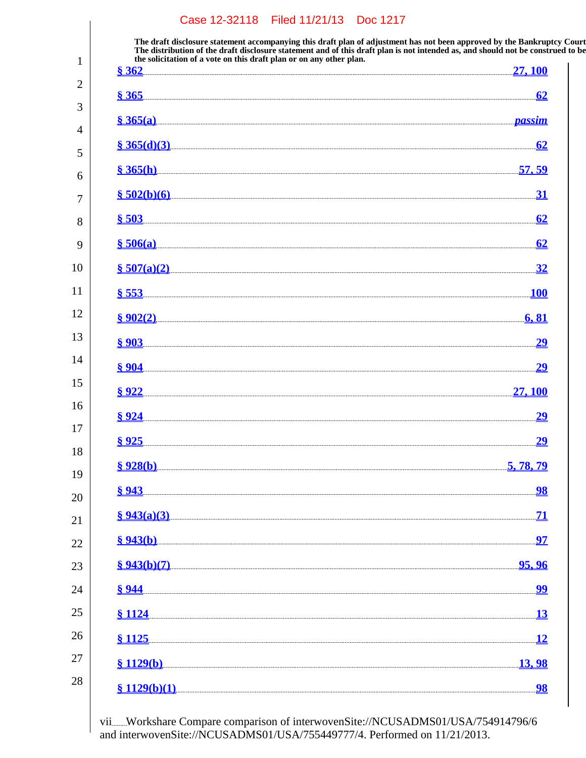**The draft disclosure statement accompanying this draft plan of adjustment has not been approved by the Bankruptcy Court. The distribution of the draft disclosure statement and of this draft plan is not intended as, and should not be construed to be, the solicitation of a vote on this draft plan or on any other plan.**

| \$362                                                                                                                                                                                                                                    |                          |
|------------------------------------------------------------------------------------------------------------------------------------------------------------------------------------------------------------------------------------------|--------------------------|
| $8365$ 65                                                                                                                                                                                                                                |                          |
| <u>§ 365(a)</u> <u>2005</u> and 2008 and 2018 and 2019 and 2019 and 2019 and 2019 and 2019 and 2019 and 2019 and 2019 and 2019 and 2019 and 2019 and 2019 and 2019 and 2019 and 2019 and 2019 and 2019 and 2019 and 2019 and 2019 and 20 |                          |
| $\frac{\$365(d)(3)}{62}$                                                                                                                                                                                                                 |                          |
| \$365(h)                                                                                                                                                                                                                                 | <u>57, 59</u>            |
| $\frac{\$~502(b)(6)}{}$                                                                                                                                                                                                                  | <u>31</u>                |
| $\frac{8}{9}$ 503 62                                                                                                                                                                                                                     |                          |
| $$506(a)$ 62                                                                                                                                                                                                                             |                          |
| $\S$ 507(a)(2)                                                                                                                                                                                                                           | <u>32</u>                |
| $\frac{8}{2}$ 553                                                                                                                                                                                                                        | <b>100</b>               |
| $\frac{8}{902(2)}$ 6, 81                                                                                                                                                                                                                 |                          |
|                                                                                                                                                                                                                                          | <u>29</u>                |
|                                                                                                                                                                                                                                          | <u>29</u>                |
| \$922                                                                                                                                                                                                                                    | 27, 100                  |
|                                                                                                                                                                                                                                          | 29                       |
| 8 925                                                                                                                                                                                                                                    | <u>29</u>                |
| \$928(b)                                                                                                                                                                                                                                 | 5, 78, 79                |
| \$943                                                                                                                                                                                                                                    | <u>98</u>                |
| \$943(a)(3)                                                                                                                                                                                                                              | <u>71</u>                |
| \$943(b)                                                                                                                                                                                                                                 | <u>97</u>                |
| \$943(b)(7)                                                                                                                                                                                                                              | <u>95, 96</u>            |
| \$944                                                                                                                                                                                                                                    | $\overline{\mathbf{99}}$ |
| <b>§1124</b>                                                                                                                                                                                                                             | 13                       |
| § 1125                                                                                                                                                                                                                                   | <b>12</b>                |
| \$1129(b)                                                                                                                                                                                                                                | <u>13,98</u>             |
| \$1129(b)(1)                                                                                                                                                                                                                             | <u>98</u>                |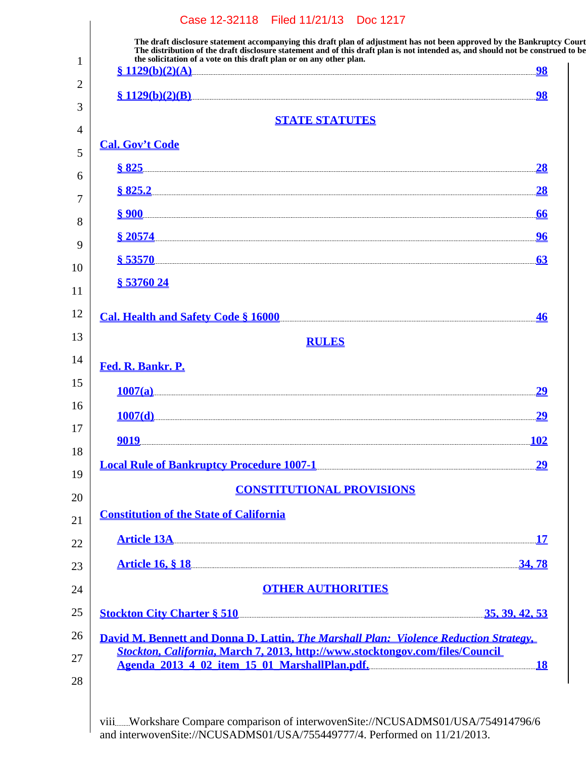| the solicitation of a vote on this draft plan or on any other plan.<br>§ 1129(b)(2)(A)                                                                                                                                               | <u>98</u>  |
|--------------------------------------------------------------------------------------------------------------------------------------------------------------------------------------------------------------------------------------|------------|
|                                                                                                                                                                                                                                      | 98         |
| <b>STATE STATUTES</b>                                                                                                                                                                                                                |            |
| <b>Cal. Gov't Code</b>                                                                                                                                                                                                               |            |
|                                                                                                                                                                                                                                      |            |
| <u>\$ 825.2 28 28 29 28 28 29 28 28 29 29 29 29 20 21 228 225.2 28 28 29 29 29 20 21 228 28 29 29 29 20 21 228 28</u>                                                                                                                |            |
| \$900                                                                                                                                                                                                                                |            |
|                                                                                                                                                                                                                                      |            |
|                                                                                                                                                                                                                                      | <u>96</u>  |
| \$53570                                                                                                                                                                                                                              | 63         |
| <u>§ 53760 24</u>                                                                                                                                                                                                                    |            |
| Cal. Health and Safety Code § 16000                                                                                                                                                                                                  | <b>46</b>  |
| <b>RULES</b>                                                                                                                                                                                                                         |            |
| Fed. R. Bankr. P.                                                                                                                                                                                                                    |            |
|                                                                                                                                                                                                                                      | <u>29</u>  |
| 1007(d)                                                                                                                                                                                                                              | 29         |
| <u>9019.</u>                                                                                                                                                                                                                         | <b>102</b> |
|                                                                                                                                                                                                                                      |            |
| Local Rule of Bankruptcy Procedure 1007-1                                                                                                                                                                                            | <u>29</u>  |
| <b>CONSTITUTIONAL PROVISIONS</b>                                                                                                                                                                                                     |            |
| <b>Constitution of the State of California</b>                                                                                                                                                                                       |            |
| <u>Article 13A 27 Article 13A 28 Article 13A 28 Article 13A 28 Article 13A 28 Article 13A 28 Article 13A 28 Article 13A 28 Article 13A 28 Article 13A 28 Article 13A 28 Article 13A 28 Article 13A 28 Article 13A 28 Article 13A</u> |            |
| <u>Article 16, 8 18 34, 78</u>                                                                                                                                                                                                       |            |
| <b>OTHER AUTHORITIES</b>                                                                                                                                                                                                             |            |
| <u>Stockton City Charter § 510</u> 35, 39, 42, 53                                                                                                                                                                                    |            |
| David M. Bennett and Donna D. Lattin, The Marshall Plan: Violence Reduction Strategy,                                                                                                                                                |            |
| Stockton, California, March 7, 2013, http://www.stocktongov.com/files/Council<br>Agenda 2013 4 02 item 15 01 MarshallPlan.pdf.                                                                                                       |            |
|                                                                                                                                                                                                                                      |            |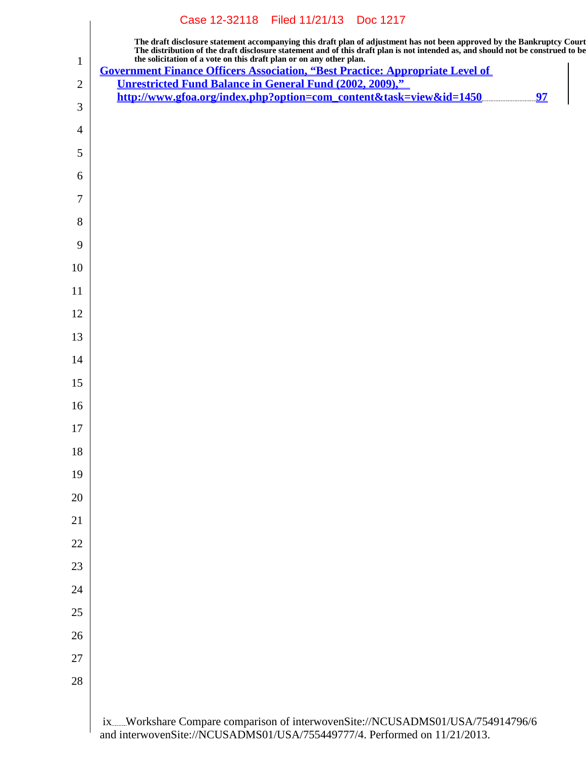| The draft disclosure statement accompanying this draft plan of adjustment has not been approved by the Bankruptcy Court<br>The distribution of the draft disclosure statement and of this draft plan is not intended as, and should not be construed to be<br>the solicitation of a vote on this draft plan or on any other plan.<br><b>Government Finance Officers Association, "Best Practice: Appropriate Level of</b><br><b>Unrestricted Fund Balance in General Fund (2002, 2009),"</b><br>http://www.gfoa.org/index.php?option=com_content&task=view&id=1450 | 97 |
|--------------------------------------------------------------------------------------------------------------------------------------------------------------------------------------------------------------------------------------------------------------------------------------------------------------------------------------------------------------------------------------------------------------------------------------------------------------------------------------------------------------------------------------------------------------------|----|
|                                                                                                                                                                                                                                                                                                                                                                                                                                                                                                                                                                    |    |
|                                                                                                                                                                                                                                                                                                                                                                                                                                                                                                                                                                    |    |
|                                                                                                                                                                                                                                                                                                                                                                                                                                                                                                                                                                    |    |
|                                                                                                                                                                                                                                                                                                                                                                                                                                                                                                                                                                    |    |
|                                                                                                                                                                                                                                                                                                                                                                                                                                                                                                                                                                    |    |
|                                                                                                                                                                                                                                                                                                                                                                                                                                                                                                                                                                    |    |
|                                                                                                                                                                                                                                                                                                                                                                                                                                                                                                                                                                    |    |
|                                                                                                                                                                                                                                                                                                                                                                                                                                                                                                                                                                    |    |
|                                                                                                                                                                                                                                                                                                                                                                                                                                                                                                                                                                    |    |
|                                                                                                                                                                                                                                                                                                                                                                                                                                                                                                                                                                    |    |
|                                                                                                                                                                                                                                                                                                                                                                                                                                                                                                                                                                    |    |
|                                                                                                                                                                                                                                                                                                                                                                                                                                                                                                                                                                    |    |
|                                                                                                                                                                                                                                                                                                                                                                                                                                                                                                                                                                    |    |
|                                                                                                                                                                                                                                                                                                                                                                                                                                                                                                                                                                    |    |
|                                                                                                                                                                                                                                                                                                                                                                                                                                                                                                                                                                    |    |
|                                                                                                                                                                                                                                                                                                                                                                                                                                                                                                                                                                    |    |
|                                                                                                                                                                                                                                                                                                                                                                                                                                                                                                                                                                    |    |
|                                                                                                                                                                                                                                                                                                                                                                                                                                                                                                                                                                    |    |
|                                                                                                                                                                                                                                                                                                                                                                                                                                                                                                                                                                    |    |
|                                                                                                                                                                                                                                                                                                                                                                                                                                                                                                                                                                    |    |
|                                                                                                                                                                                                                                                                                                                                                                                                                                                                                                                                                                    |    |
|                                                                                                                                                                                                                                                                                                                                                                                                                                                                                                                                                                    |    |
|                                                                                                                                                                                                                                                                                                                                                                                                                                                                                                                                                                    |    |
|                                                                                                                                                                                                                                                                                                                                                                                                                                                                                                                                                                    |    |
|                                                                                                                                                                                                                                                                                                                                                                                                                                                                                                                                                                    |    |
|                                                                                                                                                                                                                                                                                                                                                                                                                                                                                                                                                                    |    |
|                                                                                                                                                                                                                                                                                                                                                                                                                                                                                                                                                                    |    |
|                                                                                                                                                                                                                                                                                                                                                                                                                                                                                                                                                                    |    |
|                                                                                                                                                                                                                                                                                                                                                                                                                                                                                                                                                                    |    |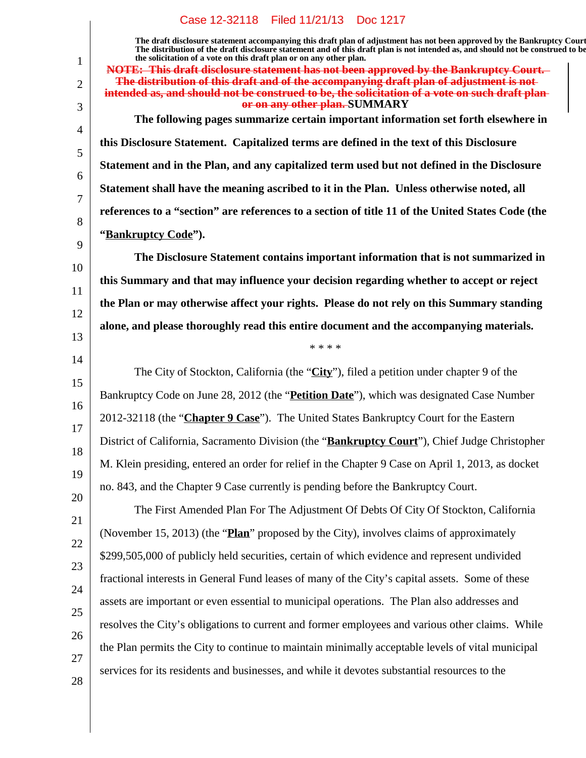**The draft disclosure statement accompanying this draft plan of adjustment has not been approved by the Bankruptcy Court. The distribution of the draft disclosure statement and of this draft plan is not intended as, and should not be construed to be, the solicitation of a vote on this draft plan or on any other plan.**

**NOTE: This draft disclosure statement has not been approved by the Bankruptcy Court. The distribution of this draft and of the accompanying draft plan of adjustment is not intended as, and should not be construed to be, the solicitation of a vote on such draft plan or on any other plan. SUMMARY The following pages summarize certain important information set forth elsewhere in this Disclosure Statement. Capitalized terms are defined in the text of this Disclosure Statement and in the Plan, and any capitalized term used but not defined in the Disclosure Statement shall have the meaning ascribed to it in the Plan. Unless otherwise noted, all references to a "section" are references to a section of title 11 of the United States Code (the "Bankruptcy Code"). The Disclosure Statement contains important information that is not summarized in**

**this Summary and that may influence your decision regarding whether to accept or reject the Plan or may otherwise affect your rights. Please do not rely on this Summary standing alone, and please thoroughly read this entire document and the accompanying materials.**

\* \* \* \*

The City of Stockton, California (the "**City**"), filed a petition under chapter 9 of the Bankruptcy Code on June 28, 2012 (the "**Petition Date**"), which was designated Case Number 2012-32118 (the "**Chapter 9 Case**"). The United States Bankruptcy Court for the Eastern District of California, Sacramento Division (the "**Bankruptcy Court**"), Chief Judge Christopher M. Klein presiding, entered an order for relief in the Chapter 9 Case on April 1, 2013, as docket no. 843, and the Chapter 9 Case currently is pending before the Bankruptcy Court.

23 25 26 27 28 The First Amended Plan For The Adjustment Of Debts Of City Of Stockton, California (November 15, 2013) (the "**Plan**" proposed by the City), involves claims of approximately \$299,505,000 of publicly held securities, certain of which evidence and represent undivided fractional interests in General Fund leases of many of the City's capital assets. Some of these assets are important or even essential to municipal operations. The Plan also addresses and resolves the City's obligations to current and former employees and various other claims. While the Plan permits the City to continue to maintain minimally acceptable levels of vital municipal services for its residents and businesses, and while it devotes substantial resources to the

1

2

3

- 21 22
- 24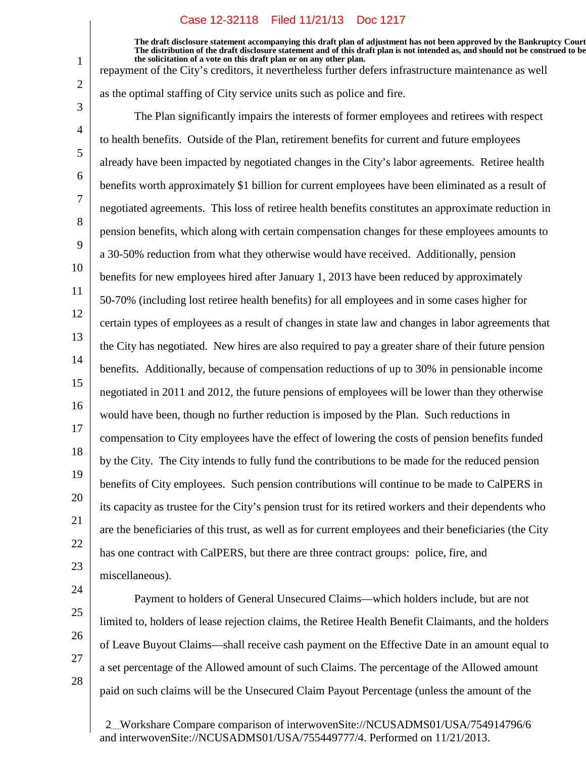**The draft disclosure statement accompanying this draft plan of adjustment has not been approved by the Bankruptcy Court. The distribution of the draft disclosure statement and of this draft plan is not intended as, and should not be construed to be, the solicitation of a vote on this draft plan or on any other plan.**

repayment of the City's creditors, it nevertheless further defers infrastructure maintenance as well

as the optimal staffing of City service units such as police and fire.

3 4 5 6 7 8 9 10 11 12 13 14 15 16 17 18 19 20 21 22 23 The Plan significantly impairs the interests of former employees and retirees with respect to health benefits. Outside of the Plan, retirement benefits for current and future employees already have been impacted by negotiated changes in the City's labor agreements. Retiree health benefits worth approximately \$1 billion for current employees have been eliminated as a result of negotiated agreements. This loss of retiree health benefits constitutes an approximate reduction in pension benefits, which along with certain compensation changes for these employees amounts to a 30-50% reduction from what they otherwise would have received. Additionally, pension benefits for new employees hired after January 1, 2013 have been reduced by approximately 50-70% (including lost retiree health benefits) for all employees and in some cases higher for certain types of employees as a result of changes in state law and changes in labor agreements that the City has negotiated. New hires are also required to pay a greater share of their future pension benefits. Additionally, because of compensation reductions of up to 30% in pensionable income negotiated in 2011 and 2012, the future pensions of employees will be lower than they otherwise would have been, though no further reduction is imposed by the Plan. Such reductions in compensation to City employees have the effect of lowering the costs of pension benefits funded by the City. The City intends to fully fund the contributions to be made for the reduced pension benefits of City employees. Such pension contributions will continue to be made to CalPERS in its capacity as trustee for the City's pension trust for its retired workers and their dependents who are the beneficiaries of this trust, as well as for current employees and their beneficiaries (the City has one contract with CalPERS, but there are three contract groups: police, fire, and miscellaneous).

24 25

26

27

28

1

2

Payment to holders of General Unsecured Claims—which holders include, but are not limited to, holders of lease rejection claims, the Retiree Health Benefit Claimants, and the holders of Leave Buyout Claims—shall receive cash payment on the Effective Date in an amount equal to a set percentage of the Allowed amount of such Claims. The percentage of the Allowed amount paid on such claims will be the Unsecured Claim Payout Percentage (unless the amount of the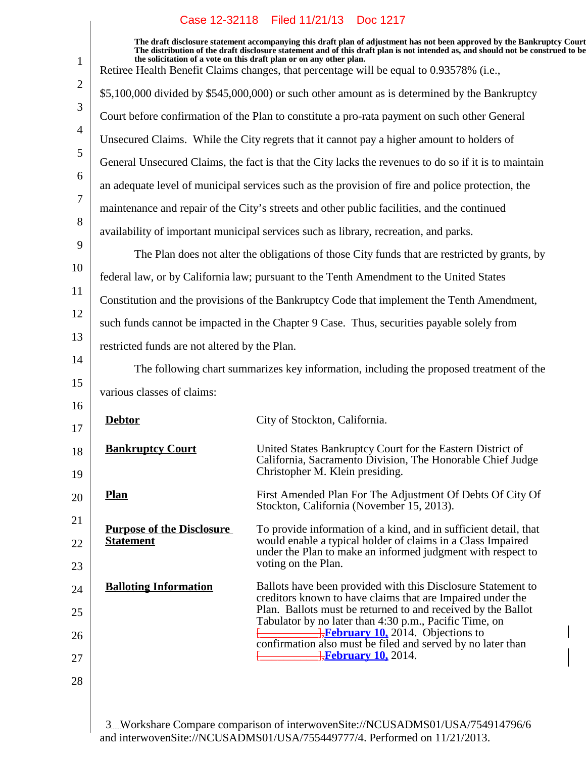|                                                      | Case IZ-32118 Filed II/21/13 DOC IZI7                                                                                                                                                                                                                                                                                                                                                                                        |
|------------------------------------------------------|------------------------------------------------------------------------------------------------------------------------------------------------------------------------------------------------------------------------------------------------------------------------------------------------------------------------------------------------------------------------------------------------------------------------------|
|                                                      | The draft disclosure statement accompanying this draft plan of adjustment has not been approved by the Bankruptcy Court<br>The distribution of the draft disclosure statement and of this draft plan is not intended as, and should not be construed to be<br>the solicitation of a vote on this draft plan or on any other plan.<br>Retiree Health Benefit Claims changes, that percentage will be equal to 0.93578% (i.e., |
|                                                      | \$5,100,000 divided by \$545,000,000) or such other amount as is determined by the Bankruptcy                                                                                                                                                                                                                                                                                                                                |
|                                                      | Court before confirmation of the Plan to constitute a pro-rata payment on such other General                                                                                                                                                                                                                                                                                                                                 |
|                                                      | Unsecured Claims. While the City regrets that it cannot pay a higher amount to holders of                                                                                                                                                                                                                                                                                                                                    |
|                                                      | General Unsecured Claims, the fact is that the City lacks the revenues to do so if it is to maintain                                                                                                                                                                                                                                                                                                                         |
|                                                      | an adequate level of municipal services such as the provision of fire and police protection, the                                                                                                                                                                                                                                                                                                                             |
|                                                      | maintenance and repair of the City's streets and other public facilities, and the continued                                                                                                                                                                                                                                                                                                                                  |
|                                                      | availability of important municipal services such as library, recreation, and parks.                                                                                                                                                                                                                                                                                                                                         |
|                                                      | The Plan does not alter the obligations of those City funds that are restricted by grants, by                                                                                                                                                                                                                                                                                                                                |
|                                                      | federal law, or by California law; pursuant to the Tenth Amendment to the United States                                                                                                                                                                                                                                                                                                                                      |
|                                                      | Constitution and the provisions of the Bankruptcy Code that implement the Tenth Amendment,                                                                                                                                                                                                                                                                                                                                   |
|                                                      | such funds cannot be impacted in the Chapter 9 Case. Thus, securities payable solely from                                                                                                                                                                                                                                                                                                                                    |
| restricted funds are not altered by the Plan.        |                                                                                                                                                                                                                                                                                                                                                                                                                              |
|                                                      | The following chart summarizes key information, including the proposed treatment of the                                                                                                                                                                                                                                                                                                                                      |
| various classes of claims:                           |                                                                                                                                                                                                                                                                                                                                                                                                                              |
| <b>Debtor</b>                                        | City of Stockton, California.                                                                                                                                                                                                                                                                                                                                                                                                |
|                                                      |                                                                                                                                                                                                                                                                                                                                                                                                                              |
| <b>Bankruptcy Court</b>                              | United States Bankruptcy Court for the Eastern District of<br>California, Sacramento Division, The Honorable Chief Judge<br>Christopher M. Klein presiding.                                                                                                                                                                                                                                                                  |
| <b>Plan</b>                                          | First Amended Plan For The Adjustment Of Debts Of City Of<br>Stockton, California (November 15, 2013).                                                                                                                                                                                                                                                                                                                       |
| <b>Purpose of the Disclosure</b><br><b>Statement</b> | To provide information of a kind, and in sufficient detail, that<br>would enable a typical holder of claims in a Class Impaired                                                                                                                                                                                                                                                                                              |
|                                                      | under the Plan to make an informed judgment with respect to<br>voting on the Plan.                                                                                                                                                                                                                                                                                                                                           |
| <b>Balloting Information</b>                         | Ballots have been provided with this Disclosure Statement to                                                                                                                                                                                                                                                                                                                                                                 |
|                                                      | creditors known to have claims that are Impaired under the<br>Plan. Ballots must be returned to and received by the Ballot<br>Tabulator by no later than 4:30 p.m., Pacific Time, on                                                                                                                                                                                                                                         |
|                                                      | <b>H</b> <sub>February 10, 2014. Objections to</sub><br>confirmation also must be filed and served by no later than                                                                                                                                                                                                                                                                                                          |
|                                                      |                                                                                                                                                                                                                                                                                                                                                                                                                              |
|                                                      |                                                                                                                                                                                                                                                                                                                                                                                                                              |
|                                                      |                                                                                                                                                                                                                                                                                                                                                                                                                              |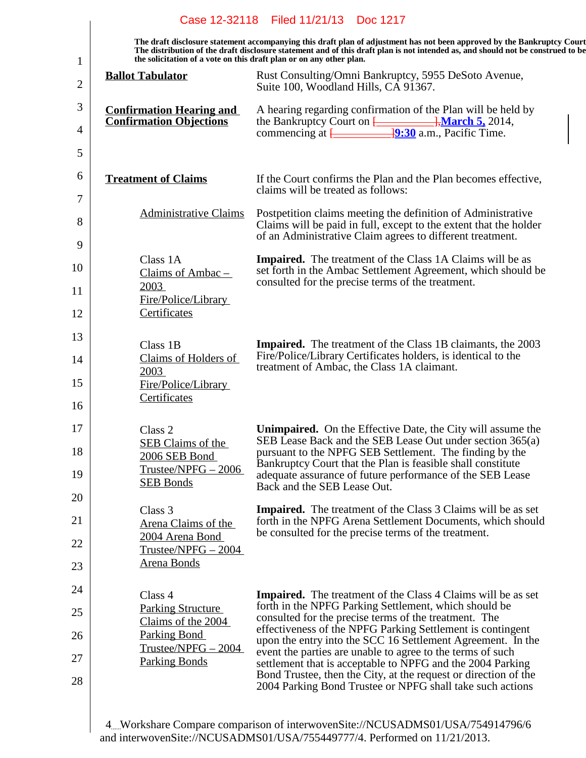|              |                                                                     | Case 12-32118 Filed 11/21/13 Doc 1217                                                                                                                                                                                                                      |
|--------------|---------------------------------------------------------------------|------------------------------------------------------------------------------------------------------------------------------------------------------------------------------------------------------------------------------------------------------------|
| $\mathbf{1}$ | the solicitation of a vote on this draft plan or on any other plan. | The draft disclosure statement accompanying this draft plan of adjustment has not been approved by the Bankruptcy Court<br>The distribution of the draft disclosure statement and of this draft plan is not intended as, and should not be construed to be |
| 2            | <b>Ballot Tabulator</b>                                             | Rust Consulting/Omni Bankruptcy, 5955 DeSoto Avenue,<br>Suite 100, Woodland Hills, CA 91367.                                                                                                                                                               |
| 3            | <b>Confirmation Hearing and</b><br><b>Confirmation Objections</b>   | A hearing regarding confirmation of the Plan will be held by<br>the Bankruptcy Court on $\frac{1}{2}$ , March 5, 2014,                                                                                                                                     |
| 4<br>5       |                                                                     | commencing at $\frac{19:30}{2}$ a.m., Pacific Time.                                                                                                                                                                                                        |
| 6<br>7       | <b>Treatment of Claims</b>                                          | If the Court confirms the Plan and the Plan becomes effective,<br>claims will be treated as follows:                                                                                                                                                       |
| 8<br>9       | <b>Administrative Claims</b>                                        | Postpetition claims meeting the definition of Administrative<br>Claims will be paid in full, except to the extent that the holder<br>of an Administrative Claim agrees to different treatment.                                                             |
| 10           | Class 1A<br>Claims of Ambac $-$<br>2003                             | <b>Impaired.</b> The treatment of the Class 1A Claims will be as<br>set forth in the Ambac Settlement Agreement, which should be<br>consulted for the precise terms of the treatment.                                                                      |
| 11<br>12     | Fire/Police/Library<br>Certificates                                 |                                                                                                                                                                                                                                                            |
| 13<br>14     | Class 1B<br>Claims of Holders of<br>2003                            | <b>Impaired.</b> The treatment of the Class 1B claimants, the 2003<br>Fire/Police/Library Certificates holders, is identical to the<br>treatment of Ambac, the Class 1A claimant.                                                                          |
| 15<br>16     | Fire/Police/Library<br>Certificates                                 |                                                                                                                                                                                                                                                            |
| 17<br>18     | Class 2<br><b>SEB Claims of the</b><br>2006 SEB Bond                | <b>Unimpaired.</b> On the Effective Date, the City will assume the<br>SEB Lease Back and the SEB Lease Out under section 365(a)<br>pursuant to the NPFG SEB Settlement. The finding by the                                                                 |
| 19           | $Trustee/NPEG - 2006$<br><b>SEB Bonds</b>                           | Bankruptcy Court that the Plan is feasible shall constitute<br>adequate assurance of future performance of the SEB Lease<br>Back and the SEB Lease Out.                                                                                                    |
| 20           | Class 3                                                             | <b>Impaired.</b> The treatment of the Class 3 Claims will be as set                                                                                                                                                                                        |
| 21<br>22     | Arena Claims of the<br>2004 Arena Bond                              | forth in the NPFG Arena Settlement Documents, which should<br>be consulted for the precise terms of the treatment.                                                                                                                                         |
| 23           | $Trustee/NPEG - 2004$<br>Arena Bonds                                |                                                                                                                                                                                                                                                            |
| 24           | Class 4                                                             | <b>Impaired.</b> The treatment of the Class 4 Claims will be as set                                                                                                                                                                                        |
| 25           | <b>Parking Structure</b><br>Claims of the 2004                      | forth in the NPFG Parking Settlement, which should be<br>consulted for the precise terms of the treatment. The                                                                                                                                             |
| 26           | Parking Bond<br>$Trustee/NPEG - 2004$                               | effectiveness of the NPFG Parking Settlement is contingent<br>upon the entry into the SCC 16 Settlement Agreement. In the                                                                                                                                  |
| 27           | <b>Parking Bonds</b>                                                | event the parties are unable to agree to the terms of such<br>settlement that is acceptable to NPFG and the 2004 Parking<br>Bond Trustee, then the City, at the request or direction of the                                                                |
| 28           |                                                                     | 2004 Parking Bond Trustee or NPFG shall take such actions                                                                                                                                                                                                  |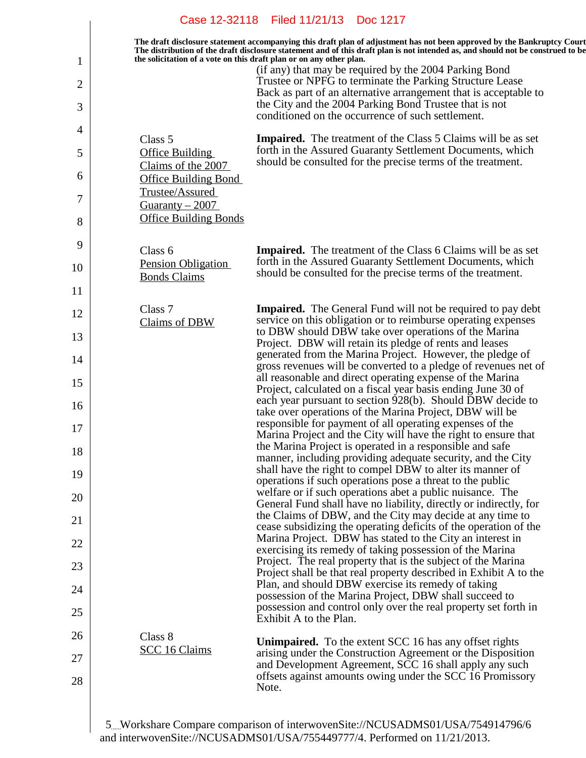|          |                                                                     | Case 12-32118 Filed 11/21/13<br><b>Doc 1217</b>                                                                                                                                                                                                            |
|----------|---------------------------------------------------------------------|------------------------------------------------------------------------------------------------------------------------------------------------------------------------------------------------------------------------------------------------------------|
|          | the solicitation of a vote on this draft plan or on any other plan. | The draft disclosure statement accompanying this draft plan of adjustment has not been approved by the Bankruptcy Court<br>The distribution of the draft disclosure statement and of this draft plan is not intended as, and should not be construed to be |
| 1<br>2   |                                                                     | (if any) that may be required by the 2004 Parking Bond<br>Trustee or NPFG to terminate the Parking Structure Lease                                                                                                                                         |
| 3        |                                                                     | Back as part of an alternative arrangement that is acceptable to<br>the City and the 2004 Parking Bond Trustee that is not                                                                                                                                 |
| 4        |                                                                     | conditioned on the occurrence of such settlement.                                                                                                                                                                                                          |
| 5        | Class 5<br>Office Building                                          | <b>Impaired.</b> The treatment of the Class 5 Claims will be as set<br>forth in the Assured Guaranty Settlement Documents, which                                                                                                                           |
| 6        | Claims of the 2007<br><b>Office Building Bond</b>                   | should be consulted for the precise terms of the treatment.                                                                                                                                                                                                |
| 7        | Trustee/Assured<br>Guaranty $-2007$                                 |                                                                                                                                                                                                                                                            |
| 8        | <b>Office Building Bonds</b>                                        |                                                                                                                                                                                                                                                            |
| 9        | Class 6                                                             | <b>Impaired.</b> The treatment of the Class 6 Claims will be as set                                                                                                                                                                                        |
| 10       | Pension Obligation<br><b>Bonds Claims</b>                           | forth in the Assured Guaranty Settlement Documents, which<br>should be consulted for the precise terms of the treatment.                                                                                                                                   |
| 11       |                                                                     |                                                                                                                                                                                                                                                            |
| 12       | Class 7<br>Claims of DBW                                            | <b>Impaired.</b> The General Fund will not be required to pay debt<br>service on this obligation or to reimburse operating expenses                                                                                                                        |
| 13       |                                                                     | to DBW should DBW take over operations of the Marina<br>Project. DBW will retain its pledge of rents and leases                                                                                                                                            |
| 14       |                                                                     | generated from the Marina Project. However, the pledge of<br>gross revenues will be converted to a pledge of revenues net of                                                                                                                               |
| 15       |                                                                     | all reasonable and direct operating expense of the Marina<br>Project, calculated on a fiscal year basis ending June 30 of                                                                                                                                  |
| 16       |                                                                     | each year pursuant to section 928(b). Should DBW decide to<br>take over operations of the Marina Project, DBW will be                                                                                                                                      |
| 17       |                                                                     | responsible for payment of all operating expenses of the<br>Marina Project and the City will have the right to ensure that<br>the Marina Project is operated in a responsible and safe                                                                     |
| 18       |                                                                     | manner, including providing adequate security, and the City<br>shall have the right to compel DBW to alter its manner of                                                                                                                                   |
| 19       |                                                                     | operations if such operations pose a threat to the public<br>welfare or if such operations abet a public nuisance. The                                                                                                                                     |
| 20       |                                                                     | General Fund shall have no liability, directly or indirectly, for<br>the Claims of DBW, and the City may decide at any time to                                                                                                                             |
| 21       |                                                                     | cease subsidizing the operating deficits of the operation of the<br>Marina Project. DBW has stated to the City an interest in                                                                                                                              |
| 22<br>23 |                                                                     | exercising its remedy of taking possession of the Marina<br>Project. The real property that is the subject of the Marina                                                                                                                                   |
| 24       |                                                                     | Project shall be that real property described in Exhibit A to the<br>Plan, and should DBW exercise its remedy of taking                                                                                                                                    |
| 25       |                                                                     | possession of the Marina Project, DBW shall succeed to<br>possession and control only over the real property set forth in                                                                                                                                  |
| 26       | Class 8                                                             | Exhibit A to the Plan.                                                                                                                                                                                                                                     |
| 27       | <b>SCC 16 Claims</b>                                                | <b>Unimpaired.</b> To the extent SCC 16 has any offset rights<br>arising under the Construction Agreement or the Disposition                                                                                                                               |
| 28       |                                                                     | and Development Agreement, SCC 16 shall apply any such<br>offsets against amounts owing under the SCC 16 Promissory<br>Note.                                                                                                                               |
|          |                                                                     |                                                                                                                                                                                                                                                            |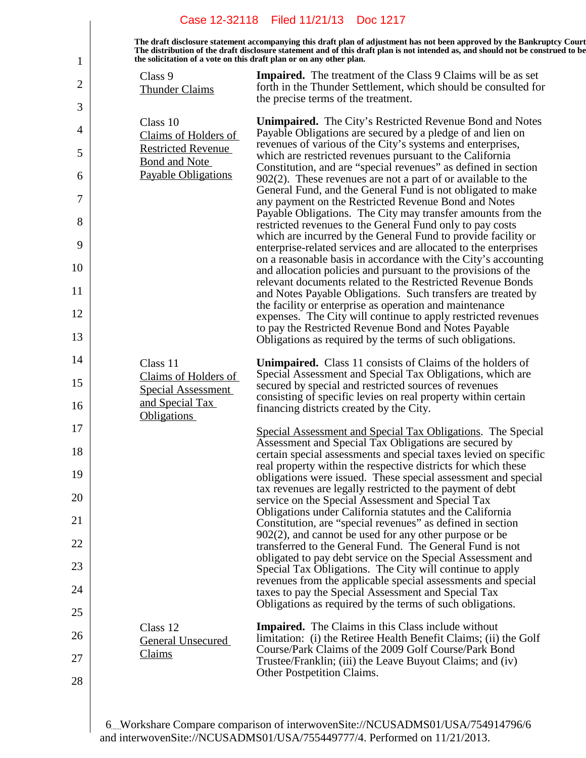|    |                                                                     | Case 12-32118 Filed 11/21/13 Doc 1217                                                                                                                                                                                                                      |
|----|---------------------------------------------------------------------|------------------------------------------------------------------------------------------------------------------------------------------------------------------------------------------------------------------------------------------------------------|
| 1  | the solicitation of a vote on this draft plan or on any other plan. | The draft disclosure statement accompanying this draft plan of adjustment has not been approved by the Bankruptcy Court<br>The distribution of the draft disclosure statement and of this draft plan is not intended as, and should not be construed to be |
| 2  | Class 9                                                             | <b>Impaired.</b> The treatment of the Class 9 Claims will be as set                                                                                                                                                                                        |
|    | <b>Thunder Claims</b>                                               | forth in the Thunder Settlement, which should be consulted for<br>the precise terms of the treatment.                                                                                                                                                      |
| 3  | Class 10                                                            | <b>Unimpaired.</b> The City's Restricted Revenue Bond and Notes                                                                                                                                                                                            |
| 4  | Claims of Holders of<br><b>Restricted Revenue</b>                   | Payable Obligations are secured by a pledge of and lien on<br>revenues of various of the City's systems and enterprises,                                                                                                                                   |
| 5  | Bond and Note                                                       | which are restricted revenues pursuant to the California<br>Constitution, and are "special revenues" as defined in section                                                                                                                                 |
| 6  | <b>Payable Obligations</b>                                          | $902(2)$ . These revenues are not a part of or available to the<br>General Fund, and the General Fund is not obligated to make                                                                                                                             |
| 7  |                                                                     | any payment on the Restricted Revenue Bond and Notes<br>Payable Obligations. The City may transfer amounts from the                                                                                                                                        |
| 8  |                                                                     | restricted revenues to the General Fund only to pay costs<br>which are incurred by the General Fund to provide facility or                                                                                                                                 |
| 9  |                                                                     | enterprise-related services and are allocated to the enterprises                                                                                                                                                                                           |
| 10 |                                                                     | on a reasonable basis in accordance with the City's accounting<br>and allocation policies and pursuant to the provisions of the                                                                                                                            |
| 11 |                                                                     | relevant documents related to the Restricted Revenue Bonds<br>and Notes Payable Obligations. Such transfers are treated by                                                                                                                                 |
| 12 |                                                                     | the facility or enterprise as operation and maintenance<br>expenses. The City will continue to apply restricted revenues                                                                                                                                   |
| 13 |                                                                     | to pay the Restricted Revenue Bond and Notes Payable<br>Obligations as required by the terms of such obligations.                                                                                                                                          |
| 14 | Class 11                                                            | <b>Unimpaired.</b> Class 11 consists of Claims of the holders of                                                                                                                                                                                           |
| 15 | Claims of Holders of<br><b>Special Assessment</b>                   | Special Assessment and Special Tax Obligations, which are<br>secured by special and restricted sources of revenues                                                                                                                                         |
| 16 | and Special Tax                                                     | consisting of specific levies on real property within certain<br>financing districts created by the City.                                                                                                                                                  |
| 17 | <b>Obligations</b>                                                  | Special Assessment and Special Tax Obligations. The Special                                                                                                                                                                                                |
| 18 |                                                                     | Assessment and Special Tax Obligations are secured by<br>certain special assessments and special taxes levied on specific                                                                                                                                  |
| 19 |                                                                     | real property within the respective districts for which these<br>obligations were issued. These special assessment and special                                                                                                                             |
| 20 |                                                                     | tax revenues are legally restricted to the payment of debt<br>service on the Special Assessment and Special Tax                                                                                                                                            |
| 21 |                                                                     | Obligations under California statutes and the California<br>Constitution, are "special revenues" as defined in section                                                                                                                                     |
| 22 |                                                                     | $902(2)$ , and cannot be used for any other purpose or be<br>transferred to the General Fund. The General Fund is not                                                                                                                                      |
| 23 |                                                                     | obligated to pay debt service on the Special Assessment and                                                                                                                                                                                                |
| 24 |                                                                     | Special Tax Obligations. The City will continue to apply<br>revenues from the applicable special assessments and special                                                                                                                                   |
| 25 |                                                                     | taxes to pay the Special Assessment and Special Tax<br>Obligations as required by the terms of such obligations.                                                                                                                                           |
| 26 | Class 12                                                            | <b>Impaired.</b> The Claims in this Class include without                                                                                                                                                                                                  |
|    | <b>General Unsecured</b><br>Claims                                  | limitation: (i) the Retiree Health Benefit Claims; (ii) the Golf<br>Course/Park Claims of the 2009 Golf Course/Park Bond                                                                                                                                   |
| 27 |                                                                     | Trustee/Franklin; (iii) the Leave Buyout Claims; and (iv)<br>Other Postpetition Claims.                                                                                                                                                                    |
| 28 |                                                                     |                                                                                                                                                                                                                                                            |
|    |                                                                     |                                                                                                                                                                                                                                                            |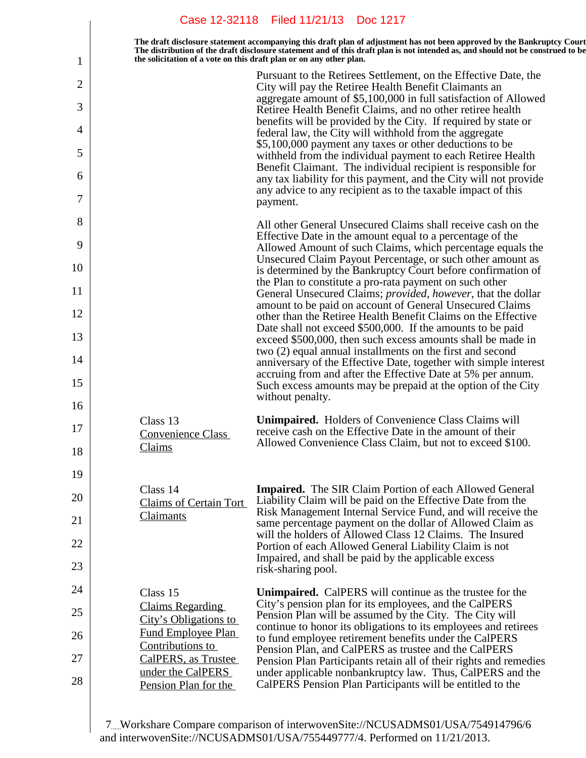|    | Case 12-32118 Filed 11/21/13 Doc 1217                                                                                                                                                                                                                                                                                             |
|----|-----------------------------------------------------------------------------------------------------------------------------------------------------------------------------------------------------------------------------------------------------------------------------------------------------------------------------------|
| 1  | The draft disclosure statement accompanying this draft plan of adjustment has not been approved by the Bankruptcy Court<br>The distribution of the draft disclosure statement and of this draft plan is not intended as, and should not be construed to be<br>the solicitation of a vote on this draft plan or on any other plan. |
| 2  | Pursuant to the Retirees Settlement, on the Effective Date, the<br>City will pay the Retiree Health Benefit Claimants an                                                                                                                                                                                                          |
| 3  | aggregate amount of \$5,100,000 in full satisfaction of Allowed                                                                                                                                                                                                                                                                   |
| 4  | Retiree Health Benefit Claims, and no other retiree health<br>benefits will be provided by the City. If required by state or<br>federal law, the City will withhold from the aggregate                                                                                                                                            |
| 5  | \$5,100,000 payment any taxes or other deductions to be<br>withheld from the individual payment to each Retiree Health                                                                                                                                                                                                            |
| 6  | Benefit Claimant. The individual recipient is responsible for<br>any tax liability for this payment, and the City will not provide                                                                                                                                                                                                |
| 7  | any advice to any recipient as to the taxable impact of this<br>payment.                                                                                                                                                                                                                                                          |
| 8  | All other General Unsecured Claims shall receive cash on the                                                                                                                                                                                                                                                                      |
| 9  | Effective Date in the amount equal to a percentage of the<br>Allowed Amount of such Claims, which percentage equals the                                                                                                                                                                                                           |
| 10 | Unsecured Claim Payout Percentage, or such other amount as<br>is determined by the Bankruptcy Court before confirmation of<br>the Plan to constitute a pro-rata payment on such other                                                                                                                                             |
| 11 | General Unsecured Claims; provided, however, that the dollar<br>amount to be paid on account of General Unsecured Claims                                                                                                                                                                                                          |
| 12 | other than the Retiree Health Benefit Claims on the Effective                                                                                                                                                                                                                                                                     |
| 13 | Date shall not exceed \$500,000. If the amounts to be paid<br>exceed \$500,000, then such excess amounts shall be made in                                                                                                                                                                                                         |
| 14 | two (2) equal annual installments on the first and second<br>anniversary of the Effective Date, together with simple interest                                                                                                                                                                                                     |
| 15 | accruing from and after the Effective Date at 5% per annum.<br>Such excess amounts may be prepaid at the option of the City<br>without penalty.                                                                                                                                                                                   |
| 16 |                                                                                                                                                                                                                                                                                                                                   |
| 17 | <b>Unimpaired.</b> Holders of Convenience Class Claims will<br>Class 13<br>receive cash on the Effective Date in the amount of their<br><b>Convenience Class</b><br>Allowed Convenience Class Claim, but not to exceed \$100.<br>Claims                                                                                           |
| 18 |                                                                                                                                                                                                                                                                                                                                   |
| 19 | Class 14<br><b>Impaired.</b> The SIR Claim Portion of each Allowed General                                                                                                                                                                                                                                                        |
| 20 | Liability Claim will be paid on the Effective Date from the<br><b>Claims of Certain Tort</b><br>Risk Management Internal Service Fund, and will receive the<br>Claimants                                                                                                                                                          |
| 21 | same percentage payment on the dollar of Allowed Claim as<br>will the holders of Allowed Class 12 Claims. The Insured                                                                                                                                                                                                             |
| 22 | Portion of each Allowed General Liability Claim is not<br>Impaired, and shall be paid by the applicable excess                                                                                                                                                                                                                    |
| 23 | risk-sharing pool.                                                                                                                                                                                                                                                                                                                |
| 24 | Unimpaired. CalPERS will continue as the trustee for the<br>Class 15<br>City's pension plan for its employees, and the CalPERS<br><b>Claims Regarding</b>                                                                                                                                                                         |
| 25 | Pension Plan will be assumed by the City. The City will<br>City's Obligations to<br>continue to honor its obligations to its employees and retirees                                                                                                                                                                               |
| 26 | Fund Employee Plan<br>to fund employee retirement benefits under the CalPERS<br>Contributions to<br>Pension Plan, and CalPERS as trustee and the CalPERS                                                                                                                                                                          |
| 27 | CalPERS, as Trustee<br>Pension Plan Participants retain all of their rights and remedies<br>under the CalPERS                                                                                                                                                                                                                     |
| 28 | under applicable nonbankruptcy law. Thus, CalPERS and the<br>CalPERS Pension Plan Participants will be entitled to the<br>Pension Plan for the                                                                                                                                                                                    |
|    |                                                                                                                                                                                                                                                                                                                                   |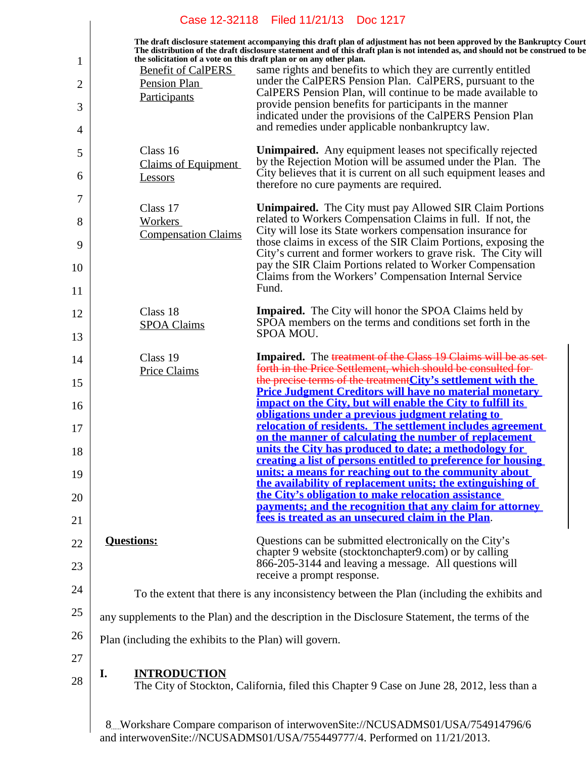|                |                                                                     | Case 12-32118 Filed 11/21/13 Doc 1217                                                                                                                                                                                                                      |
|----------------|---------------------------------------------------------------------|------------------------------------------------------------------------------------------------------------------------------------------------------------------------------------------------------------------------------------------------------------|
| 1              | the solicitation of a vote on this draft plan or on any other plan. | The draft disclosure statement accompanying this draft plan of adjustment has not been approved by the Bankruptcy Court<br>The distribution of the draft disclosure statement and of this draft plan is not intended as, and should not be construed to be |
| $\overline{2}$ | <b>Benefit of CalPERS</b><br>Pension Plan                           | same rights and benefits to which they are currently entitled<br>under the CalPERS Pension Plan. CalPERS, pursuant to the<br>CalPERS Pension Plan, will continue to be made available to                                                                   |
| 3              | Participants                                                        | provide pension benefits for participants in the manner<br>indicated under the provisions of the CalPERS Pension Plan                                                                                                                                      |
| 4              |                                                                     | and remedies under applicable nonbankruptcy law.                                                                                                                                                                                                           |
| 5              | Class 16<br><b>Claims of Equipment</b>                              | <b>Unimpaired.</b> Any equipment leases not specifically rejected<br>by the Rejection Motion will be assumed under the Plan. The                                                                                                                           |
| 6              | <b>Lessors</b>                                                      | City believes that it is current on all such equipment leases and<br>therefore no cure payments are required.                                                                                                                                              |
| 7              | Class 17                                                            | <b>Unimpaired.</b> The City must pay Allowed SIR Claim Portions                                                                                                                                                                                            |
| 8              | <b>Workers</b><br><b>Compensation Claims</b>                        | related to Workers Compensation Claims in full. If not, the<br>City will lose its State workers compensation insurance for                                                                                                                                 |
| 9              |                                                                     | those claims in excess of the SIR Claim Portions, exposing the<br>City's current and former workers to grave risk. The City will<br>pay the SIR Claim Portions related to Worker Compensation                                                              |
| 10             |                                                                     | Claims from the Workers' Compensation Internal Service<br>Fund.                                                                                                                                                                                            |
| 11<br>12       | Class 18                                                            | <b>Impaired.</b> The City will honor the SPOA Claims held by                                                                                                                                                                                               |
| 13             | <b>SPOA Claims</b>                                                  | SPOA members on the terms and conditions set forth in the<br>SPOA MOU.                                                                                                                                                                                     |
| 14             | Class 19                                                            | Impaired. The treatment of the Class 19 Claims will be as set-                                                                                                                                                                                             |
| 15             | <b>Price Claims</b>                                                 | forth in the Price Settlement, which should be consulted for-<br>the precise terms of the treatment City's settlement with the                                                                                                                             |
| 16             |                                                                     | <b>Price Judgment Creditors will have no material monetary</b><br>impact on the City, but will enable the City to fulfill its<br>obligations under a previous judgment relating to                                                                         |
| 17             |                                                                     | relocation of residents. The settlement includes agreement<br>on the manner of calculating the number of replacement                                                                                                                                       |
| 18             |                                                                     | units the City has produced to date; a methodology for<br><u>creating a list of persons entitled to preference for housing</u>                                                                                                                             |
| 19             |                                                                     | units; a means for reaching out to the community about<br>the availability of replacement units; the extinguishing of                                                                                                                                      |
| 20             |                                                                     | the City's obligation to make relocation assistance<br>payments; and the recognition that any claim for attorney                                                                                                                                           |
| 21             |                                                                     | fees is treated as an unsecured claim in the Plan.                                                                                                                                                                                                         |
| 22             | <b>Questions:</b>                                                   | Questions can be submitted electronically on the City's<br>chapter 9 website (stocktonchapter 9.com) or by calling                                                                                                                                         |
| 23             |                                                                     | 866-205-3144 and leaving a message. All questions will<br>receive a prompt response.                                                                                                                                                                       |
| 24             |                                                                     | To the extent that there is any inconsistency between the Plan (including the exhibits and                                                                                                                                                                 |
| 25             |                                                                     | any supplements to the Plan) and the description in the Disclosure Statement, the terms of the                                                                                                                                                             |
| 26             | Plan (including the exhibits to the Plan) will govern.              |                                                                                                                                                                                                                                                            |
| 27             | I.<br><b>INTRODUCTION</b>                                           |                                                                                                                                                                                                                                                            |
| 28             |                                                                     | The City of Stockton, California, filed this Chapter 9 Case on June 28, 2012, less than a                                                                                                                                                                  |
|                |                                                                     | 8. Workshare Compare comparison of interwoven Site://NCUSADMS01/USA/754914796/6<br>and interwoven $\text{Site}/\text{NCIIS}$ ADMS01/LIS A/755440777/4 Performed on 11/21/2013                                                                              |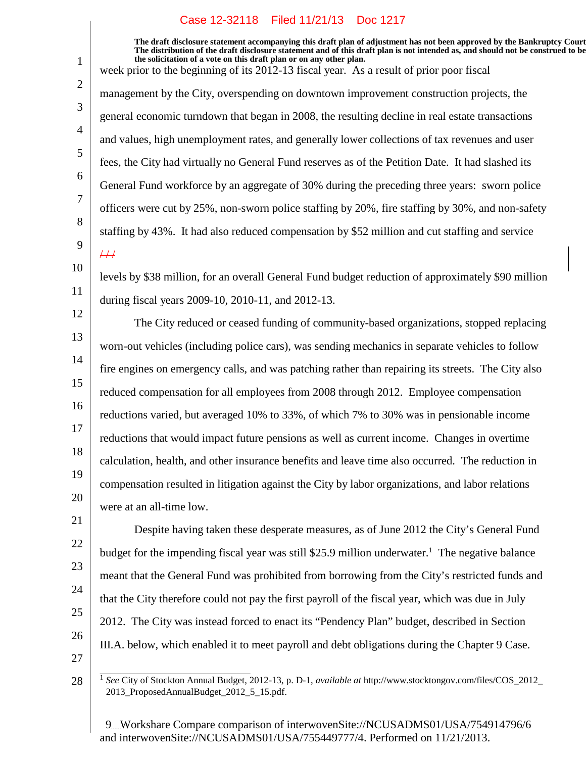1

2

3

4

5

6

7

8

9

21

22

24

25

26

27

28

**The draft disclosure statement accompanying this draft plan of adjustment has not been approved by the Bankruptcy Court. The distribution of the draft disclosure statement and of this draft plan is not intended as, and should not be construed to be, the solicitation of a vote on this draft plan or on any other plan.**

week prior to the beginning of its 2012-13 fiscal year. As a result of prior poor fiscal management by the City, overspending on downtown improvement construction projects, the general economic turndown that began in 2008, the resulting decline in real estate transactions and values, high unemployment rates, and generally lower collections of tax revenues and user fees, the City had virtually no General Fund reserves as of the Petition Date. It had slashed its General Fund workforce by an aggregate of 30% during the preceding three years: sworn police officers were cut by 25%, non-sworn police staffing by 20%, fire staffing by 30%, and non-safety staffing by 43%. It had also reduced compensation by \$52 million and cut staffing and service  $#$ 

10 11 levels by \$38 million, for an overall General Fund budget reduction of approximately \$90 million during fiscal years 2009-10, 2010-11, and 2012-13.

12 13 14 15 16 17 18 19 20 The City reduced or ceased funding of community-based organizations, stopped replacing worn-out vehicles (including police cars), was sending mechanics in separate vehicles to follow fire engines on emergency calls, and was patching rather than repairing its streets. The City also reduced compensation for all employees from 2008 through 2012. Employee compensation reductions varied, but averaged 10% to 33%, of which 7% to 30% was in pensionable income reductions that would impact future pensions as well as current income. Changes in overtime calculation, health, and other insurance benefits and leave time also occurred. The reduction in compensation resulted in litigation against the City by labor organizations, and labor relations were at an all-time low.

23 Despite having taken these desperate measures, as of June 2012 the City's General Fund budget for the impending fiscal year was still \$25.9 million underwater.<sup>1</sup> The negative balance meant that the General Fund was prohibited from borrowing from the City's restricted funds and that the City therefore could not pay the first payroll of the fiscal year, which was due in July 2012. The City was instead forced to enact its "Pendency Plan" budget, described in Section III.A. below, which enabled it to meet payroll and debt obligations during the Chapter 9 Case.

<sup>1</sup> *See* City of Stockton Annual Budget, 2012-13, p. D-1, *available at* http://www.stocktongov.com/files/COS\_2012\_ 2013 ProposedAnnualBudget 2012 5 15.pdf.

<sup>9</sup> Workshare Compare comparison of interwovenSite://NCUSADMS01/USA/754914796/6 and interwovenSite://NCUSADMS01/USA/755449777/4. Performed on 11/21/2013.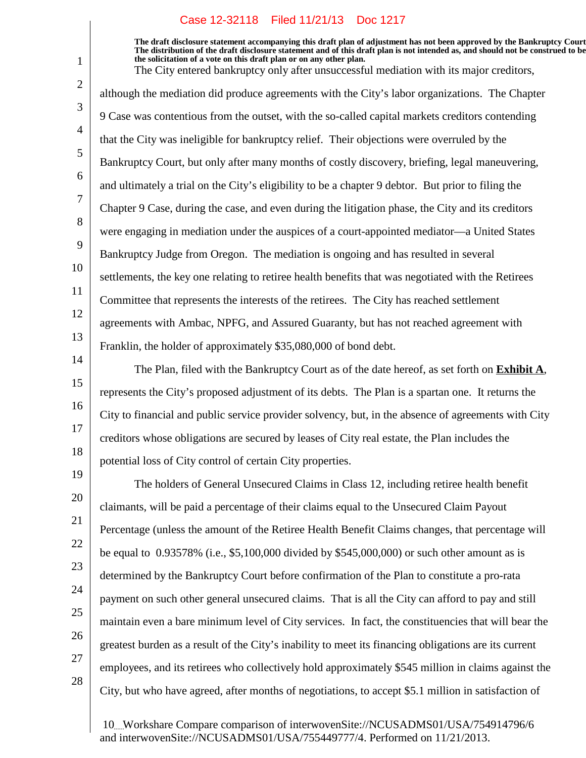1

2

3

4

5

6

7

8

9

10

11

12

13

14

15

16

17

18

21

**The draft disclosure statement accompanying this draft plan of adjustment has not been approved by the Bankruptcy Court. The distribution of the draft disclosure statement and of this draft plan is not intended as, and should not be construed to be, the solicitation of a vote on this draft plan or on any other plan.**

The City entered bankruptcy only after unsuccessful mediation with its major creditors, although the mediation did produce agreements with the City's labor organizations. The Chapter 9 Case was contentious from the outset, with the so-called capital markets creditors contending that the City was ineligible for bankruptcy relief. Their objections were overruled by the Bankruptcy Court, but only after many months of costly discovery, briefing, legal maneuvering, and ultimately a trial on the City's eligibility to be a chapter 9 debtor. But prior to filing the Chapter 9 Case, during the case, and even during the litigation phase, the City and its creditors were engaging in mediation under the auspices of a court-appointed mediator—a United States Bankruptcy Judge from Oregon. The mediation is ongoing and has resulted in several settlements, the key one relating to retiree health benefits that was negotiated with the Retirees Committee that represents the interests of the retirees. The City has reached settlement agreements with Ambac, NPFG, and Assured Guaranty, but has not reached agreement with Franklin, the holder of approximately \$35,080,000 of bond debt.

The Plan, filed with the Bankruptcy Court as of the date hereof, as set forth on **Exhibit A**, represents the City's proposed adjustment of its debts. The Plan is a spartan one. It returns the City to financial and public service provider solvency, but, in the absence of agreements with City creditors whose obligations are secured by leases of City real estate, the Plan includes the potential loss of City control of certain City properties.

19 20 22 23 24 25 26 27 28 The holders of General Unsecured Claims in Class 12, including retiree health benefit claimants, will be paid a percentage of their claims equal to the Unsecured Claim Payout Percentage (unless the amount of the Retiree Health Benefit Claims changes, that percentage will be equal to 0.93578% (i.e., \$5,100,000 divided by \$545,000,000) or such other amount as is determined by the Bankruptcy Court before confirmation of the Plan to constitute a pro-rata payment on such other general unsecured claims. That is all the City can afford to pay and still maintain even a bare minimum level of City services. In fact, the constituencies that will bear the greatest burden as a result of the City's inability to meet its financing obligations are its current employees, and its retirees who collectively hold approximately \$545 million in claims against the City, but who have agreed, after months of negotiations, to accept \$5.1 million in satisfaction of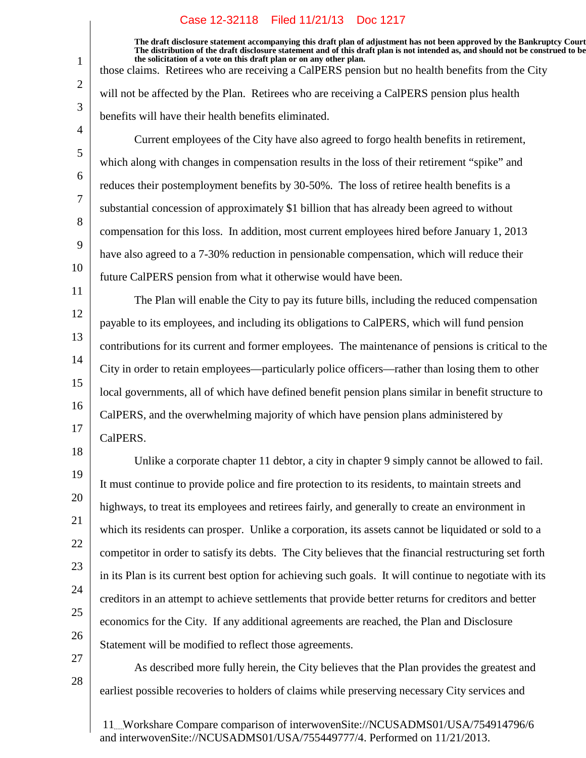**The draft disclosure statement accompanying this draft plan of adjustment has not been approved by the Bankruptcy Court. The distribution of the draft disclosure statement and of this draft plan is not intended as, and should not be construed to be, the solicitation of a vote on this draft plan or on any other plan.** those claims. Retirees who are receiving a CalPERS pension but no health benefits from the City

will not be affected by the Plan. Retirees who are receiving a CalPERS pension plus health benefits will have their health benefits eliminated.

Current employees of the City have also agreed to forgo health benefits in retirement, which along with changes in compensation results in the loss of their retirement "spike" and reduces their postemployment benefits by 30-50%. The loss of retiree health benefits is a substantial concession of approximately \$1 billion that has already been agreed to without compensation for this loss. In addition, most current employees hired before January 1, 2013 have also agreed to a 7-30% reduction in pensionable compensation, which will reduce their future CalPERS pension from what it otherwise would have been.

11 12 13 14 15 16 17 The Plan will enable the City to pay its future bills, including the reduced compensation payable to its employees, and including its obligations to CalPERS, which will fund pension contributions for its current and former employees. The maintenance of pensions is critical to the City in order to retain employees—particularly police officers—rather than losing them to other local governments, all of which have defined benefit pension plans similar in benefit structure to CalPERS, and the overwhelming majority of which have pension plans administered by CalPERS.

18 19 20 21 22 23 24 25 26 Unlike a corporate chapter 11 debtor, a city in chapter 9 simply cannot be allowed to fail. It must continue to provide police and fire protection to its residents, to maintain streets and highways, to treat its employees and retirees fairly, and generally to create an environment in which its residents can prosper. Unlike a corporation, its assets cannot be liquidated or sold to a competitor in order to satisfy its debts. The City believes that the financial restructuring set forth in its Plan is its current best option for achieving such goals. It will continue to negotiate with its creditors in an attempt to achieve settlements that provide better returns for creditors and better economics for the City. If any additional agreements are reached, the Plan and Disclosure Statement will be modified to reflect those agreements.

27 28

1

2

3

4

5

6

7

8

9

10

As described more fully herein, the City believes that the Plan provides the greatest and earliest possible recoveries to holders of claims while preserving necessary City services and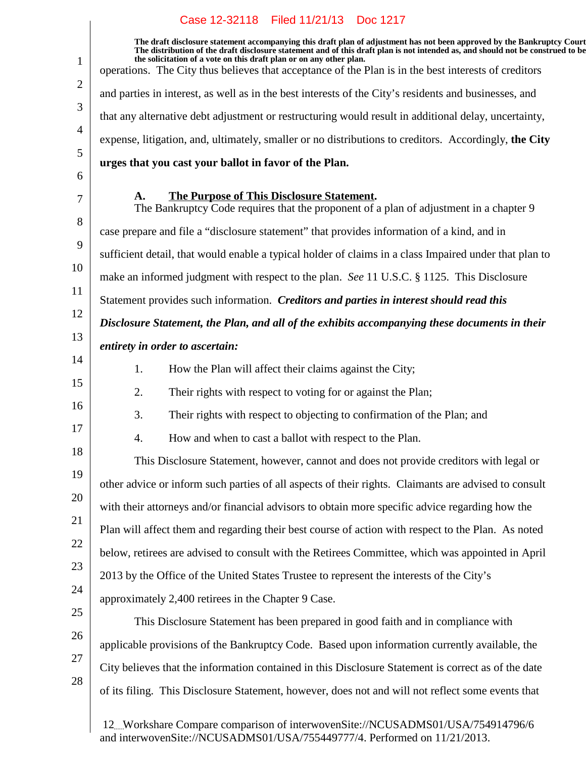$\overline{\phantom{a}}$ 

| 1              | The draft disclosure statement accompanying this draft plan of adjustment has not been approved by the Bankruptcy Court<br>The distribution of the draft disclosure statement and of this draft plan is not intended as, and should not be construed to be<br>the solicitation of a vote on this draft plan or on any other plan.<br>operations. The City thus believes that acceptance of the Plan is in the best interests of creditors |
|----------------|-------------------------------------------------------------------------------------------------------------------------------------------------------------------------------------------------------------------------------------------------------------------------------------------------------------------------------------------------------------------------------------------------------------------------------------------|
| 2              | and parties in interest, as well as in the best interests of the City's residents and businesses, and                                                                                                                                                                                                                                                                                                                                     |
| 3              | that any alternative debt adjustment or restructuring would result in additional delay, uncertainty,                                                                                                                                                                                                                                                                                                                                      |
| $\overline{4}$ | expense, litigation, and, ultimately, smaller or no distributions to creditors. Accordingly, the City                                                                                                                                                                                                                                                                                                                                     |
| 5              | urges that you cast your ballot in favor of the Plan.                                                                                                                                                                                                                                                                                                                                                                                     |
| 6              |                                                                                                                                                                                                                                                                                                                                                                                                                                           |
| 7              | The Purpose of This Disclosure Statement.<br>A.<br>The Bankruptcy Code requires that the proponent of a plan of adjustment in a chapter 9                                                                                                                                                                                                                                                                                                 |
| 8              | case prepare and file a "disclosure statement" that provides information of a kind, and in                                                                                                                                                                                                                                                                                                                                                |
| 9              | sufficient detail, that would enable a typical holder of claims in a class Impaired under that plan to                                                                                                                                                                                                                                                                                                                                    |
| 10             | make an informed judgment with respect to the plan. See 11 U.S.C. § 1125. This Disclosure                                                                                                                                                                                                                                                                                                                                                 |
| 11             | Statement provides such information. Creditors and parties in interest should read this                                                                                                                                                                                                                                                                                                                                                   |
| 12             | Disclosure Statement, the Plan, and all of the exhibits accompanying these documents in their                                                                                                                                                                                                                                                                                                                                             |
| 13             | entirety in order to ascertain:                                                                                                                                                                                                                                                                                                                                                                                                           |
| 14             | 1.<br>How the Plan will affect their claims against the City;                                                                                                                                                                                                                                                                                                                                                                             |
| 15             | 2.<br>Their rights with respect to voting for or against the Plan;                                                                                                                                                                                                                                                                                                                                                                        |
| 16             | 3.<br>Their rights with respect to objecting to confirmation of the Plan; and                                                                                                                                                                                                                                                                                                                                                             |
| 17             | How and when to cast a ballot with respect to the Plan.<br>4.                                                                                                                                                                                                                                                                                                                                                                             |
| 18             | This Disclosure Statement, however, cannot and does not provide creditors with legal or                                                                                                                                                                                                                                                                                                                                                   |
| 19             | other advice or inform such parties of all aspects of their rights. Claimants are advised to consult                                                                                                                                                                                                                                                                                                                                      |
| 20             | with their attorneys and/or financial advisors to obtain more specific advice regarding how the                                                                                                                                                                                                                                                                                                                                           |
| 21             | Plan will affect them and regarding their best course of action with respect to the Plan. As noted                                                                                                                                                                                                                                                                                                                                        |
| 22             | below, retirees are advised to consult with the Retirees Committee, which was appointed in April                                                                                                                                                                                                                                                                                                                                          |
| 23             | 2013 by the Office of the United States Trustee to represent the interests of the City's                                                                                                                                                                                                                                                                                                                                                  |
| 24             | approximately 2,400 retirees in the Chapter 9 Case.                                                                                                                                                                                                                                                                                                                                                                                       |
| 25             | This Disclosure Statement has been prepared in good faith and in compliance with                                                                                                                                                                                                                                                                                                                                                          |
| 26             | applicable provisions of the Bankruptcy Code. Based upon information currently available, the                                                                                                                                                                                                                                                                                                                                             |
| 27             | City believes that the information contained in this Disclosure Statement is correct as of the date                                                                                                                                                                                                                                                                                                                                       |
| 28             | of its filing. This Disclosure Statement, however, does not and will not reflect some events that                                                                                                                                                                                                                                                                                                                                         |
|                | 12. Workshare Compare comparison of interwovenSite://NCUSADMS01/USA/754914796/6                                                                                                                                                                                                                                                                                                                                                           |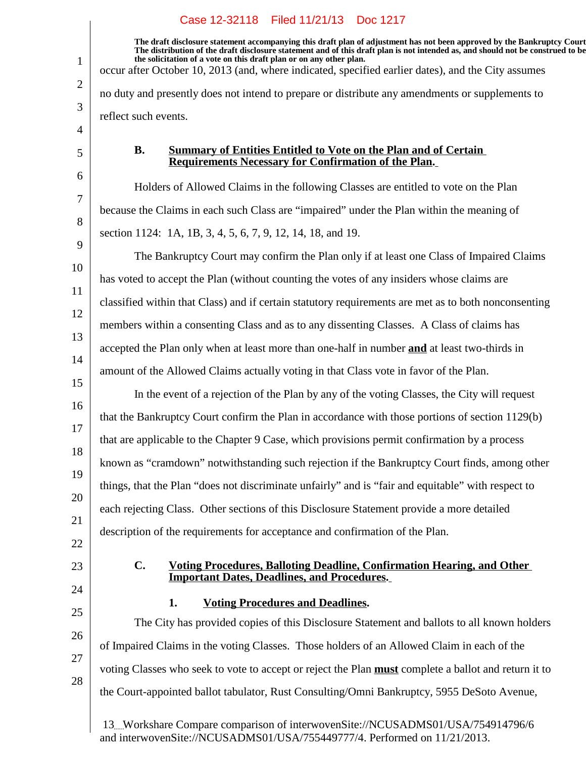**The draft disclosure statement accompanying this draft plan of adjustment has not been approved by the Bankruptcy Court. The distribution of the draft disclosure statement and of this draft plan is not intended as, and should not be construed to be, the solicitation of a vote on this draft plan or on any other plan.** occur after October 10, 2013 (and, where indicated, specified earlier dates), and the City assumes

no duty and presently does not intend to prepare or distribute any amendments or supplements to reflect such events.

**B. Summary of Entities Entitled to Vote on the Plan and of Certain Requirements Necessary for Confirmation of the Plan.**

Holders of Allowed Claims in the following Classes are entitled to vote on the Plan because the Claims in each such Class are "impaired" under the Plan within the meaning of section 1124: 1A, 1B, 3, 4, 5, 6, 7, 9, 12, 14, 18, and 19.

10 11 12 13 14 The Bankruptcy Court may confirm the Plan only if at least one Class of Impaired Claims has voted to accept the Plan (without counting the votes of any insiders whose claims are classified within that Class) and if certain statutory requirements are met as to both nonconsenting members within a consenting Class and as to any dissenting Classes. A Class of claims has accepted the Plan only when at least more than one-half in number **and** at least two-thirds in amount of the Allowed Claims actually voting in that Class vote in favor of the Plan.

15 16 17 18 19 20 21 In the event of a rejection of the Plan by any of the voting Classes, the City will request that the Bankruptcy Court confirm the Plan in accordance with those portions of section 1129(b) that are applicable to the Chapter 9 Case, which provisions permit confirmation by a process known as "cramdown" notwithstanding such rejection if the Bankruptcy Court finds, among other things, that the Plan "does not discriminate unfairly" and is "fair and equitable" with respect to each rejecting Class. Other sections of this Disclosure Statement provide a more detailed description of the requirements for acceptance and confirmation of the Plan.

22

1

2

3

4

5

6

7

8

9

23

## **C. Voting Procedures, Balloting Deadline, Confirmation Hearing, and Other Important Dates, Deadlines, and Procedures.**

24 25

26

27

28

**1.** Voting Procedures and Deadlines.

The City has provided copies of this Disclosure Statement and ballots to all known holders of Impaired Claims in the voting Classes. Those holders of an Allowed Claim in each of the voting Classes who seek to vote to accept or reject the Plan **must** complete a ballot and return it to the Court-appointed ballot tabulator, Rust Consulting/Omni Bankruptcy, 5955 DeSoto Avenue,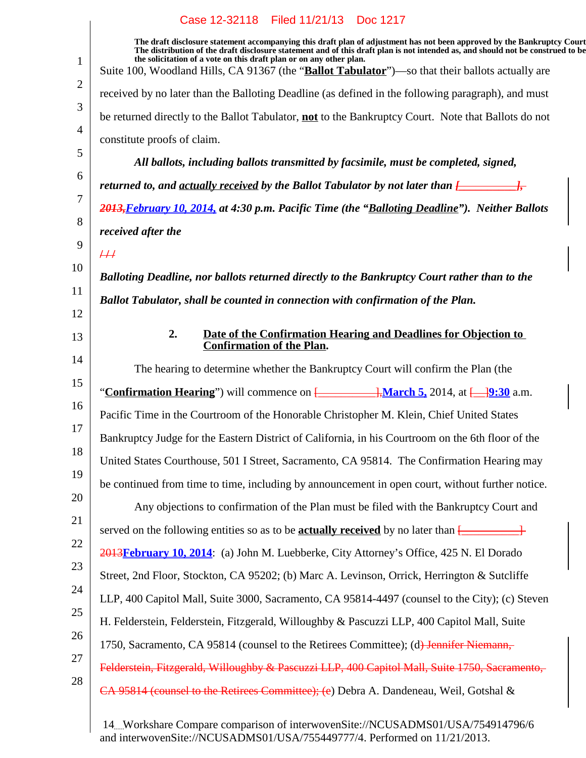| 1              | The draft disclosure statement accompanying this draft plan of adjustment has not been approved by the Bankruptcy Court<br>The distribution of the draft disclosure statement and of this draft plan is not intended as, and should not be construed to be<br>the solicitation of a vote on this draft plan or on any other plan.<br>Suite 100, Woodland Hills, CA 91367 (the " <b>Ballot Tabulator</b> ")—so that their ballots actually are |
|----------------|-----------------------------------------------------------------------------------------------------------------------------------------------------------------------------------------------------------------------------------------------------------------------------------------------------------------------------------------------------------------------------------------------------------------------------------------------|
| $\overline{2}$ | received by no later than the Balloting Deadline (as defined in the following paragraph), and must                                                                                                                                                                                                                                                                                                                                            |
| 3              | be returned directly to the Ballot Tabulator, not to the Bankruptcy Court. Note that Ballots do not                                                                                                                                                                                                                                                                                                                                           |
| 4<br>5         | constitute proofs of claim.                                                                                                                                                                                                                                                                                                                                                                                                                   |
| 6              | All ballots, including ballots transmitted by facsimile, must be completed, signed,                                                                                                                                                                                                                                                                                                                                                           |
| 7              | returned to, and <u>actually received</u> by the Ballot Tabulator by not later than $\frac{1}{\sqrt{1-\frac{1}{\sqrt{1-\frac{1}{\sqrt{1-\frac{1}{\sqrt{1-\frac{1}{\sqrt{1-\frac{1}{\sqrt{1-\frac{1}{\sqrt{1-\frac{1}{\sqrt{1-\frac{1}{\sqrt{1-\frac{1}{\sqrt{1-\frac{1}{\sqrt{1-\frac{1}{\sqrt{1-\frac{1}{\sqrt{1-\frac{1}{\sqrt{1-\frac{1}{\sqrt{1-\frac{1}{\$                                                                               |
| 8              | 2013, February 10, 2014, at 4:30 p.m. Pacific Time (the "Balloting Deadline"). Neither Ballots                                                                                                                                                                                                                                                                                                                                                |
| 9              | received after the                                                                                                                                                                                                                                                                                                                                                                                                                            |
| 10             | H                                                                                                                                                                                                                                                                                                                                                                                                                                             |
|                | Balloting Deadline, nor ballots returned directly to the Bankruptcy Court rather than to the                                                                                                                                                                                                                                                                                                                                                  |
| 11<br>12       | Ballot Tabulator, shall be counted in connection with confirmation of the Plan.                                                                                                                                                                                                                                                                                                                                                               |
| 13             | 2.<br>Date of the Confirmation Hearing and Deadlines for Objection to<br><b>Confirmation of the Plan.</b>                                                                                                                                                                                                                                                                                                                                     |
| 14             | The hearing to determine whether the Bankruptcy Court will confirm the Plan (the                                                                                                                                                                                                                                                                                                                                                              |
| 15             | "Confirmation Hearing") will commence on [ <b>Configuration</b> ], March 5, 2014, at [19:30 a.m.                                                                                                                                                                                                                                                                                                                                              |
| 16             | Pacific Time in the Courtroom of the Honorable Christopher M. Klein, Chief United States                                                                                                                                                                                                                                                                                                                                                      |
| 17             | Bankruptcy Judge for the Eastern District of California, in his Courtroom on the 6th floor of the                                                                                                                                                                                                                                                                                                                                             |
| 18             | United States Courthouse, 501 I Street, Sacramento, CA 95814. The Confirmation Hearing may                                                                                                                                                                                                                                                                                                                                                    |
| 19             | be continued from time to time, including by announcement in open court, without further notice.                                                                                                                                                                                                                                                                                                                                              |
| 20             | Any objections to confirmation of the Plan must be filed with the Bankruptcy Court and                                                                                                                                                                                                                                                                                                                                                        |
| 21             | served on the following entities so as to be <b>actually received</b> by no later than $\frac{[$                                                                                                                                                                                                                                                                                                                                              |
| 22             | 2013 February 10, 2014: (a) John M. Luebberke, City Attorney's Office, 425 N. El Dorado                                                                                                                                                                                                                                                                                                                                                       |
| 23             | Street, 2nd Floor, Stockton, CA 95202; (b) Marc A. Levinson, Orrick, Herrington & Sutcliffe                                                                                                                                                                                                                                                                                                                                                   |
| 24             | LLP, 400 Capitol Mall, Suite 3000, Sacramento, CA 95814-4497 (counsel to the City); (c) Steven                                                                                                                                                                                                                                                                                                                                                |
| 25             | H. Felderstein, Felderstein, Fitzgerald, Willoughby & Pascuzzi LLP, 400 Capitol Mall, Suite                                                                                                                                                                                                                                                                                                                                                   |
| 26             | 1750, Sacramento, CA 95814 (counsel to the Retirees Committee); (d) Jennifer Niemann,                                                                                                                                                                                                                                                                                                                                                         |
| 27             | Felderstein, Fitzgerald, Willoughby & Pascuzzi LLP, 400 Capitol Mall, Suite 1750, Sacramento,                                                                                                                                                                                                                                                                                                                                                 |
| 28             | CA 95814 (counsel to the Retirees Committee); (e) Debra A. Dandeneau, Weil, Gotshal &                                                                                                                                                                                                                                                                                                                                                         |
|                |                                                                                                                                                                                                                                                                                                                                                                                                                                               |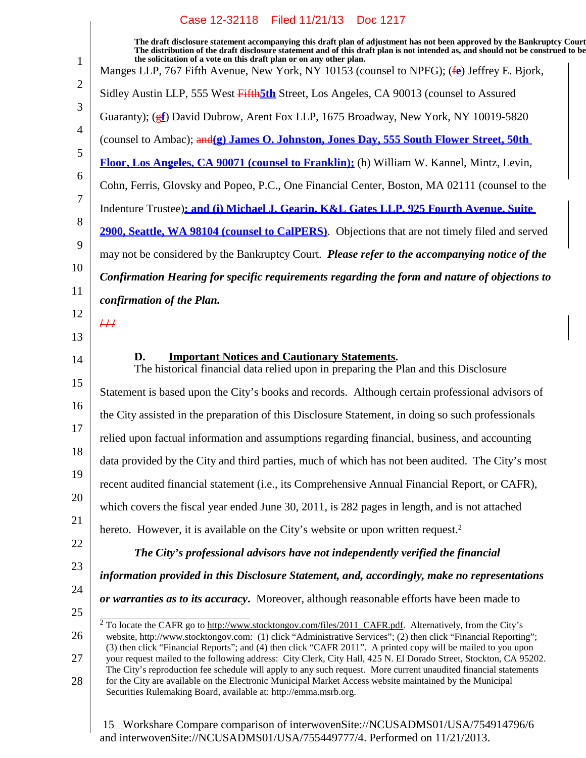| $\mathbf{1}$   | The draft disclosure statement accompanying this draft plan of adjustment has not been approved by the Bankruptcy Court<br>The distribution of the draft disclosure statement and of this draft plan is not intended as, and should not be construed to be<br>the solicitation of a vote on this draft plan or on any other plan.<br>Manges LLP, 767 Fifth Avenue, New York, NY 10153 (counsel to NPFG); (fe) Jeffrey E. Bjork, |
|----------------|---------------------------------------------------------------------------------------------------------------------------------------------------------------------------------------------------------------------------------------------------------------------------------------------------------------------------------------------------------------------------------------------------------------------------------|
| $\overline{2}$ | Sidley Austin LLP, 555 West Fifth 5th Street, Los Angeles, CA 90013 (counsel to Assured                                                                                                                                                                                                                                                                                                                                         |
| 3              | Guaranty); (ef) David Dubrow, Arent Fox LLP, 1675 Broadway, New York, NY 10019-5820                                                                                                                                                                                                                                                                                                                                             |
| $\overline{4}$ | (counsel to Ambac); and(g) James O. Johnston, Jones Day, 555 South Flower Street, 50th                                                                                                                                                                                                                                                                                                                                          |
| 5              | Floor, Los Angeles, CA 90071 (counsel to Franklin); (h) William W. Kannel, Mintz, Levin,                                                                                                                                                                                                                                                                                                                                        |
| 6              | Cohn, Ferris, Glovsky and Popeo, P.C., One Financial Center, Boston, MA 02111 (counsel to the                                                                                                                                                                                                                                                                                                                                   |
| 7              | Indenture Trustee); and (i) Michael J. Gearin, K&L Gates LLP, 925 Fourth Avenue, Suite                                                                                                                                                                                                                                                                                                                                          |
| 8              | 2900, Seattle, WA 98104 (counsel to CalPERS). Objections that are not timely filed and served                                                                                                                                                                                                                                                                                                                                   |
| 9              | may not be considered by the Bankruptcy Court. Please refer to the accompanying notice of the                                                                                                                                                                                                                                                                                                                                   |
| 10             | Confirmation Hearing for specific requirements regarding the form and nature of objections to                                                                                                                                                                                                                                                                                                                                   |
| 11             | confirmation of the Plan.                                                                                                                                                                                                                                                                                                                                                                                                       |
| 12<br>13       | H                                                                                                                                                                                                                                                                                                                                                                                                                               |
| 14             | <b>Important Notices and Cautionary Statements.</b><br>D.<br>The historical financial data relied upon in preparing the Plan and this Disclosure                                                                                                                                                                                                                                                                                |
| 15             | Statement is based upon the City's books and records. Although certain professional advisors of                                                                                                                                                                                                                                                                                                                                 |
| 16             | the City assisted in the preparation of this Disclosure Statement, in doing so such professionals                                                                                                                                                                                                                                                                                                                               |
| 17             | relied upon factual information and assumptions regarding financial, business, and accounting                                                                                                                                                                                                                                                                                                                                   |
| 18             | data provided by the City and third parties, much of which has not been audited. The City's most                                                                                                                                                                                                                                                                                                                                |
| 19             | recent audited financial statement (i.e., its Comprehensive Annual Financial Report, or CAFR),                                                                                                                                                                                                                                                                                                                                  |
| 20             | which covers the fiscal year ended June 30, 2011, is 282 pages in length, and is not attached                                                                                                                                                                                                                                                                                                                                   |
| 21             | hereto. However, it is available on the City's website or upon written request. <sup>2</sup>                                                                                                                                                                                                                                                                                                                                    |
| 22             | The City's professional advisors have not independently verified the financial                                                                                                                                                                                                                                                                                                                                                  |
| 23             | information provided in this Disclosure Statement, and, accordingly, make no representations                                                                                                                                                                                                                                                                                                                                    |
| 24             | or warranties as to its accuracy. Moreover, although reasonable efforts have been made to                                                                                                                                                                                                                                                                                                                                       |
| 25             | $2$ To locate the CAFR go to http://www.stocktongov.com/files/2011_CAFR.pdf. Alternatively, from the City's                                                                                                                                                                                                                                                                                                                     |
| 26             | website, http://www.stocktongov.com: (1) click "Administrative Services"; (2) then click "Financial Reporting";<br>(3) then click "Financial Reports"; and (4) then click "CAFR 2011". A printed copy will be mailed to you upon                                                                                                                                                                                                |
| 27<br>28       | your request mailed to the following address: City Clerk, City Hall, 425 N. El Dorado Street, Stockton, CA 95202.<br>The City's reproduction fee schedule will apply to any such request. More current unaudited financial statements<br>for the City are available on the Electronic Municipal Market Access website maintained by the Municipal<br>Securities Rulemaking Board, available at: http://emma.msrb.org.           |
|                |                                                                                                                                                                                                                                                                                                                                                                                                                                 |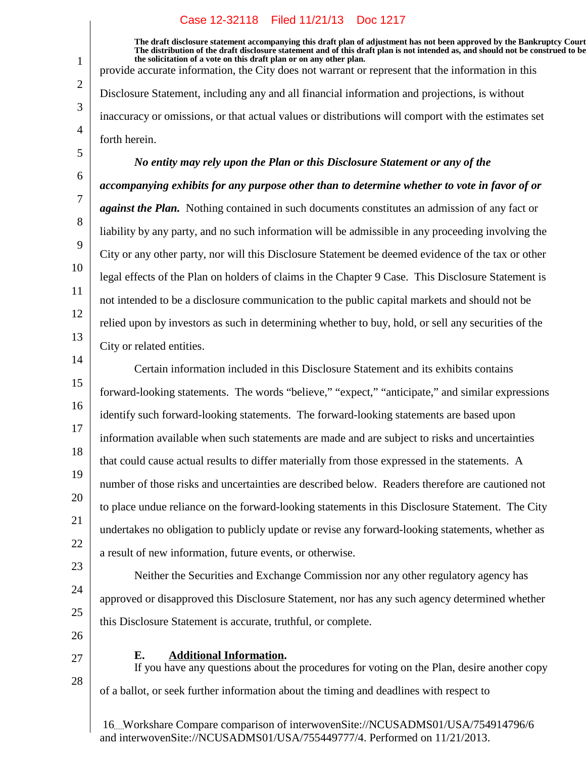**The draft disclosure statement accompanying this draft plan of adjustment has not been approved by the Bankruptcy Court. The distribution of the draft disclosure statement and of this draft plan is not intended as, and should not be construed to be, the solicitation of a vote on this draft plan or on any other plan.** provide accurate information, the City does not warrant or represent that the information in this

Disclosure Statement, including any and all financial information and projections, is without inaccuracy or omissions, or that actual values or distributions will comport with the estimates set forth herein.

# *No entity may rely upon the Plan or this Disclosure Statement or any of the*

*accompanying exhibits for any purpose other than to determine whether to vote in favor of or against the Plan.* Nothing contained in such documents constitutes an admission of any fact or liability by any party, and no such information will be admissible in any proceeding involving the City or any other party, nor will this Disclosure Statement be deemed evidence of the tax or other legal effects of the Plan on holders of claims in the Chapter 9 Case. This Disclosure Statement is not intended to be a disclosure communication to the public capital markets and should not be relied upon by investors as such in determining whether to buy, hold, or sell any securities of the City or related entities.

14 15 16 17 18 19 20 21 22 Certain information included in this Disclosure Statement and its exhibits contains forward-looking statements. The words "believe," "expect," "anticipate," and similar expressions identify such forward-looking statements. The forward-looking statements are based upon information available when such statements are made and are subject to risks and uncertainties that could cause actual results to differ materially from those expressed in the statements. A number of those risks and uncertainties are described below. Readers therefore are cautioned not to place undue reliance on the forward-looking statements in this Disclosure Statement. The City undertakes no obligation to publicly update or revise any forward-looking statements, whether as a result of new information, future events, or otherwise.

23 24 25

1

2

3

4

5

6

7

8

9

10

11

12

13

26

27

28

## **Additional Information.E.**

this Disclosure Statement is accurate, truthful, or complete.

If you have any questions about the procedures for voting on the Plan, desire another copy of a ballot, or seek further information about the timing and deadlines with respect to

Neither the Securities and Exchange Commission nor any other regulatory agency has

approved or disapproved this Disclosure Statement, nor has any such agency determined whether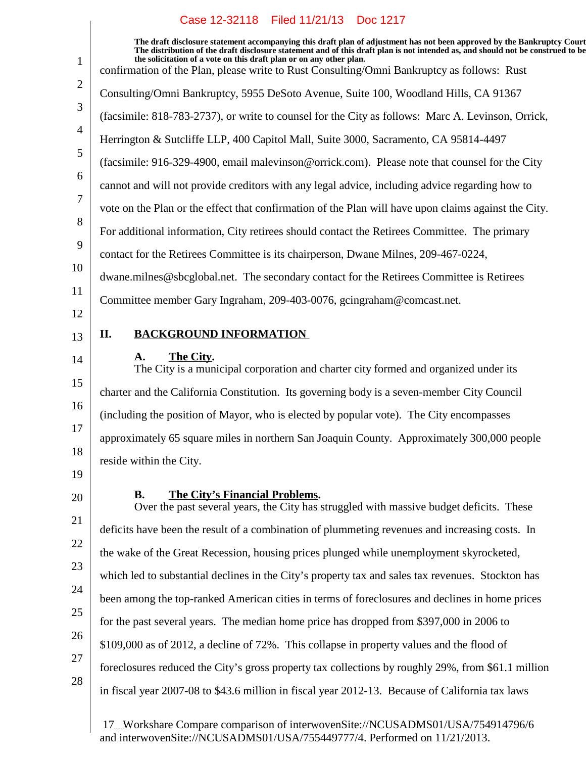$\overline{\phantom{a}}$ 

| 1              | The draft disclosure statement accompanying this draft plan of adjustment has not been approved by the Bankruptcy Court<br>The distribution of the draft disclosure statement and of this draft plan is not intended as, and should not be construed to be<br>the solicitation of a vote on this draft plan or on any other plan.<br>confirmation of the Plan, please write to Rust Consulting/Omni Bankruptcy as follows: Rust |
|----------------|---------------------------------------------------------------------------------------------------------------------------------------------------------------------------------------------------------------------------------------------------------------------------------------------------------------------------------------------------------------------------------------------------------------------------------|
| 2              | Consulting/Omni Bankruptcy, 5955 DeSoto Avenue, Suite 100, Woodland Hills, CA 91367                                                                                                                                                                                                                                                                                                                                             |
| 3              | (facsimile: 818-783-2737), or write to counsel for the City as follows: Marc A. Levinson, Orrick,                                                                                                                                                                                                                                                                                                                               |
| $\overline{4}$ | Herrington & Sutcliffe LLP, 400 Capitol Mall, Suite 3000, Sacramento, CA 95814-4497                                                                                                                                                                                                                                                                                                                                             |
| 5              | (facsimile: 916-329-4900, email malevinson@orrick.com). Please note that counsel for the City                                                                                                                                                                                                                                                                                                                                   |
| 6              | cannot and will not provide creditors with any legal advice, including advice regarding how to                                                                                                                                                                                                                                                                                                                                  |
| 7              | vote on the Plan or the effect that confirmation of the Plan will have upon claims against the City.                                                                                                                                                                                                                                                                                                                            |
| 8              | For additional information, City retirees should contact the Retirees Committee. The primary                                                                                                                                                                                                                                                                                                                                    |
| 9              | contact for the Retirees Committee is its chairperson, Dwane Milnes, 209-467-0224,                                                                                                                                                                                                                                                                                                                                              |
| 10             | dwane.milnes@sbcglobal.net. The secondary contact for the Retirees Committee is Retirees                                                                                                                                                                                                                                                                                                                                        |
| 11             | Committee member Gary Ingraham, 209-403-0076, gcingraham@comcast.net.                                                                                                                                                                                                                                                                                                                                                           |
| 12             |                                                                                                                                                                                                                                                                                                                                                                                                                                 |
| 13             | <b>BACKGROUND INFORMATION</b><br>П.                                                                                                                                                                                                                                                                                                                                                                                             |
| 14             | The City.<br>A.<br>The City is a municipal corporation and charter city formed and organized under its                                                                                                                                                                                                                                                                                                                          |
| 15             | charter and the California Constitution. Its governing body is a seven-member City Council                                                                                                                                                                                                                                                                                                                                      |
| 16             | (including the position of Mayor, who is elected by popular vote). The City encompasses                                                                                                                                                                                                                                                                                                                                         |
| 17             | approximately 65 square miles in northern San Joaquin County. Approximately 300,000 people                                                                                                                                                                                                                                                                                                                                      |
| 18             | reside within the City.                                                                                                                                                                                                                                                                                                                                                                                                         |
| 19             |                                                                                                                                                                                                                                                                                                                                                                                                                                 |
| 20             | The City's Financial Problems.<br><b>B.</b><br>Over the past several years, the City has struggled with massive budget deficits. These                                                                                                                                                                                                                                                                                          |
| 21             | deficits have been the result of a combination of plummeting revenues and increasing costs. In                                                                                                                                                                                                                                                                                                                                  |
| 22             | the wake of the Great Recession, housing prices plunged while unemployment skyrocketed,                                                                                                                                                                                                                                                                                                                                         |
| 23             | which led to substantial declines in the City's property tax and sales tax revenues. Stockton has                                                                                                                                                                                                                                                                                                                               |
| 24             | been among the top-ranked American cities in terms of foreclosures and declines in home prices                                                                                                                                                                                                                                                                                                                                  |
| 25             | for the past several years. The median home price has dropped from \$397,000 in 2006 to                                                                                                                                                                                                                                                                                                                                         |
| 26             | \$109,000 as of 2012, a decline of 72%. This collapse in property values and the flood of                                                                                                                                                                                                                                                                                                                                       |
| 27             | foreclosures reduced the City's gross property tax collections by roughly 29%, from \$61.1 million                                                                                                                                                                                                                                                                                                                              |
| 28             | in fiscal year 2007-08 to \$43.6 million in fiscal year 2012-13. Because of California tax laws                                                                                                                                                                                                                                                                                                                                 |
|                |                                                                                                                                                                                                                                                                                                                                                                                                                                 |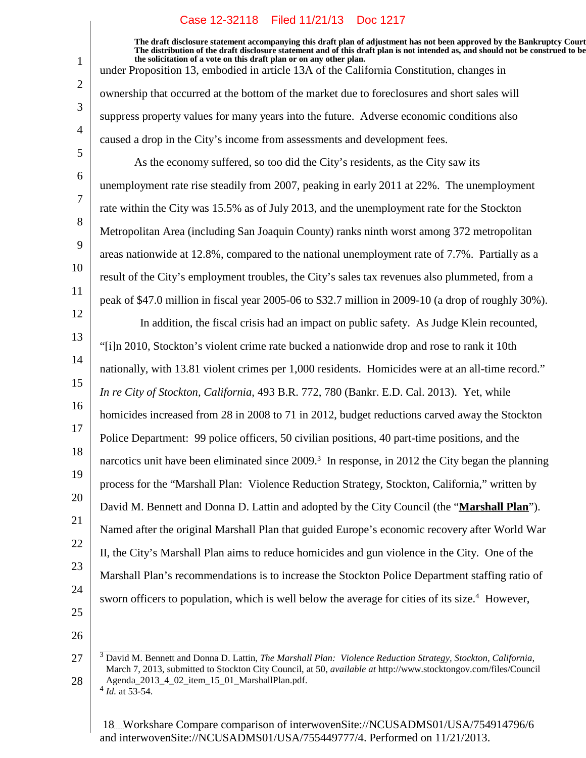**The draft disclosure statement accompanying this draft plan of adjustment has not been approved by the Bankruptcy Court. The distribution of the draft disclosure statement and of this draft plan is not intended as, and should not be construed to be, the solicitation of a vote on this draft plan or on any other plan.** under Proposition 13, embodied in article 13A of the California Constitution, changes in

ownership that occurred at the bottom of the market due to foreclosures and short sales will suppress property values for many years into the future. Adverse economic conditions also caused a drop in the City's income from assessments and development fees.

As the economy suffered, so too did the City's residents, as the City saw its unemployment rate rise steadily from 2007, peaking in early 2011 at 22%. The unemployment rate within the City was 15.5% as of July 2013, and the unemployment rate for the Stockton Metropolitan Area (including San Joaquin County) ranks ninth worst among 372 metropolitan areas nationwide at 12.8%, compared to the national unemployment rate of 7.7%. Partially as a result of the City's employment troubles, the City's sales tax revenues also plummeted, from a peak of \$47.0 million in fiscal year 2005-06 to \$32.7 million in 2009-10 (a drop of roughly 30%).

13 14 15 16 17 18 19 20 21 22 23 24 In addition, the fiscal crisis had an impact on public safety. As Judge Klein recounted, "[i]n 2010, Stockton's violent crime rate bucked a nationwide drop and rose to rank it 10th nationally, with 13.81 violent crimes per 1,000 residents. Homicides were at an all-time record." *In re City of Stockton, California*, 493 B.R. 772, 780 (Bankr. E.D. Cal. 2013). Yet, while homicides increased from 28 in 2008 to 71 in 2012, budget reductions carved away the Stockton Police Department: 99 police officers, 50 civilian positions, 40 part-time positions, and the narcotics unit have been eliminated since 2009.<sup>3</sup> In response, in 2012 the City began the planning process for the "Marshall Plan: Violence Reduction Strategy, Stockton, California," written by David M. Bennett and Donna D. Lattin and adopted by the City Council (the "**Marshall Plan**"). Named after the original Marshall Plan that guided Europe's economic recovery after World War II, the City's Marshall Plan aims to reduce homicides and gun violence in the City. One of the Marshall Plan's recommendations is to increase the Stockton Police Department staffing ratio of sworn officers to population, which is well below the average for cities of its size.<sup>4</sup> However,

25

1

2

3

4

5

6

7

8

9

10

11

12

26

<sup>27</sup> 28 <sup>3</sup> David M. Bennett and Donna D. Lattin, *The Marshall Plan: Violence Reduction Strategy, Stockton, California*, March 7, 2013, submitted to Stockton City Council, at 50, *available at* http://www.stocktongov.com/files/Council Agenda\_2013\_4\_02\_item\_15\_01\_MarshallPlan.pdf.  $^{4}$  *Id.* at 53-54.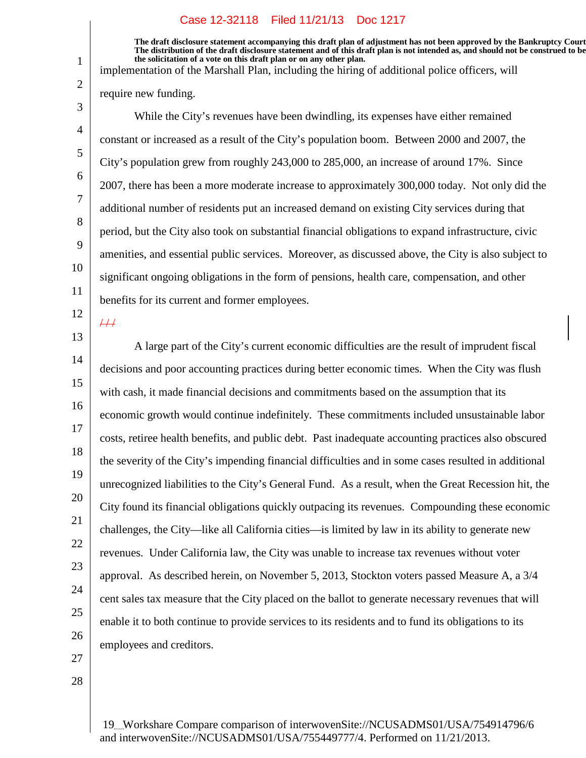**The draft disclosure statement accompanying this draft plan of adjustment has not been approved by the Bankruptcy Court. The distribution of the draft disclosure statement and of this draft plan is not intended as, and should not be construed to be, the solicitation of a vote on this draft plan or on any other plan.**

implementation of the Marshall Plan, including the hiring of additional police officers, will

require new funding.

While the City's revenues have been dwindling, its expenses have either remained constant or increased as a result of the City's population boom. Between 2000 and 2007, the City's population grew from roughly 243,000 to 285,000, an increase of around 17%. Since 2007, there has been a more moderate increase to approximately 300,000 today. Not only did the additional number of residents put an increased demand on existing City services during that period, but the City also took on substantial financial obligations to expand infrastructure, civic amenities, and essential public services. Moreover, as discussed above, the City is also subject to significant ongoing obligations in the form of pensions, health care, compensation, and other benefits for its current and former employees.

12

 $#$ 

1

2

3

4

5

6

7

8

9

10

11

13 14 15 16 17 18 19 20 21 22 23 24 25 26 A large part of the City's current economic difficulties are the result of imprudent fiscal decisions and poor accounting practices during better economic times. When the City was flush with cash, it made financial decisions and commitments based on the assumption that its economic growth would continue indefinitely. These commitments included unsustainable labor costs, retiree health benefits, and public debt. Past inadequate accounting practices also obscured the severity of the City's impending financial difficulties and in some cases resulted in additional unrecognized liabilities to the City's General Fund. As a result, when the Great Recession hit, the City found its financial obligations quickly outpacing its revenues. Compounding these economic challenges, the City—like all California cities—is limited by law in its ability to generate new revenues. Under California law, the City was unable to increase tax revenues without voter approval. As described herein, on November 5, 2013, Stockton voters passed Measure A, a 3/4 cent sales tax measure that the City placed on the ballot to generate necessary revenues that will enable it to both continue to provide services to its residents and to fund its obligations to its employees and creditors.

27

28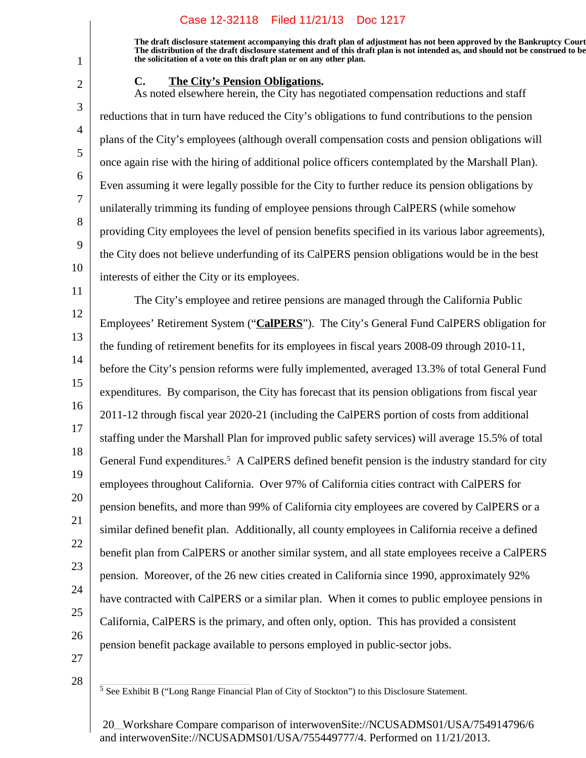**The draft disclosure statement accompanying this draft plan of adjustment has not been approved by the Bankruptcy Court. The distribution of the draft disclosure statement and of this draft plan is not intended as, and should not be construed to be, the solicitation of a vote on this draft plan or on any other plan.**

## **C.** The City's Pension Obligations.

As noted elsewhere herein, the City has negotiated compensation reductions and staff reductions that in turn have reduced the City's obligations to fund contributions to the pension plans of the City's employees (although overall compensation costs and pension obligations will once again rise with the hiring of additional police officers contemplated by the Marshall Plan). Even assuming it were legally possible for the City to further reduce its pension obligations by unilaterally trimming its funding of employee pensions through CalPERS (while somehow providing City employees the level of pension benefits specified in its various labor agreements), the City does not believe underfunding of its CalPERS pension obligations would be in the best interests of either the City or its employees.

11 12 13 14 15 16 17 18 19 20 21 22 23 24 25 26 The City's employee and retiree pensions are managed through the California Public Employees' Retirement System ("**CalPERS**"). The City's General Fund CalPERS obligation for the funding of retirement benefits for its employees in fiscal years 2008-09 through 2010-11, before the City's pension reforms were fully implemented, averaged 13.3% of total General Fund expenditures. By comparison, the City has forecast that its pension obligations from fiscal year 2011-12 through fiscal year 2020-21 (including the CalPERS portion of costs from additional staffing under the Marshall Plan for improved public safety services) will average 15.5% of total General Fund expenditures.<sup>5</sup> A CalPERS defined benefit pension is the industry standard for city employees throughout California. Over 97% of California cities contract with CalPERS for pension benefits, and more than 99% of California city employees are covered by CalPERS or a similar defined benefit plan. Additionally, all county employees in California receive a defined benefit plan from CalPERS or another similar system, and all state employees receive a CalPERS pension. Moreover, of the 26 new cities created in California since 1990, approximately 92% have contracted with CalPERS or a similar plan. When it comes to public employee pensions in California, CalPERS is the primary, and often only, option. This has provided a consistent pension benefit package available to persons employed in public-sector jobs.

27

28

1

2

3

4

5

6

7

8

9

10

<sup>5</sup> See Exhibit B ("Long Range Financial Plan of City of Stockton") to this Disclosure Statement.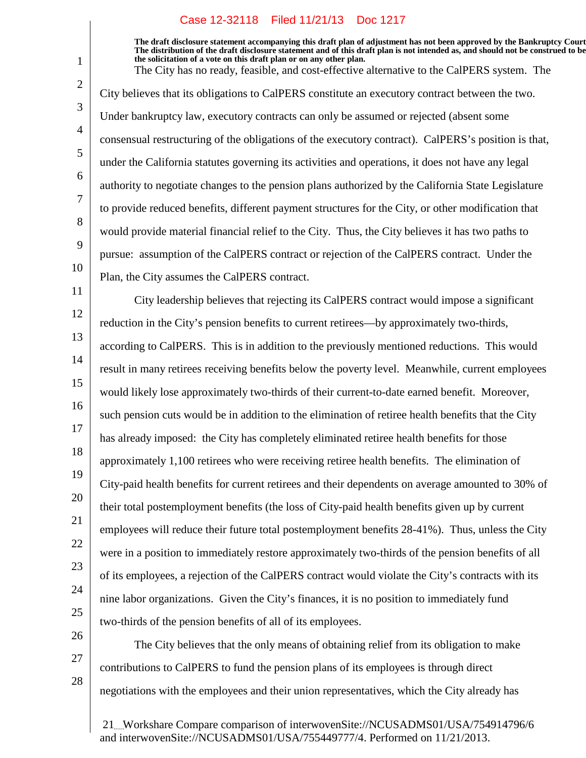1

2

3

4

5

6

7

8

9

10

Plan, the City assumes the CalPERS contract.

26

27

28

**The draft disclosure statement accompanying this draft plan of adjustment has not been approved by the Bankruptcy Court. The distribution of the draft disclosure statement and of this draft plan is not intended as, and should not be construed to be, the solicitation of a vote on this draft plan or on any other plan.** The City has no ready, feasible, and cost-effective alternative to the CalPERS system. The City believes that its obligations to CalPERS constitute an executory contract between the two. Under bankruptcy law, executory contracts can only be assumed or rejected (absent some consensual restructuring of the obligations of the executory contract). CalPERS's position is that, under the California statutes governing its activities and operations, it does not have any legal authority to negotiate changes to the pension plans authorized by the California State Legislature to provide reduced benefits, different payment structures for the City, or other modification that would provide material financial relief to the City. Thus, the City believes it has two paths to pursue: assumption of the CalPERS contract or rejection of the CalPERS contract. Under the

11 12 13 14 15 16 17 18 19 20 21 22 23 24 25 City leadership believes that rejecting its CalPERS contract would impose a significant reduction in the City's pension benefits to current retirees—by approximately two-thirds, according to CalPERS. This is in addition to the previously mentioned reductions. This would result in many retirees receiving benefits below the poverty level. Meanwhile, current employees would likely lose approximately two-thirds of their current-to-date earned benefit. Moreover, such pension cuts would be in addition to the elimination of retiree health benefits that the City has already imposed: the City has completely eliminated retiree health benefits for those approximately 1,100 retirees who were receiving retiree health benefits. The elimination of City-paid health benefits for current retirees and their dependents on average amounted to 30% of their total postemployment benefits (the loss of City-paid health benefits given up by current employees will reduce their future total postemployment benefits 28-41%). Thus, unless the City were in a position to immediately restore approximately two-thirds of the pension benefits of all of its employees, a rejection of the CalPERS contract would violate the City's contracts with its nine labor organizations. Given the City's finances, it is no position to immediately fund two-thirds of the pension benefits of all of its employees.

The City believes that the only means of obtaining relief from its obligation to make contributions to CalPERS to fund the pension plans of its employees is through direct negotiations with the employees and their union representatives, which the City already has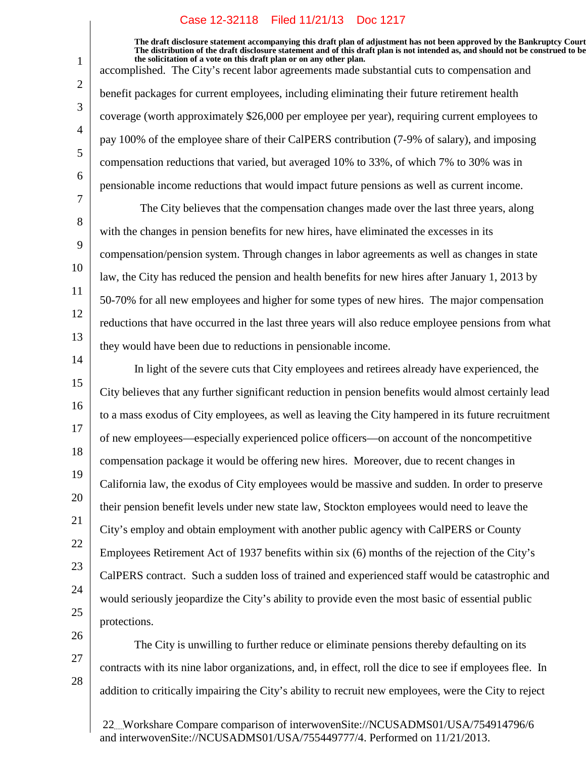1

2

3

4

5

6

7

8

9

10

11

12

13

14

**The draft disclosure statement accompanying this draft plan of adjustment has not been approved by the Bankruptcy Court. The distribution of the draft disclosure statement and of this draft plan is not intended as, and should not be construed to be, the solicitation of a vote on this draft plan or on any other plan.**

accomplished. The City's recent labor agreements made substantial cuts to compensation and benefit packages for current employees, including eliminating their future retirement health coverage (worth approximately \$26,000 per employee per year), requiring current employees to pay 100% of the employee share of their CalPERS contribution (7-9% of salary), and imposing compensation reductions that varied, but averaged 10% to 33%, of which 7% to 30% was in pensionable income reductions that would impact future pensions as well as current income.

The City believes that the compensation changes made over the last three years, along with the changes in pension benefits for new hires, have eliminated the excesses in its compensation/pension system. Through changes in labor agreements as well as changes in state law, the City has reduced the pension and health benefits for new hires after January 1, 2013 by 50-70% for all new employees and higher for some types of new hires. The major compensation reductions that have occurred in the last three years will also reduce employee pensions from what they would have been due to reductions in pensionable income.

15 16 17 18 19 20 21 22 23 24 25 In light of the severe cuts that City employees and retirees already have experienced, the City believes that any further significant reduction in pension benefits would almost certainly lead to a mass exodus of City employees, as well as leaving the City hampered in its future recruitment of new employees—especially experienced police officers—on account of the noncompetitive compensation package it would be offering new hires. Moreover, due to recent changes in California law, the exodus of City employees would be massive and sudden. In order to preserve their pension benefit levels under new state law, Stockton employees would need to leave the City's employ and obtain employment with another public agency with CalPERS or County Employees Retirement Act of 1937 benefits within six (6) months of the rejection of the City's CalPERS contract. Such a sudden loss of trained and experienced staff would be catastrophic and would seriously jeopardize the City's ability to provide even the most basic of essential public protections.

26 27 28 The City is unwilling to further reduce or eliminate pensions thereby defaulting on its contracts with its nine labor organizations, and, in effect, roll the dice to see if employees flee. In addition to critically impairing the City's ability to recruit new employees, were the City to reject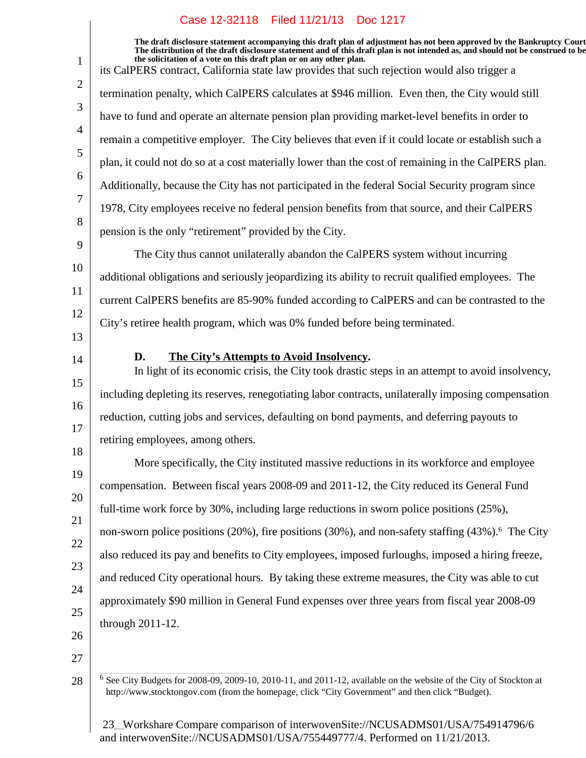$\overline{\phantom{a}}$ 

| $\mathbf{1}$   | The draft disclosure statement accompanying this draft plan of adjustment has not been approved by the Bankruptcy Court<br>The distribution of the draft disclosure statement and of this draft plan is not intended as, and should not be construed to be<br>the solicitation of a vote on this draft plan or on any other plan. |
|----------------|-----------------------------------------------------------------------------------------------------------------------------------------------------------------------------------------------------------------------------------------------------------------------------------------------------------------------------------|
|                | its CalPERS contract, California state law provides that such rejection would also trigger a                                                                                                                                                                                                                                      |
| 2              | termination penalty, which CalPERS calculates at \$946 million. Even then, the City would still                                                                                                                                                                                                                                   |
| 3              | have to fund and operate an alternate pension plan providing market-level benefits in order to                                                                                                                                                                                                                                    |
| $\overline{4}$ | remain a competitive employer. The City believes that even if it could locate or establish such a                                                                                                                                                                                                                                 |
| 5              | plan, it could not do so at a cost materially lower than the cost of remaining in the CalPERS plan.                                                                                                                                                                                                                               |
| 6              | Additionally, because the City has not participated in the federal Social Security program since                                                                                                                                                                                                                                  |
| 7              | 1978, City employees receive no federal pension benefits from that source, and their CalPERS                                                                                                                                                                                                                                      |
| 8              | pension is the only "retirement" provided by the City.                                                                                                                                                                                                                                                                            |
| 9              | The City thus cannot unilaterally abandon the CalPERS system without incurring                                                                                                                                                                                                                                                    |
| 10             | additional obligations and seriously jeopardizing its ability to recruit qualified employees. The                                                                                                                                                                                                                                 |
| 11             | current CalPERS benefits are 85-90% funded according to CalPERS and can be contrasted to the                                                                                                                                                                                                                                      |
| 12             | City's retiree health program, which was 0% funded before being terminated.                                                                                                                                                                                                                                                       |
| 13             |                                                                                                                                                                                                                                                                                                                                   |
| 14             | D.<br>The City's Attempts to Avoid Insolvency.<br>In light of its economic crisis, the City took drastic steps in an attempt to avoid insolvency,                                                                                                                                                                                 |
| 15             | including depleting its reserves, renegotiating labor contracts, unilaterally imposing compensation                                                                                                                                                                                                                               |
| 16             | reduction, cutting jobs and services, defaulting on bond payments, and deferring payouts to                                                                                                                                                                                                                                       |
| 17             | retiring employees, among others.                                                                                                                                                                                                                                                                                                 |
| 18             | More specifically, the City instituted massive reductions in its workforce and employee                                                                                                                                                                                                                                           |
| 19             | compensation. Between fiscal years 2008-09 and 2011-12, the City reduced its General Fund                                                                                                                                                                                                                                         |
| 20             | full-time work force by 30%, including large reductions in sworn police positions (25%),                                                                                                                                                                                                                                          |
| 21             |                                                                                                                                                                                                                                                                                                                                   |
| 22             | non-sworn police positions (20%), fire positions (30%), and non-safety staffing (43%). <sup>6</sup> The City                                                                                                                                                                                                                      |
| 23             | also reduced its pay and benefits to City employees, imposed furloughs, imposed a hiring freeze,                                                                                                                                                                                                                                  |
| 24             | and reduced City operational hours. By taking these extreme measures, the City was able to cut                                                                                                                                                                                                                                    |
| 25             | approximately \$90 million in General Fund expenses over three years from fiscal year 2008-09                                                                                                                                                                                                                                     |
| 26             | through 2011-12.                                                                                                                                                                                                                                                                                                                  |
| 27             |                                                                                                                                                                                                                                                                                                                                   |
| 28             | $6$ See City Budgets for 2008-09, 2009-10, 2010-11, and 2011-12, available on the website of the City of Stockton at<br>http://www.stocktongov.com (from the homepage, click "City Government" and then click "Budget).                                                                                                           |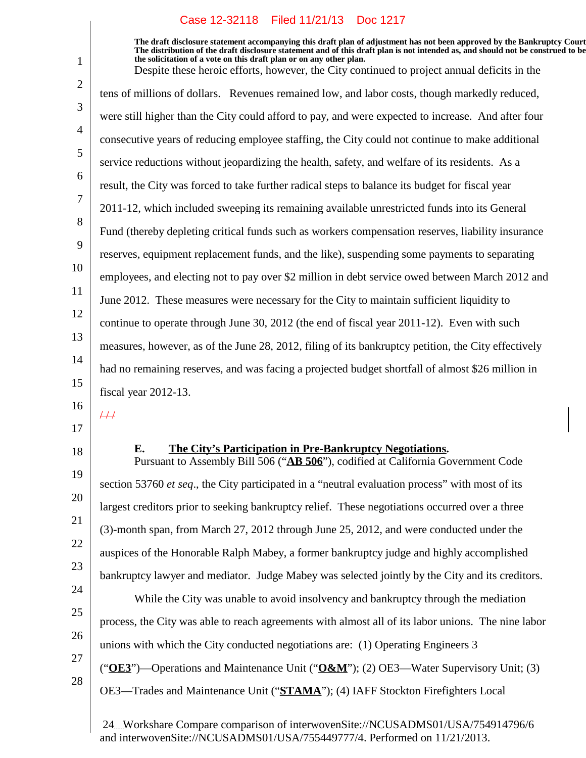**The draft disclosure statement accompanying this draft plan of adjustment has not been approved by the Bankruptcy Court. The distribution of the draft disclosure statement and of this draft plan is not intended as, and should not be construed to be, the solicitation of a vote on this draft plan or on any other plan.**

Despite these heroic efforts, however, the City continued to project annual deficits in the tens of millions of dollars. Revenues remained low, and labor costs, though markedly reduced, were still higher than the City could afford to pay, and were expected to increase. And after four consecutive years of reducing employee staffing, the City could not continue to make additional service reductions without jeopardizing the health, safety, and welfare of its residents. As a result, the City was forced to take further radical steps to balance its budget for fiscal year 2011-12, which included sweeping its remaining available unrestricted funds into its General Fund (thereby depleting critical funds such as workers compensation reserves, liability insurance reserves, equipment replacement funds, and the like), suspending some payments to separating employees, and electing not to pay over \$2 million in debt service owed between March 2012 and June 2012. These measures were necessary for the City to maintain sufficient liquidity to continue to operate through June 30, 2012 (the end of fiscal year 2011-12). Even with such measures, however, as of the June 28, 2012, filing of its bankruptcy petition, the City effectively had no remaining reserves, and was facing a projected budget shortfall of almost \$26 million in fiscal year 2012-13.

16

 $\overline{++}$ 

17 18

19

20

21

22

23

24

25

1

2

3

4

5

6

7

8

9

10

11

12

13

14

15

#### **E.** The City's Participation in Pre-Bankruptcy Negotiations.

Pursuant to Assembly Bill 506 ("**AB 506**"), codified at California Government Code section 53760 *et seq*., the City participated in a "neutral evaluation process" with most of its largest creditors prior to seeking bankruptcy relief. These negotiations occurred over a three (3)-month span, from March 27, 2012 through June 25, 2012, and were conducted under the auspices of the Honorable Ralph Mabey, a former bankruptcy judge and highly accomplished bankruptcy lawyer and mediator. Judge Mabey was selected jointly by the City and its creditors. While the City was unable to avoid insolvency and bankruptcy through the mediation process, the City was able to reach agreements with almost all of its labor unions. The nine labor

26 27

28

- ("**OE3**")—Operations and Maintenance Unit ("**O&M**"); (2) OE3—Water Supervisory Unit; (3)
- OE3—Trades and Maintenance Unit ("**STAMA**"); (4) IAFF Stockton Firefighters Local

unions with which the City conducted negotiations are: (1) Operating Engineers 3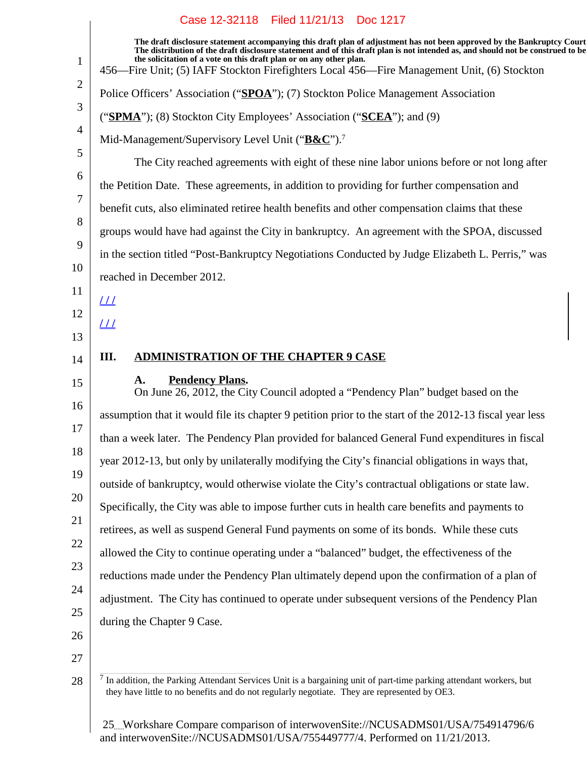| $\mathbf{1}$                                                         | The draft disclosure statement accompanying this draft plan of adjustment has not been approved by the Bankruptcy Court<br>The distribution of the draft disclosure statement and of this draft plan is not intended as, and should not be construed to be<br>the solicitation of a vote on this draft plan or on any other plan.<br>456—Fire Unit; (5) IAFF Stockton Firefighters Local 456—Fire Management Unit, (6) Stockton |
|----------------------------------------------------------------------|---------------------------------------------------------------------------------------------------------------------------------------------------------------------------------------------------------------------------------------------------------------------------------------------------------------------------------------------------------------------------------------------------------------------------------|
| $\overline{2}$                                                       | Police Officers' Association ("SPOA"); (7) Stockton Police Management Association                                                                                                                                                                                                                                                                                                                                               |
| 3                                                                    | ("SPMA"); (8) Stockton City Employees' Association ("SCEA"); and (9)                                                                                                                                                                                                                                                                                                                                                            |
| $\overline{4}$                                                       | Mid-Management/Supervisory Level Unit ("B&C"). <sup>7</sup>                                                                                                                                                                                                                                                                                                                                                                     |
| 5                                                                    | The City reached agreements with eight of these nine labor unions before or not long after                                                                                                                                                                                                                                                                                                                                      |
| 6                                                                    | the Petition Date. These agreements, in addition to providing for further compensation and                                                                                                                                                                                                                                                                                                                                      |
| 7                                                                    | benefit cuts, also eliminated retiree health benefits and other compensation claims that these                                                                                                                                                                                                                                                                                                                                  |
| 8                                                                    | groups would have had against the City in bankruptcy. An agreement with the SPOA, discussed                                                                                                                                                                                                                                                                                                                                     |
| 9                                                                    | in the section titled "Post-Bankruptcy Negotiations Conducted by Judge Elizabeth L. Perris," was                                                                                                                                                                                                                                                                                                                                |
| 10                                                                   | reached in December 2012.                                                                                                                                                                                                                                                                                                                                                                                                       |
| 11                                                                   | <u> 11</u>                                                                                                                                                                                                                                                                                                                                                                                                                      |
| 12                                                                   | <u> 11</u>                                                                                                                                                                                                                                                                                                                                                                                                                      |
| 13                                                                   |                                                                                                                                                                                                                                                                                                                                                                                                                                 |
|                                                                      |                                                                                                                                                                                                                                                                                                                                                                                                                                 |
|                                                                      | <b>ADMINISTRATION OF THE CHAPTER 9 CASE</b><br>III.                                                                                                                                                                                                                                                                                                                                                                             |
|                                                                      | <b>Pendency Plans.</b><br>A.<br>On June 26, 2012, the City Council adopted a "Pendency Plan" budget based on the                                                                                                                                                                                                                                                                                                                |
|                                                                      | assumption that it would file its chapter 9 petition prior to the start of the 2012-13 fiscal year less                                                                                                                                                                                                                                                                                                                         |
|                                                                      | than a week later. The Pendency Plan provided for balanced General Fund expenditures in fiscal                                                                                                                                                                                                                                                                                                                                  |
|                                                                      | year 2012-13, but only by unilaterally modifying the City's financial obligations in ways that,                                                                                                                                                                                                                                                                                                                                 |
|                                                                      | outside of bankruptcy, would otherwise violate the City's contractual obligations or state law.                                                                                                                                                                                                                                                                                                                                 |
|                                                                      | Specifically, the City was able to impose further cuts in health care benefits and payments to                                                                                                                                                                                                                                                                                                                                  |
|                                                                      | retirees, as well as suspend General Fund payments on some of its bonds. While these cuts                                                                                                                                                                                                                                                                                                                                       |
|                                                                      | allowed the City to continue operating under a "balanced" budget, the effectiveness of the                                                                                                                                                                                                                                                                                                                                      |
|                                                                      | reductions made under the Pendency Plan ultimately depend upon the confirmation of a plan of                                                                                                                                                                                                                                                                                                                                    |
|                                                                      | adjustment. The City has continued to operate under subsequent versions of the Pendency Plan                                                                                                                                                                                                                                                                                                                                    |
| 14<br>15<br>16<br>17<br>18<br>19<br>20<br>21<br>22<br>23<br>24<br>25 | during the Chapter 9 Case.                                                                                                                                                                                                                                                                                                                                                                                                      |
| 26<br>27                                                             |                                                                                                                                                                                                                                                                                                                                                                                                                                 |

<sup>28</sup>  $<sup>7</sup>$  In addition, the Parking Attendant Services Unit is a bargaining unit of part-time parking attendant workers, but</sup> they have little to no benefits and do not regularly negotiate. They are represented by OE3.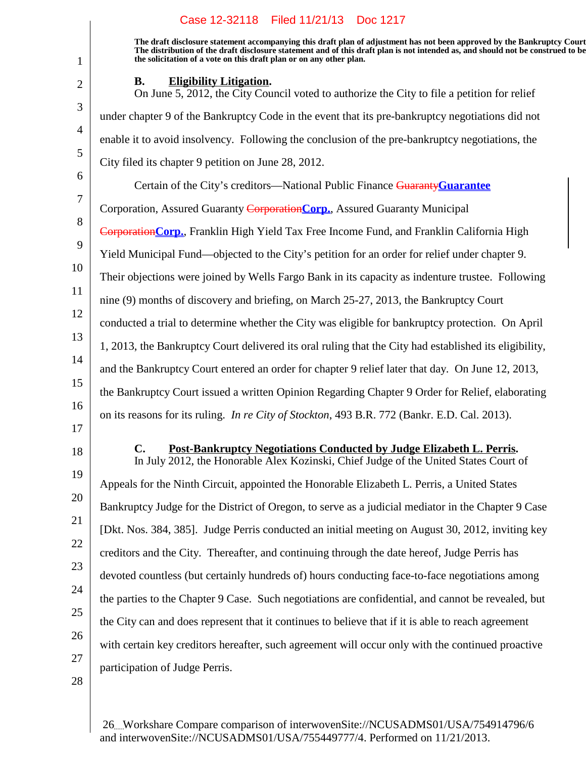**The draft disclosure statement accompanying this draft plan of adjustment has not been approved by the Bankruptcy Court. The distribution of the draft disclosure statement and of this draft plan is not intended as, and should not be construed to be, the solicitation of a vote on this draft plan or on any other plan.**

1

2

3

4

5

6

7

8

9

10

11

12

13

14

15

16

#### **B.** Eligibility Litigation.

On June 5, 2012, the City Council voted to authorize the City to file a petition for relief under chapter 9 of the Bankruptcy Code in the event that its pre-bankruptcy negotiations did not enable it to avoid insolvency. Following the conclusion of the pre-bankruptcy negotiations, the City filed its chapter 9 petition on June 28, 2012. Certain of the City's creditors—National Public Finance Guaranty**Guarantee** Corporation, Assured Guaranty Corporation**Corp.**, Assured Guaranty Municipal Corporation**Corp.**, Franklin High Yield Tax Free Income Fund, and Franklin California High Yield Municipal Fund—objected to the City's petition for an order for relief under chapter 9. Their objections were joined by Wells Fargo Bank in its capacity as indenture trustee. Following nine (9) months of discovery and briefing, on March 25-27, 2013, the Bankruptcy Court conducted a trial to determine whether the City was eligible for bankruptcy protection. On April 1, 2013, the Bankruptcy Court delivered its oral ruling that the City had established its eligibility, and the Bankruptcy Court entered an order for chapter 9 relief later that day. On June 12, 2013, the Bankruptcy Court issued a written Opinion Regarding Chapter 9 Order for Relief, elaborating on its reasons for its ruling. *In re City of Stockton*, 493 B.R. 772 (Bankr. E.D. Cal. 2013).

17 18

# **C.** Post-Bankruptcy Negotiations Conducted by Judge Elizabeth L. Perris.

19 20 21 22 23 24 25 26 27 In July 2012, the Honorable Alex Kozinski, Chief Judge of the United States Court of Appeals for the Ninth Circuit, appointed the Honorable Elizabeth L. Perris, a United States Bankruptcy Judge for the District of Oregon, to serve as a judicial mediator in the Chapter 9 Case [Dkt. Nos. 384, 385]. Judge Perris conducted an initial meeting on August 30, 2012, inviting key creditors and the City. Thereafter, and continuing through the date hereof, Judge Perris has devoted countless (but certainly hundreds of) hours conducting face-to-face negotiations among the parties to the Chapter 9 Case. Such negotiations are confidential, and cannot be revealed, but the City can and does represent that it continues to believe that if it is able to reach agreement with certain key creditors hereafter, such agreement will occur only with the continued proactive participation of Judge Perris.

28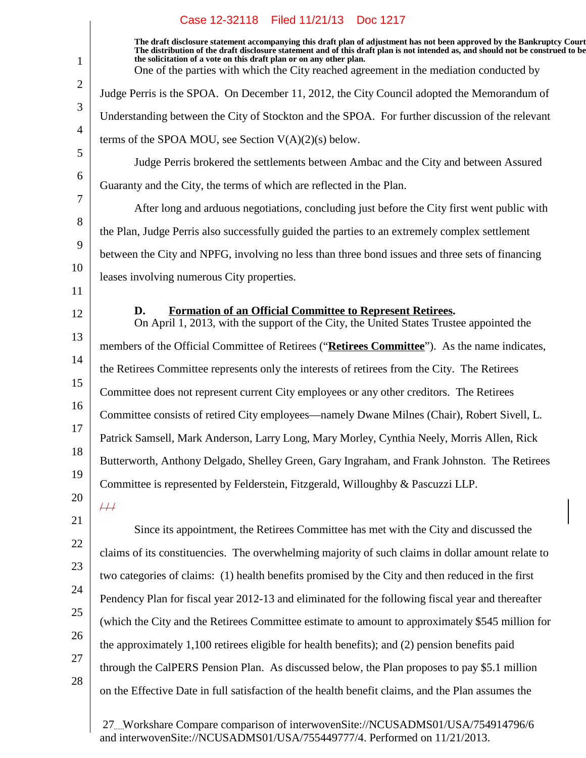| $\mathbf{1}$   | The draft disclosure statement accompanying this draft plan of adjustment has not been approved by the Bankruptcy Court<br>The distribution of the draft disclosure statement and of this draft plan is not intended as, and should not be construed to be<br>the solicitation of a vote on this draft plan or on any other plan.<br>One of the parties with which the City reached agreement in the mediation conducted by |
|----------------|-----------------------------------------------------------------------------------------------------------------------------------------------------------------------------------------------------------------------------------------------------------------------------------------------------------------------------------------------------------------------------------------------------------------------------|
| $\overline{2}$ | Judge Perris is the SPOA. On December 11, 2012, the City Council adopted the Memorandum of                                                                                                                                                                                                                                                                                                                                  |
| 3              | Understanding between the City of Stockton and the SPOA. For further discussion of the relevant                                                                                                                                                                                                                                                                                                                             |
| $\overline{4}$ | terms of the SPOA MOU, see Section $V(A)(2)(s)$ below.                                                                                                                                                                                                                                                                                                                                                                      |
| 5              | Judge Perris brokered the settlements between Ambac and the City and between Assured                                                                                                                                                                                                                                                                                                                                        |
| 6              | Guaranty and the City, the terms of which are reflected in the Plan.                                                                                                                                                                                                                                                                                                                                                        |
| 7              | After long and arduous negotiations, concluding just before the City first went public with                                                                                                                                                                                                                                                                                                                                 |
| 8              | the Plan, Judge Perris also successfully guided the parties to an extremely complex settlement                                                                                                                                                                                                                                                                                                                              |
| 9              | between the City and NPFG, involving no less than three bond issues and three sets of financing                                                                                                                                                                                                                                                                                                                             |
| 10             | leases involving numerous City properties.                                                                                                                                                                                                                                                                                                                                                                                  |
| 11             |                                                                                                                                                                                                                                                                                                                                                                                                                             |
| 12             | Formation of an Official Committee to Represent Retirees.<br>D.<br>On April 1, 2013, with the support of the City, the United States Trustee appointed the                                                                                                                                                                                                                                                                  |
| 13             | members of the Official Committee of Retirees ("Retirees Committee"). As the name indicates,                                                                                                                                                                                                                                                                                                                                |
| 14             | the Retirees Committee represents only the interests of retirees from the City. The Retirees                                                                                                                                                                                                                                                                                                                                |
| 15             | Committee does not represent current City employees or any other creditors. The Retirees                                                                                                                                                                                                                                                                                                                                    |
| 16             | Committee consists of retired City employees—namely Dwane Milnes (Chair), Robert Sivell, L.                                                                                                                                                                                                                                                                                                                                 |
| 17             | Patrick Samsell, Mark Anderson, Larry Long, Mary Morley, Cynthia Neely, Morris Allen, Rick                                                                                                                                                                                                                                                                                                                                  |
| 18             | Butterworth, Anthony Delgado, Shelley Green, Gary Ingraham, and Frank Johnston. The Retirees                                                                                                                                                                                                                                                                                                                                |
| 19             | Committee is represented by Felderstein, Fitzgerald, Willoughby & Pascuzzi LLP.                                                                                                                                                                                                                                                                                                                                             |
| 20             | $\overline{+}\overline{+}$                                                                                                                                                                                                                                                                                                                                                                                                  |
| 21             | Since its appointment, the Retirees Committee has met with the City and discussed the                                                                                                                                                                                                                                                                                                                                       |
| 22             | claims of its constituencies. The overwhelming majority of such claims in dollar amount relate to                                                                                                                                                                                                                                                                                                                           |
| 23             | two categories of claims: (1) health benefits promised by the City and then reduced in the first                                                                                                                                                                                                                                                                                                                            |
| 24             | Pendency Plan for fiscal year 2012-13 and eliminated for the following fiscal year and thereafter                                                                                                                                                                                                                                                                                                                           |
| 25             | (which the City and the Retirees Committee estimate to amount to approximately \$545 million for                                                                                                                                                                                                                                                                                                                            |
| 26             | the approximately 1,100 retirees eligible for health benefits); and (2) pension benefits paid                                                                                                                                                                                                                                                                                                                               |
| 27             | through the CalPERS Pension Plan. As discussed below, the Plan proposes to pay \$5.1 million                                                                                                                                                                                                                                                                                                                                |
| 28             | on the Effective Date in full satisfaction of the health benefit claims, and the Plan assumes the                                                                                                                                                                                                                                                                                                                           |
|                |                                                                                                                                                                                                                                                                                                                                                                                                                             |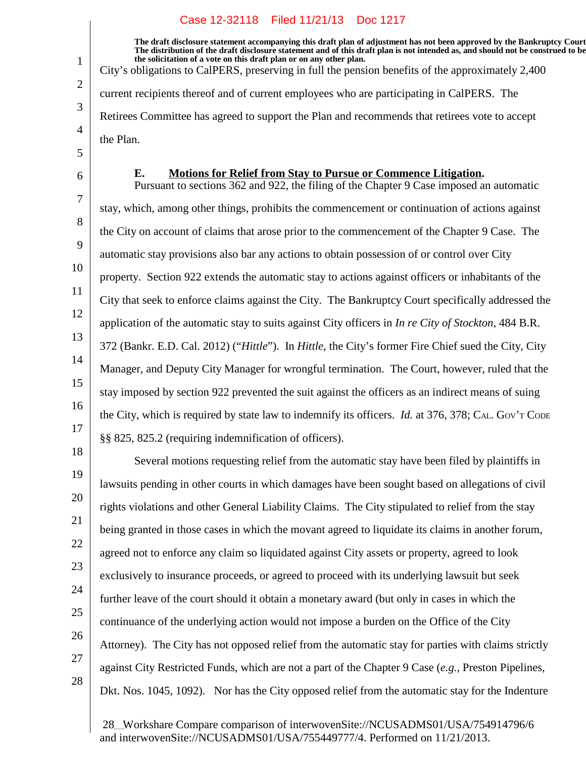**The draft disclosure statement accompanying this draft plan of adjustment has not been approved by the Bankruptcy Court. The distribution of the draft disclosure statement and of this draft plan is not intended as, and should not be construed to be, the solicitation of a vote on this draft plan or on any other plan.** City's obligations to CalPERS, preserving in full the pension benefits of the approximately 2,400 current recipients thereof and of current employees who are participating in CalPERS. The Retirees Committee has agreed to support the Plan and recommends that retirees vote to accept the Plan.

5 6

1

2

3

4

#### **E.** Motions for Relief from Stay to Pursue or Commence Litigation.

7 8 9 10 11 12 13 14 15 16 17 Pursuant to sections 362 and 922, the filing of the Chapter 9 Case imposed an automatic stay, which, among other things, prohibits the commencement or continuation of actions against the City on account of claims that arose prior to the commencement of the Chapter 9 Case. The automatic stay provisions also bar any actions to obtain possession of or control over City property. Section 922 extends the automatic stay to actions against officers or inhabitants of the City that seek to enforce claims against the City. The Bankruptcy Court specifically addressed the application of the automatic stay to suits against City officers in *In re City of Stockton*, 484 B.R. 372 (Bankr. E.D. Cal. 2012) ("*Hittle*"). In *Hittle*, the City's former Fire Chief sued the City, City Manager, and Deputy City Manager for wrongful termination. The Court, however, ruled that the stay imposed by section 922 prevented the suit against the officers as an indirect means of suing the City, which is required by state law to indemnify its officers. *Id.* at 376, 378; C<sub>AL</sub>. Gov't Code §§ 825, 825.2 (requiring indemnification of officers).

18

19

20 21

22

23

24

25

26

Several motions requesting relief from the automatic stay have been filed by plaintiffs in lawsuits pending in other courts in which damages have been sought based on allegations of civil rights violations and other General Liability Claims. The City stipulated to relief from the stay being granted in those cases in which the movant agreed to liquidate its claims in another forum, agreed not to enforce any claim so liquidated against City assets or property, agreed to look exclusively to insurance proceeds, or agreed to proceed with its underlying lawsuit but seek further leave of the court should it obtain a monetary award (but only in cases in which the continuance of the underlying action would not impose a burden on the Office of the City Attorney). The City has not opposed relief from the automatic stay for parties with claims strictly against City Restricted Funds, which are not a part of the Chapter 9 Case (*e.g.*, Preston Pipelines, Dkt. Nos. 1045, 1092). Nor has the City opposed relief from the automatic stay for the Indenture

27 28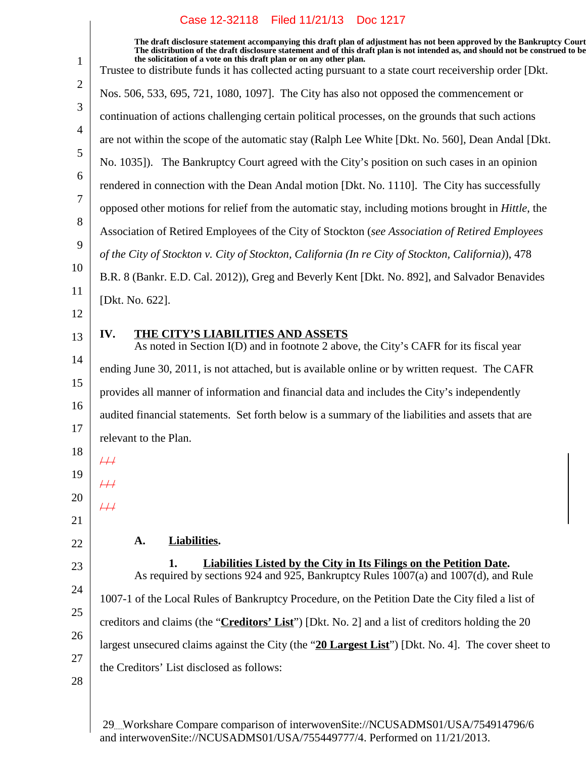|                | Case IZ-32118 Filed II/21/13 DOC IZI7                                                                                                                                                                                                                                                                                                                                                                                                       |
|----------------|---------------------------------------------------------------------------------------------------------------------------------------------------------------------------------------------------------------------------------------------------------------------------------------------------------------------------------------------------------------------------------------------------------------------------------------------|
| $\mathbf{1}$   | The draft disclosure statement accompanying this draft plan of adjustment has not been approved by the Bankruptcy Court<br>The distribution of the draft disclosure statement and of this draft plan is not intended as, and should not be construed to be<br>the solicitation of a vote on this draft plan or on any other plan.<br>Trustee to distribute funds it has collected acting pursuant to a state court receivership order [Dkt. |
| $\overline{2}$ | Nos. 506, 533, 695, 721, 1080, 1097]. The City has also not opposed the commencement or                                                                                                                                                                                                                                                                                                                                                     |
| 3              | continuation of actions challenging certain political processes, on the grounds that such actions                                                                                                                                                                                                                                                                                                                                           |
| $\overline{4}$ | are not within the scope of the automatic stay (Ralph Lee White [Dkt. No. 560], Dean Andal [Dkt.                                                                                                                                                                                                                                                                                                                                            |
| 5              | No. 1035]). The Bankruptcy Court agreed with the City's position on such cases in an opinion                                                                                                                                                                                                                                                                                                                                                |
| 6<br>7         | rendered in connection with the Dean Andal motion [Dkt. No. 1110]. The City has successfully                                                                                                                                                                                                                                                                                                                                                |
|                | opposed other motions for relief from the automatic stay, including motions brought in Hittle, the                                                                                                                                                                                                                                                                                                                                          |
|                | Association of Retired Employees of the City of Stockton (see Association of Retired Employees                                                                                                                                                                                                                                                                                                                                              |
|                | of the City of Stockton v. City of Stockton, California (In re City of Stockton, California)), 478                                                                                                                                                                                                                                                                                                                                          |
|                | B.R. 8 (Bankr. E.D. Cal. 2012)), Greg and Beverly Kent [Dkt. No. 892], and Salvador Benavides                                                                                                                                                                                                                                                                                                                                               |
|                | [Dkt. No. 622].                                                                                                                                                                                                                                                                                                                                                                                                                             |
|                |                                                                                                                                                                                                                                                                                                                                                                                                                                             |
|                | IV.<br>THE CITY'S LIABILITIES AND ASSETS<br>As noted in Section I(D) and in footnote 2 above, the City's CAFR for its fiscal year                                                                                                                                                                                                                                                                                                           |
|                | ending June 30, 2011, is not attached, but is available online or by written request. The CAFR                                                                                                                                                                                                                                                                                                                                              |
|                | provides all manner of information and financial data and includes the City's independently                                                                                                                                                                                                                                                                                                                                                 |
|                | audited financial statements. Set forth below is a summary of the liabilities and assets that are                                                                                                                                                                                                                                                                                                                                           |
|                | relevant to the Plan.                                                                                                                                                                                                                                                                                                                                                                                                                       |
|                | $\#$                                                                                                                                                                                                                                                                                                                                                                                                                                        |
|                | $\#$                                                                                                                                                                                                                                                                                                                                                                                                                                        |
|                | $\overline{++}$                                                                                                                                                                                                                                                                                                                                                                                                                             |
|                |                                                                                                                                                                                                                                                                                                                                                                                                                                             |
|                | A.<br><b>Liabilities.</b>                                                                                                                                                                                                                                                                                                                                                                                                                   |
|                | Liabilities Listed by the City in Its Filings on the Petition Date.<br>1.<br>As required by sections 924 and 925, Bankruptcy Rules 1007(a) and 1007(d), and Rule                                                                                                                                                                                                                                                                            |
|                | 1007-1 of the Local Rules of Bankruptcy Procedure, on the Petition Date the City filed a list of                                                                                                                                                                                                                                                                                                                                            |
|                | creditors and claims (the "Creditors' List") [Dkt. No. 2] and a list of creditors holding the 20                                                                                                                                                                                                                                                                                                                                            |
|                | largest unsecured claims against the City (the "20 Largest List") [Dkt. No. 4]. The cover sheet to                                                                                                                                                                                                                                                                                                                                          |
|                | the Creditors' List disclosed as follows:                                                                                                                                                                                                                                                                                                                                                                                                   |
| 28             |                                                                                                                                                                                                                                                                                                                                                                                                                                             |
|                |                                                                                                                                                                                                                                                                                                                                                                                                                                             |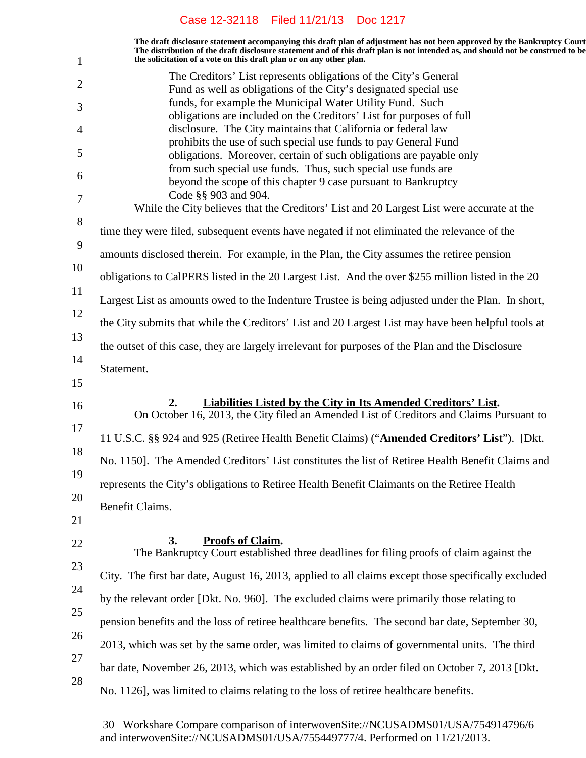|                | Case 12-32118 Filed 11/21/13 Doc 1217                                                                                                                                                                                                                                                                                             |
|----------------|-----------------------------------------------------------------------------------------------------------------------------------------------------------------------------------------------------------------------------------------------------------------------------------------------------------------------------------|
| 1              | The draft disclosure statement accompanying this draft plan of adjustment has not been approved by the Bankruptcy Court<br>The distribution of the draft disclosure statement and of this draft plan is not intended as, and should not be construed to be<br>the solicitation of a vote on this draft plan or on any other plan. |
| $\overline{2}$ | The Creditors' List represents obligations of the City's General<br>Fund as well as obligations of the City's designated special use                                                                                                                                                                                              |
| 3              | funds, for example the Municipal Water Utility Fund. Such<br>obligations are included on the Creditors' List for purposes of full                                                                                                                                                                                                 |
| 4              | disclosure. The City maintains that California or federal law                                                                                                                                                                                                                                                                     |
| 5              | prohibits the use of such special use funds to pay General Fund<br>obligations. Moreover, certain of such obligations are payable only                                                                                                                                                                                            |
| 6              | from such special use funds. Thus, such special use funds are<br>beyond the scope of this chapter 9 case pursuant to Bankruptcy                                                                                                                                                                                                   |
| 7              | Code §§ 903 and 904.<br>While the City believes that the Creditors' List and 20 Largest List were accurate at the                                                                                                                                                                                                                 |
| 8              | time they were filed, subsequent events have negated if not eliminated the relevance of the                                                                                                                                                                                                                                       |
| 9              | amounts disclosed therein. For example, in the Plan, the City assumes the retiree pension                                                                                                                                                                                                                                         |
| 10             | obligations to CalPERS listed in the 20 Largest List. And the over \$255 million listed in the 20                                                                                                                                                                                                                                 |
| 11             | Largest List as amounts owed to the Indenture Trustee is being adjusted under the Plan. In short,                                                                                                                                                                                                                                 |
| 12             | the City submits that while the Creditors' List and 20 Largest List may have been helpful tools at                                                                                                                                                                                                                                |
| 13             | the outset of this case, they are largely irrelevant for purposes of the Plan and the Disclosure                                                                                                                                                                                                                                  |
| 14             | Statement.                                                                                                                                                                                                                                                                                                                        |
| 15             |                                                                                                                                                                                                                                                                                                                                   |
| 16<br>17       | 2.<br><b>Liabilities Listed by the City in Its Amended Creditors' List.</b><br>On October 16, 2013, the City filed an Amended List of Creditors and Claims Pursuant to                                                                                                                                                            |
|                | 11 U.S.C. §§ 924 and 925 (Retiree Health Benefit Claims) ("Amended Creditors' List"). [Dkt.                                                                                                                                                                                                                                       |
| 18             | No. 1150]. The Amended Creditors' List constitutes the list of Retiree Health Benefit Claims and                                                                                                                                                                                                                                  |
| 19             | represents the City's obligations to Retiree Health Benefit Claimants on the Retiree Health                                                                                                                                                                                                                                       |
| 20<br>21       | Benefit Claims.                                                                                                                                                                                                                                                                                                                   |
| 22             | <b>Proofs of Claim.</b><br>3.<br>The Bankruptcy Court established three deadlines for filing proofs of claim against the                                                                                                                                                                                                          |
| 23             | City. The first bar date, August 16, 2013, applied to all claims except those specifically excluded                                                                                                                                                                                                                               |
| 24             | by the relevant order [Dkt. No. 960]. The excluded claims were primarily those relating to                                                                                                                                                                                                                                        |
| 25             | pension benefits and the loss of retiree healthcare benefits. The second bar date, September 30,                                                                                                                                                                                                                                  |
| 26             | 2013, which was set by the same order, was limited to claims of governmental units. The third                                                                                                                                                                                                                                     |
| 27             | bar date, November 26, 2013, which was established by an order filed on October 7, 2013 [Dkt.                                                                                                                                                                                                                                     |
| 28             | No. 1126], was limited to claims relating to the loss of retiree healthcare benefits.                                                                                                                                                                                                                                             |
|                | 30. Workshare Compare comparison of interwovenSite://NCUSADMS01/USA/754914796/6                                                                                                                                                                                                                                                   |

and interwovenSite://NCUSADMS01/USA/755449777/4. Performed on 11/21/2013.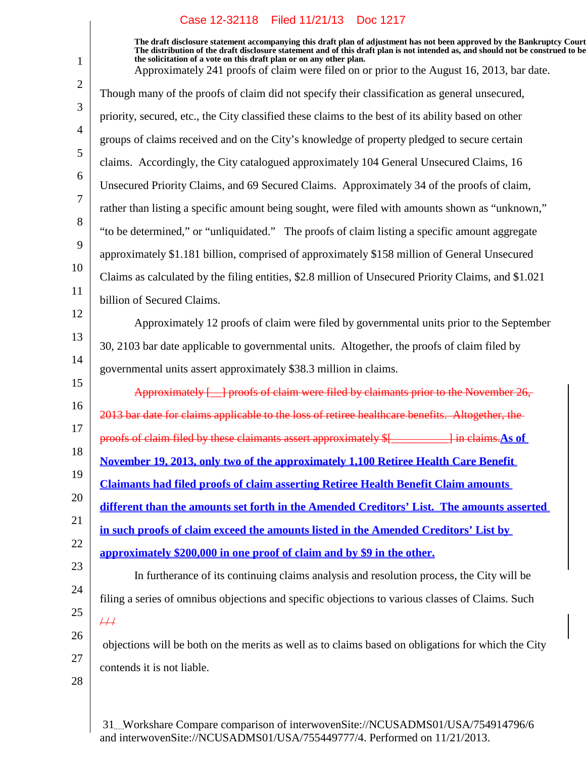1

**The draft disclosure statement accompanying this draft plan of adjustment has not been approved by the Bankruptcy Court. The distribution of the draft disclosure statement and of this draft plan is not intended as, and should not be construed to be, the solicitation of a vote on this draft plan or on any other plan.** Approximately 241 proofs of claim were filed on or prior to the August 16, 2013, bar date.

| 9        | approximately \$1.181 billion, comprised of approximately \$158 million of General Unsecured         |
|----------|------------------------------------------------------------------------------------------------------|
| 10       | Claims as calculated by the filing entities, \$2.8 million of Unsecured Priority Claims, and \$1.021 |
| 11       | billion of Secured Claims.                                                                           |
| 12       | Approximately 12 proofs of claim were filed by governmental units prior to the September             |
| 13       | 30, 2103 bar date applicable to governmental units. Altogether, the proofs of claim filed by         |
| 14<br>15 | governmental units assert approximately \$38.3 million in claims.                                    |
| 16       | Approximately [10] proofs of claim were filed by claimants prior to the November 26,                 |
|          | 2013 bar date for claims applicable to the loss of retiree healthcare benefits. Altogether, the      |
|          |                                                                                                      |
|          | proofs of claim filed by these claimants assert approximately \$[__________] in claims. As of        |
| 18<br>19 | November 19, 2013, only two of the approximately 1,100 Retiree Health Care Benefit                   |
|          | <b>Claimants had filed proofs of claim asserting Retiree Health Benefit Claim amounts</b>            |
| 20<br>21 | different than the amounts set forth in the Amended Creditors' List. The amounts asserted            |
| 22       | in such proofs of claim exceed the amounts listed in the Amended Creditors' List by                  |
| 23       | approximately \$200,000 in one proof of claim and by \$9 in the other.                               |
|          | In furtherance of its continuing claims analysis and resolution process, the City will be            |
| 24       | filing a series of omnibus objections and specific objections to various classes of Claims. Such     |
| 25       | $\overline{++}$                                                                                      |
| 17<br>26 | objections will be both on the merits as well as to claims based on obligations for which the City   |
| 27<br>28 | contends it is not liable.                                                                           |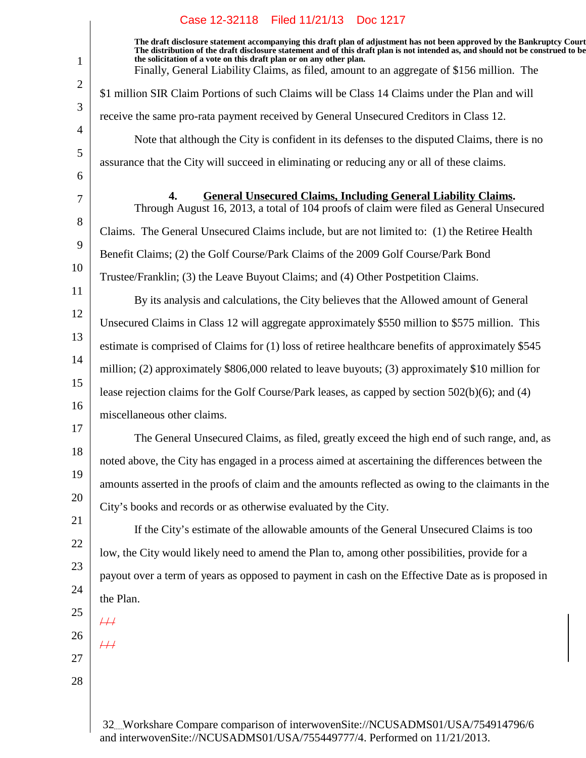1 2 3 4 5 6 7 8 9 10 11 12 13 14 15 16 17 18 19 20 21 22 23 24 25 26 27 28 **The draft disclosure statement accompanying this draft plan of adjustment has not been approved by the Bankruptcy Court. The distribution of the draft disclosure statement and of this draft plan is not intended as, and should not be construed to be, the solicitation of a vote on this draft plan or on any other plan.** 32 Workshare Compare comparison of interwovenSite://NCUSADMS01/USA/754914796/6 Finally, General Liability Claims, as filed, amount to an aggregate of \$156 million. The \$1 million SIR Claim Portions of such Claims will be Class 14 Claims under the Plan and will receive the same pro-rata payment received by General Unsecured Creditors in Class 12. Note that although the City is confident in its defenses to the disputed Claims, there is no assurance that the City will succeed in eliminating or reducing any or all of these claims. **General Unsecured Claims, Including General Liability Claims.4.** Through August 16, 2013, a total of 104 proofs of claim were filed as General Unsecured Claims. The General Unsecured Claims include, but are not limited to: (1) the Retiree Health Benefit Claims; (2) the Golf Course/Park Claims of the 2009 Golf Course/Park Bond Trustee/Franklin; (3) the Leave Buyout Claims; and (4) Other Postpetition Claims. By its analysis and calculations, the City believes that the Allowed amount of General Unsecured Claims in Class 12 will aggregate approximately \$550 million to \$575 million. This estimate is comprised of Claims for (1) loss of retiree healthcare benefits of approximately \$545 million; (2) approximately \$806,000 related to leave buyouts; (3) approximately \$10 million for lease rejection claims for the Golf Course/Park leases, as capped by section 502(b)(6); and (4) miscellaneous other claims. The General Unsecured Claims, as filed, greatly exceed the high end of such range, and, as noted above, the City has engaged in a process aimed at ascertaining the differences between the amounts asserted in the proofs of claim and the amounts reflected as owing to the claimants in the City's books and records or as otherwise evaluated by the City. If the City's estimate of the allowable amounts of the General Unsecured Claims is too low, the City would likely need to amend the Plan to, among other possibilities, provide for a payout over a term of years as opposed to payment in cash on the Effective Date as is proposed in the Plan.  $\overline{11}$  $\frac{1}{2}$ 

and interwovenSite://NCUSADMS01/USA/755449777/4. Performed on 11/21/2013.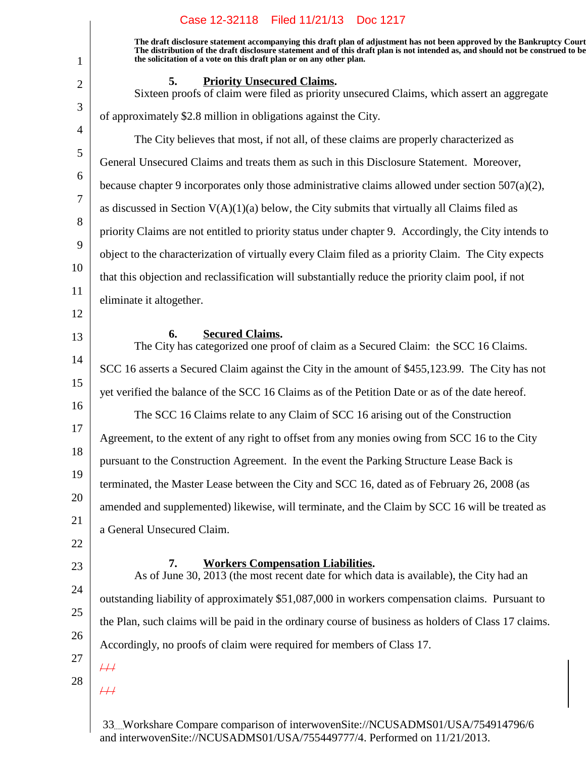**The draft disclosure statement accompanying this draft plan of adjustment has not been approved by the Bankruptcy Court. The distribution of the draft disclosure statement and of this draft plan is not intended as, and should not be construed to be, the solicitation of a vote on this draft plan or on any other plan.**

#### **5.** Priority Unsecured Claims.

Sixteen proofs of claim were filed as priority unsecured Claims, which assert an aggregate of approximately \$2.8 million in obligations against the City.

The City believes that most, if not all, of these claims are properly characterized as General Unsecured Claims and treats them as such in this Disclosure Statement. Moreover, because chapter 9 incorporates only those administrative claims allowed under section  $507(a)(2)$ , as discussed in Section  $V(A)(1)(a)$  below, the City submits that virtually all Claims filed as priority Claims are not entitled to priority status under chapter 9. Accordingly, the City intends to object to the characterization of virtually every Claim filed as a priority Claim. The City expects that this objection and reclassification will substantially reduce the priority claim pool, if not eliminate it altogether.

12

1

2

3

4

5

6

7

8

9

10

11

13

#### **Secured Claims.6.**

14 15 16 17 18 19 20 21 The City has categorized one proof of claim as a Secured Claim: the SCC 16 Claims. SCC 16 asserts a Secured Claim against the City in the amount of \$455,123.99. The City has not yet verified the balance of the SCC 16 Claims as of the Petition Date or as of the date hereof. The SCC 16 Claims relate to any Claim of SCC 16 arising out of the Construction Agreement, to the extent of any right to offset from any monies owing from SCC 16 to the City pursuant to the Construction Agreement. In the event the Parking Structure Lease Back is terminated, the Master Lease between the City and SCC 16, dated as of February 26, 2008 (as amended and supplemented) likewise, will terminate, and the Claim by SCC 16 will be treated as a General Unsecured Claim.

- 22
- 23

24

25

26

# **Workers Compensation Liabilities.7.**

As of June 30, 2013 (the most recent date for which data is available), the City had an outstanding liability of approximately \$51,087,000 in workers compensation claims. Pursuant to the Plan, such claims will be paid in the ordinary course of business as holders of Class 17 claims. Accordingly, no proofs of claim were required for members of Class 17.

- 27
- 28

 $\overline{++}$ 

 $/ 1$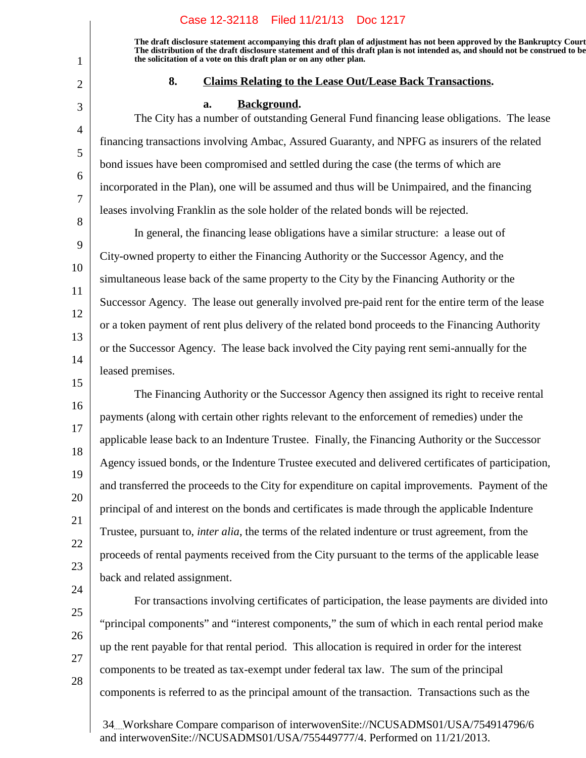**The draft disclosure statement accompanying this draft plan of adjustment has not been approved by the Bankruptcy Court. The distribution of the draft disclosure statement and of this draft plan is not intended as, and should not be construed to be, the solicitation of a vote on this draft plan or on any other plan.**

1

2

3

4

5

6

7

8

15

16

17

18

19

20

21

22

23

# **Claims Relating to the Lease Out/Lease Back Transactions.8.**

#### a. **Background.**

The City has a number of outstanding General Fund financing lease obligations. The lease financing transactions involving Ambac, Assured Guaranty, and NPFG as insurers of the related bond issues have been compromised and settled during the case (the terms of which are incorporated in the Plan), one will be assumed and thus will be Unimpaired, and the financing leases involving Franklin as the sole holder of the related bonds will be rejected.

9 10 11 12 13 14 In general, the financing lease obligations have a similar structure: a lease out of City-owned property to either the Financing Authority or the Successor Agency, and the simultaneous lease back of the same property to the City by the Financing Authority or the Successor Agency. The lease out generally involved pre-paid rent for the entire term of the lease or a token payment of rent plus delivery of the related bond proceeds to the Financing Authority or the Successor Agency. The lease back involved the City paying rent semi-annually for the leased premises.

The Financing Authority or the Successor Agency then assigned its right to receive rental payments (along with certain other rights relevant to the enforcement of remedies) under the applicable lease back to an Indenture Trustee. Finally, the Financing Authority or the Successor Agency issued bonds, or the Indenture Trustee executed and delivered certificates of participation, and transferred the proceeds to the City for expenditure on capital improvements. Payment of the principal of and interest on the bonds and certificates is made through the applicable Indenture Trustee, pursuant to, *inter alia*, the terms of the related indenture or trust agreement, from the proceeds of rental payments received from the City pursuant to the terms of the applicable lease back and related assignment.

28

"principal components" and "interest components," the sum of which in each rental period make up the rent payable for that rental period. This allocation is required in order for the interest components to be treated as tax-exempt under federal tax law. The sum of the principal components is referred to as the principal amount of the transaction. Transactions such as the

For transactions involving certificates of participation, the lease payments are divided into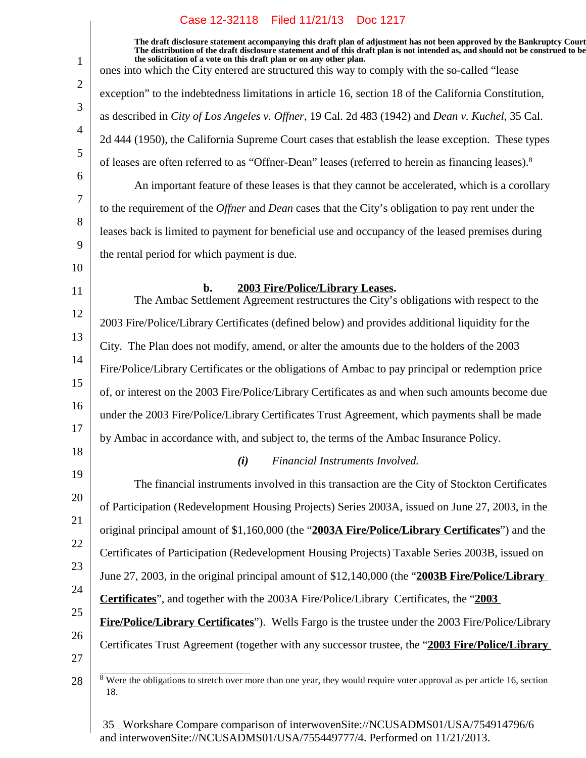$\overline{\phantom{a}}$ 

| 1              | The draft disclosure statement accompanying this draft plan of adjustment has not been approved by the Bankruptcy Court<br>The distribution of the draft disclosure statement and of this draft plan is not intended as, and should not be construed to be<br>the solicitation of a vote on this draft plan or on any other plan. |
|----------------|-----------------------------------------------------------------------------------------------------------------------------------------------------------------------------------------------------------------------------------------------------------------------------------------------------------------------------------|
|                | ones into which the City entered are structured this way to comply with the so-called "lease"                                                                                                                                                                                                                                     |
| 2              | exception" to the indebtedness limitations in article 16, section 18 of the California Constitution,                                                                                                                                                                                                                              |
| 3              | as described in City of Los Angeles v. Offner, 19 Cal. 2d 483 (1942) and Dean v. Kuchel, 35 Cal.                                                                                                                                                                                                                                  |
| $\overline{4}$ | 2d 444 (1950), the California Supreme Court cases that establish the lease exception. These types                                                                                                                                                                                                                                 |
| 5              | of leases are often referred to as "Offner-Dean" leases (referred to herein as financing leases). <sup>8</sup>                                                                                                                                                                                                                    |
| 6              | An important feature of these leases is that they cannot be accelerated, which is a corollary                                                                                                                                                                                                                                     |
| 7              | to the requirement of the <i>Offner</i> and <i>Dean</i> cases that the City's obligation to pay rent under the                                                                                                                                                                                                                    |
| 8              | leases back is limited to payment for beneficial use and occupancy of the leased premises during                                                                                                                                                                                                                                  |
| 9              | the rental period for which payment is due.                                                                                                                                                                                                                                                                                       |
| 10             |                                                                                                                                                                                                                                                                                                                                   |
| 11             | 2003 Fire/Police/Library Leases.<br>b.<br>The Ambac Settlement Agreement restructures the City's obligations with respect to the                                                                                                                                                                                                  |
| 12             | 2003 Fire/Police/Library Certificates (defined below) and provides additional liquidity for the                                                                                                                                                                                                                                   |
| 13             | City. The Plan does not modify, amend, or alter the amounts due to the holders of the 2003                                                                                                                                                                                                                                        |
| 14             | Fire/Police/Library Certificates or the obligations of Ambac to pay principal or redemption price                                                                                                                                                                                                                                 |
| 15             | of, or interest on the 2003 Fire/Police/Library Certificates as and when such amounts become due                                                                                                                                                                                                                                  |
| 16             | under the 2003 Fire/Police/Library Certificates Trust Agreement, which payments shall be made                                                                                                                                                                                                                                     |
| 17             | by Ambac in accordance with, and subject to, the terms of the Ambac Insurance Policy.                                                                                                                                                                                                                                             |
| 18             | (i) Financial Instruments Involved.                                                                                                                                                                                                                                                                                               |
| 19             | The financial instruments involved in this transaction are the City of Stockton Certificates                                                                                                                                                                                                                                      |
| 20             | of Participation (Redevelopment Housing Projects) Series 2003A, issued on June 27, 2003, in the                                                                                                                                                                                                                                   |
| 21             | original principal amount of \$1,160,000 (the "2003A Fire/Police/Library Certificates") and the                                                                                                                                                                                                                                   |
| 22             | Certificates of Participation (Redevelopment Housing Projects) Taxable Series 2003B, issued on                                                                                                                                                                                                                                    |
| 23             | June 27, 2003, in the original principal amount of \$12,140,000 (the "2003B Fire/Police/Library                                                                                                                                                                                                                                   |
| 24             | <b>Certificates</b> ", and together with the 2003A Fire/Police/Library Certificates, the "2003                                                                                                                                                                                                                                    |
| 25             | <b>Fire/Police/Library Certificates</b> "). Wells Fargo is the trustee under the 2003 Fire/Police/Library                                                                                                                                                                                                                         |
| 26             | Certificates Trust Agreement (together with any successor trustee, the "2003 Fire/Police/Library                                                                                                                                                                                                                                  |
| 27             |                                                                                                                                                                                                                                                                                                                                   |
| 28             | Were the obligations to stretch over more than one year, they would require voter approval as per article 16, section<br>8<br>18.                                                                                                                                                                                                 |
|                |                                                                                                                                                                                                                                                                                                                                   |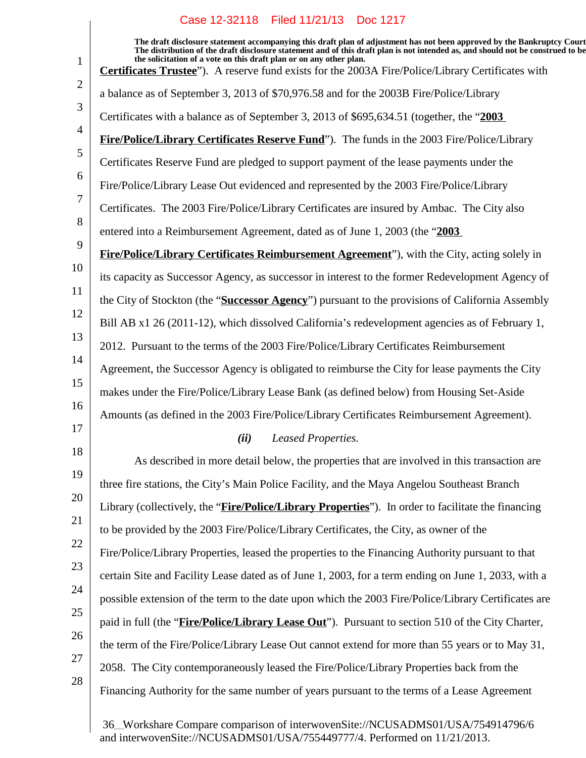$\overline{\phantom{a}}$ 

| $\mathbf{1}$   | The draft disclosure statement accompanying this draft plan of adjustment has not been approved by the Bankruptcy Court<br>The distribution of the draft disclosure statement and of this draft plan is not intended as, and should not be construed to be<br>the solicitation of a vote on this draft plan or on any other plan. |
|----------------|-----------------------------------------------------------------------------------------------------------------------------------------------------------------------------------------------------------------------------------------------------------------------------------------------------------------------------------|
| $\overline{2}$ | Certificates Trustee"). A reserve fund exists for the 2003A Fire/Police/Library Certificates with                                                                                                                                                                                                                                 |
| 3              | a balance as of September 3, 2013 of \$70,976.58 and for the 2003B Fire/Police/Library                                                                                                                                                                                                                                            |
| $\overline{4}$ | Certificates with a balance as of September 3, 2013 of \$695,634.51 (together, the "2003                                                                                                                                                                                                                                          |
| 5              | Fire/Police/Library Certificates Reserve Fund"). The funds in the 2003 Fire/Police/Library                                                                                                                                                                                                                                        |
|                | Certificates Reserve Fund are pledged to support payment of the lease payments under the                                                                                                                                                                                                                                          |
| 6              | Fire/Police/Library Lease Out evidenced and represented by the 2003 Fire/Police/Library                                                                                                                                                                                                                                           |
| 7              | Certificates. The 2003 Fire/Police/Library Certificates are insured by Ambac. The City also                                                                                                                                                                                                                                       |
| 8              | entered into a Reimbursement Agreement, dated as of June 1, 2003 (the "2003"                                                                                                                                                                                                                                                      |
| 9              | Fire/Police/Library Certificates Reimbursement Agreement"), with the City, acting solely in                                                                                                                                                                                                                                       |
| 10             | its capacity as Successor Agency, as successor in interest to the former Redevelopment Agency of                                                                                                                                                                                                                                  |
| 11             | the City of Stockton (the "Successor Agency") pursuant to the provisions of California Assembly                                                                                                                                                                                                                                   |
| 12             | Bill AB x1 26 (2011-12), which dissolved California's redevelopment agencies as of February 1,                                                                                                                                                                                                                                    |
| 13             | 2012. Pursuant to the terms of the 2003 Fire/Police/Library Certificates Reimbursement                                                                                                                                                                                                                                            |
| 14             | Agreement, the Successor Agency is obligated to reimburse the City for lease payments the City                                                                                                                                                                                                                                    |
| 15             | makes under the Fire/Police/Library Lease Bank (as defined below) from Housing Set-Aside                                                                                                                                                                                                                                          |
| 16             | Amounts (as defined in the 2003 Fire/Police/Library Certificates Reimbursement Agreement).                                                                                                                                                                                                                                        |
| 17             | (ii)<br>Leased Properties.                                                                                                                                                                                                                                                                                                        |
| 18             | As described in more detail below, the properties that are involved in this transaction are                                                                                                                                                                                                                                       |
| 19             | three fire stations, the City's Main Police Facility, and the Maya Angelou Southeast Branch                                                                                                                                                                                                                                       |
| 20             | Library (collectively, the "Fire/Police/Library Properties"). In order to facilitate the financing                                                                                                                                                                                                                                |
| 21             | to be provided by the 2003 Fire/Police/Library Certificates, the City, as owner of the                                                                                                                                                                                                                                            |
| 22             | Fire/Police/Library Properties, leased the properties to the Financing Authority pursuant to that                                                                                                                                                                                                                                 |
| 23             | certain Site and Facility Lease dated as of June 1, 2003, for a term ending on June 1, 2033, with a                                                                                                                                                                                                                               |
| 24             | possible extension of the term to the date upon which the 2003 Fire/Police/Library Certificates are                                                                                                                                                                                                                               |
| 25             | paid in full (the "Fire/Police/Library Lease Out"). Pursuant to section 510 of the City Charter,                                                                                                                                                                                                                                  |
| 26             | the term of the Fire/Police/Library Lease Out cannot extend for more than 55 years or to May 31,                                                                                                                                                                                                                                  |
| 27             | 2058. The City contemporaneously leased the Fire/Police/Library Properties back from the                                                                                                                                                                                                                                          |
| 28             | Financing Authority for the same number of years pursuant to the terms of a Lease Agreement                                                                                                                                                                                                                                       |
|                |                                                                                                                                                                                                                                                                                                                                   |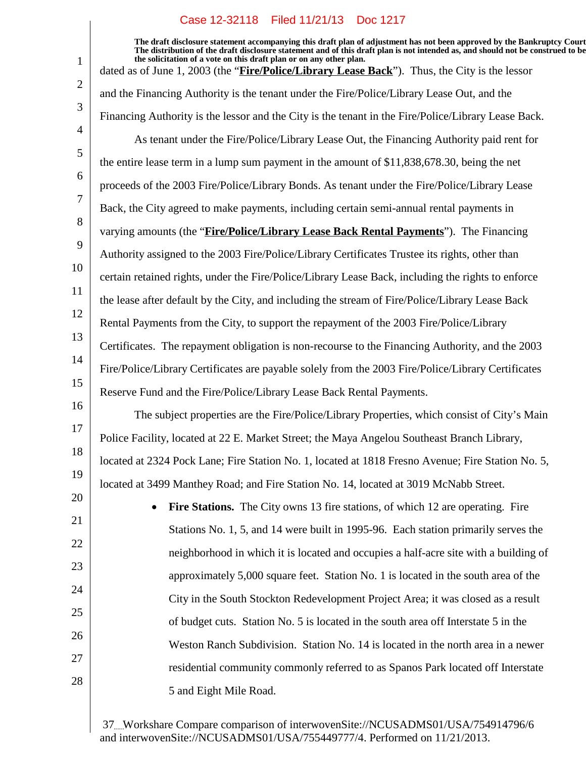1

2

3

4

5

6

7

8

9

10

11

12

13

15

17

18

21

22

23

24

25

26

27

28

14 16 19 20 **The draft disclosure statement accompanying this draft plan of adjustment has not been approved by the Bankruptcy Court. The distribution of the draft disclosure statement and of this draft plan is not intended as, and should not be construed to be, the solicitation of a vote on this draft plan or on any other plan.** dated as of June 1, 2003 (the "**Fire/Police/Library Lease Back**"). Thus, the City is the lessor and the Financing Authority is the tenant under the Fire/Police/Library Lease Out, and the Financing Authority is the lessor and the City is the tenant in the Fire/Police/Library Lease Back. As tenant under the Fire/Police/Library Lease Out, the Financing Authority paid rent for the entire lease term in a lump sum payment in the amount of \$11,838,678.30, being the net proceeds of the 2003 Fire/Police/Library Bonds. As tenant under the Fire/Police/Library Lease Back, the City agreed to make payments, including certain semi-annual rental payments in varying amounts (the "**Fire/Police/Library Lease Back Rental Payments**"). The Financing Authority assigned to the 2003 Fire/Police/Library Certificates Trustee its rights, other than certain retained rights, under the Fire/Police/Library Lease Back, including the rights to enforce the lease after default by the City, and including the stream of Fire/Police/Library Lease Back Rental Payments from the City, to support the repayment of the 2003 Fire/Police/Library Certificates. The repayment obligation is non-recourse to the Financing Authority, and the 2003 Fire/Police/Library Certificates are payable solely from the 2003 Fire/Police/Library Certificates Reserve Fund and the Fire/Police/Library Lease Back Rental Payments. The subject properties are the Fire/Police/Library Properties, which consist of City's Main Police Facility, located at 22 E. Market Street; the Maya Angelou Southeast Branch Library, located at 2324 Pock Lane; Fire Station No. 1, located at 1818 Fresno Avenue; Fire Station No. 5, located at 3499 Manthey Road; and Fire Station No. 14, located at 3019 McNabb Street. • Fire Stations. The City owns 13 fire stations, of which 12 are operating. Fire Stations No. 1, 5, and 14 were built in 1995-96. Each station primarily serves the neighborhood in which it is located and occupies a half-acre site with a building of approximately 5,000 square feet. Station No. 1 is located in the south area of the City in the South Stockton Redevelopment Project Area; it was closed as a result of budget cuts. Station No. 5 is located in the south area off Interstate 5 in the Weston Ranch Subdivision. Station No. 14 is located in the north area in a newer residential community commonly referred to as Spanos Park located off Interstate

5 and Eight Mile Road.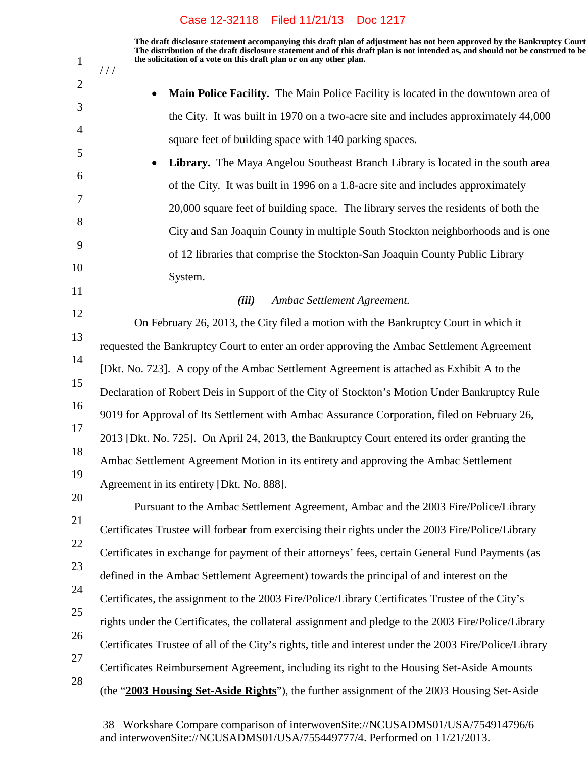**The draft disclosure statement accompanying this draft plan of adjustment has not been approved by the Bankruptcy Court. The distribution of the draft disclosure statement and of this draft plan is not intended as, and should not be construed to be, the solicitation of a vote on this draft plan or on any other plan.**

 **Main Police Facility.** The Main Police Facility is located in the downtown area of the City. It was built in 1970 on a two-acre site and includes approximately 44,000 square feet of building space with 140 parking spaces.

 **Library.** The Maya Angelou Southeast Branch Library is located in the south area of the City. It was built in 1996 on a 1.8-acre site and includes approximately 20,000 square feet of building space. The library serves the residents of both the City and San Joaquin County in multiple South Stockton neighborhoods and is one of 12 libraries that comprise the Stockton-San Joaquin County Public Library System.

11

10

1

 $11<sup>1</sup>$ 

2

3

4

5

6

7

8

9

# *(iii) Ambac Settlement Agreement.*

12 13 14 15 16 17 18 19 On February 26, 2013, the City filed a motion with the Bankruptcy Court in which it requested the Bankruptcy Court to enter an order approving the Ambac Settlement Agreement [Dkt. No. 723]. A copy of the Ambac Settlement Agreement is attached as Exhibit A to the Declaration of Robert Deis in Support of the City of Stockton's Motion Under Bankruptcy Rule 9019 for Approval of Its Settlement with Ambac Assurance Corporation, filed on February 26, 2013 [Dkt. No. 725]. On April 24, 2013, the Bankruptcy Court entered its order granting the Ambac Settlement Agreement Motion in its entirety and approving the Ambac Settlement Agreement in its entirety [Dkt. No. 888].

20 21 22 23 24 25 26 27 Pursuant to the Ambac Settlement Agreement, Ambac and the 2003 Fire/Police/Library Certificates Trustee will forbear from exercising their rights under the 2003 Fire/Police/Library Certificates in exchange for payment of their attorneys' fees, certain General Fund Payments (as defined in the Ambac Settlement Agreement) towards the principal of and interest on the Certificates, the assignment to the 2003 Fire/Police/Library Certificates Trustee of the City's rights under the Certificates, the collateral assignment and pledge to the 2003 Fire/Police/Library Certificates Trustee of all of the City's rights, title and interest under the 2003 Fire/Police/Library Certificates Reimbursement Agreement, including its right to the Housing Set-Aside Amounts (the "**2003 Housing Set-Aside Rights**"), the further assignment of the 2003 Housing Set-Aside

28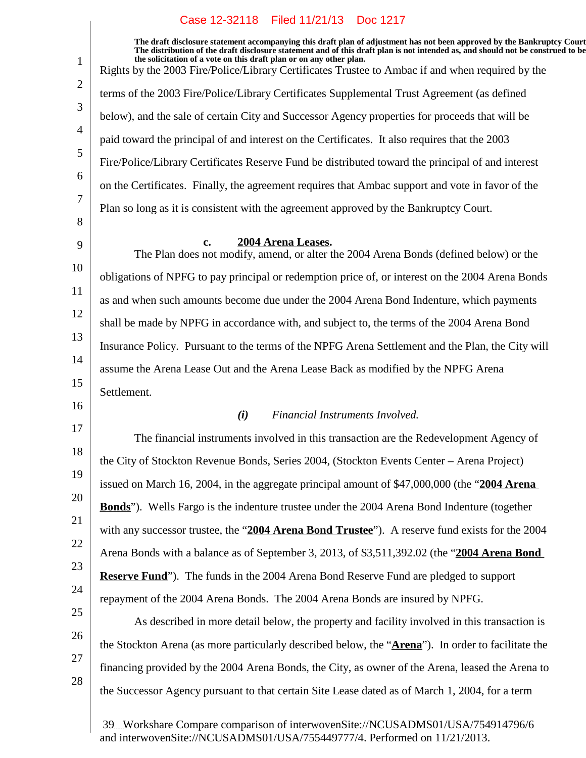12 14 17 18 19 20 **The draft disclosure statement accompanying this draft plan of adjustment has not been approved by the Bankruptcy Court. The distribution of the draft disclosure statement and of this draft plan is not intended as, and should not be construed to be, the solicitation of a vote on this draft plan or on any other plan.** Rights by the 2003 Fire/Police/Library Certificates Trustee to Ambac if and when required by the terms of the 2003 Fire/Police/Library Certificates Supplemental Trust Agreement (as defined below), and the sale of certain City and Successor Agency properties for proceeds that will be paid toward the principal of and interest on the Certificates. It also requires that the 2003 Fire/Police/Library Certificates Reserve Fund be distributed toward the principal of and interest on the Certificates. Finally, the agreement requires that Ambac support and vote in favor of the Plan so long as it is consistent with the agreement approved by the Bankruptcy Court. **2004 Arena Leases.** The Plan does not modify, amend, or alter the 2004 Arena Bonds (defined below) or the obligations of NPFG to pay principal or redemption price of, or interest on the 2004 Arena Bonds as and when such amounts become due under the 2004 Arena Bond Indenture, which payments shall be made by NPFG in accordance with, and subject to, the terms of the 2004 Arena Bond Insurance Policy. Pursuant to the terms of the NPFG Arena Settlement and the Plan, the City will assume the Arena Lease Out and the Arena Lease Back as modified by the NPFG Arena Settlement. *(i) Financial Instruments Involved.* The financial instruments involved in this transaction are the Redevelopment Agency of the City of Stockton Revenue Bonds, Series 2004, (Stockton Events Center – Arena Project) issued on March 16, 2004, in the aggregate principal amount of \$47,000,000 (the "**2004 Arena Bonds**"). Wells Fargo is the indenture trustee under the 2004 Arena Bond Indenture (together with any successor trustee, the "**2004 Arena Bond Trustee**"). A reserve fund exists for the 2004 Arena Bonds with a balance as of September 3, 2013, of \$3,511,392.02 (the "**2004 Arena Bond Reserve Fund**"). The funds in the 2004 Arena Bond Reserve Fund are pledged to support Case 12-32118 Filed 11/21/13 Doc 1217

1

2

3

4

5

6

7

8

9

10

11

13

15

16

21

22

23

25

26

27

28

24 repayment of the 2004 Arena Bonds. The 2004 Arena Bonds are insured by NPFG.

As described in more detail below, the property and facility involved in this transaction is the Stockton Arena (as more particularly described below, the "**Arena**"). In order to facilitate the financing provided by the 2004 Arena Bonds, the City, as owner of the Arena, leased the Arena to the Successor Agency pursuant to that certain Site Lease dated as of March 1, 2004, for a term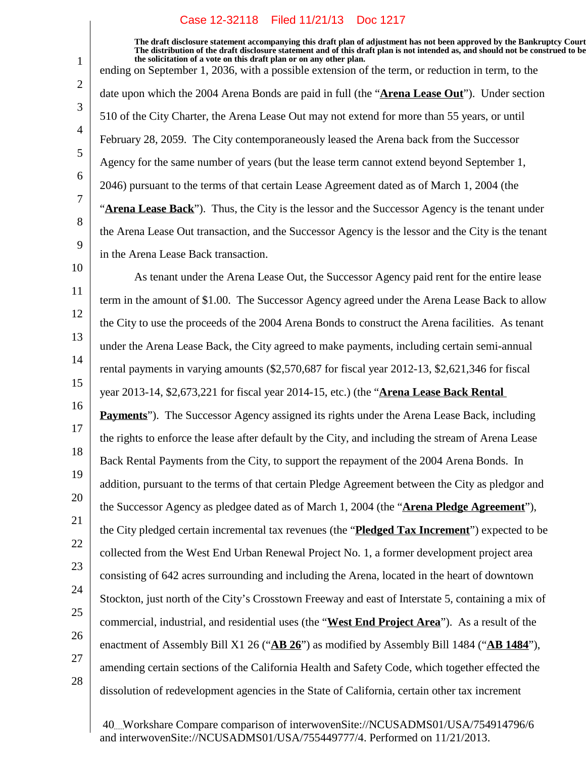**The draft disclosure statement accompanying this draft plan of adjustment has not been approved by the Bankruptcy Court. The distribution of the draft disclosure statement and of this draft plan is not intended as, and should not be construed to be, the solicitation of a vote on this draft plan or on any other plan.** ending on September 1, 2036, with a possible extension of the term, or reduction in term, to the

date upon which the 2004 Arena Bonds are paid in full (the "**Arena Lease Out**"). Under section 510 of the City Charter, the Arena Lease Out may not extend for more than 55 years, or until February 28, 2059. The City contemporaneously leased the Arena back from the Successor Agency for the same number of years (but the lease term cannot extend beyond September 1, 2046) pursuant to the terms of that certain Lease Agreement dated as of March 1, 2004 (the "**Arena Lease Back**"). Thus, the City is the lessor and the Successor Agency is the tenant under the Arena Lease Out transaction, and the Successor Agency is the lessor and the City is the tenant in the Arena Lease Back transaction.

10 11 12 13 14 15 16 17 18 19 20 21 22 23 24 25 26 As tenant under the Arena Lease Out, the Successor Agency paid rent for the entire lease term in the amount of \$1.00. The Successor Agency agreed under the Arena Lease Back to allow the City to use the proceeds of the 2004 Arena Bonds to construct the Arena facilities. As tenant under the Arena Lease Back, the City agreed to make payments, including certain semi-annual rental payments in varying amounts (\$2,570,687 for fiscal year 2012-13, \$2,621,346 for fiscal year 2013-14, \$2,673,221 for fiscal year 2014-15, etc.) (the "**Arena Lease Back Rental Payments**"). The Successor Agency assigned its rights under the Arena Lease Back, including the rights to enforce the lease after default by the City, and including the stream of Arena Lease Back Rental Payments from the City, to support the repayment of the 2004 Arena Bonds. In addition, pursuant to the terms of that certain Pledge Agreement between the City as pledgor and the Successor Agency as pledgee dated as of March 1, 2004 (the "**Arena Pledge Agreement**"), the City pledged certain incremental tax revenues (the "**Pledged Tax Increment**") expected to be collected from the West End Urban Renewal Project No. 1, a former development project area consisting of 642 acres surrounding and including the Arena, located in the heart of downtown Stockton, just north of the City's Crosstown Freeway and east of Interstate 5, containing a mix of commercial, industrial, and residential uses (the "**West End Project Area**"). As a result of the enactment of Assembly Bill X1 26 ("**AB 26**") as modified by Assembly Bill 1484 ("**AB 1484**"), amending certain sections of the California Health and Safety Code, which together effected the dissolution of redevelopment agencies in the State of California, certain other tax increment

27

1

2

3

4

5

6

7

8

9

28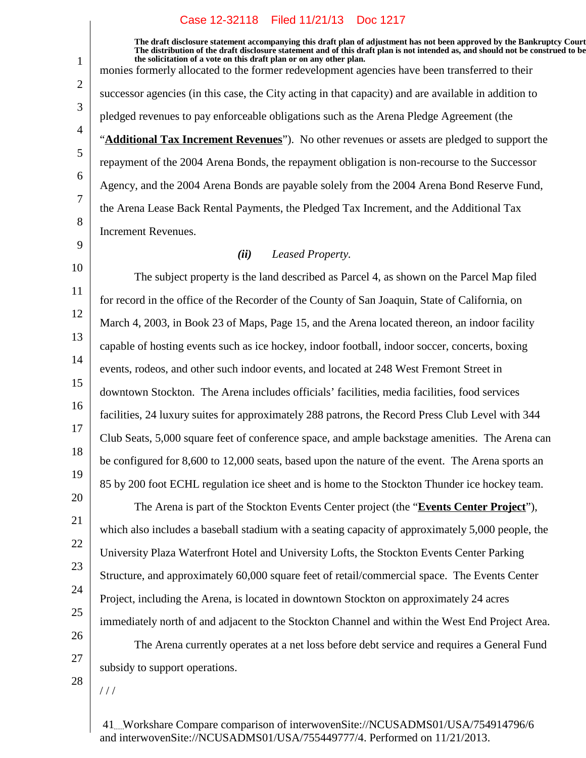**The draft disclosure statement accompanying this draft plan of adjustment has not been approved by the Bankruptcy Court. The distribution of the draft disclosure statement and of this draft plan is not intended as, and should not be construed to be, the solicitation of a vote on this draft plan or on any other plan.** monies formerly allocated to the former redevelopment agencies have been transferred to their successor agencies (in this case, the City acting in that capacity) and are available in addition to pledged revenues to pay enforceable obligations such as the Arena Pledge Agreement (the "**Additional Tax Increment Revenues**"). No other revenues or assets are pledged to support the repayment of the 2004 Arena Bonds, the repayment obligation is non-recourse to the Successor Agency, and the 2004 Arena Bonds are payable solely from the 2004 Arena Bond Reserve Fund, the Arena Lease Back Rental Payments, the Pledged Tax Increment, and the Additional Tax Increment Revenues.

# *(ii) Leased Property.*

11 12 13 14 15 16 17 18 19 The subject property is the land described as Parcel 4, as shown on the Parcel Map filed for record in the office of the Recorder of the County of San Joaquin, State of California, on March 4, 2003, in Book 23 of Maps, Page 15, and the Arena located thereon, an indoor facility capable of hosting events such as ice hockey, indoor football, indoor soccer, concerts, boxing events, rodeos, and other such indoor events, and located at 248 West Fremont Street in downtown Stockton. The Arena includes officials' facilities, media facilities, food services facilities, 24 luxury suites for approximately 288 patrons, the Record Press Club Level with 344 Club Seats, 5,000 square feet of conference space, and ample backstage amenities. The Arena can be configured for 8,600 to 12,000 seats, based upon the nature of the event. The Arena sports an 85 by 200 foot ECHL regulation ice sheet and is home to the Stockton Thunder ice hockey team.

The Arena is part of the Stockton Events Center project (the "**Events Center Project**"), which also includes a baseball stadium with a seating capacity of approximately 5,000 people, the University Plaza Waterfront Hotel and University Lofts, the Stockton Events Center Parking Structure, and approximately 60,000 square feet of retail/commercial space. The Events Center Project, including the Arena, is located in downtown Stockton on approximately 24 acres immediately north of and adjacent to the Stockton Channel and within the West End Project Area.

The Arena currently operates at a net loss before debt service and requires a General Fund subsidy to support operations.

28

/ / /

20

21

22

23

24

25

26

27

1

2

3

4

5

6

7

8

9

10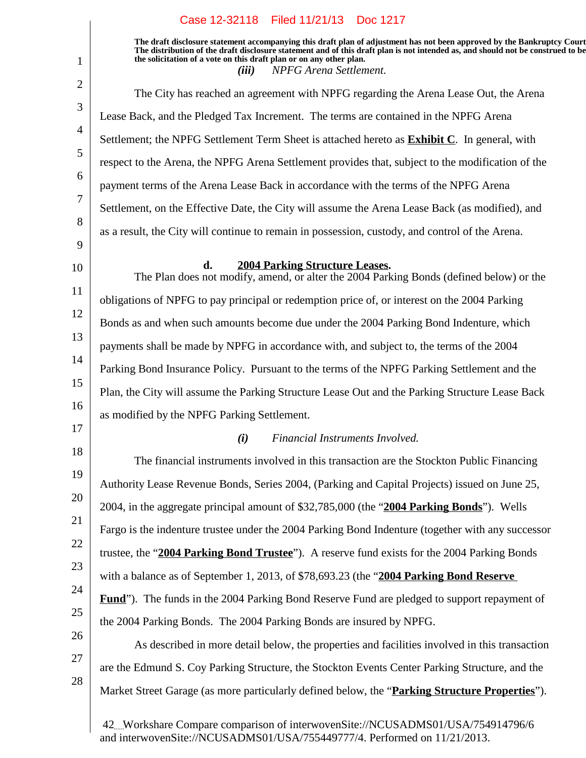1

**The draft disclosure statement accompanying this draft plan of adjustment has not been approved by the Bankruptcy Court. The distribution of the draft disclosure statement and of this draft plan is not intended as, and should not be construed to be, the solicitation of a vote on this draft plan or on any other plan.** *(iii) NPFG Arena Settlement.*

2 3 4 5 6 7 8 9 10 11 12 13 14 15 16 17 18 19 20 21 22 23 24 25 26 27 28 The City has reached an agreement with NPFG regarding the Arena Lease Out, the Arena Lease Back, and the Pledged Tax Increment. The terms are contained in the NPFG Arena Settlement; the NPFG Settlement Term Sheet is attached hereto as **Exhibit C**. In general, with respect to the Arena, the NPFG Arena Settlement provides that, subject to the modification of the payment terms of the Arena Lease Back in accordance with the terms of the NPFG Arena Settlement, on the Effective Date, the City will assume the Arena Lease Back (as modified), and as a result, the City will continue to remain in possession, custody, and control of the Arena. **d.** 2004 Parking Structure Leases. The Plan does not modify, amend, or alter the 2004 Parking Bonds (defined below) or the obligations of NPFG to pay principal or redemption price of, or interest on the 2004 Parking Bonds as and when such amounts become due under the 2004 Parking Bond Indenture, which payments shall be made by NPFG in accordance with, and subject to, the terms of the 2004 Parking Bond Insurance Policy. Pursuant to the terms of the NPFG Parking Settlement and the Plan, the City will assume the Parking Structure Lease Out and the Parking Structure Lease Back as modified by the NPFG Parking Settlement. *(i) Financial Instruments Involved.* The financial instruments involved in this transaction are the Stockton Public Financing Authority Lease Revenue Bonds, Series 2004, (Parking and Capital Projects) issued on June 25, 2004, in the aggregate principal amount of \$32,785,000 (the "**2004 Parking Bonds**"). Wells Fargo is the indenture trustee under the 2004 Parking Bond Indenture (together with any successor trustee, the "**2004 Parking Bond Trustee**"). A reserve fund exists for the 2004 Parking Bonds with a balance as of September 1, 2013, of \$78,693.23 (the "**2004 Parking Bond Reserve Fund**"). The funds in the 2004 Parking Bond Reserve Fund are pledged to support repayment of the 2004 Parking Bonds. The 2004 Parking Bonds are insured by NPFG. As described in more detail below, the properties and facilities involved in this transaction are the Edmund S. Coy Parking Structure, the Stockton Events Center Parking Structure, and the Market Street Garage (as more particularly defined below, the "**Parking Structure Properties**").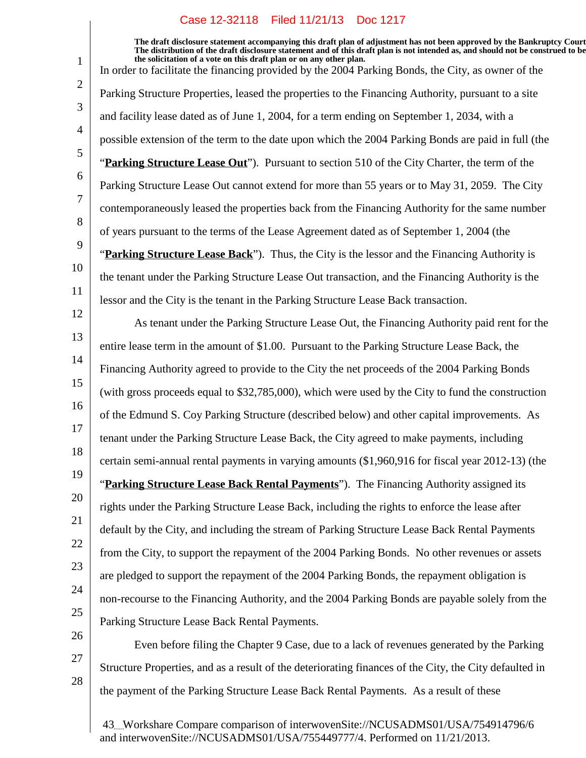1

2

3

4

5

6

7

8

9

10

11

12

13

14

15

16

17

18

19

20

21

22

23

24

25

26

**The draft disclosure statement accompanying this draft plan of adjustment has not been approved by the Bankruptcy Court. The distribution of the draft disclosure statement and of this draft plan is not intended as, and should not be construed to be, the solicitation of a vote on this draft plan or on any other plan.** In order to facilitate the financing provided by the 2004 Parking Bonds, the City, as owner of the Parking Structure Properties, leased the properties to the Financing Authority, pursuant to a site and facility lease dated as of June 1, 2004, for a term ending on September 1, 2034, with a possible extension of the term to the date upon which the 2004 Parking Bonds are paid in full (the "**Parking Structure Lease Out**"). Pursuant to section 510 of the City Charter, the term of the Parking Structure Lease Out cannot extend for more than 55 years or to May 31, 2059. The City contemporaneously leased the properties back from the Financing Authority for the same number of years pursuant to the terms of the Lease Agreement dated as of September 1, 2004 (the "**Parking Structure Lease Back**"). Thus, the City is the lessor and the Financing Authority is the tenant under the Parking Structure Lease Out transaction, and the Financing Authority is the lessor and the City is the tenant in the Parking Structure Lease Back transaction. As tenant under the Parking Structure Lease Out, the Financing Authority paid rent for the entire lease term in the amount of \$1.00. Pursuant to the Parking Structure Lease Back, the Financing Authority agreed to provide to the City the net proceeds of the 2004 Parking Bonds (with gross proceeds equal to \$32,785,000), which were used by the City to fund the construction of the Edmund S. Coy Parking Structure (described below) and other capital improvements. As tenant under the Parking Structure Lease Back, the City agreed to make payments, including certain semi-annual rental payments in varying amounts (\$1,960,916 for fiscal year 2012-13) (the "**Parking Structure Lease Back Rental Payments**"). The Financing Authority assigned its rights under the Parking Structure Lease Back, including the rights to enforce the lease after default by the City, and including the stream of Parking Structure Lease Back Rental Payments from the City, to support the repayment of the 2004 Parking Bonds. No other revenues or assets are pledged to support the repayment of the 2004 Parking Bonds, the repayment obligation is non-recourse to the Financing Authority, and the 2004 Parking Bonds are payable solely from the Parking Structure Lease Back Rental Payments. Even before filing the Chapter 9 Case, due to a lack of revenues generated by the Parking

27 28 Structure Properties, and as a result of the deteriorating finances of the City, the City defaulted in the payment of the Parking Structure Lease Back Rental Payments. As a result of these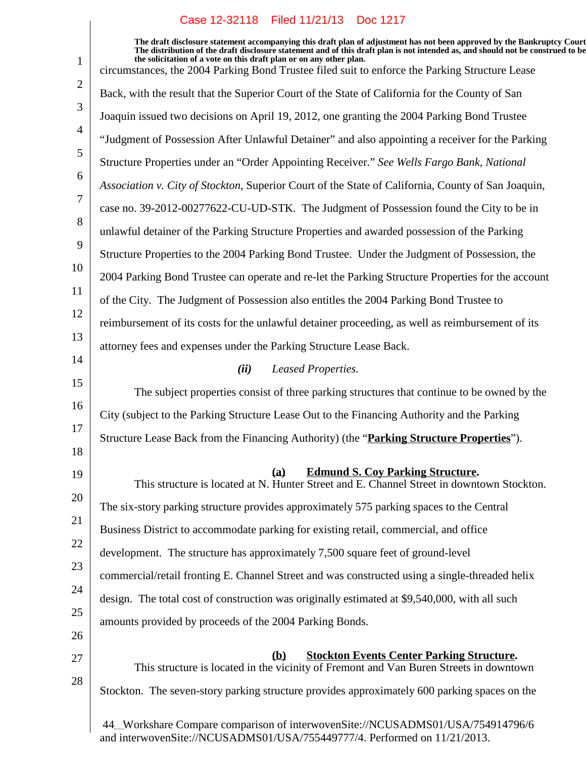|                | Case 12-32118 Filed 11/21/13 DOC 1217                                                                                                                                                                                                                                                                                                                                                                                               |
|----------------|-------------------------------------------------------------------------------------------------------------------------------------------------------------------------------------------------------------------------------------------------------------------------------------------------------------------------------------------------------------------------------------------------------------------------------------|
| $\mathbf{1}$   | The draft disclosure statement accompanying this draft plan of adjustment has not been approved by the Bankruptcy Court<br>The distribution of the draft disclosure statement and of this draft plan is not intended as, and should not be construed to be<br>the solicitation of a vote on this draft plan or on any other plan.<br>circumstances, the 2004 Parking Bond Trustee filed suit to enforce the Parking Structure Lease |
| $\overline{2}$ | Back, with the result that the Superior Court of the State of California for the County of San                                                                                                                                                                                                                                                                                                                                      |
| 3              | Joaquin issued two decisions on April 19, 2012, one granting the 2004 Parking Bond Trustee                                                                                                                                                                                                                                                                                                                                          |
| $\overline{4}$ | "Judgment of Possession After Unlawful Detainer" and also appointing a receiver for the Parking                                                                                                                                                                                                                                                                                                                                     |
| 5              | Structure Properties under an "Order Appointing Receiver." See Wells Fargo Bank, National                                                                                                                                                                                                                                                                                                                                           |
| 6              | Association v. City of Stockton, Superior Court of the State of California, County of San Joaquin,                                                                                                                                                                                                                                                                                                                                  |
| 7              | case no. 39-2012-00277622-CU-UD-STK. The Judgment of Possession found the City to be in                                                                                                                                                                                                                                                                                                                                             |
| 8              | unlawful detainer of the Parking Structure Properties and awarded possession of the Parking                                                                                                                                                                                                                                                                                                                                         |
| 9              | Structure Properties to the 2004 Parking Bond Trustee. Under the Judgment of Possession, the                                                                                                                                                                                                                                                                                                                                        |
| 10             | 2004 Parking Bond Trustee can operate and re-let the Parking Structure Properties for the account                                                                                                                                                                                                                                                                                                                                   |
| 11             | of the City. The Judgment of Possession also entitles the 2004 Parking Bond Trustee to                                                                                                                                                                                                                                                                                                                                              |
| 12             | reimbursement of its costs for the unlawful detainer proceeding, as well as reimbursement of its                                                                                                                                                                                                                                                                                                                                    |
| 13             | attorney fees and expenses under the Parking Structure Lease Back.                                                                                                                                                                                                                                                                                                                                                                  |
| 14             | (ii)<br>Leased Properties.                                                                                                                                                                                                                                                                                                                                                                                                          |
| 15             | The subject properties consist of three parking structures that continue to be owned by the                                                                                                                                                                                                                                                                                                                                         |
| 16             | City (subject to the Parking Structure Lease Out to the Financing Authority and the Parking                                                                                                                                                                                                                                                                                                                                         |
| 17             | Structure Lease Back from the Financing Authority) (the "Parking Structure Properties").                                                                                                                                                                                                                                                                                                                                            |
| 18             |                                                                                                                                                                                                                                                                                                                                                                                                                                     |
| 19             | <b>Edmund S. Coy Parking Structure.</b><br>(a)<br>This structure is located at N. Hunter Street and E. Channel Street in downtown Stockton.                                                                                                                                                                                                                                                                                         |
| 20             | The six-story parking structure provides approximately 575 parking spaces to the Central                                                                                                                                                                                                                                                                                                                                            |
| 21             | Business District to accommodate parking for existing retail, commercial, and office                                                                                                                                                                                                                                                                                                                                                |
| 22             | development. The structure has approximately 7,500 square feet of ground-level                                                                                                                                                                                                                                                                                                                                                      |
| 23             | commercial/retail fronting E. Channel Street and was constructed using a single-threaded helix                                                                                                                                                                                                                                                                                                                                      |
| 24             | design. The total cost of construction was originally estimated at \$9,540,000, with all such                                                                                                                                                                                                                                                                                                                                       |
| 25             | amounts provided by proceeds of the 2004 Parking Bonds.                                                                                                                                                                                                                                                                                                                                                                             |
| 26             |                                                                                                                                                                                                                                                                                                                                                                                                                                     |
| 27             | <b>Stockton Events Center Parking Structure.</b><br><b>(b)</b><br>This structure is located in the vicinity of Fremont and Van Buren Streets in downtown                                                                                                                                                                                                                                                                            |
| 28             | Stockton. The seven-story parking structure provides approximately 600 parking spaces on the                                                                                                                                                                                                                                                                                                                                        |
|                | 44. Workshare Compare comparison of interwovenSite://NCUSADMS01/USA/754914796/6                                                                                                                                                                                                                                                                                                                                                     |

and interwovenSite://NCUSADMS01/USA/755449777/4. Performed on 11/21/2013.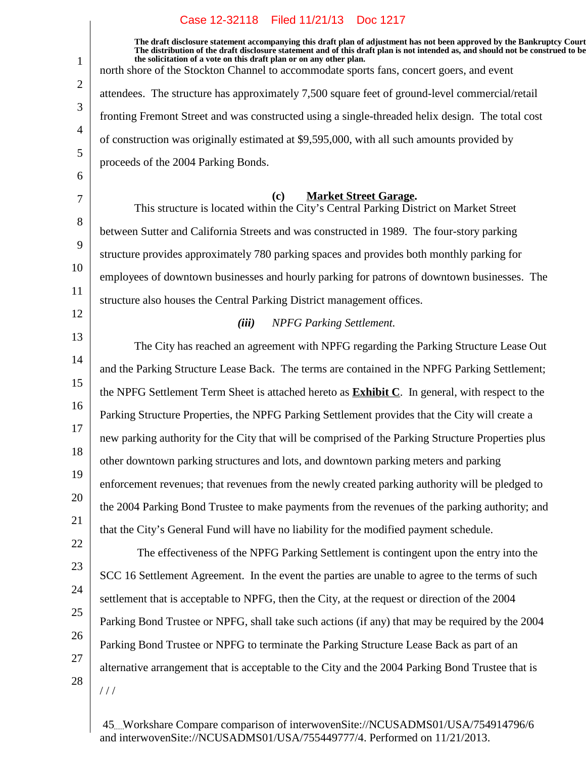$\overline{\phantom{a}}$ 

| 1                   | The draft disclosure statement accompanying this draft plan of adjustment has not been approved by the Bankruptcy Court<br>The distribution of the draft disclosure statement and of this draft plan is not intended as, and should not be construed to be<br>the solicitation of a vote on this draft plan or on any other plan. |
|---------------------|-----------------------------------------------------------------------------------------------------------------------------------------------------------------------------------------------------------------------------------------------------------------------------------------------------------------------------------|
|                     | north shore of the Stockton Channel to accommodate sports fans, concert goers, and event                                                                                                                                                                                                                                          |
| $\overline{2}$      | attendees. The structure has approximately 7,500 square feet of ground-level commercial/retail                                                                                                                                                                                                                                    |
| 3<br>$\overline{4}$ | fronting Fremont Street and was constructed using a single-threaded helix design. The total cost                                                                                                                                                                                                                                  |
| 5                   | of construction was originally estimated at \$9,595,000, with all such amounts provided by                                                                                                                                                                                                                                        |
| 6                   | proceeds of the 2004 Parking Bonds.                                                                                                                                                                                                                                                                                               |
|                     |                                                                                                                                                                                                                                                                                                                                   |
| 7                   | (c)<br><b>Market Street Garage.</b><br>This structure is located within the City's Central Parking District on Market Street                                                                                                                                                                                                      |
| 8<br>9              | between Sutter and California Streets and was constructed in 1989. The four-story parking                                                                                                                                                                                                                                         |
| 10                  | structure provides approximately 780 parking spaces and provides both monthly parking for                                                                                                                                                                                                                                         |
| 11                  | employees of downtown businesses and hourly parking for patrons of downtown businesses. The                                                                                                                                                                                                                                       |
| 12                  | structure also houses the Central Parking District management offices.                                                                                                                                                                                                                                                            |
|                     | (iii)<br><b>NPFG Parking Settlement.</b>                                                                                                                                                                                                                                                                                          |
| 13                  | The City has reached an agreement with NPFG regarding the Parking Structure Lease Out                                                                                                                                                                                                                                             |
| 14                  | and the Parking Structure Lease Back. The terms are contained in the NPFG Parking Settlement;                                                                                                                                                                                                                                     |
| 15                  | the NPFG Settlement Term Sheet is attached hereto as <b>Exhibit C</b> . In general, with respect to the                                                                                                                                                                                                                           |
| 16                  | Parking Structure Properties, the NPFG Parking Settlement provides that the City will create a                                                                                                                                                                                                                                    |
| 17                  | new parking authority for the City that will be comprised of the Parking Structure Properties plus                                                                                                                                                                                                                                |
| 18<br>19            | other downtown parking structures and lots, and downtown parking meters and parking                                                                                                                                                                                                                                               |
| 20                  | enforcement revenues; that revenues from the newly created parking authority will be pledged to                                                                                                                                                                                                                                   |
| 21                  | the 2004 Parking Bond Trustee to make payments from the revenues of the parking authority; and                                                                                                                                                                                                                                    |
| 22                  | that the City's General Fund will have no liability for the modified payment schedule.                                                                                                                                                                                                                                            |
| 23                  | The effectiveness of the NPFG Parking Settlement is contingent upon the entry into the                                                                                                                                                                                                                                            |
| 24                  | SCC 16 Settlement Agreement. In the event the parties are unable to agree to the terms of such                                                                                                                                                                                                                                    |
| 25                  | settlement that is acceptable to NPFG, then the City, at the request or direction of the 2004                                                                                                                                                                                                                                     |
| 26                  | Parking Bond Trustee or NPFG, shall take such actions (if any) that may be required by the 2004                                                                                                                                                                                                                                   |
| 27                  | Parking Bond Trustee or NPFG to terminate the Parking Structure Lease Back as part of an                                                                                                                                                                                                                                          |
| 28                  | alternative arrangement that is acceptable to the City and the 2004 Parking Bond Trustee that is                                                                                                                                                                                                                                  |
|                     | //                                                                                                                                                                                                                                                                                                                                |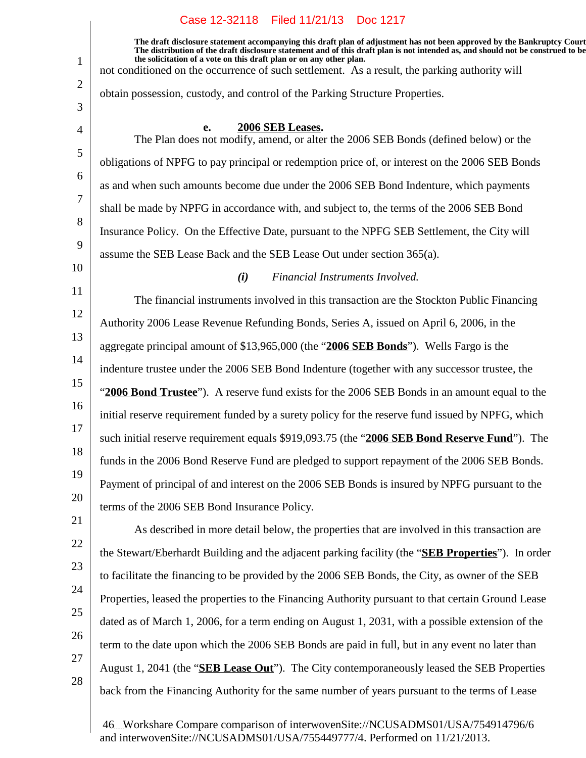**The draft disclosure statement accompanying this draft plan of adjustment has not been approved by the Bankruptcy Court. The distribution of the draft disclosure statement and of this draft plan is not intended as, and should not be construed to be, the solicitation of a vote on this draft plan or on any other plan.**

not conditioned on the occurrence of such settlement. As a result, the parking authority will

obtain possession, custody, and control of the Parking Structure Properties.

3 4

5

6

7

8

9

1

2

#### **2006 SEB Leases.**

The Plan does not modify, amend, or alter the 2006 SEB Bonds (defined below) or the obligations of NPFG to pay principal or redemption price of, or interest on the 2006 SEB Bonds as and when such amounts become due under the 2006 SEB Bond Indenture, which payments shall be made by NPFG in accordance with, and subject to, the terms of the 2006 SEB Bond Insurance Policy. On the Effective Date, pursuant to the NPFG SEB Settlement, the City will assume the SEB Lease Back and the SEB Lease Out under section 365(a).

10

# *(i) Financial Instruments Involved.*

11 12 13 14 15 16 17 18 19 20 The financial instruments involved in this transaction are the Stockton Public Financing Authority 2006 Lease Revenue Refunding Bonds, Series A, issued on April 6, 2006, in the aggregate principal amount of \$13,965,000 (the "**2006 SEB Bonds**"). Wells Fargo is the indenture trustee under the 2006 SEB Bond Indenture (together with any successor trustee, the "**2006 Bond Trustee**"). A reserve fund exists for the 2006 SEB Bonds in an amount equal to the initial reserve requirement funded by a surety policy for the reserve fund issued by NPFG, which such initial reserve requirement equals \$919,093.75 (the "**2006 SEB Bond Reserve Fund**"). The funds in the 2006 Bond Reserve Fund are pledged to support repayment of the 2006 SEB Bonds. Payment of principal of and interest on the 2006 SEB Bonds is insured by NPFG pursuant to the terms of the 2006 SEB Bond Insurance Policy.

- 21 22 23 24 25
- 26
- 27

28

Properties, leased the properties to the Financing Authority pursuant to that certain Ground Lease dated as of March 1, 2006, for a term ending on August 1, 2031, with a possible extension of the term to the date upon which the 2006 SEB Bonds are paid in full, but in any event no later than August 1, 2041 (the "**SEB Lease Out**"). The City contemporaneously leased the SEB Properties back from the Financing Authority for the same number of years pursuant to the terms of Lease

As described in more detail below, the properties that are involved in this transaction are

the Stewart/Eberhardt Building and the adjacent parking facility (the "**SEB Properties**"). In order

to facilitate the financing to be provided by the 2006 SEB Bonds, the City, as owner of the SEB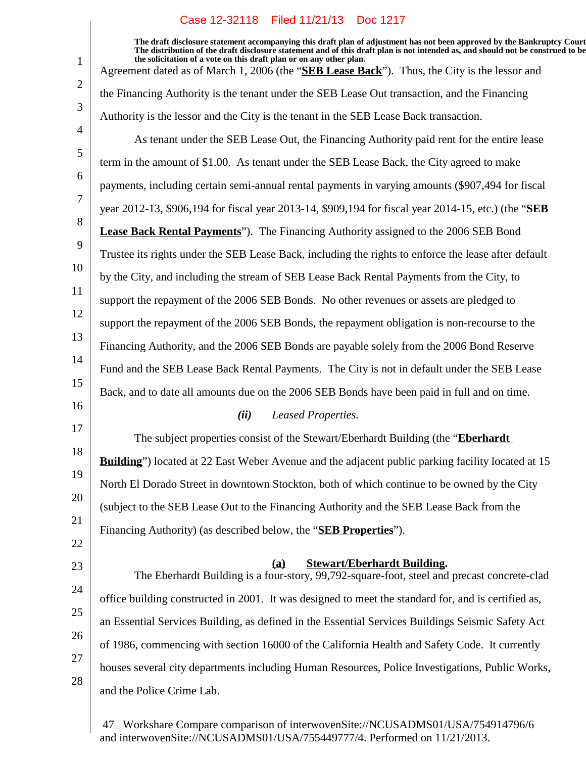1 2 3 4 5 6 7 8 9 10 11 12 13 14 15 16 17 18 19 20 21 22 23 24 25 26 27 28 **The draft disclosure statement accompanying this draft plan of adjustment has not been approved by the Bankruptcy Court. The distribution of the draft disclosure statement and of this draft plan is not intended as, and should not be construed to be, the solicitation of a vote on this draft plan or on any other plan.** Agreement dated as of March 1, 2006 (the "**SEB Lease Back**"). Thus, the City is the lessor and the Financing Authority is the tenant under the SEB Lease Out transaction, and the Financing Authority is the lessor and the City is the tenant in the SEB Lease Back transaction. As tenant under the SEB Lease Out, the Financing Authority paid rent for the entire lease term in the amount of \$1.00. As tenant under the SEB Lease Back, the City agreed to make payments, including certain semi-annual rental payments in varying amounts (\$907,494 for fiscal year 2012-13, \$906,194 for fiscal year 2013-14, \$909,194 for fiscal year 2014-15, etc.) (the "**SEB Lease Back Rental Payments**"). The Financing Authority assigned to the 2006 SEB Bond Trustee its rights under the SEB Lease Back, including the rights to enforce the lease after default by the City, and including the stream of SEB Lease Back Rental Payments from the City, to support the repayment of the 2006 SEB Bonds. No other revenues or assets are pledged to support the repayment of the 2006 SEB Bonds, the repayment obligation is non-recourse to the Financing Authority, and the 2006 SEB Bonds are payable solely from the 2006 Bond Reserve Fund and the SEB Lease Back Rental Payments. The City is not in default under the SEB Lease Back, and to date all amounts due on the 2006 SEB Bonds have been paid in full and on time. *(ii) Leased Properties.* The subject properties consist of the Stewart/Eberhardt Building (the "**Eberhardt Building**") located at 22 East Weber Avenue and the adjacent public parking facility located at 15 North El Dorado Street in downtown Stockton, both of which continue to be owned by the City (subject to the SEB Lease Out to the Financing Authority and the SEB Lease Back from the Financing Authority) (as described below, the "**SEB Properties**"). **Stewart/Eberhardt Building.(a)** The Eberhardt Building is a four-story, 99,792-square-foot, steel and precast concrete-clad office building constructed in 2001. It was designed to meet the standard for, and is certified as, an Essential Services Building, as defined in the Essential Services Buildings Seismic Safety Act of 1986, commencing with section 16000 of the California Health and Safety Code. It currently houses several city departments including Human Resources, Police Investigations, Public Works, and the Police Crime Lab.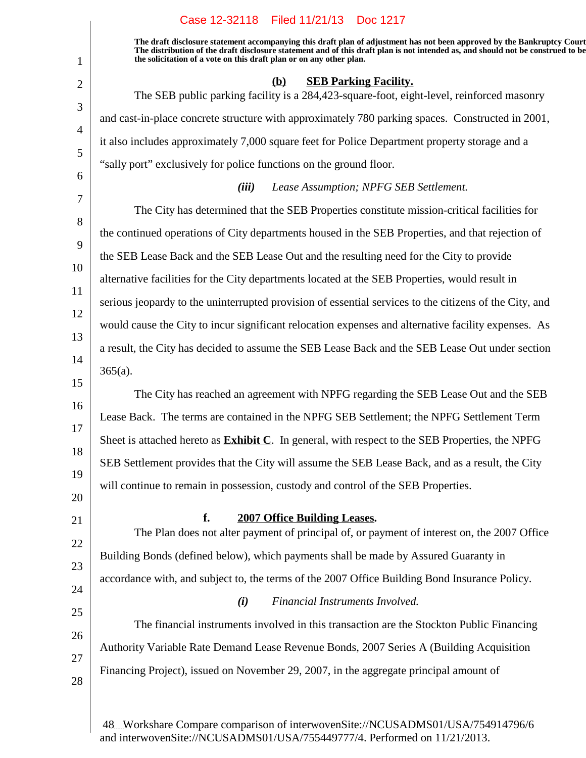#### 1 2 3 4 5 6 7 8 9 10 11 12 13 14 15 16 17 18 19 20 21 22 23 24 25 26 27 28 **The draft disclosure statement accompanying this draft plan of adjustment has not been approved by the Bankruptcy Court. The distribution of the draft disclosure statement and of this draft plan is not intended as, and should not be construed to be, the solicitation of a vote on this draft plan or on any other plan. (b) SEB Parking Facility.** The SEB public parking facility is a 284,423-square-foot, eight-level, reinforced masonry and cast-in-place concrete structure with approximately 780 parking spaces. Constructed in 2001, it also includes approximately 7,000 square feet for Police Department property storage and a "sally port" exclusively for police functions on the ground floor. *(iii) Lease Assumption; NPFG SEB Settlement.* The City has determined that the SEB Properties constitute mission-critical facilities for the continued operations of City departments housed in the SEB Properties, and that rejection of the SEB Lease Back and the SEB Lease Out and the resulting need for the City to provide alternative facilities for the City departments located at the SEB Properties, would result in serious jeopardy to the uninterrupted provision of essential services to the citizens of the City, and would cause the City to incur significant relocation expenses and alternative facility expenses. As a result, the City has decided to assume the SEB Lease Back and the SEB Lease Out under section  $365(a)$ . The City has reached an agreement with NPFG regarding the SEB Lease Out and the SEB Lease Back. The terms are contained in the NPFG SEB Settlement; the NPFG Settlement Term Sheet is attached hereto as **Exhibit C**. In general, with respect to the SEB Properties, the NPFG SEB Settlement provides that the City will assume the SEB Lease Back, and as a result, the City will continue to remain in possession, custody and control of the SEB Properties. **f.** 2007 Office Building Leases. The Plan does not alter payment of principal of, or payment of interest on, the 2007 Office Building Bonds (defined below), which payments shall be made by Assured Guaranty in accordance with, and subject to, the terms of the 2007 Office Building Bond Insurance Policy. *(i) Financial Instruments Involved.* The financial instruments involved in this transaction are the Stockton Public Financing Authority Variable Rate Demand Lease Revenue Bonds, 2007 Series A (Building Acquisition Financing Project), issued on November 29, 2007, in the aggregate principal amount of

Case 12-32118 Filed 11/21/13 Doc 1217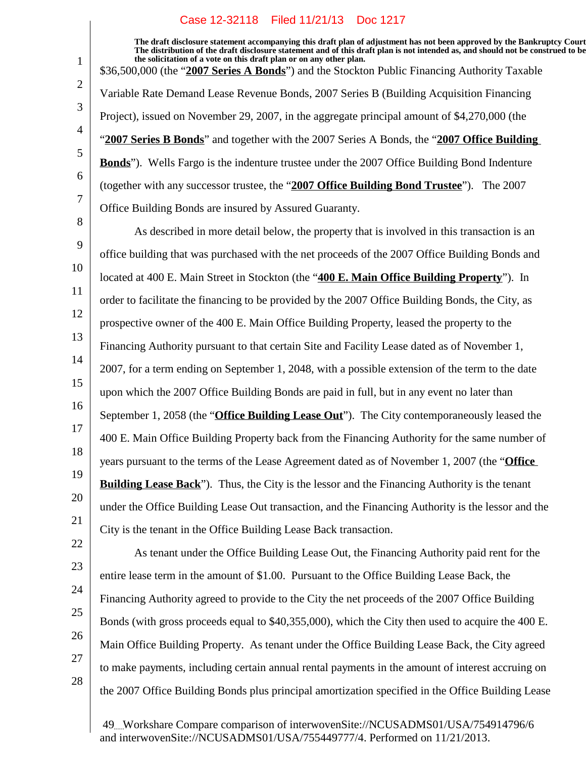**The draft disclosure statement accompanying this draft plan of adjustment has not been approved by the Bankruptcy Court. The distribution of the draft disclosure statement and of this draft plan is not intended as, and should not be construed to be, the solicitation of a vote on this draft plan or on any other plan.** \$36,500,000 (the "**2007 Series A Bonds**") and the Stockton Public Financing Authority Taxable Variable Rate Demand Lease Revenue Bonds, 2007 Series B (Building Acquisition Financing Project), issued on November 29, 2007, in the aggregate principal amount of \$4,270,000 (the "**2007 Series B Bonds**" and together with the 2007 Series A Bonds, the "**2007 Office Building Bonds**"). Wells Fargo is the indenture trustee under the 2007 Office Building Bond Indenture (together with any successor trustee, the "**2007 Office Building Bond Trustee**"). The 2007 Office Building Bonds are insured by Assured Guaranty.

8

1

2

3

4

5

6

7

9 10 11 12 13 14 15 16 17 18 19 20 21 As described in more detail below, the property that is involved in this transaction is an office building that was purchased with the net proceeds of the 2007 Office Building Bonds and located at 400 E. Main Street in Stockton (the "**400 E. Main Office Building Property**"). In order to facilitate the financing to be provided by the 2007 Office Building Bonds, the City, as prospective owner of the 400 E. Main Office Building Property, leased the property to the Financing Authority pursuant to that certain Site and Facility Lease dated as of November 1, 2007, for a term ending on September 1, 2048, with a possible extension of the term to the date upon which the 2007 Office Building Bonds are paid in full, but in any event no later than September 1, 2058 (the "**Office Building Lease Out**"). The City contemporaneously leased the 400 E. Main Office Building Property back from the Financing Authority for the same number of years pursuant to the terms of the Lease Agreement dated as of November 1, 2007 (the "**Office Building Lease Back**"). Thus, the City is the lessor and the Financing Authority is the tenant under the Office Building Lease Out transaction, and the Financing Authority is the lessor and the City is the tenant in the Office Building Lease Back transaction.

- 22 23 24 25 26 27
- As tenant under the Office Building Lease Out, the Financing Authority paid rent for the entire lease term in the amount of \$1.00. Pursuant to the Office Building Lease Back, the Financing Authority agreed to provide to the City the net proceeds of the 2007 Office Building Bonds (with gross proceeds equal to \$40,355,000), which the City then used to acquire the 400 E. Main Office Building Property. As tenant under the Office Building Lease Back, the City agreed to make payments, including certain annual rental payments in the amount of interest accruing on the 2007 Office Building Bonds plus principal amortization specified in the Office Building Lease

28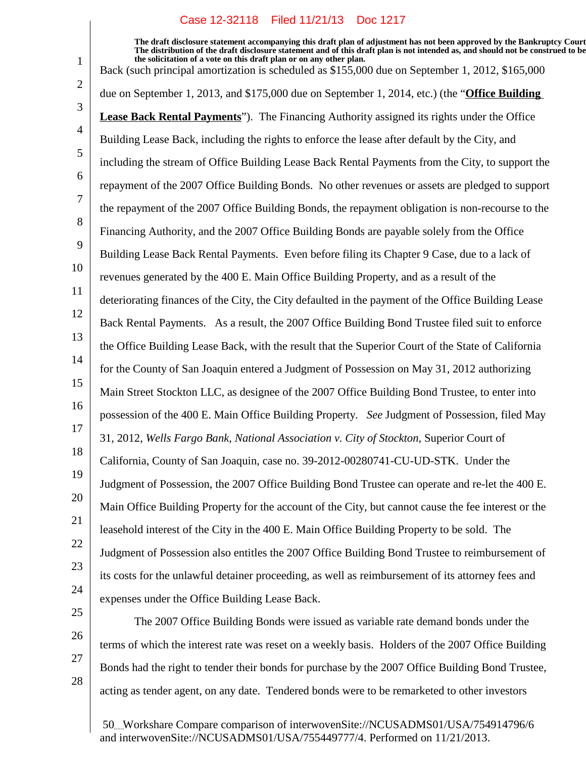**The draft disclosure statement accompanying this draft plan of adjustment has not been approved by the Bankruptcy Court. The distribution of the draft disclosure statement and of this draft plan is not intended as, and should not be construed to be, the solicitation of a vote on this draft plan or on any other plan.** Back (such principal amortization is scheduled as \$155,000 due on September 1, 2012, \$165,000

2 3 4 5 6 7 8 9 10 11 12 13 14 15 16 17 18 19 20 21 22 23 24 due on September 1, 2013, and \$175,000 due on September 1, 2014, etc.) (the "**Office Building Lease Back Rental Payments**"). The Financing Authority assigned its rights under the Office Building Lease Back, including the rights to enforce the lease after default by the City, and including the stream of Office Building Lease Back Rental Payments from the City, to support the repayment of the 2007 Office Building Bonds. No other revenues or assets are pledged to support the repayment of the 2007 Office Building Bonds, the repayment obligation is non-recourse to the Financing Authority, and the 2007 Office Building Bonds are payable solely from the Office Building Lease Back Rental Payments. Even before filing its Chapter 9 Case, due to a lack of revenues generated by the 400 E. Main Office Building Property, and as a result of the deteriorating finances of the City, the City defaulted in the payment of the Office Building Lease Back Rental Payments. As a result, the 2007 Office Building Bond Trustee filed suit to enforce the Office Building Lease Back, with the result that the Superior Court of the State of California for the County of San Joaquin entered a Judgment of Possession on May 31, 2012 authorizing Main Street Stockton LLC, as designee of the 2007 Office Building Bond Trustee, to enter into possession of the 400 E. Main Office Building Property. *See* Judgment of Possession, filed May 31, 2012, *Wells Fargo Bank, National Association v. City of Stockton*, Superior Court of California, County of San Joaquin, case no. 39-2012-00280741-CU-UD-STK. Under the Judgment of Possession, the 2007 Office Building Bond Trustee can operate and re-let the 400 E. Main Office Building Property for the account of the City, but cannot cause the fee interest or the leasehold interest of the City in the 400 E. Main Office Building Property to be sold. The Judgment of Possession also entitles the 2007 Office Building Bond Trustee to reimbursement of its costs for the unlawful detainer proceeding, as well as reimbursement of its attorney fees and expenses under the Office Building Lease Back.

25

1

26

28

27

The 2007 Office Building Bonds were issued as variable rate demand bonds under the terms of which the interest rate was reset on a weekly basis. Holders of the 2007 Office Building Bonds had the right to tender their bonds for purchase by the 2007 Office Building Bond Trustee, acting as tender agent, on any date. Tendered bonds were to be remarketed to other investors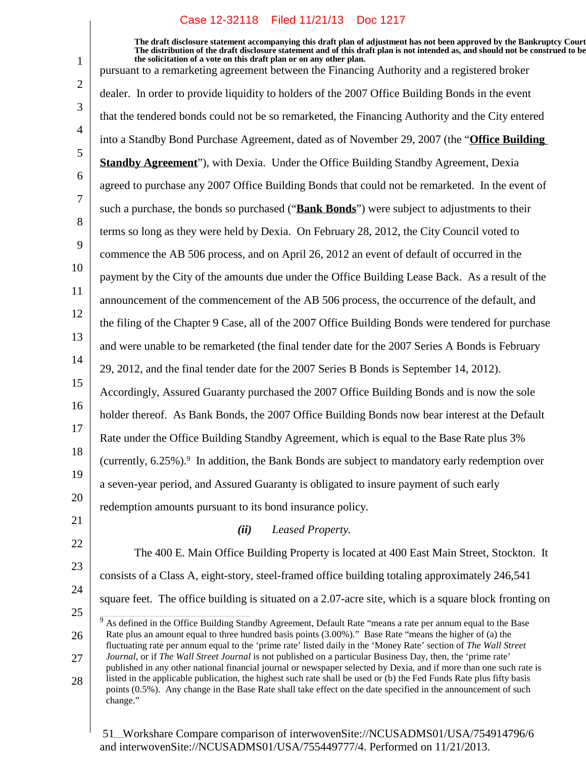1 2 3 4 5 6 7 8 9 10 11 12 13 14 15 16 17 18 19 20 21 22 23 24 25 26 27 28 **The draft disclosure statement accompanying this draft plan of adjustment has not been approved by the Bankruptcy Court. The distribution of the draft disclosure statement and of this draft plan is not intended as, and should not be construed to be, the solicitation of a vote on this draft plan or on any other plan.** pursuant to a remarketing agreement between the Financing Authority and a registered broker dealer. In order to provide liquidity to holders of the 2007 Office Building Bonds in the event that the tendered bonds could not be so remarketed, the Financing Authority and the City entered into a Standby Bond Purchase Agreement, dated as of November 29, 2007 (the "**Office Building Standby Agreement**"), with Dexia. Under the Office Building Standby Agreement, Dexia agreed to purchase any 2007 Office Building Bonds that could not be remarketed. In the event of such a purchase, the bonds so purchased ("**Bank Bonds**") were subject to adjustments to their terms so long as they were held by Dexia. On February 28, 2012, the City Council voted to commence the AB 506 process, and on April 26, 2012 an event of default of occurred in the payment by the City of the amounts due under the Office Building Lease Back. As a result of the announcement of the commencement of the AB 506 process, the occurrence of the default, and the filing of the Chapter 9 Case, all of the 2007 Office Building Bonds were tendered for purchase and were unable to be remarketed (the final tender date for the 2007 Series A Bonds is February 29, 2012, and the final tender date for the 2007 Series B Bonds is September 14, 2012). Accordingly, Assured Guaranty purchased the 2007 Office Building Bonds and is now the sole holder thereof. As Bank Bonds, the 2007 Office Building Bonds now bear interest at the Default Rate under the Office Building Standby Agreement, which is equal to the Base Rate plus 3% (currently,  $6.25\%$ ). In addition, the Bank Bonds are subject to mandatory early redemption over a seven-year period, and Assured Guaranty is obligated to insure payment of such early redemption amounts pursuant to its bond insurance policy. *(ii) Leased Property.* The 400 E. Main Office Building Property is located at 400 East Main Street, Stockton. It consists of a Class A, eight-story, steel-framed office building totaling approximately 246,541 square feet. The office building is situated on a 2.07-acre site, which is a square block fronting on <sup>9</sup> As defined in the Office Building Standby Agreement, Default Rate "means a rate per annum equal to the Base Rate plus an amount equal to three hundred basis points (3.00%)." Base Rate "means the higher of (a) the fluctuating rate per annum equal to the 'prime rate' listed daily in the 'Money Rate' section of *The Wall Street Journal*, or if *The Wall Street Journal* is not published on a particular Business Day, then, the 'prime rate' published in any other national financial journal or newspaper selected by Dexia, and if more than one such rate is listed in the applicable publication, the highest such rate shall be used or (b) the Fed Funds Rate plus fifty basis points (0.5%). Any change in the Base Rate shall take effect on the date specified in the announcement of such change."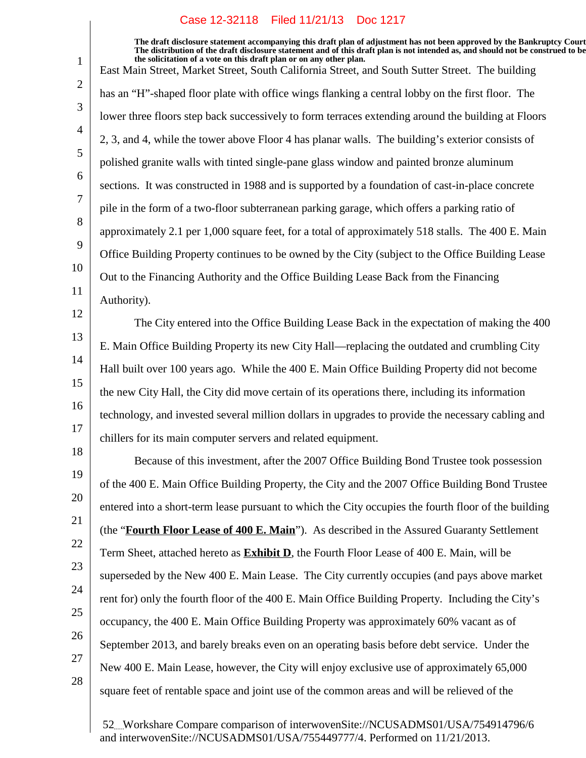**The draft disclosure statement accompanying this draft plan of adjustment has not been approved by the Bankruptcy Court. The distribution of the draft disclosure statement and of this draft plan is not intended as, and should not be construed to be, the solicitation of a vote on this draft plan or on any other plan.** East Main Street, Market Street, South California Street, and South Sutter Street. The building has an "H"-shaped floor plate with office wings flanking a central lobby on the first floor. The lower three floors step back successively to form terraces extending around the building at Floors 2, 3, and 4, while the tower above Floor 4 has planar walls. The building's exterior consists of polished granite walls with tinted single-pane glass window and painted bronze aluminum sections. It was constructed in 1988 and is supported by a foundation of cast-in-place concrete pile in the form of a two-floor subterranean parking garage, which offers a parking ratio of approximately 2.1 per 1,000 square feet, for a total of approximately 518 stalls. The 400 E. Main Office Building Property continues to be owned by the City (subject to the Office Building Lease Out to the Financing Authority and the Office Building Lease Back from the Financing Authority). The City entered into the Office Building Lease Back in the expectation of making the 400

13 14 15 16 17 E. Main Office Building Property its new City Hall—replacing the outdated and crumbling City Hall built over 100 years ago. While the 400 E. Main Office Building Property did not become the new City Hall, the City did move certain of its operations there, including its information technology, and invested several million dollars in upgrades to provide the necessary cabling and chillers for its main computer servers and related equipment.

18 19 20 21 22 23 24 25 26 Because of this investment, after the 2007 Office Building Bond Trustee took possession of the 400 E. Main Office Building Property, the City and the 2007 Office Building Bond Trustee entered into a short-term lease pursuant to which the City occupies the fourth floor of the building (the "**Fourth Floor Lease of 400 E. Main**"). As described in the Assured Guaranty Settlement Term Sheet, attached hereto as **Exhibit D**, the Fourth Floor Lease of 400 E. Main, will be superseded by the New 400 E. Main Lease. The City currently occupies (and pays above market rent for) only the fourth floor of the 400 E. Main Office Building Property. Including the City's occupancy, the 400 E. Main Office Building Property was approximately 60% vacant as of September 2013, and barely breaks even on an operating basis before debt service. Under the New 400 E. Main Lease, however, the City will enjoy exclusive use of approximately 65,000 square feet of rentable space and joint use of the common areas and will be relieved of the

27

1

2

3

4

5

6

7

8

9

10

11

12

28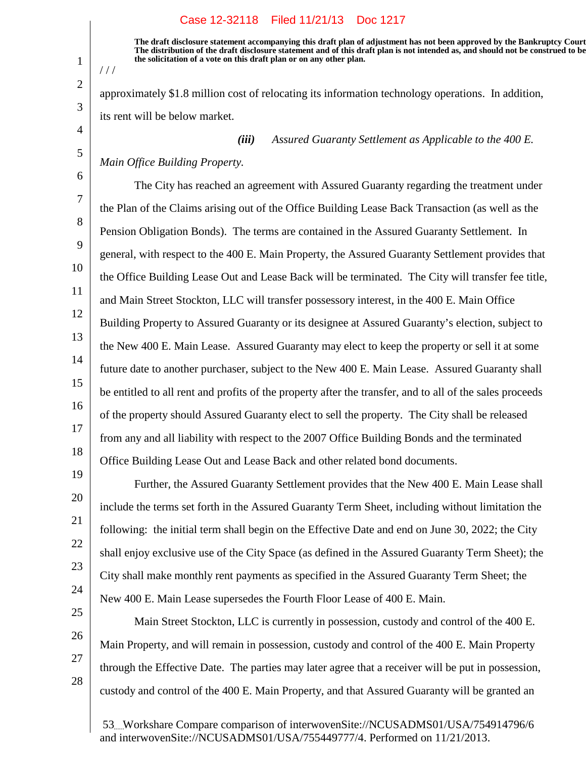**The draft disclosure statement accompanying this draft plan of adjustment has not been approved by the Bankruptcy Court. The distribution of the draft disclosure statement and of this draft plan is not intended as, and should not be construed to be, the solicitation of a vote on this draft plan or on any other plan.**

approximately \$1.8 million cost of relocating its information technology operations. In addition, its rent will be below market.

*(iii) Assured Guaranty Settlement as Applicable to the 400 E.*

*Main Office Building Property.*

1

 $1/1$ 

2

3

4

5

6

19

20

21

22

23

24

25

26

27

28

7 8 9 10 11 12 13 14 15 16 17 18 The City has reached an agreement with Assured Guaranty regarding the treatment under the Plan of the Claims arising out of the Office Building Lease Back Transaction (as well as the Pension Obligation Bonds). The terms are contained in the Assured Guaranty Settlement. In general, with respect to the 400 E. Main Property, the Assured Guaranty Settlement provides that the Office Building Lease Out and Lease Back will be terminated. The City will transfer fee title, and Main Street Stockton, LLC will transfer possessory interest, in the 400 E. Main Office Building Property to Assured Guaranty or its designee at Assured Guaranty's election, subject to the New 400 E. Main Lease. Assured Guaranty may elect to keep the property or sell it at some future date to another purchaser, subject to the New 400 E. Main Lease. Assured Guaranty shall be entitled to all rent and profits of the property after the transfer, and to all of the sales proceeds of the property should Assured Guaranty elect to sell the property. The City shall be released from any and all liability with respect to the 2007 Office Building Bonds and the terminated Office Building Lease Out and Lease Back and other related bond documents.

Further, the Assured Guaranty Settlement provides that the New 400 E. Main Lease shall include the terms set forth in the Assured Guaranty Term Sheet, including without limitation the following: the initial term shall begin on the Effective Date and end on June 30, 2022; the City shall enjoy exclusive use of the City Space (as defined in the Assured Guaranty Term Sheet); the City shall make monthly rent payments as specified in the Assured Guaranty Term Sheet; the New 400 E. Main Lease supersedes the Fourth Floor Lease of 400 E. Main.

Main Street Stockton, LLC is currently in possession, custody and control of the 400 E. Main Property, and will remain in possession, custody and control of the 400 E. Main Property through the Effective Date. The parties may later agree that a receiver will be put in possession, custody and control of the 400 E. Main Property, and that Assured Guaranty will be granted an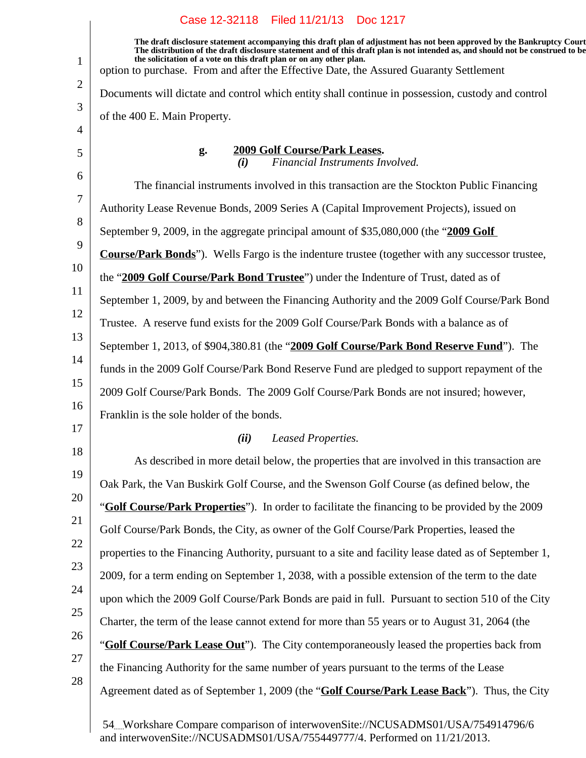|                | Case 12-32118 Filed 11/21/13 Doc 1217                                                                                                                                                                                                                                                                                             |
|----------------|-----------------------------------------------------------------------------------------------------------------------------------------------------------------------------------------------------------------------------------------------------------------------------------------------------------------------------------|
| $\mathbf{1}$   | The draft disclosure statement accompanying this draft plan of adjustment has not been approved by the Bankruptcy Court<br>The distribution of the draft disclosure statement and of this draft plan is not intended as, and should not be construed to be<br>the solicitation of a vote on this draft plan or on any other plan. |
| $\overline{2}$ | option to purchase. From and after the Effective Date, the Assured Guaranty Settlement                                                                                                                                                                                                                                            |
|                | Documents will dictate and control which entity shall continue in possession, custody and control                                                                                                                                                                                                                                 |
| 3<br>4         | of the 400 E. Main Property.                                                                                                                                                                                                                                                                                                      |
| 5              | 2009 Golf Course/Park Leases.<br>g.<br>Financial Instruments Involved.<br>(i)                                                                                                                                                                                                                                                     |
| 6              | The financial instruments involved in this transaction are the Stockton Public Financing                                                                                                                                                                                                                                          |
| 7              | Authority Lease Revenue Bonds, 2009 Series A (Capital Improvement Projects), issued on                                                                                                                                                                                                                                            |
| 8              | September 9, 2009, in the aggregate principal amount of \$35,080,000 (the "2009 Golf                                                                                                                                                                                                                                              |
| 9              | <b>Course/Park Bonds</b> "). Wells Fargo is the indenture trustee (together with any successor trustee,                                                                                                                                                                                                                           |
| 10             | the "2009 Golf Course/Park Bond Trustee") under the Indenture of Trust, dated as of                                                                                                                                                                                                                                               |
| 11             | September 1, 2009, by and between the Financing Authority and the 2009 Golf Course/Park Bond                                                                                                                                                                                                                                      |
| 12             | Trustee. A reserve fund exists for the 2009 Golf Course/Park Bonds with a balance as of                                                                                                                                                                                                                                           |
| 13             | September 1, 2013, of \$904,380.81 (the "2009 Golf Course/Park Bond Reserve Fund"). The                                                                                                                                                                                                                                           |
| 14             | funds in the 2009 Golf Course/Park Bond Reserve Fund are pledged to support repayment of the                                                                                                                                                                                                                                      |
| 15             | 2009 Golf Course/Park Bonds. The 2009 Golf Course/Park Bonds are not insured; however,                                                                                                                                                                                                                                            |
| 16             | Franklin is the sole holder of the bonds.                                                                                                                                                                                                                                                                                         |
| 17             | (ii)<br>Leased Properties.                                                                                                                                                                                                                                                                                                        |
| 18             | As described in more detail below, the properties that are involved in this transaction are                                                                                                                                                                                                                                       |
| 19             | Oak Park, the Van Buskirk Golf Course, and the Swenson Golf Course (as defined below, the                                                                                                                                                                                                                                         |
| 20             | "Golf Course/Park Properties"). In order to facilitate the financing to be provided by the 2009                                                                                                                                                                                                                                   |
| 21             | Golf Course/Park Bonds, the City, as owner of the Golf Course/Park Properties, leased the                                                                                                                                                                                                                                         |
| 22             | properties to the Financing Authority, pursuant to a site and facility lease dated as of September 1,                                                                                                                                                                                                                             |
| 23             | 2009, for a term ending on September 1, 2038, with a possible extension of the term to the date                                                                                                                                                                                                                                   |
| 24             | upon which the 2009 Golf Course/Park Bonds are paid in full. Pursuant to section 510 of the City                                                                                                                                                                                                                                  |
| 25             | Charter, the term of the lease cannot extend for more than 55 years or to August 31, 2064 (the                                                                                                                                                                                                                                    |
| 26             | "Golf Course/Park Lease Out"). The City contemporaneously leased the properties back from                                                                                                                                                                                                                                         |
| 27             | the Financing Authority for the same number of years pursuant to the terms of the Lease                                                                                                                                                                                                                                           |
| 28             | Agreement dated as of September 1, 2009 (the "Golf Course/Park Lease Back"). Thus, the City                                                                                                                                                                                                                                       |
|                |                                                                                                                                                                                                                                                                                                                                   |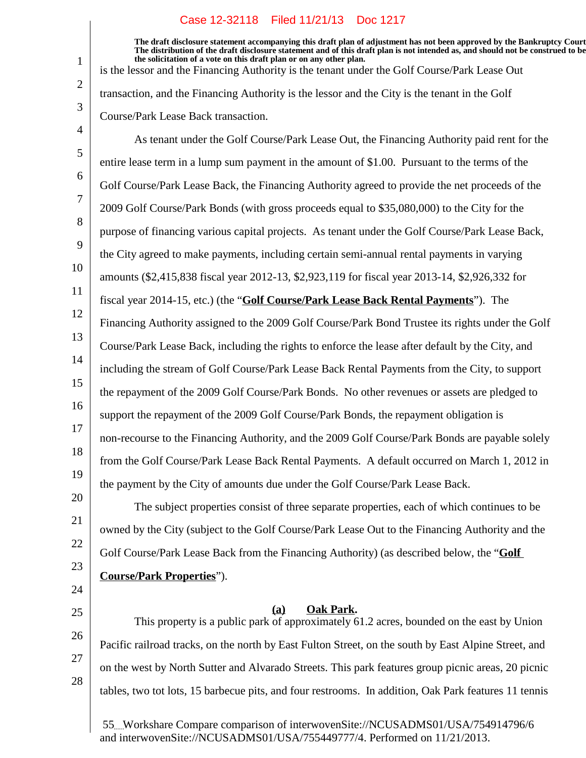**The draft disclosure statement accompanying this draft plan of adjustment has not been approved by the Bankruptcy Court. The distribution of the draft disclosure statement and of this draft plan is not intended as, and should not be construed to be, the solicitation of a vote on this draft plan or on any other plan.** is the lessor and the Financing Authority is the tenant under the Golf Course/Park Lease Out

As tenant under the Golf Course/Park Lease Out, the Financing Authority paid rent for the

transaction, and the Financing Authority is the lessor and the City is the tenant in the Golf Course/Park Lease Back transaction.

9

11

12

13

15

16

17

20

21

22

23

24

25

26

27

28

1

2

3

10 14 18 19 entire lease term in a lump sum payment in the amount of \$1.00. Pursuant to the terms of the Golf Course/Park Lease Back, the Financing Authority agreed to provide the net proceeds of the 2009 Golf Course/Park Bonds (with gross proceeds equal to \$35,080,000) to the City for the purpose of financing various capital projects. As tenant under the Golf Course/Park Lease Back, the City agreed to make payments, including certain semi-annual rental payments in varying amounts (\$2,415,838 fiscal year 2012-13, \$2,923,119 for fiscal year 2013-14, \$2,926,332 for fiscal year 2014-15, etc.) (the "**Golf Course/Park Lease Back Rental Payments**"). The Financing Authority assigned to the 2009 Golf Course/Park Bond Trustee its rights under the Golf Course/Park Lease Back, including the rights to enforce the lease after default by the City, and including the stream of Golf Course/Park Lease Back Rental Payments from the City, to support the repayment of the 2009 Golf Course/Park Bonds. No other revenues or assets are pledged to support the repayment of the 2009 Golf Course/Park Bonds, the repayment obligation is non-recourse to the Financing Authority, and the 2009 Golf Course/Park Bonds are payable solely from the Golf Course/Park Lease Back Rental Payments. A default occurred on March 1, 2012 in the payment by the City of amounts due under the Golf Course/Park Lease Back.

The subject properties consist of three separate properties, each of which continues to be owned by the City (subject to the Golf Course/Park Lease Out to the Financing Authority and the Golf Course/Park Lease Back from the Financing Authority) (as described below, the "**Golf Course/Park Properties**").

**Oak Park.(a)**

This property is a public park of approximately 61.2 acres, bounded on the east by Union Pacific railroad tracks, on the north by East Fulton Street, on the south by East Alpine Street, and on the west by North Sutter and Alvarado Streets. This park features group picnic areas, 20 picnic tables, two tot lots, 15 barbecue pits, and four restrooms. In addition, Oak Park features 11 tennis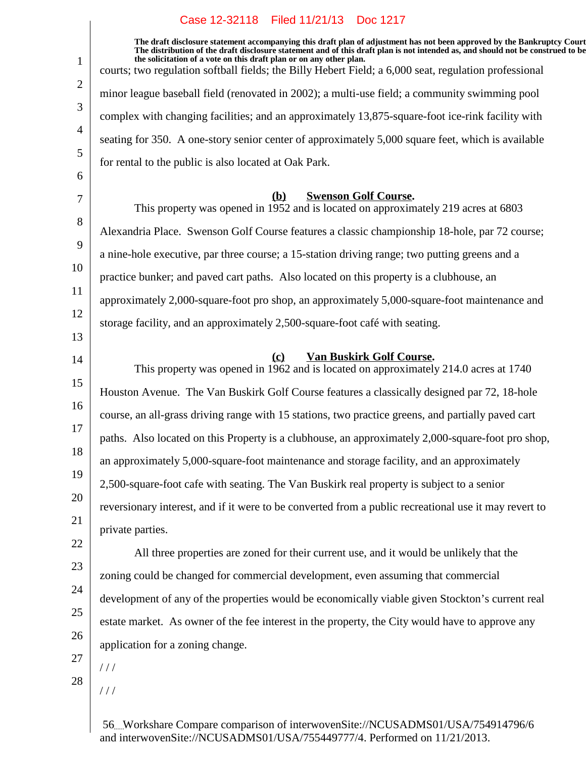$\overline{\phantom{a}}$ 

| 1        | The draft disclosure statement accompanying this draft plan of adjustment has not been approved by the Bankruptcy Court<br>The distribution of the draft disclosure statement and of this draft plan is not intended as, and should not be construed to be<br>the solicitation of a vote on this draft plan or on any other plan. |
|----------|-----------------------------------------------------------------------------------------------------------------------------------------------------------------------------------------------------------------------------------------------------------------------------------------------------------------------------------|
| 2        | courts; two regulation softball fields; the Billy Hebert Field; a 6,000 seat, regulation professional                                                                                                                                                                                                                             |
|          | minor league baseball field (renovated in 2002); a multi-use field; a community swimming pool                                                                                                                                                                                                                                     |
| 3        | complex with changing facilities; and an approximately 13,875-square-foot ice-rink facility with                                                                                                                                                                                                                                  |
| 4        | seating for 350. A one-story senior center of approximately 5,000 square feet, which is available                                                                                                                                                                                                                                 |
| 5        | for rental to the public is also located at Oak Park.                                                                                                                                                                                                                                                                             |
| 6        |                                                                                                                                                                                                                                                                                                                                   |
| 7        | <b>Swenson Golf Course.</b><br><b>(b)</b><br>This property was opened in 1952 and is located on approximately 219 acres at 6803                                                                                                                                                                                                   |
| 8<br>9   | Alexandria Place. Swenson Golf Course features a classic championship 18-hole, par 72 course;                                                                                                                                                                                                                                     |
|          | a nine-hole executive, par three course; a 15-station driving range; two putting greens and a                                                                                                                                                                                                                                     |
| 10       | practice bunker; and paved cart paths. Also located on this property is a clubhouse, an                                                                                                                                                                                                                                           |
| 11       | approximately 2,000-square-foot pro shop, an approximately 5,000-square-foot maintenance and                                                                                                                                                                                                                                      |
| 12<br>13 | storage facility, and an approximately 2,500-square-foot café with seating.                                                                                                                                                                                                                                                       |
|          | <b>Van Buskirk Golf Course.</b><br>$\left( \mathbf{c} \right)$                                                                                                                                                                                                                                                                    |
| 14       | This property was opened in 1962 and is located on approximately 214.0 acres at 1740                                                                                                                                                                                                                                              |
| 15       | Houston Avenue. The Van Buskirk Golf Course features a classically designed par 72, 18-hole                                                                                                                                                                                                                                       |
| 16       | course, an all-grass driving range with 15 stations, two practice greens, and partially paved cart                                                                                                                                                                                                                                |
| 17       | paths. Also located on this Property is a clubhouse, an approximately 2,000-square-foot pro shop,                                                                                                                                                                                                                                 |
| 18       | an approximately 5,000-square-foot maintenance and storage facility, and an approximately                                                                                                                                                                                                                                         |
| 19       | 2,500-square-foot cafe with seating. The Van Buskirk real property is subject to a senior                                                                                                                                                                                                                                         |
| 20       | reversionary interest, and if it were to be converted from a public recreational use it may revert to                                                                                                                                                                                                                             |
| 21       | private parties.                                                                                                                                                                                                                                                                                                                  |
| 22       | All three properties are zoned for their current use, and it would be unlikely that the                                                                                                                                                                                                                                           |
| 23       | zoning could be changed for commercial development, even assuming that commercial                                                                                                                                                                                                                                                 |
| 24       | development of any of the properties would be economically viable given Stockton's current real                                                                                                                                                                                                                                   |
| 25       | estate market. As owner of the fee interest in the property, the City would have to approve any                                                                                                                                                                                                                                   |
| 26       | application for a zoning change.                                                                                                                                                                                                                                                                                                  |
| 27       | //                                                                                                                                                                                                                                                                                                                                |
| 28       | ///                                                                                                                                                                                                                                                                                                                               |
|          |                                                                                                                                                                                                                                                                                                                                   |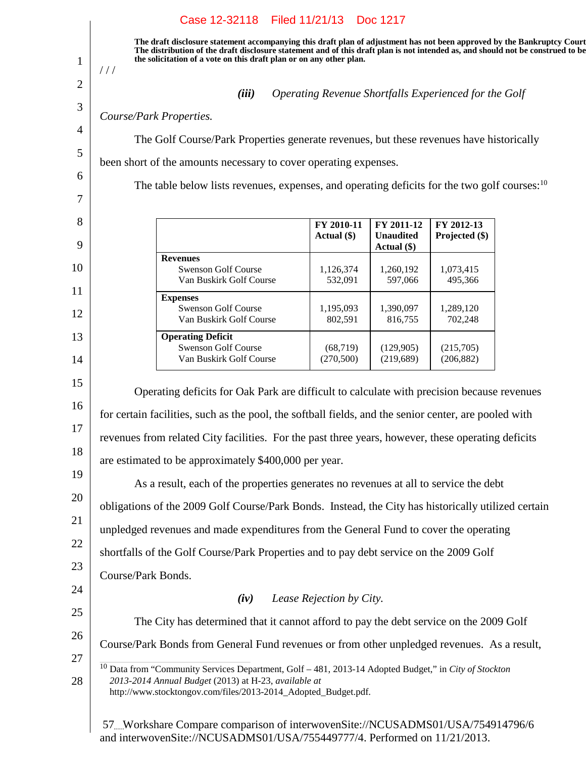| //                 |                                                                                                                                                                                                     |                          |                                 |                                                       |  |
|--------------------|-----------------------------------------------------------------------------------------------------------------------------------------------------------------------------------------------------|--------------------------|---------------------------------|-------------------------------------------------------|--|
|                    | (iii)                                                                                                                                                                                               |                          |                                 | Operating Revenue Shortfalls Experienced for the Golf |  |
|                    | Course/Park Properties.                                                                                                                                                                             |                          |                                 |                                                       |  |
|                    | The Golf Course/Park Properties generate revenues, but these revenues have historically                                                                                                             |                          |                                 |                                                       |  |
|                    | been short of the amounts necessary to cover operating expenses.                                                                                                                                    |                          |                                 |                                                       |  |
|                    | The table below lists revenues, expenses, and operating deficits for the two golf courses: <sup>10</sup>                                                                                            |                          |                                 |                                                       |  |
|                    |                                                                                                                                                                                                     | FY 2010-11               | FY 2011-12                      | FY 2012-13                                            |  |
|                    |                                                                                                                                                                                                     | Actual (\$)              | <b>Unaudited</b><br>Actual (\$) | Projected (\$)                                        |  |
|                    | <b>Revenues</b><br><b>Swenson Golf Course</b><br>Van Buskirk Golf Course                                                                                                                            | 1,126,374<br>532,091     | 1,260,192<br>597,066            | 1,073,415<br>495,366                                  |  |
|                    | <b>Expenses</b><br><b>Swenson Golf Course</b><br>Van Buskirk Golf Course                                                                                                                            | 1,195,093<br>802,591     | 1,390,097<br>816,755            | 1,289,120<br>702,248                                  |  |
|                    | <b>Operating Deficit</b><br><b>Swenson Golf Course</b><br>Van Buskirk Golf Course                                                                                                                   | (68, 719)<br>(270, 500)  | (129,905)<br>(219, 689)         | (215,705)<br>(206, 882)                               |  |
|                    |                                                                                                                                                                                                     |                          |                                 |                                                       |  |
|                    | Operating deficits for Oak Park are difficult to calculate with precision because revenues<br>for certain facilities, such as the pool, the softball fields, and the senior center, are pooled with |                          |                                 |                                                       |  |
|                    | revenues from related City facilities. For the past three years, however, these operating deficits                                                                                                  |                          |                                 |                                                       |  |
|                    | are estimated to be approximately \$400,000 per year.                                                                                                                                               |                          |                                 |                                                       |  |
|                    | As a result, each of the properties generates no revenues at all to service the debt                                                                                                                |                          |                                 |                                                       |  |
|                    | obligations of the 2009 Golf Course/Park Bonds. Instead, the City has historically utilized certain                                                                                                 |                          |                                 |                                                       |  |
|                    | unpledged revenues and made expenditures from the General Fund to cover the operating                                                                                                               |                          |                                 |                                                       |  |
|                    | shortfalls of the Golf Course/Park Properties and to pay debt service on the 2009 Golf                                                                                                              |                          |                                 |                                                       |  |
|                    |                                                                                                                                                                                                     |                          |                                 |                                                       |  |
|                    | (iv)                                                                                                                                                                                                | Lease Rejection by City. |                                 |                                                       |  |
|                    |                                                                                                                                                                                                     |                          |                                 |                                                       |  |
| Course/Park Bonds. | The City has determined that it cannot afford to pay the debt service on the 2009 Golf<br>Course/Park Bonds from General Fund revenues or from other unpledged revenues. As a result,               |                          |                                 |                                                       |  |

and interwovenSite://NCUSADMS01/USA/755449777/4. Performed on 11/21/2013.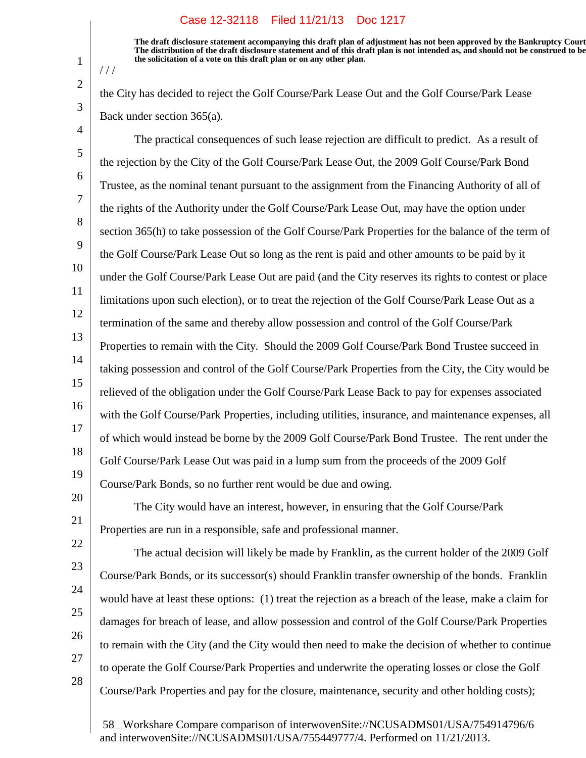1

 $1/1$ 

2

3

20

21

**The draft disclosure statement accompanying this draft plan of adjustment has not been approved by the Bankruptcy Court. The distribution of the draft disclosure statement and of this draft plan is not intended as, and should not be construed to be, the solicitation of a vote on this draft plan or on any other plan.**

the City has decided to reject the Golf Course/Park Lease Out and the Golf Course/Park Lease Back under section 365(a).

4 5 6 7 8 9 10 11 12 13 14 15 16 17 18 19 The practical consequences of such lease rejection are difficult to predict. As a result of the rejection by the City of the Golf Course/Park Lease Out, the 2009 Golf Course/Park Bond Trustee, as the nominal tenant pursuant to the assignment from the Financing Authority of all of the rights of the Authority under the Golf Course/Park Lease Out, may have the option under section 365(h) to take possession of the Golf Course/Park Properties for the balance of the term of the Golf Course/Park Lease Out so long as the rent is paid and other amounts to be paid by it under the Golf Course/Park Lease Out are paid (and the City reserves its rights to contest or place limitations upon such election), or to treat the rejection of the Golf Course/Park Lease Out as a termination of the same and thereby allow possession and control of the Golf Course/Park Properties to remain with the City. Should the 2009 Golf Course/Park Bond Trustee succeed in taking possession and control of the Golf Course/Park Properties from the City, the City would be relieved of the obligation under the Golf Course/Park Lease Back to pay for expenses associated with the Golf Course/Park Properties, including utilities, insurance, and maintenance expenses, all of which would instead be borne by the 2009 Golf Course/Park Bond Trustee. The rent under the Golf Course/Park Lease Out was paid in a lump sum from the proceeds of the 2009 Golf Course/Park Bonds, so no further rent would be due and owing.

The City would have an interest, however, in ensuring that the Golf Course/Park Properties are run in a responsible, safe and professional manner.

22 23 24 25 26 27 28 The actual decision will likely be made by Franklin, as the current holder of the 2009 Golf Course/Park Bonds, or its successor(s) should Franklin transfer ownership of the bonds. Franklin would have at least these options: (1) treat the rejection as a breach of the lease, make a claim for damages for breach of lease, and allow possession and control of the Golf Course/Park Properties to remain with the City (and the City would then need to make the decision of whether to continue to operate the Golf Course/Park Properties and underwrite the operating losses or close the Golf Course/Park Properties and pay for the closure, maintenance, security and other holding costs);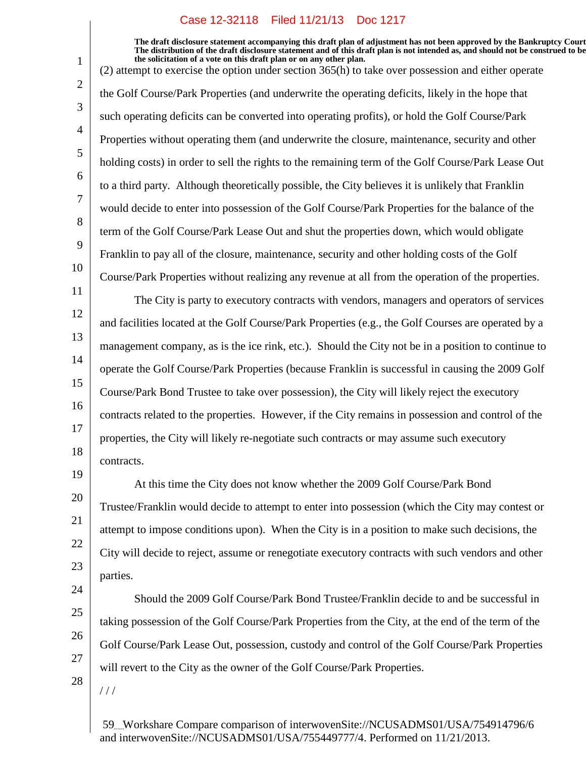**The draft disclosure statement accompanying this draft plan of adjustment has not been approved by the Bankruptcy Court. The distribution of the draft disclosure statement and of this draft plan is not intended as, and should not be construed to be, the solicitation of a vote on this draft plan or on any other plan.**

(2) attempt to exercise the option under section 365(h) to take over possession and either operate the Golf Course/Park Properties (and underwrite the operating deficits, likely in the hope that such operating deficits can be converted into operating profits), or hold the Golf Course/Park Properties without operating them (and underwrite the closure, maintenance, security and other holding costs) in order to sell the rights to the remaining term of the Golf Course/Park Lease Out to a third party. Although theoretically possible, the City believes it is unlikely that Franklin would decide to enter into possession of the Golf Course/Park Properties for the balance of the term of the Golf Course/Park Lease Out and shut the properties down, which would obligate Franklin to pay all of the closure, maintenance, security and other holding costs of the Golf Course/Park Properties without realizing any revenue at all from the operation of the properties. The City is party to executory contracts with vendors, managers and operators of services and facilities located at the Golf Course/Park Properties (e.g., the Golf Courses are operated by a management company, as is the ice rink, etc.). Should the City not be in a position to continue to

14 15 16 17 18 19 operate the Golf Course/Park Properties (because Franklin is successful in causing the 2009 Golf Course/Park Bond Trustee to take over possession), the City will likely reject the executory contracts related to the properties. However, if the City remains in possession and control of the properties, the City will likely re-negotiate such contracts or may assume such executory contracts.

20 21 22 23 At this time the City does not know whether the 2009 Golf Course/Park Bond Trustee/Franklin would decide to attempt to enter into possession (which the City may contest or attempt to impose conditions upon). When the City is in a position to make such decisions, the City will decide to reject, assume or renegotiate executory contracts with such vendors and other parties.

Should the 2009 Golf Course/Park Bond Trustee/Franklin decide to and be successful in taking possession of the Golf Course/Park Properties from the City, at the end of the term of the Golf Course/Park Lease Out, possession, custody and control of the Golf Course/Park Properties will revert to the City as the owner of the Golf Course/Park Properties.

28

/ / /

24

25

26

27

1

2

3

4

5

6

7

8

9

10

11

12

13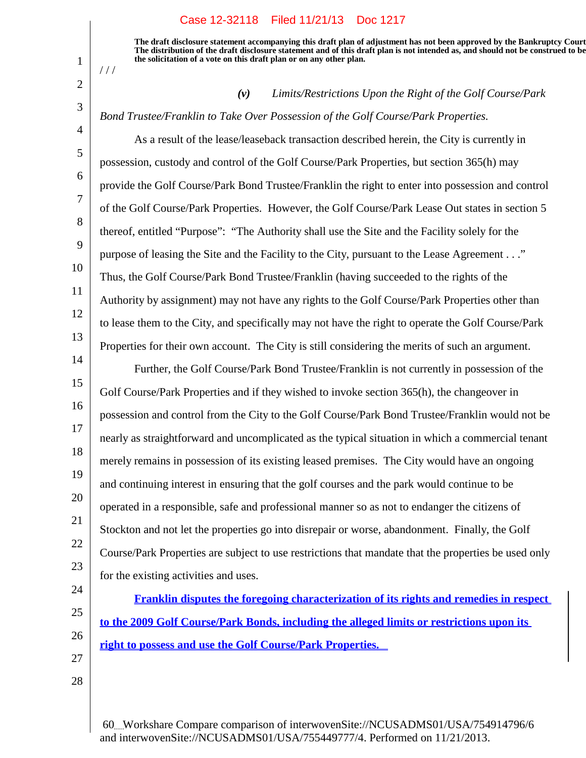**The draft disclosure statement accompanying this draft plan of adjustment has not been approved by the Bankruptcy Court. The distribution of the draft disclosure statement and of this draft plan is not intended as, and should not be construed to be, the solicitation of a vote on this draft plan or on any other plan.**

*(v) Limits/Restrictions Upon the Right of the Golf Course/Park*

*Bond Trustee/Franklin to Take Over Possession of the Golf Course/Park Properties.*

1

 $1/1$ 

2

3

4

5

6

7

8

9

10

11

12

13

14

24

25

26

27

28

As a result of the lease/leaseback transaction described herein, the City is currently in possession, custody and control of the Golf Course/Park Properties, but section 365(h) may provide the Golf Course/Park Bond Trustee/Franklin the right to enter into possession and control of the Golf Course/Park Properties. However, the Golf Course/Park Lease Out states in section 5 thereof, entitled "Purpose": "The Authority shall use the Site and the Facility solely for the purpose of leasing the Site and the Facility to the City, pursuant to the Lease Agreement . . ." Thus, the Golf Course/Park Bond Trustee/Franklin (having succeeded to the rights of the Authority by assignment) may not have any rights to the Golf Course/Park Properties other than to lease them to the City, and specifically may not have the right to operate the Golf Course/Park Properties for their own account. The City is still considering the merits of such an argument.

15 16 17 18 19 20 21 22 23 Further, the Golf Course/Park Bond Trustee/Franklin is not currently in possession of the Golf Course/Park Properties and if they wished to invoke section 365(h), the changeover in possession and control from the City to the Golf Course/Park Bond Trustee/Franklin would not be nearly as straightforward and uncomplicated as the typical situation in which a commercial tenant merely remains in possession of its existing leased premises. The City would have an ongoing and continuing interest in ensuring that the golf courses and the park would continue to be operated in a responsible, safe and professional manner so as not to endanger the citizens of Stockton and not let the properties go into disrepair or worse, abandonment. Finally, the Golf Course/Park Properties are subject to use restrictions that mandate that the properties be used only for the existing activities and uses.

**Franklin disputes the foregoing characterization of its rights and remedies in respect to the 2009 Golf Course/Park Bonds, including the alleged limits or restrictions upon its right to possess and use the Golf Course/Park Properties.**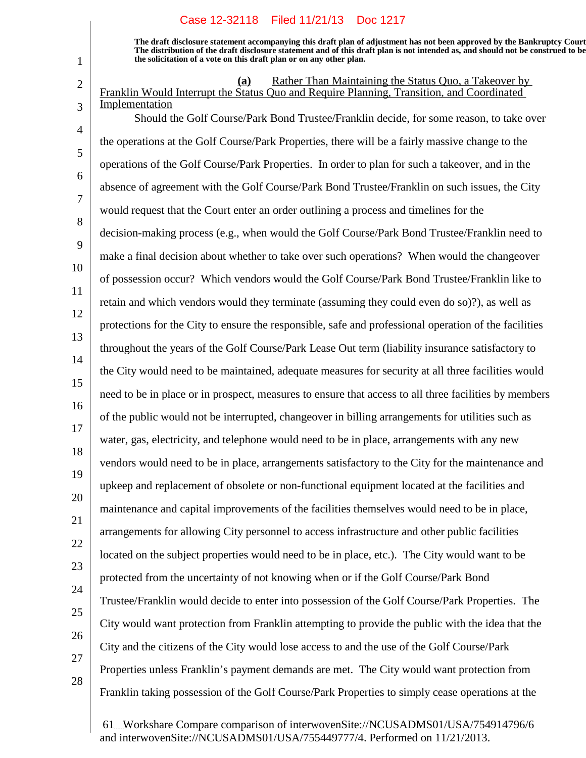1

**The draft disclosure statement accompanying this draft plan of adjustment has not been approved by the Bankruptcy Court. The distribution of the draft disclosure statement and of this draft plan is not intended as, and should not be construed to be, the solicitation of a vote on this draft plan or on any other plan.**

| $\overline{2}$      | Rather Than Maintaining the Status Quo, a Takeover by<br>(a)<br>Franklin Would Interrupt the Status Quo and Require Planning, Transition, and Coordinated |
|---------------------|-----------------------------------------------------------------------------------------------------------------------------------------------------------|
| 3<br>$\overline{4}$ | Implementation<br>Should the Golf Course/Park Bond Trustee/Franklin decide, for some reason, to take over                                                 |
| 5                   | the operations at the Golf Course/Park Properties, there will be a fairly massive change to the                                                           |
| 6                   | operations of the Golf Course/Park Properties. In order to plan for such a takeover, and in the                                                           |
| $\overline{7}$      | absence of agreement with the Golf Course/Park Bond Trustee/Franklin on such issues, the City                                                             |
| 8                   | would request that the Court enter an order outlining a process and timelines for the                                                                     |
| 9                   | decision-making process (e.g., when would the Golf Course/Park Bond Trustee/Franklin need to                                                              |
| 10                  | make a final decision about whether to take over such operations? When would the change over                                                              |
| 11                  | of possession occur? Which vendors would the Golf Course/Park Bond Trustee/Franklin like to                                                               |
| 12                  | retain and which vendors would they terminate (assuming they could even do so)?), as well as                                                              |
| 13                  | protections for the City to ensure the responsible, safe and professional operation of the facilities                                                     |
| 14                  | throughout the years of the Golf Course/Park Lease Out term (liability insurance satisfactory to                                                          |
| 15                  | the City would need to be maintained, adequate measures for security at all three facilities would                                                        |
| 16                  | need to be in place or in prospect, measures to ensure that access to all three facilities by members                                                     |
| 17                  | of the public would not be interrupted, changeover in billing arrangements for utilities such as                                                          |
| 18                  | water, gas, electricity, and telephone would need to be in place, arrangements with any new                                                               |
| 19                  | vendors would need to be in place, arrangements satisfactory to the City for the maintenance and                                                          |
| 20                  | upkeep and replacement of obsolete or non-functional equipment located at the facilities and                                                              |
| 21                  | maintenance and capital improvements of the facilities themselves would need to be in place,                                                              |
| 22                  | arrangements for allowing City personnel to access infrastructure and other public facilities                                                             |
| 23                  | located on the subject properties would need to be in place, etc.). The City would want to be                                                             |
| 24                  | protected from the uncertainty of not knowing when or if the Golf Course/Park Bond                                                                        |
| 25                  | Trustee/Franklin would decide to enter into possession of the Golf Course/Park Properties. The                                                            |
| 26                  | City would want protection from Franklin attempting to provide the public with the idea that the                                                          |
| 27                  | City and the citizens of the City would lose access to and the use of the Golf Course/Park                                                                |
| 28                  | Properties unless Franklin's payment demands are met. The City would want protection from                                                                 |
|                     | Franklin taking possession of the Golf Course/Park Properties to simply cease operations at the                                                           |
|                     |                                                                                                                                                           |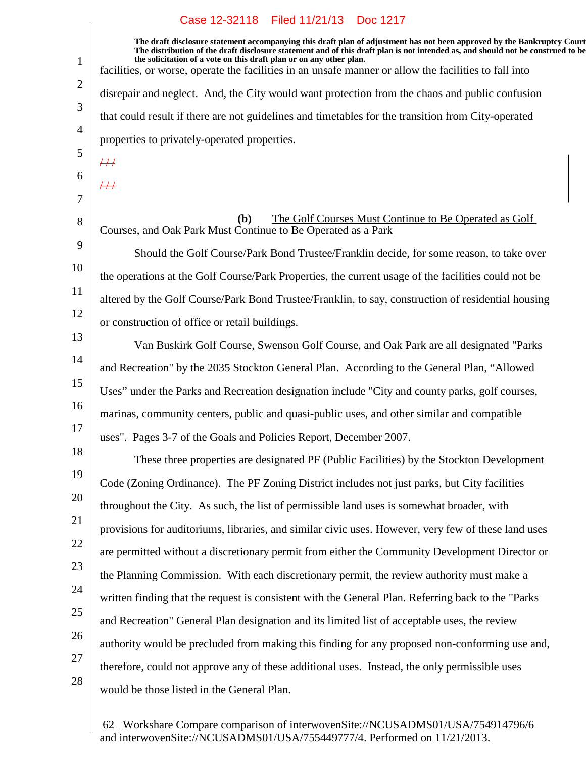1 2 3 4 5 6 7 8 9 10 11 12 13 14 15 16 17 18 19 20 21 22 23 24 25 26 27 28 **The draft disclosure statement accompanying this draft plan of adjustment has not been approved by the Bankruptcy Court. The distribution of the draft disclosure statement and of this draft plan is not intended as, and should not be construed to be, the solicitation of a vote on this draft plan or on any other plan.** facilities, or worse, operate the facilities in an unsafe manner or allow the facilities to fall into disrepair and neglect. And, the City would want protection from the chaos and public confusion that could result if there are not guidelines and timetables for the transition from City-operated properties to privately-operated properties.  $\overline{++}$  $4/1$ **(b)** The Golf Courses Must Continue to Be Operated as Golf Courses, and Oak Park Must Continue to Be Operated as a Park Should the Golf Course/Park Bond Trustee/Franklin decide, for some reason, to take over the operations at the Golf Course/Park Properties, the current usage of the facilities could not be altered by the Golf Course/Park Bond Trustee/Franklin, to say, construction of residential housing or construction of office or retail buildings. Van Buskirk Golf Course, Swenson Golf Course, and Oak Park are all designated "Parks and Recreation" by the 2035 Stockton General Plan. According to the General Plan, "Allowed Uses" under the Parks and Recreation designation include "City and county parks, golf courses, marinas, community centers, public and quasi-public uses, and other similar and compatible uses". Pages 3-7 of the Goals and Policies Report, December 2007. These three properties are designated PF (Public Facilities) by the Stockton Development Code (Zoning Ordinance). The PF Zoning District includes not just parks, but City facilities throughout the City. As such, the list of permissible land uses is somewhat broader, with provisions for auditoriums, libraries, and similar civic uses. However, very few of these land uses are permitted without a discretionary permit from either the Community Development Director or the Planning Commission. With each discretionary permit, the review authority must make a written finding that the request is consistent with the General Plan. Referring back to the "Parks and Recreation" General Plan designation and its limited list of acceptable uses, the review authority would be precluded from making this finding for any proposed non-conforming use and, therefore, could not approve any of these additional uses. Instead, the only permissible uses would be those listed in the General Plan.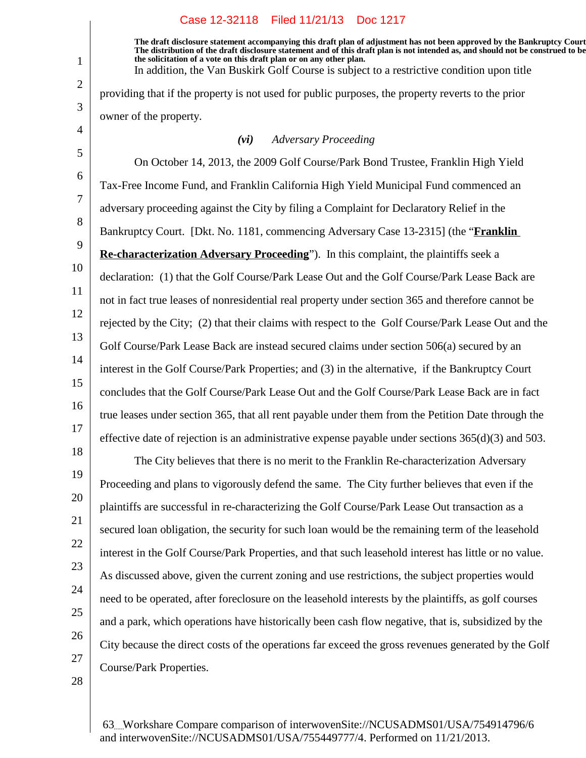**The draft disclosure statement accompanying this draft plan of adjustment has not been approved by the Bankruptcy Court. The distribution of the draft disclosure statement and of this draft plan is not intended as, and should not be construed to be, the solicitation of a vote on this draft plan or on any other plan.** In addition, the Van Buskirk Golf Course is subject to a restrictive condition upon title

providing that if the property is not used for public purposes, the property reverts to the prior owner of the property.

#### *(vi) Adversary Proceeding*

5 6 7 8 9 10 11 12 13 14 15 16 17 On October 14, 2013, the 2009 Golf Course/Park Bond Trustee, Franklin High Yield Tax-Free Income Fund, and Franklin California High Yield Municipal Fund commenced an adversary proceeding against the City by filing a Complaint for Declaratory Relief in the Bankruptcy Court. [Dkt. No. 1181, commencing Adversary Case 13-2315] (the "**Franklin Re-characterization Adversary Proceeding**"). In this complaint, the plaintiffs seek a declaration: (1) that the Golf Course/Park Lease Out and the Golf Course/Park Lease Back are not in fact true leases of nonresidential real property under section 365 and therefore cannot be rejected by the City; (2) that their claims with respect to the Golf Course/Park Lease Out and the Golf Course/Park Lease Back are instead secured claims under section 506(a) secured by an interest in the Golf Course/Park Properties; and (3) in the alternative, if the Bankruptcy Court concludes that the Golf Course/Park Lease Out and the Golf Course/Park Lease Back are in fact true leases under section 365, that all rent payable under them from the Petition Date through the effective date of rejection is an administrative expense payable under sections  $365(d)(3)$  and  $503$ .

19 20 21 22 23 24 25 26 27 The City believes that there is no merit to the Franklin Re-characterization Adversary Proceeding and plans to vigorously defend the same. The City further believes that even if the plaintiffs are successful in re-characterizing the Golf Course/Park Lease Out transaction as a secured loan obligation, the security for such loan would be the remaining term of the leasehold interest in the Golf Course/Park Properties, and that such leasehold interest has little or no value. As discussed above, given the current zoning and use restrictions, the subject properties would need to be operated, after foreclosure on the leasehold interests by the plaintiffs, as golf courses and a park, which operations have historically been cash flow negative, that is, subsidized by the City because the direct costs of the operations far exceed the gross revenues generated by the Golf Course/Park Properties.

28

18

1

2

3

4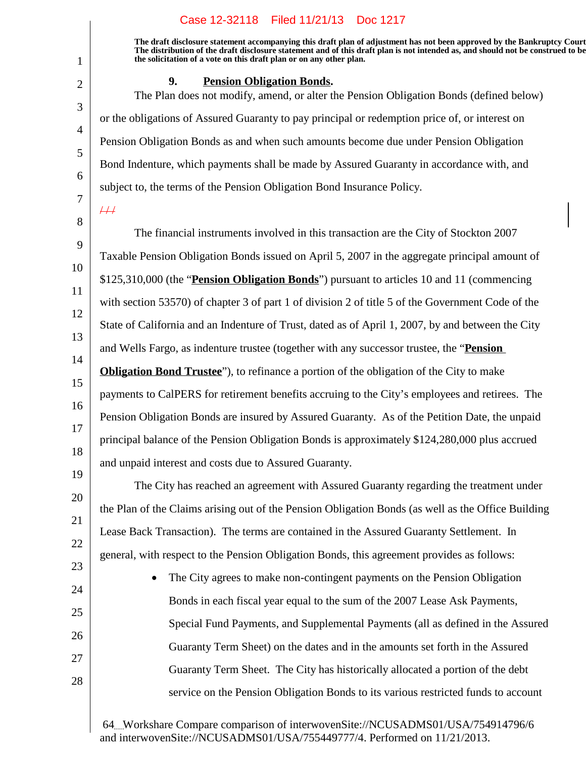**The draft disclosure statement accompanying this draft plan of adjustment has not been approved by the Bankruptcy Court. The distribution of the draft disclosure statement and of this draft plan is not intended as, and should not be construed to be, the solicitation of a vote on this draft plan or on any other plan.**

## **9.** Pension Obligation Bonds.

The Plan does not modify, amend, or alter the Pension Obligation Bonds (defined below) or the obligations of Assured Guaranty to pay principal or redemption price of, or interest on Pension Obligation Bonds as and when such amounts become due under Pension Obligation Bond Indenture, which payments shall be made by Assured Guaranty in accordance with, and subject to, the terms of the Pension Obligation Bond Insurance Policy.

 $\overline{++}$ 

1

2

3

4

5

6

7

20

21

22

23

24

25

26

27

28

8 9 10 11 12 13 14 15 16 17 18 19 The financial instruments involved in this transaction are the City of Stockton 2007 Taxable Pension Obligation Bonds issued on April 5, 2007 in the aggregate principal amount of \$125,310,000 (the "**Pension Obligation Bonds**") pursuant to articles 10 and 11 (commencing with section 53570) of chapter 3 of part 1 of division 2 of title 5 of the Government Code of the State of California and an Indenture of Trust, dated as of April 1, 2007, by and between the City and Wells Fargo, as indenture trustee (together with any successor trustee, the "**Pension Obligation Bond Trustee**"), to refinance a portion of the obligation of the City to make payments to CalPERS for retirement benefits accruing to the City's employees and retirees. The Pension Obligation Bonds are insured by Assured Guaranty. As of the Petition Date, the unpaid principal balance of the Pension Obligation Bonds is approximately \$124,280,000 plus accrued and unpaid interest and costs due to Assured Guaranty.

The City has reached an agreement with Assured Guaranty regarding the treatment under the Plan of the Claims arising out of the Pension Obligation Bonds (as well as the Office Building Lease Back Transaction). The terms are contained in the Assured Guaranty Settlement. In general, with respect to the Pension Obligation Bonds, this agreement provides as follows:

• The City agrees to make non-contingent payments on the Pension Obligation Bonds in each fiscal year equal to the sum of the 2007 Lease Ask Payments, Special Fund Payments, and Supplemental Payments (all as defined in the Assured Guaranty Term Sheet) on the dates and in the amounts set forth in the Assured Guaranty Term Sheet. The City has historically allocated a portion of the debt service on the Pension Obligation Bonds to its various restricted funds to account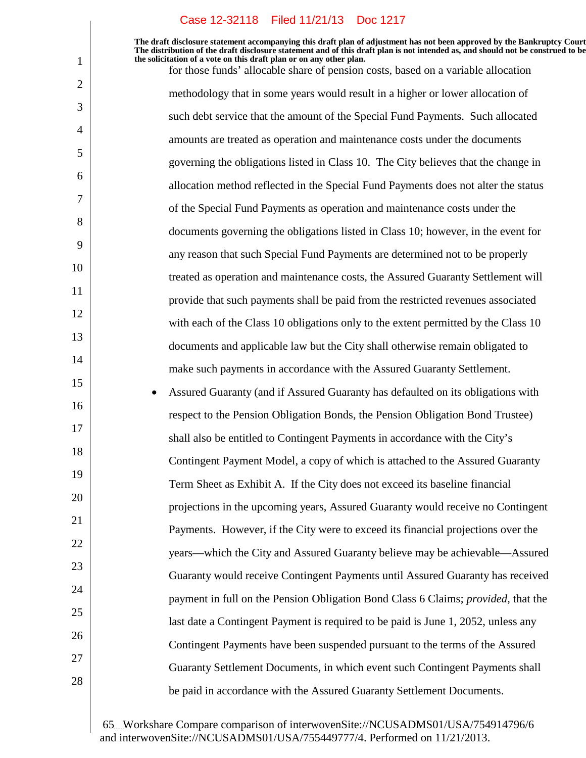1

2

3

4

5

6

7

8

9

10

11

12

13

14

15

16

17

18

19

20

21

22

23

24

25

26

27

28

**The draft disclosure statement accompanying this draft plan of adjustment has not been approved by the Bankruptcy Court. The distribution of the draft disclosure statement and of this draft plan is not intended as, and should not be construed to be, the solicitation of a vote on this draft plan or on any other plan.**

for those funds' allocable share of pension costs, based on a variable allocation methodology that in some years would result in a higher or lower allocation of such debt service that the amount of the Special Fund Payments. Such allocated amounts are treated as operation and maintenance costs under the documents governing the obligations listed in Class 10. The City believes that the change in allocation method reflected in the Special Fund Payments does not alter the status of the Special Fund Payments as operation and maintenance costs under the documents governing the obligations listed in Class 10; however, in the event for any reason that such Special Fund Payments are determined not to be properly treated as operation and maintenance costs, the Assured Guaranty Settlement will provide that such payments shall be paid from the restricted revenues associated with each of the Class 10 obligations only to the extent permitted by the Class 10 documents and applicable law but the City shall otherwise remain obligated to make such payments in accordance with the Assured Guaranty Settlement. Assured Guaranty (and if Assured Guaranty has defaulted on its obligations with respect to the Pension Obligation Bonds, the Pension Obligation Bond Trustee) shall also be entitled to Contingent Payments in accordance with the City's Contingent Payment Model, a copy of which is attached to the Assured Guaranty Term Sheet as Exhibit A. If the City does not exceed its baseline financial projections in the upcoming years, Assured Guaranty would receive no Contingent Payments. However, if the City were to exceed its financial projections over the years—which the City and Assured Guaranty believe may be achievable—Assured Guaranty would receive Contingent Payments until Assured Guaranty has received payment in full on the Pension Obligation Bond Class 6 Claims; *provided*, that the last date a Contingent Payment is required to be paid is June 1, 2052, unless any Contingent Payments have been suspended pursuant to the terms of the Assured Guaranty Settlement Documents, in which event such Contingent Payments shall

65 Workshare Compare comparison of interwovenSite://NCUSADMS01/USA/754914796/6 and interwovenSite://NCUSADMS01/USA/755449777/4. Performed on 11/21/2013.

be paid in accordance with the Assured Guaranty Settlement Documents.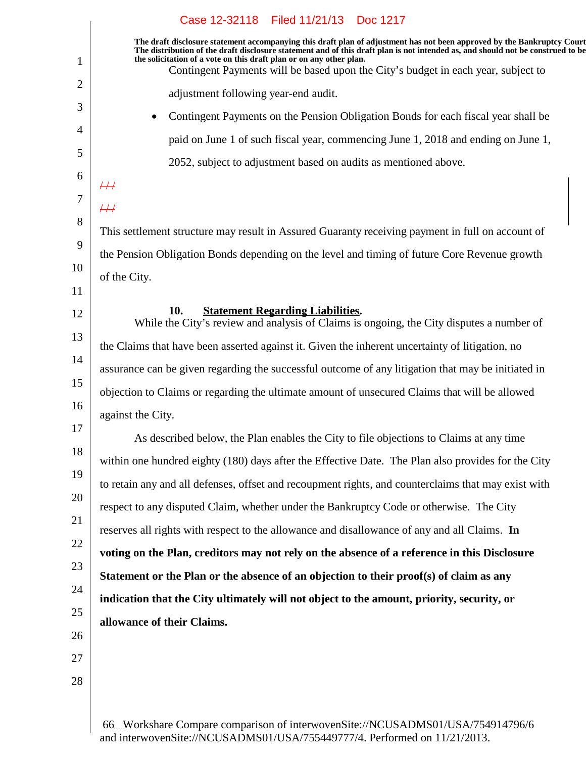| Case 12-32118 Filed 11/21/13 Doc 1217                                                                                                                                                                                                                                                                                             |
|-----------------------------------------------------------------------------------------------------------------------------------------------------------------------------------------------------------------------------------------------------------------------------------------------------------------------------------|
| The draft disclosure statement accompanying this draft plan of adjustment has not been approved by the Bankruptcy Court<br>The distribution of the draft disclosure statement and of this draft plan is not intended as, and should not be construed to be<br>the solicitation of a vote on this draft plan or on any other plan. |
| Contingent Payments will be based upon the City's budget in each year, subject to                                                                                                                                                                                                                                                 |
| adjustment following year-end audit.                                                                                                                                                                                                                                                                                              |
| Contingent Payments on the Pension Obligation Bonds for each fiscal year shall be<br>٠                                                                                                                                                                                                                                            |
| paid on June 1 of such fiscal year, commencing June 1, 2018 and ending on June 1,                                                                                                                                                                                                                                                 |
| 2052, subject to adjustment based on audits as mentioned above.                                                                                                                                                                                                                                                                   |
| $\#$                                                                                                                                                                                                                                                                                                                              |
| $\overline{++}$                                                                                                                                                                                                                                                                                                                   |
| This settlement structure may result in Assured Guaranty receiving payment in full on account of                                                                                                                                                                                                                                  |
| the Pension Obligation Bonds depending on the level and timing of future Core Revenue growth                                                                                                                                                                                                                                      |
| of the City.                                                                                                                                                                                                                                                                                                                      |
|                                                                                                                                                                                                                                                                                                                                   |
| <b>Statement Regarding Liabilities.</b><br>10.<br>While the City's review and analysis of Claims is ongoing, the City disputes a number of                                                                                                                                                                                        |
| the Claims that have been asserted against it. Given the inherent uncertainty of litigation, no                                                                                                                                                                                                                                   |
| assurance can be given regarding the successful outcome of any litigation that may be initiated in                                                                                                                                                                                                                                |
| objection to Claims or regarding the ultimate amount of unsecured Claims that will be allowed                                                                                                                                                                                                                                     |
| against the City.                                                                                                                                                                                                                                                                                                                 |
| As described below, the Plan enables the City to file objections to Claims at any time                                                                                                                                                                                                                                            |
| within one hundred eighty (180) days after the Effective Date. The Plan also provides for the City                                                                                                                                                                                                                                |
| to retain any and all defenses, offset and recoupment rights, and counterclaims that may exist with                                                                                                                                                                                                                               |
| respect to any disputed Claim, whether under the Bankruptcy Code or otherwise. The City                                                                                                                                                                                                                                           |
| reserves all rights with respect to the allowance and disallowance of any and all Claims. In                                                                                                                                                                                                                                      |
| voting on the Plan, creditors may not rely on the absence of a reference in this Disclosure                                                                                                                                                                                                                                       |
|                                                                                                                                                                                                                                                                                                                                   |
| Statement or the Plan or the absence of an objection to their proof(s) of claim as any                                                                                                                                                                                                                                            |
| indication that the City ultimately will not object to the amount, priority, security, or                                                                                                                                                                                                                                         |
| allowance of their Claims.                                                                                                                                                                                                                                                                                                        |
|                                                                                                                                                                                                                                                                                                                                   |
|                                                                                                                                                                                                                                                                                                                                   |
|                                                                                                                                                                                                                                                                                                                                   |
|                                                                                                                                                                                                                                                                                                                                   |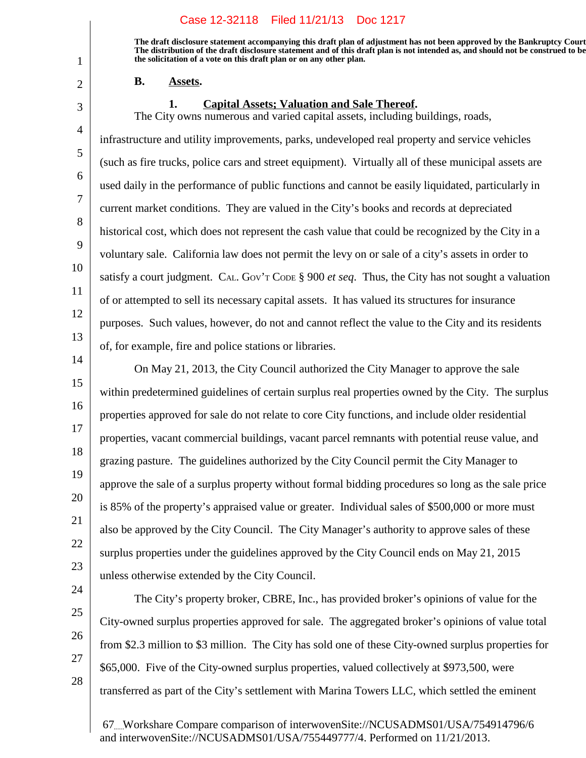**The draft disclosure statement accompanying this draft plan of adjustment has not been approved by the Bankruptcy Court. The distribution of the draft disclosure statement and of this draft plan is not intended as, and should not be construed to be, the solicitation of a vote on this draft plan or on any other plan.**

#### **B.** Assets.

#### **1.** Capital Assets; Valuation and Sale Thereof.

The City owns numerous and varied capital assets, including buildings, roads,

infrastructure and utility improvements, parks, undeveloped real property and service vehicles (such as fire trucks, police cars and street equipment). Virtually all of these municipal assets are used daily in the performance of public functions and cannot be easily liquidated, particularly in current market conditions. They are valued in the City's books and records at depreciated historical cost, which does not represent the cash value that could be recognized by the City in a voluntary sale. California law does not permit the levy on or sale of a city's assets in order to satisfy a court judgment. CAL. GOV'<sup>T</sup> CODE § 900 *et seq*. Thus, the City has not sought a valuation of or attempted to sell its necessary capital assets. It has valued its structures for insurance purposes. Such values, however, do not and cannot reflect the value to the City and its residents of, for example, fire and police stations or libraries.

14

15

16

17

18

19

20

21

22

23

1

2

3

4

5

6

7

8

9

10

11

12

13

On May 21, 2013, the City Council authorized the City Manager to approve the sale within predetermined guidelines of certain surplus real properties owned by the City. The surplus properties approved for sale do not relate to core City functions, and include older residential properties, vacant commercial buildings, vacant parcel remnants with potential reuse value, and grazing pasture. The guidelines authorized by the City Council permit the City Manager to approve the sale of a surplus property without formal bidding procedures so long as the sale price is 85% of the property's appraised value or greater. Individual sales of \$500,000 or more must also be approved by the City Council. The City Manager's authority to approve sales of these surplus properties under the guidelines approved by the City Council ends on May 21, 2015 unless otherwise extended by the City Council.

24

25

26 27

28

The City's property broker, CBRE, Inc., has provided broker's opinions of value for the City-owned surplus properties approved for sale. The aggregated broker's opinions of value total from \$2.3 million to \$3 million. The City has sold one of these City-owned surplus properties for \$65,000. Five of the City-owned surplus properties, valued collectively at \$973,500, were transferred as part of the City's settlement with Marina Towers LLC, which settled the eminent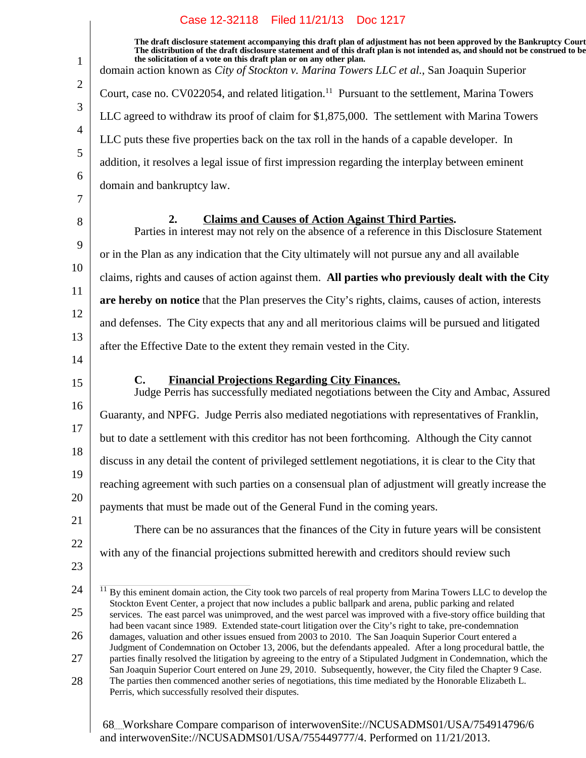| $\mathbf{1}$   | The draft disclosure statement accompanying this draft plan of adjustment has not been approved by the Bankruptcy Court<br>The distribution of the draft disclosure statement and of this draft plan is not intended as, and should not be construed to be<br>the solicitation of a vote on this draft plan or on any other plan.<br>domain action known as City of Stockton v. Marina Towers LLC et al., San Joaquin Superior |
|----------------|--------------------------------------------------------------------------------------------------------------------------------------------------------------------------------------------------------------------------------------------------------------------------------------------------------------------------------------------------------------------------------------------------------------------------------|
| $\overline{2}$ | Court, case no. CV022054, and related litigation. <sup>11</sup> Pursuant to the settlement, Marina Towers                                                                                                                                                                                                                                                                                                                      |
| 3              | LLC agreed to withdraw its proof of claim for \$1,875,000. The settlement with Marina Towers                                                                                                                                                                                                                                                                                                                                   |
| $\overline{4}$ | LLC puts these five properties back on the tax roll in the hands of a capable developer. In                                                                                                                                                                                                                                                                                                                                    |
| 5              | addition, it resolves a legal issue of first impression regarding the interplay between eminent                                                                                                                                                                                                                                                                                                                                |
| 6              | domain and bankruptcy law.                                                                                                                                                                                                                                                                                                                                                                                                     |
| 7              |                                                                                                                                                                                                                                                                                                                                                                                                                                |
| 8              | <b>Claims and Causes of Action Against Third Parties.</b><br>2.<br>Parties in interest may not rely on the absence of a reference in this Disclosure Statement                                                                                                                                                                                                                                                                 |
| 9              | or in the Plan as any indication that the City ultimately will not pursue any and all available                                                                                                                                                                                                                                                                                                                                |
| 10             | claims, rights and causes of action against them. All parties who previously dealt with the City                                                                                                                                                                                                                                                                                                                               |
| 11             | are hereby on notice that the Plan preserves the City's rights, claims, causes of action, interests                                                                                                                                                                                                                                                                                                                            |
| 12             | and defenses. The City expects that any and all meritorious claims will be pursued and litigated                                                                                                                                                                                                                                                                                                                               |
| 13<br>14       | after the Effective Date to the extent they remain vested in the City.                                                                                                                                                                                                                                                                                                                                                         |
| 15             | <b>Financial Projections Regarding City Finances.</b><br>$\mathbf{C}$ .<br>Judge Perris has successfully mediated negotiations between the City and Ambac, Assured                                                                                                                                                                                                                                                             |
| 16             | Guaranty, and NPFG. Judge Perris also mediated negotiations with representatives of Franklin,                                                                                                                                                                                                                                                                                                                                  |
| 17             | but to date a settlement with this creditor has not been forthcoming. Although the City cannot                                                                                                                                                                                                                                                                                                                                 |
| 18             | discuss in any detail the content of privileged settlement negotiations, it is clear to the City that                                                                                                                                                                                                                                                                                                                          |
| 19             | reaching agreement with such parties on a consensual plan of adjustment will greatly increase the                                                                                                                                                                                                                                                                                                                              |
| 20             | payments that must be made out of the General Fund in the coming years.                                                                                                                                                                                                                                                                                                                                                        |
| 21             | There can be no assurances that the finances of the City in future years will be consistent                                                                                                                                                                                                                                                                                                                                    |
| 22             | with any of the financial projections submitted herewith and creditors should review such                                                                                                                                                                                                                                                                                                                                      |
| 23             |                                                                                                                                                                                                                                                                                                                                                                                                                                |
| 24             | By this eminent domain action, the City took two parcels of real property from Marina Towers LLC to develop the                                                                                                                                                                                                                                                                                                                |
| 25             | Stockton Event Center, a project that now includes a public ballpark and arena, public parking and related<br>services. The east parcel was unimproved, and the west parcel was improved with a five-story office building that                                                                                                                                                                                                |
| 26             | had been vacant since 1989. Extended state-court litigation over the City's right to take, pre-condemnation<br>damages, valuation and other issues ensued from 2003 to 2010. The San Joaquin Superior Court entered a                                                                                                                                                                                                          |
| 27             | Judgment of Condemnation on October 13, 2006, but the defendants appealed. After a long procedural battle, the<br>parties finally resolved the litigation by agreeing to the entry of a Stipulated Judgment in Condemnation, which the                                                                                                                                                                                         |
| 28             | San Joaquin Superior Court entered on June 29, 2010. Subsequently, however, the City filed the Chapter 9 Case.<br>The parties then commenced another series of negotiations, this time mediated by the Honorable Elizabeth L.<br>Perris, which successfully resolved their disputes.                                                                                                                                           |
|                |                                                                                                                                                                                                                                                                                                                                                                                                                                |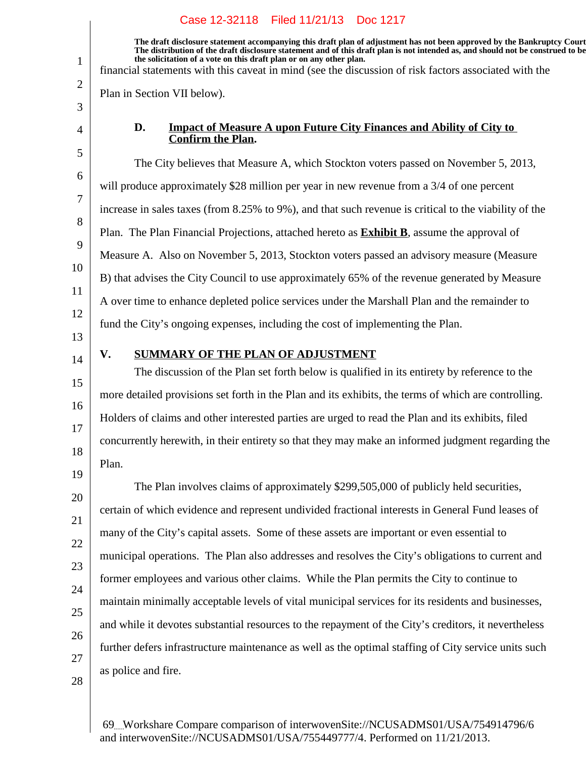**The draft disclosure statement accompanying this draft plan of adjustment has not been approved by the Bankruptcy Court. The distribution of the draft disclosure statement and of this draft plan is not intended as, and should not be construed to be, the solicitation of a vote on this draft plan or on any other plan.**

financial statements with this caveat in mind (see the discussion of risk factors associated with the

Plan in Section VII below).

4 5

6

7

8

9

10

11

12

1

2

3

#### **D. Impact of Measure A upon Future City Finances and Ability of City to Confirm the Plan.**

The City believes that Measure A, which Stockton voters passed on November 5, 2013, will produce approximately \$28 million per year in new revenue from a 3/4 of one percent increase in sales taxes (from 8.25% to 9%), and that such revenue is critical to the viability of the Plan. The Plan Financial Projections, attached hereto as **Exhibit B**, assume the approval of Measure A. Also on November 5, 2013, Stockton voters passed an advisory measure (Measure B) that advises the City Council to use approximately 65% of the revenue generated by Measure A over time to enhance depleted police services under the Marshall Plan and the remainder to fund the City's ongoing expenses, including the cost of implementing the Plan.

13 14

15

16

17

18

19

## **V. SUMMARY OF THE PLAN OF ADJUSTMENT**

The discussion of the Plan set forth below is qualified in its entirety by reference to the more detailed provisions set forth in the Plan and its exhibits, the terms of which are controlling. Holders of claims and other interested parties are urged to read the Plan and its exhibits, filed concurrently herewith, in their entirety so that they may make an informed judgment regarding the Plan.

20 21 22 23 24 25 26 27 The Plan involves claims of approximately \$299,505,000 of publicly held securities, certain of which evidence and represent undivided fractional interests in General Fund leases of many of the City's capital assets. Some of these assets are important or even essential to municipal operations. The Plan also addresses and resolves the City's obligations to current and former employees and various other claims. While the Plan permits the City to continue to maintain minimally acceptable levels of vital municipal services for its residents and businesses, and while it devotes substantial resources to the repayment of the City's creditors, it nevertheless further defers infrastructure maintenance as well as the optimal staffing of City service units such as police and fire.

28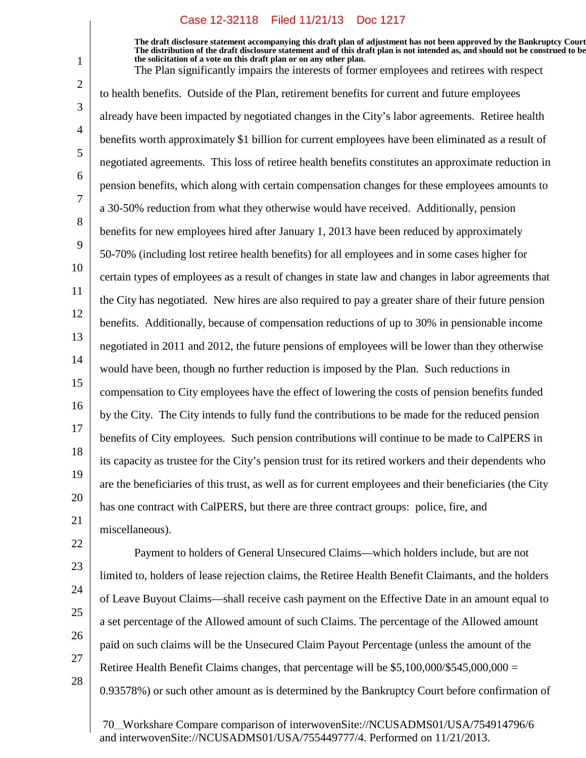**The draft disclosure statement accompanying this draft plan of adjustment has not been approved by the Bankruptcy Court. The distribution of the draft disclosure statement and of this draft plan is not intended as, and should not be construed to be, the solicitation of a vote on this draft plan or on any other plan.**

The Plan significantly impairs the interests of former employees and retirees with respect

14 19 to health benefits. Outside of the Plan, retirement benefits for current and future employees already have been impacted by negotiated changes in the City's labor agreements. Retiree health benefits worth approximately \$1 billion for current employees have been eliminated as a result of negotiated agreements. This loss of retiree health benefits constitutes an approximate reduction in pension benefits, which along with certain compensation changes for these employees amounts to a 30-50% reduction from what they otherwise would have received. Additionally, pension benefits for new employees hired after January 1, 2013 have been reduced by approximately 50-70% (including lost retiree health benefits) for all employees and in some cases higher for certain types of employees as a result of changes in state law and changes in labor agreements that the City has negotiated. New hires are also required to pay a greater share of their future pension benefits. Additionally, because of compensation reductions of up to 30% in pensionable income negotiated in 2011 and 2012, the future pensions of employees will be lower than they otherwise would have been, though no further reduction is imposed by the Plan. Such reductions in compensation to City employees have the effect of lowering the costs of pension benefits funded by the City. The City intends to fully fund the contributions to be made for the reduced pension benefits of City employees. Such pension contributions will continue to be made to CalPERS in its capacity as trustee for the City's pension trust for its retired workers and their dependents who are the beneficiaries of this trust, as well as for current employees and their beneficiaries (the City has one contract with CalPERS, but there are three contract groups: police, fire, and miscellaneous).

22 23

1

2

3

4

5

6

7

8

9

10

11

12

13

15

16

17

18

20

21

24

25

26 27

28

limited to, holders of lease rejection claims, the Retiree Health Benefit Claimants, and the holders of Leave Buyout Claims—shall receive cash payment on the Effective Date in an amount equal to a set percentage of the Allowed amount of such Claims. The percentage of the Allowed amount paid on such claims will be the Unsecured Claim Payout Percentage (unless the amount of the Retiree Health Benefit Claims changes, that percentage will be  $$5,100,000/$545,000,000 =$ 0.93578%) or such other amount as is determined by the Bankruptcy Court before confirmation of

Payment to holders of General Unsecured Claims—which holders include, but are not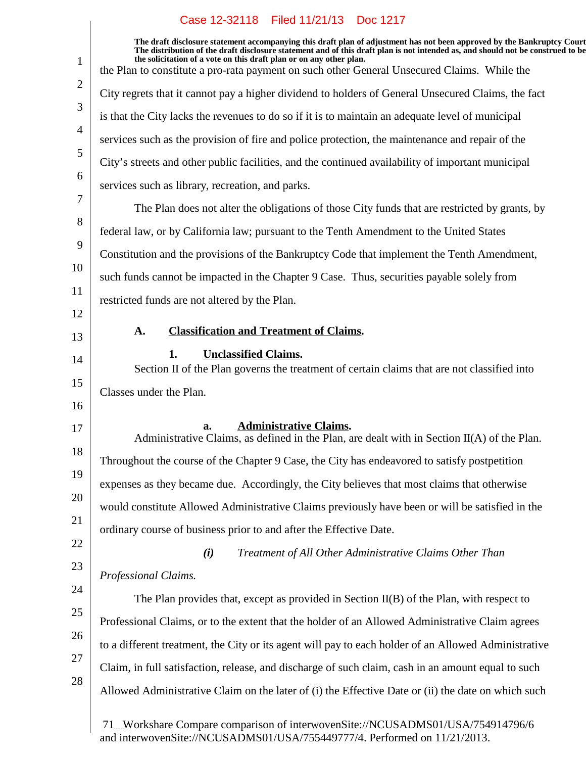| $\mathbf{1}$   | The draft disclosure statement accompanying this draft plan of adjustment has not been approved by the Bankruptcy Court<br>The distribution of the draft disclosure statement and of this draft plan is not intended as, and should not be construed to be<br>the solicitation of a vote on this draft plan or on any other plan.<br>the Plan to constitute a pro-rata payment on such other General Unsecured Claims. While the |
|----------------|----------------------------------------------------------------------------------------------------------------------------------------------------------------------------------------------------------------------------------------------------------------------------------------------------------------------------------------------------------------------------------------------------------------------------------|
| $\overline{2}$ | City regrets that it cannot pay a higher dividend to holders of General Unsecured Claims, the fact                                                                                                                                                                                                                                                                                                                               |
| 3              | is that the City lacks the revenues to do so if it is to maintain an adequate level of municipal                                                                                                                                                                                                                                                                                                                                 |
| $\overline{4}$ | services such as the provision of fire and police protection, the maintenance and repair of the                                                                                                                                                                                                                                                                                                                                  |
| 5              | City's streets and other public facilities, and the continued availability of important municipal                                                                                                                                                                                                                                                                                                                                |
| 6              | services such as library, recreation, and parks.                                                                                                                                                                                                                                                                                                                                                                                 |
| 7              | The Plan does not alter the obligations of those City funds that are restricted by grants, by                                                                                                                                                                                                                                                                                                                                    |
| 8              | federal law, or by California law; pursuant to the Tenth Amendment to the United States                                                                                                                                                                                                                                                                                                                                          |
| 9              | Constitution and the provisions of the Bankruptcy Code that implement the Tenth Amendment,                                                                                                                                                                                                                                                                                                                                       |
| 10             | such funds cannot be impacted in the Chapter 9 Case. Thus, securities payable solely from                                                                                                                                                                                                                                                                                                                                        |
| 11             | restricted funds are not altered by the Plan.                                                                                                                                                                                                                                                                                                                                                                                    |
| 12             |                                                                                                                                                                                                                                                                                                                                                                                                                                  |
| 13             | <b>Classification and Treatment of Claims.</b><br>A.                                                                                                                                                                                                                                                                                                                                                                             |
| 14             | <b>Unclassified Claims.</b><br>1.<br>Section II of the Plan governs the treatment of certain claims that are not classified into                                                                                                                                                                                                                                                                                                 |
| 15             | Classes under the Plan.                                                                                                                                                                                                                                                                                                                                                                                                          |
| 16             |                                                                                                                                                                                                                                                                                                                                                                                                                                  |
| 17             | <b>Administrative Claims.</b><br>a.<br>Administrative Claims, as defined in the Plan, are dealt with in Section $II(A)$ of the Plan.                                                                                                                                                                                                                                                                                             |
| 18             | Throughout the course of the Chapter 9 Case, the City has endeavored to satisfy postpetition                                                                                                                                                                                                                                                                                                                                     |
| 19             | expenses as they became due. Accordingly, the City believes that most claims that otherwise                                                                                                                                                                                                                                                                                                                                      |
| 20             | would constitute Allowed Administrative Claims previously have been or will be satisfied in the                                                                                                                                                                                                                                                                                                                                  |
| 21             | ordinary course of business prior to and after the Effective Date.                                                                                                                                                                                                                                                                                                                                                               |
| 22             | (i)<br>Treatment of All Other Administrative Claims Other Than                                                                                                                                                                                                                                                                                                                                                                   |
| 23             | Professional Claims.                                                                                                                                                                                                                                                                                                                                                                                                             |
| 24             | The Plan provides that, except as provided in Section $II(B)$ of the Plan, with respect to                                                                                                                                                                                                                                                                                                                                       |
| 25             | Professional Claims, or to the extent that the holder of an Allowed Administrative Claim agrees                                                                                                                                                                                                                                                                                                                                  |
| 26             | to a different treatment, the City or its agent will pay to each holder of an Allowed Administrative                                                                                                                                                                                                                                                                                                                             |
| 27             | Claim, in full satisfaction, release, and discharge of such claim, cash in an amount equal to such                                                                                                                                                                                                                                                                                                                               |
| 28             | Allowed Administrative Claim on the later of (i) the Effective Date or (ii) the date on which such                                                                                                                                                                                                                                                                                                                               |
|                | 71Workshare Compare comparison of interwovenSite://NCUSADMS01/USA/754914796/6<br>$\frac{1}{2}$ interve ver Site (NCUE ADMS01/USA/755440777/4) Derformed on 11/21/2012                                                                                                                                                                                                                                                            |

and interwovenSite://NCUSADMS01/USA/755449777/4. Performed on 11/21/2013.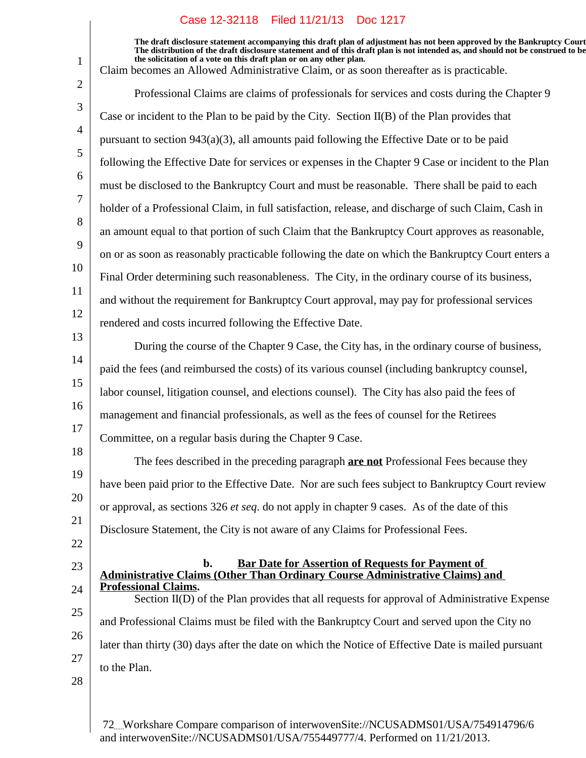**The draft disclosure statement accompanying this draft plan of adjustment has not been approved by the Bankruptcy Court. The distribution of the draft disclosure statement and of this draft plan is not intended as, and should not be construed to be, the solicitation of a vote on this draft plan or on any other plan.**

| $\mathbf{1}$   | the solicitation of a vote on this draft plan or on any other plan.<br>Claim becomes an Allowed Administrative Claim, or as soon thereafter as is practicable.    |
|----------------|-------------------------------------------------------------------------------------------------------------------------------------------------------------------|
| $\overline{2}$ | Professional Claims are claims of professionals for services and costs during the Chapter 9                                                                       |
| 3              | Case or incident to the Plan to be paid by the City. Section II(B) of the Plan provides that                                                                      |
| $\overline{4}$ | pursuant to section $943(a)(3)$ , all amounts paid following the Effective Date or to be paid                                                                     |
| 5              | following the Effective Date for services or expenses in the Chapter 9 Case or incident to the Plan                                                               |
| 6              | must be disclosed to the Bankruptcy Court and must be reasonable. There shall be paid to each                                                                     |
| $\overline{7}$ | holder of a Professional Claim, in full satisfaction, release, and discharge of such Claim, Cash in                                                               |
| 8              | an amount equal to that portion of such Claim that the Bankruptcy Court approves as reasonable,                                                                   |
| 9              | on or as soon as reasonably practicable following the date on which the Bankruptcy Court enters a                                                                 |
| 10             | Final Order determining such reasonableness. The City, in the ordinary course of its business,                                                                    |
| 11             | and without the requirement for Bankruptcy Court approval, may pay for professional services                                                                      |
| 12             | rendered and costs incurred following the Effective Date.                                                                                                         |
| 13             | During the course of the Chapter 9 Case, the City has, in the ordinary course of business,                                                                        |
| 14             | paid the fees (and reimbursed the costs) of its various counsel (including bankruptcy counsel,                                                                    |
| 15             | labor counsel, litigation counsel, and elections counsel). The City has also paid the fees of                                                                     |
| 16             | management and financial professionals, as well as the fees of counsel for the Retirees                                                                           |
| 17             | Committee, on a regular basis during the Chapter 9 Case.                                                                                                          |
| 18             | The fees described in the preceding paragraph <b>are not</b> Professional Fees because they                                                                       |
| 19             | have been paid prior to the Effective Date. Nor are such fees subject to Bankruptcy Court review                                                                  |
| 20             | or approval, as sections 326 <i>et seq.</i> do not apply in chapter 9 cases. As of the date of this                                                               |
| 21             | Disclosure Statement, the City is not aware of any Claims for Professional Fees.                                                                                  |
| 22             |                                                                                                                                                                   |
| 23             | $\mathbf{b}$ .<br><b>Bar Date for Assertion of Requests for Payment of</b><br><b>Administrative Claims (Other Than Ordinary Course Administrative Claims) and</b> |
| 24             | <b>Professional Claims.</b><br>Section II(D) of the Plan provides that all requests for approval of Administrative Expense                                        |
| 25             | and Professional Claims must be filed with the Bankruptcy Court and served upon the City no                                                                       |
| 26             | later than thirty (30) days after the date on which the Notice of Effective Date is mailed pursuant                                                               |
| 27             | to the Plan.                                                                                                                                                      |
| 28             |                                                                                                                                                                   |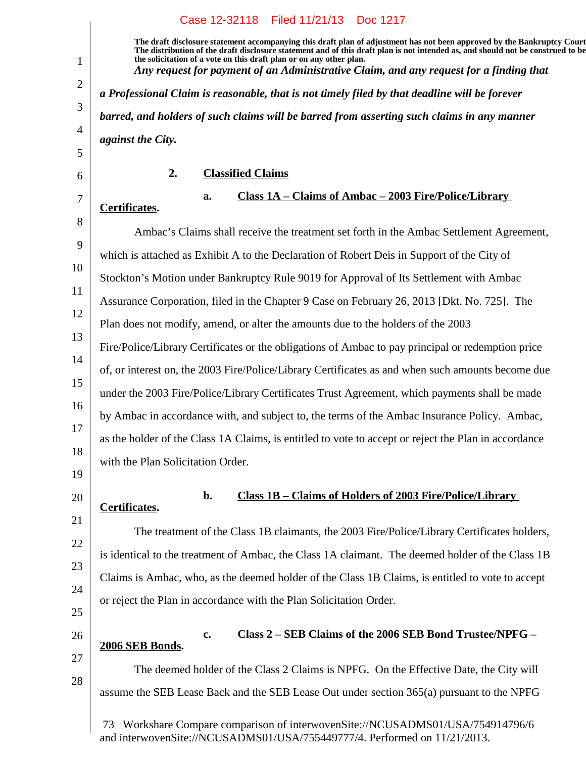|                          |                                                                                            |                          | Case 12-32118 Filed 11/21/13 Doc 1217                               |                                                                                                                                                                                                                                                                                                                                                      |
|--------------------------|--------------------------------------------------------------------------------------------|--------------------------|---------------------------------------------------------------------|------------------------------------------------------------------------------------------------------------------------------------------------------------------------------------------------------------------------------------------------------------------------------------------------------------------------------------------------------|
|                          |                                                                                            |                          | the solicitation of a vote on this draft plan or on any other plan. | The draft disclosure statement accompanying this draft plan of adjustment has not been approved by the Bankruptcy Court<br>The distribution of the draft disclosure statement and of this draft plan is not intended as, and should not be construed to be<br>Any request for payment of an Administrative Claim, and any request for a finding that |
|                          |                                                                                            |                          |                                                                     | a Professional Claim is reasonable, that is not timely filed by that deadline will be forever                                                                                                                                                                                                                                                        |
|                          | barred, and holders of such claims will be barred from asserting such claims in any manner |                          |                                                                     |                                                                                                                                                                                                                                                                                                                                                      |
| <i>against the City.</i> |                                                                                            |                          |                                                                     |                                                                                                                                                                                                                                                                                                                                                      |
|                          | 2.                                                                                         | <b>Classified Claims</b> |                                                                     |                                                                                                                                                                                                                                                                                                                                                      |
|                          |                                                                                            | a.                       |                                                                     | Class $1A - Clains$ of Ambac $- 2003$ Fire/Police/Library                                                                                                                                                                                                                                                                                            |

# **Certificates.**

1

2

3

4

5

6

7

20

21

22

23

24

25

26

27

28

#### 8 9 10 11 12 13 14 15 16 17 18 19 Ambac's Claims shall receive the treatment set forth in the Ambac Settlement Agreement, which is attached as Exhibit A to the Declaration of Robert Deis in Support of the City of Stockton's Motion under Bankruptcy Rule 9019 for Approval of Its Settlement with Ambac Assurance Corporation, filed in the Chapter 9 Case on February 26, 2013 [Dkt. No. 725]. The Plan does not modify, amend, or alter the amounts due to the holders of the 2003 Fire/Police/Library Certificates or the obligations of Ambac to pay principal or redemption price of, or interest on, the 2003 Fire/Police/Library Certificates as and when such amounts become due under the 2003 Fire/Police/Library Certificates Trust Agreement, which payments shall be made by Ambac in accordance with, and subject to, the terms of the Ambac Insurance Policy. Ambac, as the holder of the Class 1A Claims, is entitled to vote to accept or reject the Plan in accordance with the Plan Solicitation Order.

**b. Class 1B – Claims of Holders of 2003 Fire/Police/Library Certificates.**

The treatment of the Class 1B claimants, the 2003 Fire/Police/Library Certificates holders, is identical to the treatment of Ambac, the Class 1A claimant. The deemed holder of the Class 1B Claims is Ambac, who, as the deemed holder of the Class 1B Claims, is entitled to vote to accept or reject the Plan in accordance with the Plan Solicitation Order.

# **c. Class 2 – SEB Claims of the 2006 SEB Bond Trustee/NPFG – 2006 SEB Bonds.**

The deemed holder of the Class 2 Claims is NPFG. On the Effective Date, the City will assume the SEB Lease Back and the SEB Lease Out under section 365(a) pursuant to the NPFG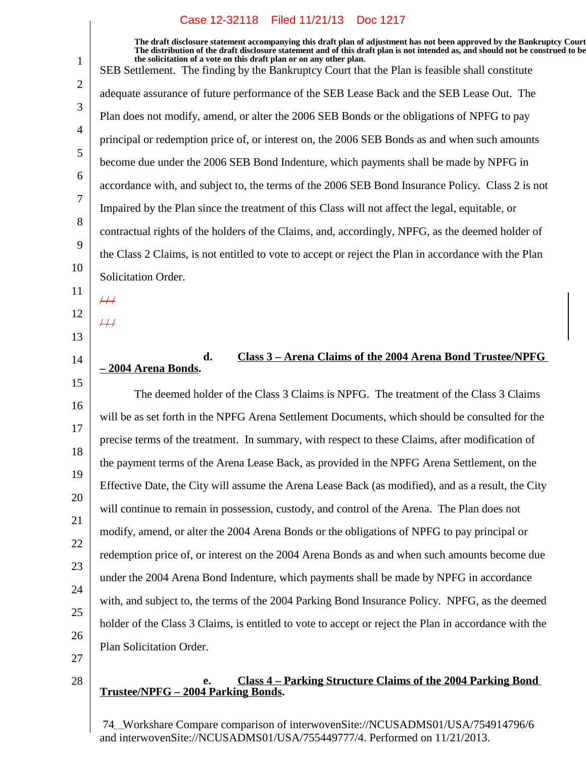**The draft disclosure statement accompanying this draft plan of adjustment has not been approved by the Bankruptcy Court. The distribution of the draft disclosure statement and of this draft plan is not intended as, and should not be construed to be, the solicitation of a vote on this draft plan or on any other plan.** SEB Settlement. The finding by the Bankruptcy Court that the Plan is feasible shall constitute adequate assurance of future performance of the SEB Lease Back and the SEB Lease Out. The Plan does not modify, amend, or alter the 2006 SEB Bonds or the obligations of NPFG to pay principal or redemption price of, or interest on, the 2006 SEB Bonds as and when such amounts become due under the 2006 SEB Bond Indenture, which payments shall be made by NPFG in accordance with, and subject to, the terms of the 2006 SEB Bond Insurance Policy. Class 2 is not Impaired by the Plan since the treatment of this Class will not affect the legal, equitable, or contractual rights of the holders of the Claims, and, accordingly, NPFG, as the deemed holder of the Class 2 Claims, is not entitled to vote to accept or reject the Plan in accordance with the Plan Solicitation Order.  $#$  $4/1$ 

## **d. Class 3 – Arena Claims of the 2004 Arena Bond Trustee/NPFG – 2004 Arena Bonds.**

18 19 20 22 23 24 26 The deemed holder of the Class 3 Claims is NPFG. The treatment of the Class 3 Claims will be as set forth in the NPFG Arena Settlement Documents, which should be consulted for the precise terms of the treatment. In summary, with respect to these Claims, after modification of the payment terms of the Arena Lease Back, as provided in the NPFG Arena Settlement, on the Effective Date, the City will assume the Arena Lease Back (as modified), and as a result, the City will continue to remain in possession, custody, and control of the Arena. The Plan does not modify, amend, or alter the 2004 Arena Bonds or the obligations of NPFG to pay principal or redemption price of, or interest on the 2004 Arena Bonds as and when such amounts become due under the 2004 Arena Bond Indenture, which payments shall be made by NPFG in accordance with, and subject to, the terms of the 2004 Parking Bond Insurance Policy. NPFG, as the deemed holder of the Class 3 Claims, is entitled to vote to accept or reject the Plan in accordance with the Plan Solicitation Order.

27

28

25

1

2

3

4

5

6

7

8

9

10

11

12

13

14

15

16

17

21

## **e. Class 4 – Parking Structure Claims of the 2004 Parking Bond Trustee/NPFG – 2004 Parking Bonds.**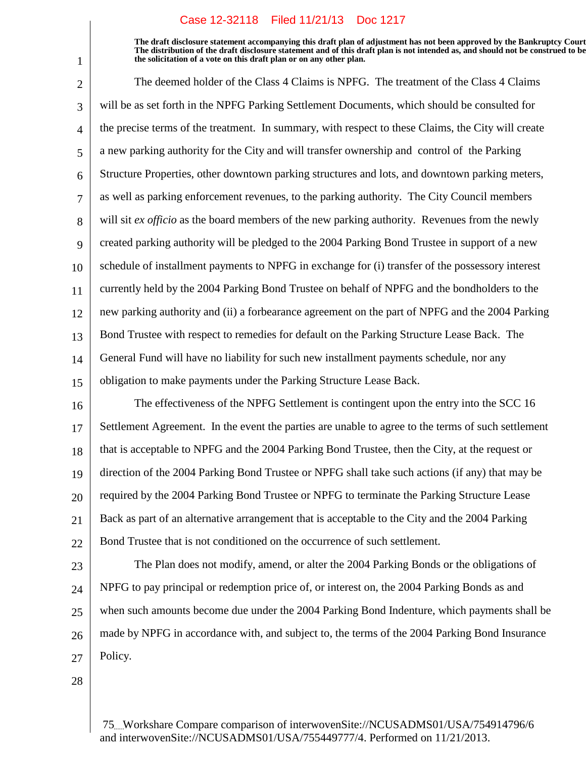**The draft disclosure statement accompanying this draft plan of adjustment has not been approved by the Bankruptcy Court. The distribution of the draft disclosure statement and of this draft plan is not intended as, and should not be construed to be, the solicitation of a vote on this draft plan or on any other plan.**

2 3 4 5 6 7 8 9 10 11 12 13 14 15 The deemed holder of the Class 4 Claims is NPFG. The treatment of the Class 4 Claims will be as set forth in the NPFG Parking Settlement Documents, which should be consulted for the precise terms of the treatment. In summary, with respect to these Claims, the City will create a new parking authority for the City and will transfer ownership and control of the Parking Structure Properties, other downtown parking structures and lots, and downtown parking meters, as well as parking enforcement revenues, to the parking authority. The City Council members will sit *ex officio* as the board members of the new parking authority. Revenues from the newly created parking authority will be pledged to the 2004 Parking Bond Trustee in support of a new schedule of installment payments to NPFG in exchange for (i) transfer of the possessory interest currently held by the 2004 Parking Bond Trustee on behalf of NPFG and the bondholders to the new parking authority and (ii) a forbearance agreement on the part of NPFG and the 2004 Parking Bond Trustee with respect to remedies for default on the Parking Structure Lease Back. The General Fund will have no liability for such new installment payments schedule, nor any obligation to make payments under the Parking Structure Lease Back.

16 17 18 19 20 21 22 The effectiveness of the NPFG Settlement is contingent upon the entry into the SCC 16 Settlement Agreement. In the event the parties are unable to agree to the terms of such settlement that is acceptable to NPFG and the 2004 Parking Bond Trustee, then the City, at the request or direction of the 2004 Parking Bond Trustee or NPFG shall take such actions (if any) that may be required by the 2004 Parking Bond Trustee or NPFG to terminate the Parking Structure Lease Back as part of an alternative arrangement that is acceptable to the City and the 2004 Parking Bond Trustee that is not conditioned on the occurrence of such settlement.

23 24 25 26 27 The Plan does not modify, amend, or alter the 2004 Parking Bonds or the obligations of NPFG to pay principal or redemption price of, or interest on, the 2004 Parking Bonds as and when such amounts become due under the 2004 Parking Bond Indenture, which payments shall be made by NPFG in accordance with, and subject to, the terms of the 2004 Parking Bond Insurance Policy.

28

1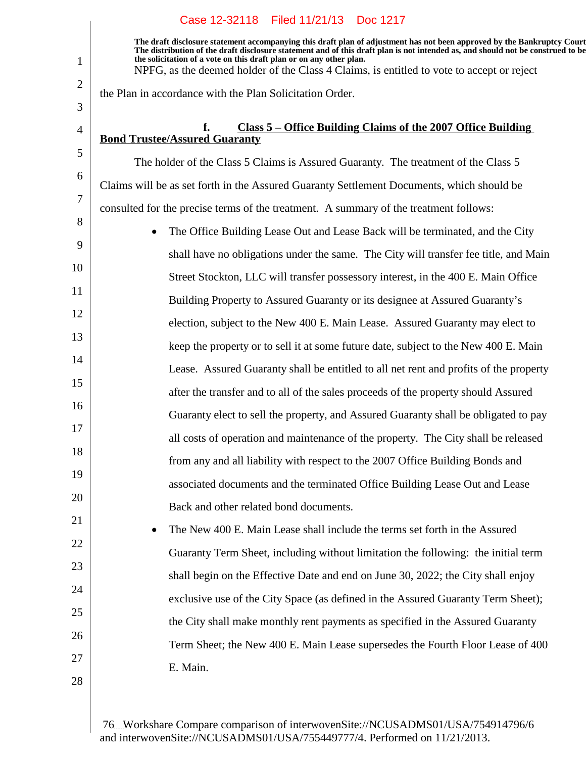**The draft disclosure statement accompanying this draft plan of adjustment has not been approved by the Bankruptcy Court. The distribution of the draft disclosure statement and of this draft plan is not intended as, and should not be construed to be, the solicitation of a vote on this draft plan or on any other plan.** NPFG, as the deemed holder of the Class 4 Claims, is entitled to vote to accept or reject

the Plan in accordance with the Plan Solicitation Order.

## **f. Class 5 – Office Building Claims of the 2007 Office Building Bond Trustee/Assured Guaranty**

The holder of the Class 5 Claims is Assured Guaranty. The treatment of the Class 5 Claims will be as set forth in the Assured Guaranty Settlement Documents, which should be consulted for the precise terms of the treatment. A summary of the treatment follows:

8 9 10 11 12 13 14 15 16 17 18 19 20 21 The Office Building Lease Out and Lease Back will be terminated, and the City shall have no obligations under the same. The City will transfer fee title, and Main Street Stockton, LLC will transfer possessory interest, in the 400 E. Main Office Building Property to Assured Guaranty or its designee at Assured Guaranty's election, subject to the New 400 E. Main Lease. Assured Guaranty may elect to keep the property or to sell it at some future date, subject to the New 400 E. Main Lease. Assured Guaranty shall be entitled to all net rent and profits of the property after the transfer and to all of the sales proceeds of the property should Assured Guaranty elect to sell the property, and Assured Guaranty shall be obligated to pay all costs of operation and maintenance of the property. The City shall be released from any and all liability with respect to the 2007 Office Building Bonds and associated documents and the terminated Office Building Lease Out and Lease Back and other related bond documents.

 The New 400 E. Main Lease shall include the terms set forth in the Assured Guaranty Term Sheet, including without limitation the following: the initial term shall begin on the Effective Date and end on June 30, 2022; the City shall enjoy exclusive use of the City Space (as defined in the Assured Guaranty Term Sheet); the City shall make monthly rent payments as specified in the Assured Guaranty Term Sheet; the New 400 E. Main Lease supersedes the Fourth Floor Lease of 400 E. Main.

28

22

23

24

25

26

27

1

2

3

4

5

6

7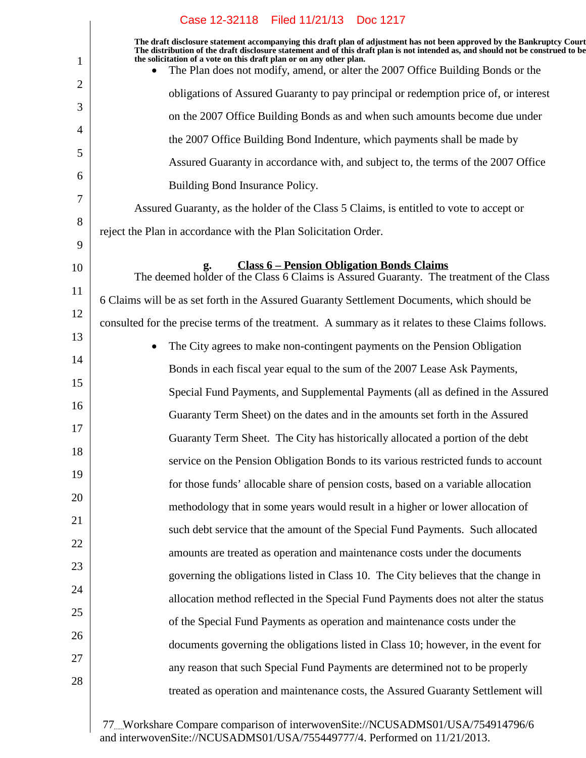|                | Case 12-32118 Filed 11/21/13 Doc 1217                                                                                                                                                                                                                                                                                             |
|----------------|-----------------------------------------------------------------------------------------------------------------------------------------------------------------------------------------------------------------------------------------------------------------------------------------------------------------------------------|
| $\mathbf 1$    | The draft disclosure statement accompanying this draft plan of adjustment has not been approved by the Bankruptcy Court<br>The distribution of the draft disclosure statement and of this draft plan is not intended as, and should not be construed to be<br>the solicitation of a vote on this draft plan or on any other plan. |
| $\overline{2}$ | The Plan does not modify, amend, or alter the 2007 Office Building Bonds or the                                                                                                                                                                                                                                                   |
|                | obligations of Assured Guaranty to pay principal or redemption price of, or interest                                                                                                                                                                                                                                              |
| 3              | on the 2007 Office Building Bonds as and when such amounts become due under                                                                                                                                                                                                                                                       |
| $\overline{4}$ | the 2007 Office Building Bond Indenture, which payments shall be made by                                                                                                                                                                                                                                                          |
| 5              | Assured Guaranty in accordance with, and subject to, the terms of the 2007 Office                                                                                                                                                                                                                                                 |
| 6              | Building Bond Insurance Policy.                                                                                                                                                                                                                                                                                                   |
| 7              | Assured Guaranty, as the holder of the Class 5 Claims, is entitled to vote to accept or                                                                                                                                                                                                                                           |
| 8              | reject the Plan in accordance with the Plan Solicitation Order.                                                                                                                                                                                                                                                                   |
| 9              |                                                                                                                                                                                                                                                                                                                                   |
| 10             | <b>Class 6 – Pension Obligation Bonds Claims</b><br>g.<br>The deemed holder of the Class 6 Claims is Assured Guaranty. The treatment of the Class                                                                                                                                                                                 |
| 11             | 6 Claims will be as set forth in the Assured Guaranty Settlement Documents, which should be                                                                                                                                                                                                                                       |
| 12             | consulted for the precise terms of the treatment. A summary as it relates to these Claims follows.                                                                                                                                                                                                                                |
| 13             | The City agrees to make non-contingent payments on the Pension Obligation<br>$\bullet$                                                                                                                                                                                                                                            |
| 14             | Bonds in each fiscal year equal to the sum of the 2007 Lease Ask Payments,                                                                                                                                                                                                                                                        |
| 15             | Special Fund Payments, and Supplemental Payments (all as defined in the Assured                                                                                                                                                                                                                                                   |
| 16             | Guaranty Term Sheet) on the dates and in the amounts set forth in the Assured                                                                                                                                                                                                                                                     |
| 17             | Guaranty Term Sheet. The City has historically allocated a portion of the debt                                                                                                                                                                                                                                                    |
| 18             | service on the Pension Obligation Bonds to its various restricted funds to account                                                                                                                                                                                                                                                |
| 19             | for those funds' allocable share of pension costs, based on a variable allocation                                                                                                                                                                                                                                                 |
| 20             | methodology that in some years would result in a higher or lower allocation of                                                                                                                                                                                                                                                    |
| 21             | such debt service that the amount of the Special Fund Payments. Such allocated                                                                                                                                                                                                                                                    |
| 22             | amounts are treated as operation and maintenance costs under the documents                                                                                                                                                                                                                                                        |
| 23             | governing the obligations listed in Class 10. The City believes that the change in                                                                                                                                                                                                                                                |
| 24             | allocation method reflected in the Special Fund Payments does not alter the status                                                                                                                                                                                                                                                |
| 25             | of the Special Fund Payments as operation and maintenance costs under the                                                                                                                                                                                                                                                         |
| 26             | documents governing the obligations listed in Class 10; however, in the event for                                                                                                                                                                                                                                                 |
| 27             | any reason that such Special Fund Payments are determined not to be properly                                                                                                                                                                                                                                                      |
| 28             | treated as operation and maintenance costs, the Assured Guaranty Settlement will                                                                                                                                                                                                                                                  |
|                |                                                                                                                                                                                                                                                                                                                                   |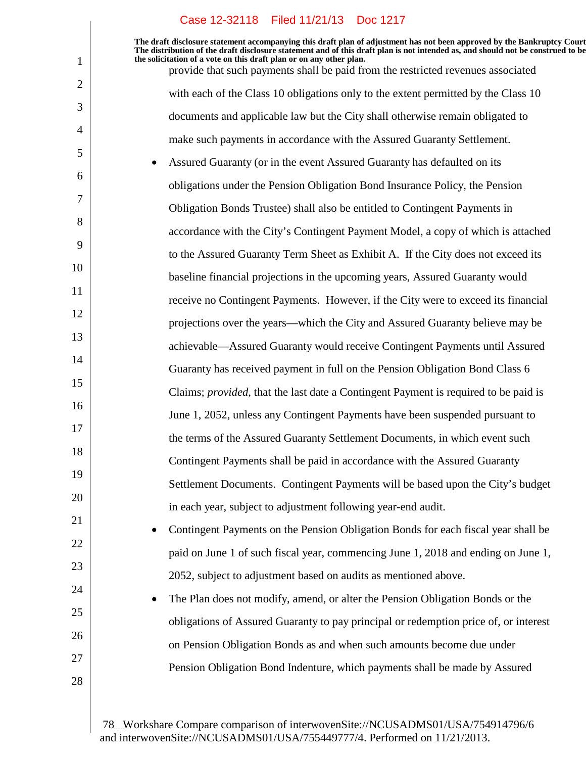**The draft disclosure statement accompanying this draft plan of adjustment has not been approved by the Bankruptcy Court. The distribution of the draft disclosure statement and of this draft plan is not intended as, and should not be construed to be, the solicitation of a vote on this draft plan or on any other plan.**

provide that such payments shall be paid from the restricted revenues associated with each of the Class 10 obligations only to the extent permitted by the Class 10 documents and applicable law but the City shall otherwise remain obligated to make such payments in accordance with the Assured Guaranty Settlement.

 Assured Guaranty (or in the event Assured Guaranty has defaulted on its obligations under the Pension Obligation Bond Insurance Policy, the Pension Obligation Bonds Trustee) shall also be entitled to Contingent Payments in accordance with the City's Contingent Payment Model, a copy of which is attached to the Assured Guaranty Term Sheet as Exhibit A. If the City does not exceed its baseline financial projections in the upcoming years, Assured Guaranty would receive no Contingent Payments. However, if the City were to exceed its financial projections over the years—which the City and Assured Guaranty believe may be achievable—Assured Guaranty would receive Contingent Payments until Assured Guaranty has received payment in full on the Pension Obligation Bond Class 6 Claims; *provided*, that the last date a Contingent Payment is required to be paid is June 1, 2052, unless any Contingent Payments have been suspended pursuant to the terms of the Assured Guaranty Settlement Documents, in which event such Contingent Payments shall be paid in accordance with the Assured Guaranty Settlement Documents. Contingent Payments will be based upon the City's budget in each year, subject to adjustment following year-end audit.

> Contingent Payments on the Pension Obligation Bonds for each fiscal year shall be paid on June 1 of such fiscal year, commencing June 1, 2018 and ending on June 1, 2052, subject to adjustment based on audits as mentioned above.

> The Plan does not modify, amend, or alter the Pension Obligation Bonds or the obligations of Assured Guaranty to pay principal or redemption price of, or interest on Pension Obligation Bonds as and when such amounts become due under Pension Obligation Bond Indenture, which payments shall be made by Assured

28

1

2

3

4

5

6

7

8

9

10

11

12

13

14

15

16

17

18

19

20

21

22

23

24

25

26

27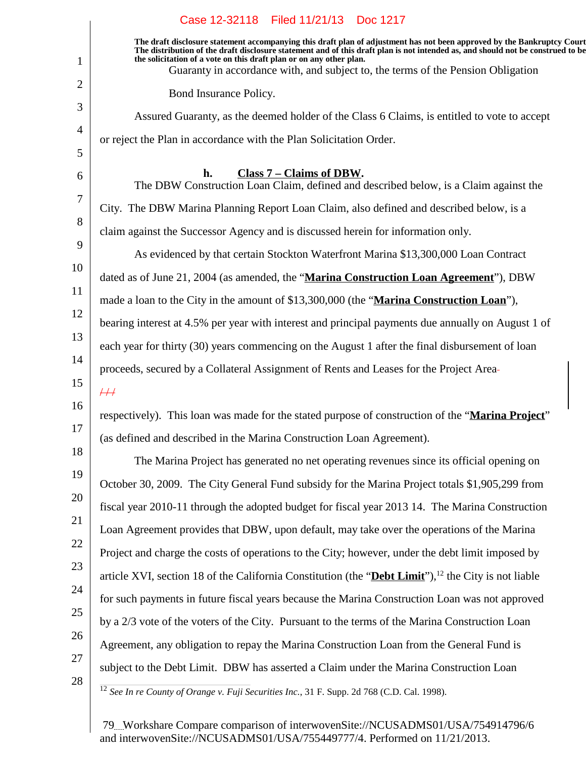|                | Case 12-32118 Filed 11/21/13 Doc 1217                                                                                                                                                                                                                                                                                                                                                                                 |
|----------------|-----------------------------------------------------------------------------------------------------------------------------------------------------------------------------------------------------------------------------------------------------------------------------------------------------------------------------------------------------------------------------------------------------------------------|
| 1              | The draft disclosure statement accompanying this draft plan of adjustment has not been approved by the Bankruptcy Court<br>The distribution of the draft disclosure statement and of this draft plan is not intended as, and should not be construed to be<br>the solicitation of a vote on this draft plan or on any other plan.<br>Guaranty in accordance with, and subject to, the terms of the Pension Obligation |
| 2              | Bond Insurance Policy.                                                                                                                                                                                                                                                                                                                                                                                                |
| 3              | Assured Guaranty, as the deemed holder of the Class 6 Claims, is entitled to vote to accept                                                                                                                                                                                                                                                                                                                           |
| $\overline{4}$ | or reject the Plan in accordance with the Plan Solicitation Order.                                                                                                                                                                                                                                                                                                                                                    |
| 5              |                                                                                                                                                                                                                                                                                                                                                                                                                       |
| 6              | Class 7 – Claims of DBW.<br>h.<br>The DBW Construction Loan Claim, defined and described below, is a Claim against the                                                                                                                                                                                                                                                                                                |
| $\tau$         | City. The DBW Marina Planning Report Loan Claim, also defined and described below, is a                                                                                                                                                                                                                                                                                                                               |
| 8              | claim against the Successor Agency and is discussed herein for information only.                                                                                                                                                                                                                                                                                                                                      |
| 9              | As evidenced by that certain Stockton Waterfront Marina \$13,300,000 Loan Contract                                                                                                                                                                                                                                                                                                                                    |
| 10             | dated as of June 21, 2004 (as amended, the "Marina Construction Loan Agreement"), DBW                                                                                                                                                                                                                                                                                                                                 |
| 11             | made a loan to the City in the amount of \$13,300,000 (the "Marina Construction Loan"),                                                                                                                                                                                                                                                                                                                               |
| 12             | bearing interest at 4.5% per year with interest and principal payments due annually on August 1 of                                                                                                                                                                                                                                                                                                                    |
| 13             | each year for thirty (30) years commencing on the August 1 after the final disbursement of loan                                                                                                                                                                                                                                                                                                                       |
| 14             | proceeds, secured by a Collateral Assignment of Rents and Leases for the Project Area-                                                                                                                                                                                                                                                                                                                                |
| 15             | $\#$                                                                                                                                                                                                                                                                                                                                                                                                                  |
| 16             | respectively). This loan was made for the stated purpose of construction of the "Marina Project"                                                                                                                                                                                                                                                                                                                      |
| 17             | (as defined and described in the Marina Construction Loan Agreement).                                                                                                                                                                                                                                                                                                                                                 |
| 18             | The Marina Project has generated no net operating revenues since its official opening on                                                                                                                                                                                                                                                                                                                              |
| 19             | October 30, 2009. The City General Fund subsidy for the Marina Project totals \$1,905,299 from                                                                                                                                                                                                                                                                                                                        |
| 20             | fiscal year 2010-11 through the adopted budget for fiscal year 2013 14. The Marina Construction                                                                                                                                                                                                                                                                                                                       |
| 21             | Loan Agreement provides that DBW, upon default, may take over the operations of the Marina                                                                                                                                                                                                                                                                                                                            |
| 22             | Project and charge the costs of operations to the City; however, under the debt limit imposed by                                                                                                                                                                                                                                                                                                                      |
| 23             | article XVI, section 18 of the California Constitution (the "Debt Limit"), <sup>12</sup> the City is not liable                                                                                                                                                                                                                                                                                                       |
| 24             | for such payments in future fiscal years because the Marina Construction Loan was not approved                                                                                                                                                                                                                                                                                                                        |
| 25             | by a 2/3 vote of the voters of the City. Pursuant to the terms of the Marina Construction Loan                                                                                                                                                                                                                                                                                                                        |
| 26             | Agreement, any obligation to repay the Marina Construction Loan from the General Fund is                                                                                                                                                                                                                                                                                                                              |
| 27             | subject to the Debt Limit. DBW has asserted a Claim under the Marina Construction Loan                                                                                                                                                                                                                                                                                                                                |
| 28             | <sup>12</sup> See In re County of Orange v. Fuji Securities Inc., 31 F. Supp. 2d 768 (C.D. Cal. 1998).                                                                                                                                                                                                                                                                                                                |
|                |                                                                                                                                                                                                                                                                                                                                                                                                                       |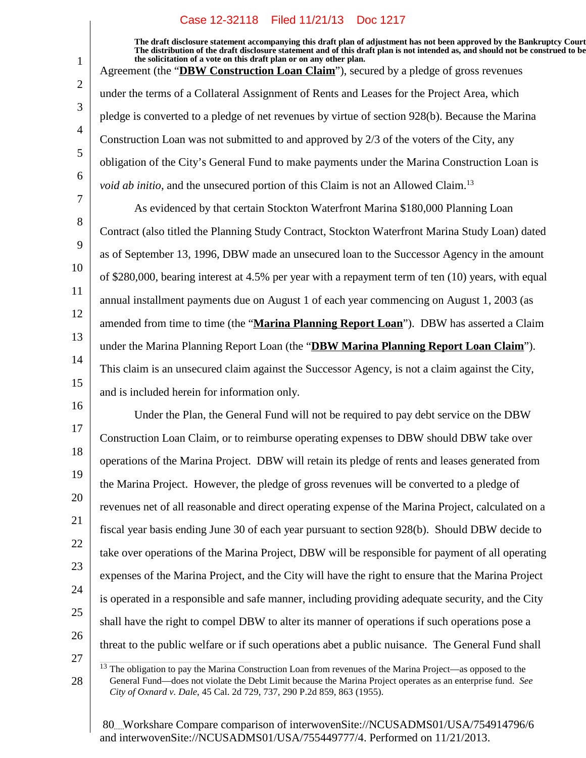**The draft disclosure statement accompanying this draft plan of adjustment has not been approved by the Bankruptcy Court. The distribution of the draft disclosure statement and of this draft plan is not intended as, and should not be construed to be, the solicitation of a vote on this draft plan or on any other plan.** Agreement (the "**DBW Construction Loan Claim**"), secured by a pledge of gross revenues under the terms of a Collateral Assignment of Rents and Leases for the Project Area, which pledge is converted to a pledge of net revenues by virtue of section 928(b). Because the Marina Construction Loan was not submitted to and approved by 2/3 of the voters of the City, any obligation of the City's General Fund to make payments under the Marina Construction Loan is *void ab initio*, and the unsecured portion of this Claim is not an Allowed Claim.<sup>13</sup> As evidenced by that certain Stockton Waterfront Marina \$180,000 Planning Loan Contract (also titled the Planning Study Contract, Stockton Waterfront Marina Study Loan) dated as of September 13, 1996, DBW made an unsecured loan to the Successor Agency in the amount of \$280,000, bearing interest at 4.5% per year with a repayment term of ten (10) years, with equal

11 12 13 14 annual installment payments due on August 1 of each year commencing on August 1, 2003 (as amended from time to time (the "**Marina Planning Report Loan**"). DBW has asserted a Claim under the Marina Planning Report Loan (the "**DBW Marina Planning Report Loan Claim**"). This claim is an unsecured claim against the Successor Agency, is not a claim against the City,

15 and is included herein for information only.

1

2

3

4

5

6

7

8

9

10

28

16 17 18 19 20 21 22 23 24 25 26 27 Under the Plan, the General Fund will not be required to pay debt service on the DBW Construction Loan Claim, or to reimburse operating expenses to DBW should DBW take over operations of the Marina Project. DBW will retain its pledge of rents and leases generated from the Marina Project. However, the pledge of gross revenues will be converted to a pledge of revenues net of all reasonable and direct operating expense of the Marina Project, calculated on a fiscal year basis ending June 30 of each year pursuant to section 928(b). Should DBW decide to take over operations of the Marina Project, DBW will be responsible for payment of all operating expenses of the Marina Project, and the City will have the right to ensure that the Marina Project is operated in a responsible and safe manner, including providing adequate security, and the City shall have the right to compel DBW to alter its manner of operations if such operations pose a threat to the public welfare or if such operations abet a public nuisance. The General Fund shall

<sup>&</sup>lt;sup>13</sup> The obligation to pay the Marina Construction Loan from revenues of the Marina Project—as opposed to the General Fund—does not violate the Debt Limit because the Marina Project operates as an enterprise fund. *See City of Oxnard v. Dale*, 45 Cal. 2d 729, 737, 290 P.2d 859, 863 (1955).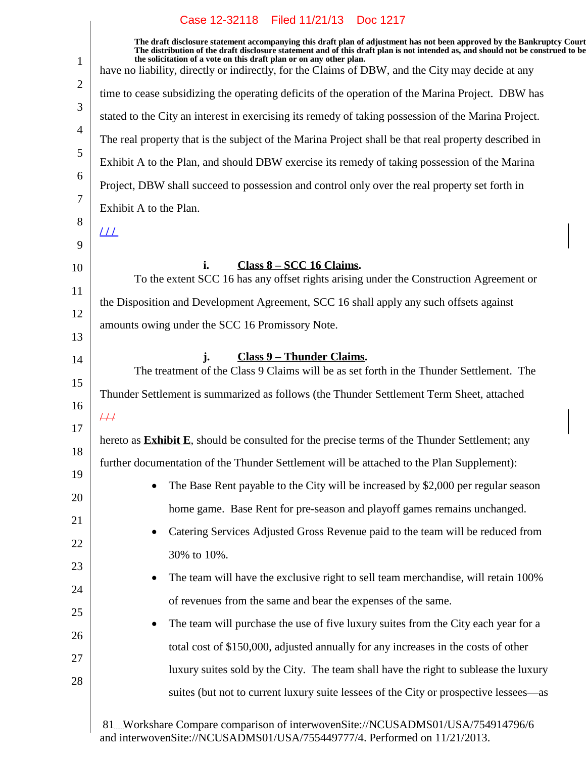$\overline{\phantom{a}}$ 

| $\mathbf{1}$   | The draft disclosure statement accompanying this draft plan of adjustment has not been approved by the Bankruptcy Court<br>The distribution of the draft disclosure statement and of this draft plan is not intended as, and should not be construed to be<br>the solicitation of a vote on this draft plan or on any other plan. |
|----------------|-----------------------------------------------------------------------------------------------------------------------------------------------------------------------------------------------------------------------------------------------------------------------------------------------------------------------------------|
| $\overline{2}$ | have no liability, directly or indirectly, for the Claims of DBW, and the City may decide at any                                                                                                                                                                                                                                  |
|                | time to cease subsidizing the operating deficits of the operation of the Marina Project. DBW has                                                                                                                                                                                                                                  |
| 3              | stated to the City an interest in exercising its remedy of taking possession of the Marina Project.                                                                                                                                                                                                                               |
| 4              | The real property that is the subject of the Marina Project shall be that real property described in                                                                                                                                                                                                                              |
| 5              | Exhibit A to the Plan, and should DBW exercise its remedy of taking possession of the Marina                                                                                                                                                                                                                                      |
| 6              | Project, DBW shall succeed to possession and control only over the real property set forth in                                                                                                                                                                                                                                     |
| 7              | Exhibit A to the Plan.                                                                                                                                                                                                                                                                                                            |
| 8              | <u> 11  </u>                                                                                                                                                                                                                                                                                                                      |
| 9              |                                                                                                                                                                                                                                                                                                                                   |
| 10             | Class 8 – SCC 16 Claims.<br>i.<br>To the extent SCC 16 has any offset rights arising under the Construction Agreement or                                                                                                                                                                                                          |
| 11             | the Disposition and Development Agreement, SCC 16 shall apply any such offsets against                                                                                                                                                                                                                                            |
| 12             | amounts owing under the SCC 16 Promissory Note.                                                                                                                                                                                                                                                                                   |
| 13             |                                                                                                                                                                                                                                                                                                                                   |
| 14             | <b>Class 9 - Thunder Claims.</b><br>j.<br>The treatment of the Class 9 Claims will be as set forth in the Thunder Settlement. The                                                                                                                                                                                                 |
| 15             |                                                                                                                                                                                                                                                                                                                                   |
| 16             | Thunder Settlement is summarized as follows (the Thunder Settlement Term Sheet, attached                                                                                                                                                                                                                                          |
| 17             | $\overline{+}\overline{+}\overline{+}$                                                                                                                                                                                                                                                                                            |
| 18             | hereto as <b>Exhibit E</b> , should be consulted for the precise terms of the Thunder Settlement; any                                                                                                                                                                                                                             |
| 19             | further documentation of the Thunder Settlement will be attached to the Plan Supplement):                                                                                                                                                                                                                                         |
| 20             | The Base Rent payable to the City will be increased by \$2,000 per regular season                                                                                                                                                                                                                                                 |
| 21             | home game. Base Rent for pre-season and playoff games remains unchanged.                                                                                                                                                                                                                                                          |
| 22             | Catering Services Adjusted Gross Revenue paid to the team will be reduced from                                                                                                                                                                                                                                                    |
| 23             | 30% to 10%.                                                                                                                                                                                                                                                                                                                       |
| 24             | The team will have the exclusive right to sell team merchandise, will retain 100%                                                                                                                                                                                                                                                 |
| 25             | of revenues from the same and bear the expenses of the same.                                                                                                                                                                                                                                                                      |
|                | The team will purchase the use of five luxury suites from the City each year for a                                                                                                                                                                                                                                                |
| 26             | total cost of \$150,000, adjusted annually for any increases in the costs of other                                                                                                                                                                                                                                                |
| 27             | luxury suites sold by the City. The team shall have the right to sublease the luxury                                                                                                                                                                                                                                              |
| 28             | suites (but not to current luxury suite lessees of the City or prospective lessees—as                                                                                                                                                                                                                                             |
|                |                                                                                                                                                                                                                                                                                                                                   |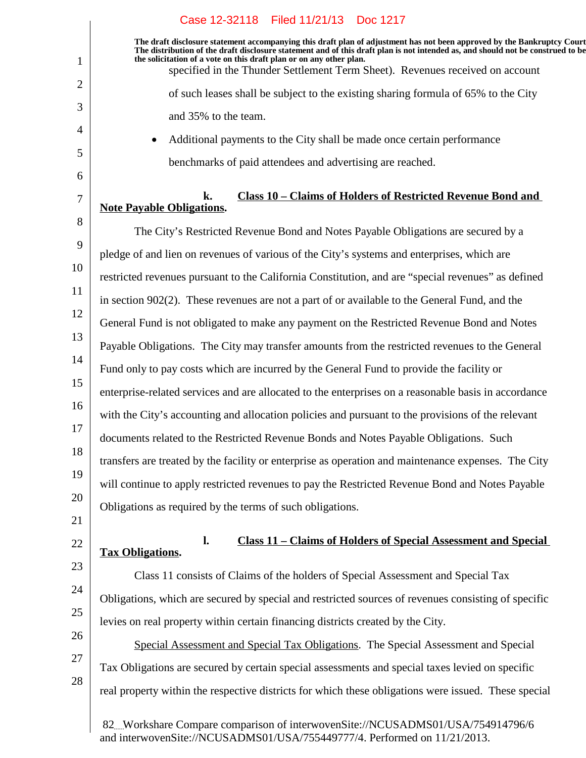|                | Case 12-32118 Filed 11/21/13 Doc 1217                                                                                                                                                                                                                                                                                             |
|----------------|-----------------------------------------------------------------------------------------------------------------------------------------------------------------------------------------------------------------------------------------------------------------------------------------------------------------------------------|
| $\mathbf{1}$   | The draft disclosure statement accompanying this draft plan of adjustment has not been approved by the Bankruptcy Court<br>The distribution of the draft disclosure statement and of this draft plan is not intended as, and should not be construed to be<br>the solicitation of a vote on this draft plan or on any other plan. |
| $\overline{2}$ | specified in the Thunder Settlement Term Sheet). Revenues received on account                                                                                                                                                                                                                                                     |
|                | of such leases shall be subject to the existing sharing formula of 65% to the City                                                                                                                                                                                                                                                |
| 3              | and 35% to the team.                                                                                                                                                                                                                                                                                                              |
| $\overline{4}$ | Additional payments to the City shall be made once certain performance<br>$\bullet$                                                                                                                                                                                                                                               |
| 5<br>6         | benchmarks of paid attendees and advertising are reached.                                                                                                                                                                                                                                                                         |
| 7              | Class 10 - Claims of Holders of Restricted Revenue Bond and<br>k.<br><b>Note Payable Obligations.</b>                                                                                                                                                                                                                             |
| 8              | The City's Restricted Revenue Bond and Notes Payable Obligations are secured by a                                                                                                                                                                                                                                                 |
| 9              | pledge of and lien on revenues of various of the City's systems and enterprises, which are                                                                                                                                                                                                                                        |
| 10             |                                                                                                                                                                                                                                                                                                                                   |
| 11             | restricted revenues pursuant to the California Constitution, and are "special revenues" as defined                                                                                                                                                                                                                                |
| 12             | in section 902(2). These revenues are not a part of or available to the General Fund, and the                                                                                                                                                                                                                                     |
| 13             | General Fund is not obligated to make any payment on the Restricted Revenue Bond and Notes                                                                                                                                                                                                                                        |
| 14             | Payable Obligations. The City may transfer amounts from the restricted revenues to the General                                                                                                                                                                                                                                    |
| 15             | Fund only to pay costs which are incurred by the General Fund to provide the facility or                                                                                                                                                                                                                                          |
| 16             | enterprise-related services and are allocated to the enterprises on a reasonable basis in accordance                                                                                                                                                                                                                              |
|                | with the City's accounting and allocation policies and pursuant to the provisions of the relevant                                                                                                                                                                                                                                 |
| 17             | documents related to the Restricted Revenue Bonds and Notes Payable Obligations. Such                                                                                                                                                                                                                                             |
| 18             | transfers are treated by the facility or enterprise as operation and maintenance expenses. The City                                                                                                                                                                                                                               |
| 19             | will continue to apply restricted revenues to pay the Restricted Revenue Bond and Notes Payable                                                                                                                                                                                                                                   |
| 20             | Obligations as required by the terms of such obligations.                                                                                                                                                                                                                                                                         |
| 21             |                                                                                                                                                                                                                                                                                                                                   |
| 22             | <b>Class 11 - Claims of Holders of Special Assessment and Special</b><br>$\mathbf{l}$ .<br><b>Tax Obligations.</b>                                                                                                                                                                                                                |
| 23             | Class 11 consists of Claims of the holders of Special Assessment and Special Tax                                                                                                                                                                                                                                                  |
| 24             | Obligations, which are secured by special and restricted sources of revenues consisting of specific                                                                                                                                                                                                                               |
| 25             | levies on real property within certain financing districts created by the City.                                                                                                                                                                                                                                                   |
| 26             |                                                                                                                                                                                                                                                                                                                                   |
| 27             | Special Assessment and Special Tax Obligations. The Special Assessment and Special                                                                                                                                                                                                                                                |
| 28             | Tax Obligations are secured by certain special assessments and special taxes levied on specific                                                                                                                                                                                                                                   |
|                | real property within the respective districts for which these obligations were issued. These special                                                                                                                                                                                                                              |
|                |                                                                                                                                                                                                                                                                                                                                   |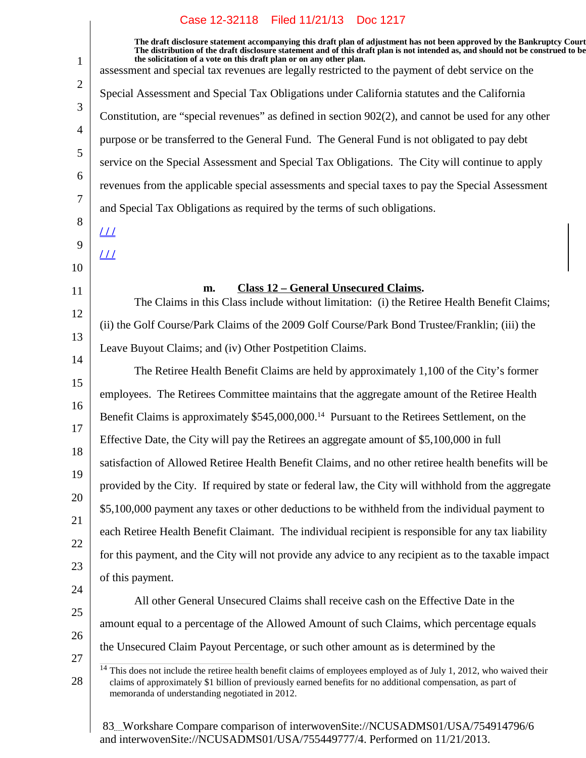| $\mathbf{1}$   | The draft disclosure statement accompanying this draft plan of adjustment has not been approved by the Bankruptcy Court<br>The distribution of the draft disclosure statement and of this draft plan is not intended as, and should not be construed to be<br>the solicitation of a vote on this draft plan or on any other plan.<br>assessment and special tax revenues are legally restricted to the payment of debt service on the |  |
|----------------|---------------------------------------------------------------------------------------------------------------------------------------------------------------------------------------------------------------------------------------------------------------------------------------------------------------------------------------------------------------------------------------------------------------------------------------|--|
| $\overline{2}$ | Special Assessment and Special Tax Obligations under California statutes and the California                                                                                                                                                                                                                                                                                                                                           |  |
| 3              | Constitution, are "special revenues" as defined in section 902(2), and cannot be used for any other                                                                                                                                                                                                                                                                                                                                   |  |
| $\overline{4}$ | purpose or be transferred to the General Fund. The General Fund is not obligated to pay debt                                                                                                                                                                                                                                                                                                                                          |  |
| 5              | service on the Special Assessment and Special Tax Obligations. The City will continue to apply                                                                                                                                                                                                                                                                                                                                        |  |
| 6              | revenues from the applicable special assessments and special taxes to pay the Special Assessment                                                                                                                                                                                                                                                                                                                                      |  |
| 7              | and Special Tax Obligations as required by the terms of such obligations.                                                                                                                                                                                                                                                                                                                                                             |  |
| 8              | $\perp\!\!\!\perp$                                                                                                                                                                                                                                                                                                                                                                                                                    |  |
| 9              | $L\!\!\!L\!\!\!L$                                                                                                                                                                                                                                                                                                                                                                                                                     |  |
| 10             |                                                                                                                                                                                                                                                                                                                                                                                                                                       |  |
| 11             | <b>Class 12 - General Unsecured Claims.</b><br>m.<br>The Claims in this Class include without limitation: (i) the Retiree Health Benefit Claims;                                                                                                                                                                                                                                                                                      |  |
| 12<br>13       | (ii) the Golf Course/Park Claims of the 2009 Golf Course/Park Bond Trustee/Franklin; (iii) the                                                                                                                                                                                                                                                                                                                                        |  |
|                | Leave Buyout Claims; and (iv) Other Postpetition Claims.                                                                                                                                                                                                                                                                                                                                                                              |  |
| 14             | The Retiree Health Benefit Claims are held by approximately 1,100 of the City's former                                                                                                                                                                                                                                                                                                                                                |  |
| 15             | employees. The Retirees Committee maintains that the aggregate amount of the Retiree Health                                                                                                                                                                                                                                                                                                                                           |  |
| 16<br>17       | Benefit Claims is approximately \$545,000,000. <sup>14</sup> Pursuant to the Retirees Settlement, on the                                                                                                                                                                                                                                                                                                                              |  |
| 18             | Effective Date, the City will pay the Retirees an aggregate amount of \$5,100,000 in full                                                                                                                                                                                                                                                                                                                                             |  |
| 19             | satisfaction of Allowed Retiree Health Benefit Claims, and no other retiree health benefits will be                                                                                                                                                                                                                                                                                                                                   |  |
| 20             | provided by the City. If required by state or federal law, the City will withhold from the aggregate                                                                                                                                                                                                                                                                                                                                  |  |
| 21             | \$5,100,000 payment any taxes or other deductions to be withheld from the individual payment to                                                                                                                                                                                                                                                                                                                                       |  |
| 22             | each Retiree Health Benefit Claimant. The individual recipient is responsible for any tax liability                                                                                                                                                                                                                                                                                                                                   |  |
|                | for this payment, and the City will not provide any advice to any recipient as to the taxable impact                                                                                                                                                                                                                                                                                                                                  |  |
| 23<br>24       | of this payment.                                                                                                                                                                                                                                                                                                                                                                                                                      |  |
| 25             | All other General Unsecured Claims shall receive cash on the Effective Date in the                                                                                                                                                                                                                                                                                                                                                    |  |
|                | amount equal to a percentage of the Allowed Amount of such Claims, which percentage equals                                                                                                                                                                                                                                                                                                                                            |  |
| 26<br>27       | the Unsecured Claim Payout Percentage, or such other amount as is determined by the                                                                                                                                                                                                                                                                                                                                                   |  |
| 28             | $14$ This does not include the retiree health benefit claims of employees employed as of July 1, 2012, who waived their<br>claims of approximately \$1 billion of previously earned benefits for no additional compensation, as part of<br>memoranda of understanding negotiated in 2012.                                                                                                                                             |  |
|                |                                                                                                                                                                                                                                                                                                                                                                                                                                       |  |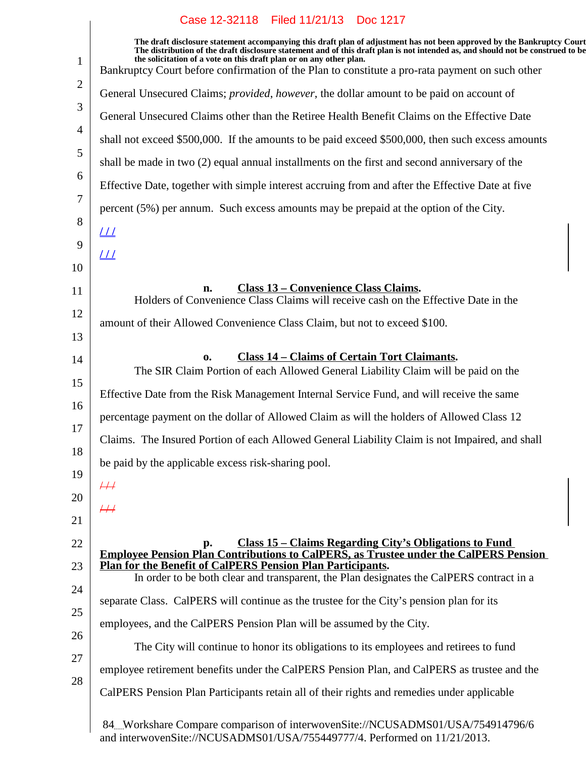$\overline{\phantom{a}}$ 

| The draft disclosure statement accompanying this draft plan of adjustment has not been approved by the Bankruptcy Court<br>The distribution of the draft disclosure statement and of this draft plan is not intended as, and should not be construed to be<br>the solicitation of a vote on this draft plan or on any other plan. |
|-----------------------------------------------------------------------------------------------------------------------------------------------------------------------------------------------------------------------------------------------------------------------------------------------------------------------------------|
| Bankruptcy Court before confirmation of the Plan to constitute a pro-rata payment on such other                                                                                                                                                                                                                                   |
| General Unsecured Claims; provided, however, the dollar amount to be paid on account of                                                                                                                                                                                                                                           |
| General Unsecured Claims other than the Retiree Health Benefit Claims on the Effective Date                                                                                                                                                                                                                                       |
| shall not exceed \$500,000. If the amounts to be paid exceed \$500,000, then such excess amounts                                                                                                                                                                                                                                  |
| shall be made in two (2) equal annual installments on the first and second anniversary of the                                                                                                                                                                                                                                     |
| Effective Date, together with simple interest accruing from and after the Effective Date at five                                                                                                                                                                                                                                  |
| percent (5%) per annum. Such excess amounts may be prepaid at the option of the City.                                                                                                                                                                                                                                             |
| <u> 11</u>                                                                                                                                                                                                                                                                                                                        |
| <u> 11</u>                                                                                                                                                                                                                                                                                                                        |
|                                                                                                                                                                                                                                                                                                                                   |
| <b>Class 13 - Convenience Class Claims.</b><br>n.<br>Holders of Convenience Class Claims will receive cash on the Effective Date in the                                                                                                                                                                                           |
| amount of their Allowed Convenience Class Claim, but not to exceed \$100.                                                                                                                                                                                                                                                         |
|                                                                                                                                                                                                                                                                                                                                   |
| <b>Class 14 - Claims of Certain Tort Claimants.</b><br>$\mathbf{0}$<br>The SIR Claim Portion of each Allowed General Liability Claim will be paid on the                                                                                                                                                                          |
| Effective Date from the Risk Management Internal Service Fund, and will receive the same                                                                                                                                                                                                                                          |
| percentage payment on the dollar of Allowed Claim as will the holders of Allowed Class 12                                                                                                                                                                                                                                         |
| Claims. The Insured Portion of each Allowed General Liability Claim is not Impaired, and shall                                                                                                                                                                                                                                    |
| be paid by the applicable excess risk-sharing pool.                                                                                                                                                                                                                                                                               |
| ₩                                                                                                                                                                                                                                                                                                                                 |
| $\overline{+}\overline{+}\overline{+}$                                                                                                                                                                                                                                                                                            |
|                                                                                                                                                                                                                                                                                                                                   |
| <u>Class 15 – Claims Regarding City's Obligations to Fund</u><br>p.<br><b>Employee Pension Plan Contributions to CalPERS, as Trustee under the CalPERS Pension</b>                                                                                                                                                                |
| <b>Plan for the Benefit of CalPERS Pension Plan Participants.</b><br>In order to be both clear and transparent, the Plan designates the CalPERS contract in a                                                                                                                                                                     |
|                                                                                                                                                                                                                                                                                                                                   |
| separate Class. CalPERS will continue as the trustee for the City's pension plan for its                                                                                                                                                                                                                                          |
| employees, and the CalPERS Pension Plan will be assumed by the City.                                                                                                                                                                                                                                                              |
| The City will continue to honor its obligations to its employees and retirees to fund                                                                                                                                                                                                                                             |
| employee retirement benefits under the CalPERS Pension Plan, and CalPERS as trustee and the                                                                                                                                                                                                                                       |
| CalPERS Pension Plan Participants retain all of their rights and remedies under applicable                                                                                                                                                                                                                                        |
| 84. Workshare Compare comparison of interwovenSite://NCUSADMS01/USA/754914796/6                                                                                                                                                                                                                                                   |
|                                                                                                                                                                                                                                                                                                                                   |

and interwovenSite://NCUSADMS01/USA/755449777/4. Performed on 11/21/2013.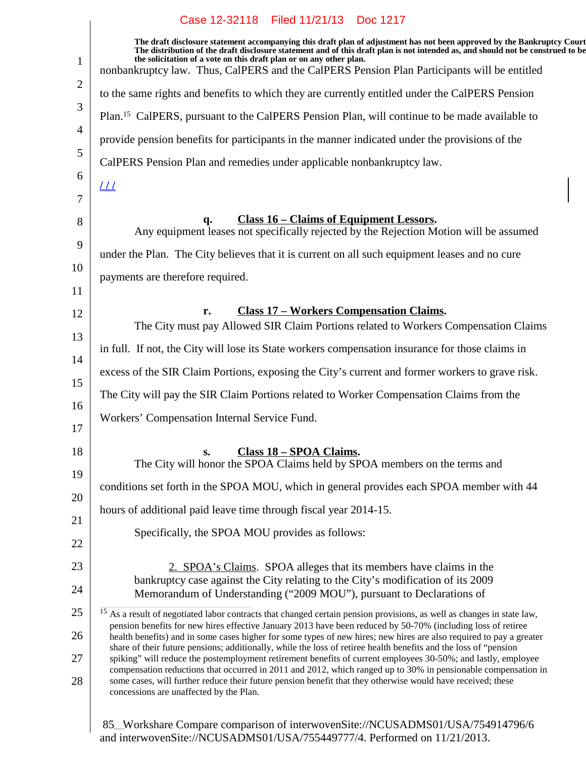|                | Case 12-32118    Filed 11/21/13    Doc 1217                                                                                                                                                                                                                                                                                                                                                                                      |
|----------------|----------------------------------------------------------------------------------------------------------------------------------------------------------------------------------------------------------------------------------------------------------------------------------------------------------------------------------------------------------------------------------------------------------------------------------|
| $\mathbf{1}$   | The draft disclosure statement accompanying this draft plan of adjustment has not been approved by the Bankruptcy Court<br>The distribution of the draft disclosure statement and of this draft plan is not intended as, and should not be construed to be<br>the solicitation of a vote on this draft plan or on any other plan.<br>nonbankruptcy law. Thus, CalPERS and the CalPERS Pension Plan Participants will be entitled |
| $\overline{2}$ | to the same rights and benefits to which they are currently entitled under the CalPERS Pension                                                                                                                                                                                                                                                                                                                                   |
| 3              |                                                                                                                                                                                                                                                                                                                                                                                                                                  |
| 4              | Plan. <sup>15</sup> CalPERS, pursuant to the CalPERS Pension Plan, will continue to be made available to                                                                                                                                                                                                                                                                                                                         |
| 5              | provide pension benefits for participants in the manner indicated under the provisions of the                                                                                                                                                                                                                                                                                                                                    |
| 6              | CalPERS Pension Plan and remedies under applicable nonbankruptcy law.                                                                                                                                                                                                                                                                                                                                                            |
| 7              | $_{LL}$                                                                                                                                                                                                                                                                                                                                                                                                                          |
| 8              | <u>Class 16 – Claims of Equipment Lessors.</u><br>q.<br>Any equipment leases not specifically rejected by the Rejection Motion will be assumed                                                                                                                                                                                                                                                                                   |
| 9              | under the Plan. The City believes that it is current on all such equipment leases and no cure                                                                                                                                                                                                                                                                                                                                    |
| 10             | payments are therefore required.                                                                                                                                                                                                                                                                                                                                                                                                 |
| 11             |                                                                                                                                                                                                                                                                                                                                                                                                                                  |
| 12             | <b>Class 17 - Workers Compensation Claims.</b><br>r.<br>The City must pay Allowed SIR Claim Portions related to Workers Compensation Claims                                                                                                                                                                                                                                                                                      |
| 13             | in full. If not, the City will lose its State workers compensation insurance for those claims in                                                                                                                                                                                                                                                                                                                                 |
| 14             | excess of the SIR Claim Portions, exposing the City's current and former workers to grave risk.                                                                                                                                                                                                                                                                                                                                  |
| 15             | The City will pay the SIR Claim Portions related to Worker Compensation Claims from the                                                                                                                                                                                                                                                                                                                                          |
| 16             | Workers' Compensation Internal Service Fund.                                                                                                                                                                                                                                                                                                                                                                                     |
| 17             |                                                                                                                                                                                                                                                                                                                                                                                                                                  |
| 18<br>19       | Class 18 - SPOA Claims.<br>$S_{\bullet}$<br>The City will honor the SPOA Claims held by SPOA members on the terms and                                                                                                                                                                                                                                                                                                            |
| 20             | conditions set forth in the SPOA MOU, which in general provides each SPOA member with 44                                                                                                                                                                                                                                                                                                                                         |
| 21             | hours of additional paid leave time through fiscal year 2014-15.                                                                                                                                                                                                                                                                                                                                                                 |
| 22             | Specifically, the SPOA MOU provides as follows:                                                                                                                                                                                                                                                                                                                                                                                  |
| 23             | 2. SPOA's Claims. SPOA alleges that its members have claims in the                                                                                                                                                                                                                                                                                                                                                               |
| 24             | bankruptcy case against the City relating to the City's modification of its 2009<br>Memorandum of Understanding ("2009 MOU"), pursuant to Declarations of                                                                                                                                                                                                                                                                        |
| 25             | <sup>15</sup> As a result of negotiated labor contracts that changed certain pension provisions, as well as changes in state law,                                                                                                                                                                                                                                                                                                |
| 26             | pension benefits for new hires effective January 2013 have been reduced by 50-70% (including loss of retiree<br>health benefits) and in some cases higher for some types of new hires; new hires are also required to pay a greater                                                                                                                                                                                              |
| 27             | share of their future pensions; additionally, while the loss of retiree health benefits and the loss of "pension<br>spiking" will reduce the postemployment retirement benefits of current employees 30-50%; and lastly, employee                                                                                                                                                                                                |
| 28             | compensation reductions that occurred in 2011 and 2012, which ranged up to 30% in pensionable compensation in<br>some cases, will further reduce their future pension benefit that they otherwise would have received; these<br>concessions are unaffected by the Plan.                                                                                                                                                          |
|                |                                                                                                                                                                                                                                                                                                                                                                                                                                  |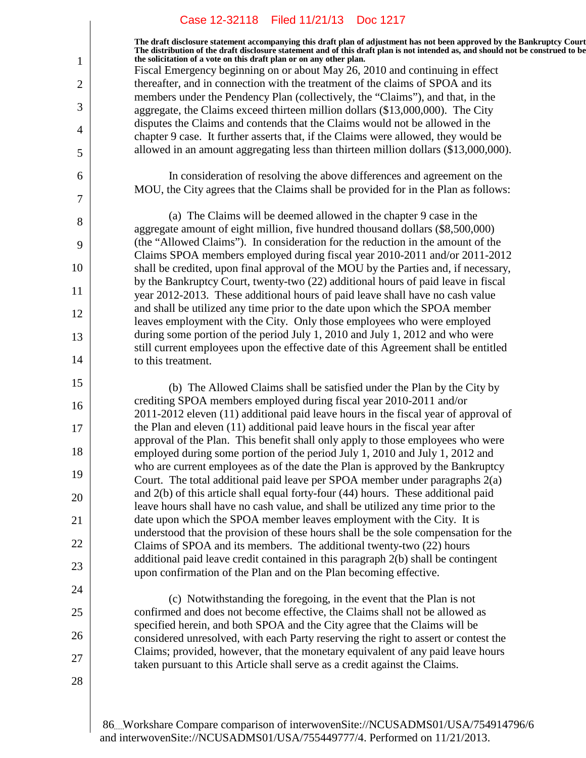**The draft disclosure statement accompanying this draft plan of adjustment has not been approved by the Bankruptcy Court. The distribution of the draft disclosure statement and of this draft plan is not intended as, and should not be construed to be, the solicitation of a vote on this draft plan or on any other plan.**

Fiscal Emergency beginning on or about May 26, 2010 and continuing in effect thereafter, and in connection with the treatment of the claims of SPOA and its members under the Pendency Plan (collectively, the "Claims"), and that, in the aggregate, the Claims exceed thirteen million dollars (\$13,000,000). The City disputes the Claims and contends that the Claims would not be allowed in the chapter 9 case. It further asserts that, if the Claims were allowed, they would be allowed in an amount aggregating less than thirteen million dollars (\$13,000,000).

In consideration of resolving the above differences and agreement on the MOU, the City agrees that the Claims shall be provided for in the Plan as follows:

(a) The Claims will be deemed allowed in the chapter 9 case in the aggregate amount of eight million, five hundred thousand dollars (\$8,500,000) (the "Allowed Claims"). In consideration for the reduction in the amount of the Claims SPOA members employed during fiscal year 2010-2011 and/or 2011-2012 shall be credited, upon final approval of the MOU by the Parties and, if necessary, by the Bankruptcy Court, twenty-two (22) additional hours of paid leave in fiscal year 2012-2013. These additional hours of paid leave shall have no cash value and shall be utilized any time prior to the date upon which the SPOA member leaves employment with the City. Only those employees who were employed during some portion of the period July 1, 2010 and July 1, 2012 and who were still current employees upon the effective date of this Agreement shall be entitled to this treatment.

(b) The Allowed Claims shall be satisfied under the Plan by the City by crediting SPOA members employed during fiscal year 2010-2011 and/or 2011-2012 eleven (11) additional paid leave hours in the fiscal year of approval of the Plan and eleven (11) additional paid leave hours in the fiscal year after approval of the Plan. This benefit shall only apply to those employees who were employed during some portion of the period July 1, 2010 and July 1, 2012 and who are current employees as of the date the Plan is approved by the Bankruptcy Court. The total additional paid leave per SPOA member under paragraphs 2(a) and 2(b) of this article shall equal forty-four (44) hours. These additional paid leave hours shall have no cash value, and shall be utilized any time prior to the date upon which the SPOA member leaves employment with the City. It is understood that the provision of these hours shall be the sole compensation for the Claims of SPOA and its members. The additional twenty-two (22) hours additional paid leave credit contained in this paragraph 2(b) shall be contingent upon confirmation of the Plan and on the Plan becoming effective.

(c) Notwithstanding the foregoing, in the event that the Plan is not confirmed and does not become effective, the Claims shall not be allowed as specified herein, and both SPOA and the City agree that the Claims will be considered unresolved, with each Party reserving the right to assert or contest the Claims; provided, however, that the monetary equivalent of any paid leave hours taken pursuant to this Article shall serve as a credit against the Claims.

28

1

2

3

4

5

6

7

8

9

10

11

12

13

14

15

16

17

18

19

20

21

22

23

24

25

26

27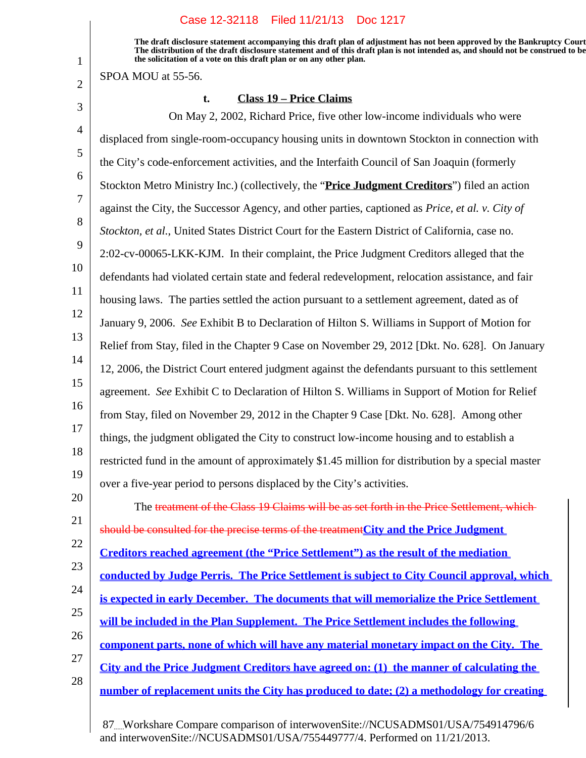**The draft disclosure statement accompanying this draft plan of adjustment has not been approved by the Bankruptcy Court. The distribution of the draft disclosure statement and of this draft plan is not intended as, and should not be construed to be, the solicitation of a vote on this draft plan or on any other plan.**

SPOA MOU at 55-56.

1

2

20

## **t. Class 19 – Price Claims**

3 4 5 6 7 8 9 10 11 12 13 14 15 16 17 18 19 On May 2, 2002, Richard Price, five other low-income individuals who were displaced from single-room-occupancy housing units in downtown Stockton in connection with the City's code-enforcement activities, and the Interfaith Council of San Joaquin (formerly Stockton Metro Ministry Inc.) (collectively, the "**Price Judgment Creditors**") filed an action against the City, the Successor Agency, and other parties, captioned as *Price, et al. v. City of Stockton, et al.*, United States District Court for the Eastern District of California, case no. 2:02-cv-00065-LKK-KJM. In their complaint, the Price Judgment Creditors alleged that the defendants had violated certain state and federal redevelopment, relocation assistance, and fair housing laws. The parties settled the action pursuant to a settlement agreement, dated as of January 9, 2006. *See* Exhibit B to Declaration of Hilton S. Williams in Support of Motion for Relief from Stay, filed in the Chapter 9 Case on November 29, 2012 [Dkt. No. 628]. On January 12, 2006, the District Court entered judgment against the defendants pursuant to this settlement agreement. *See* Exhibit C to Declaration of Hilton S. Williams in Support of Motion for Relief from Stay, filed on November 29, 2012 in the Chapter 9 Case [Dkt. No. 628]. Among other things, the judgment obligated the City to construct low-income housing and to establish a restricted fund in the amount of approximately \$1.45 million for distribution by a special master over a five-year period to persons displaced by the City's activities.

21 22 23 24 25 26 27 28 The treatment of the Class 19 Claims will be as set forth in the Price Settlement, which should be consulted for the precise terms of the treatment**City and the Price Judgment Creditors reached agreement (the "Price Settlement") as the result of the mediation conducted by Judge Perris. The Price Settlement is subject to City Council approval, which is expected in early December. The documents that will memorialize the Price Settlement will be included in the Plan Supplement. The Price Settlement includes the following component parts, none of which will have any material monetary impact on the City. The City and the Price Judgment Creditors have agreed on: (1) the manner of calculating the number of replacement units the City has produced to date; (2) a methodology for creating**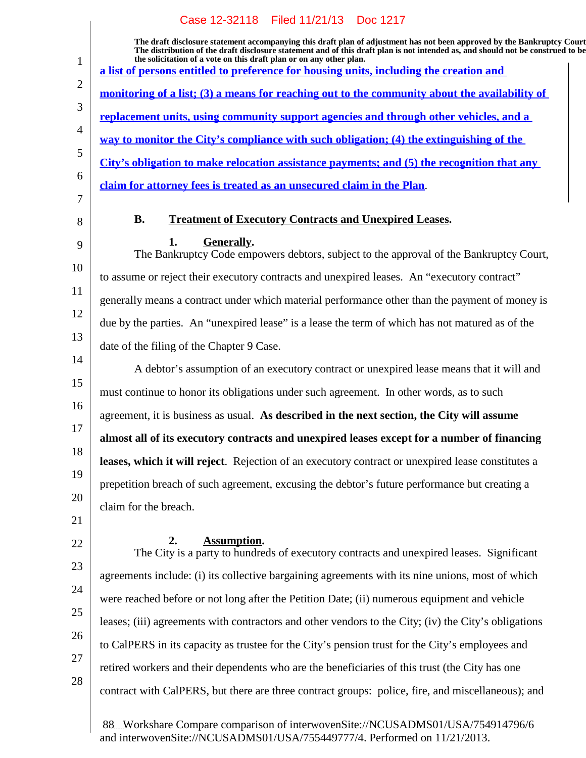|                | Case 12-32118    Filed 11/21/13    Doc 1217                                                                                                                                                                                                                                                                                                                                                                                 |
|----------------|-----------------------------------------------------------------------------------------------------------------------------------------------------------------------------------------------------------------------------------------------------------------------------------------------------------------------------------------------------------------------------------------------------------------------------|
| $\mathbf{1}$   | The draft disclosure statement accompanying this draft plan of adjustment has not been approved by the Bankruptcy Court<br>The distribution of the draft disclosure statement and of this draft plan is not intended as, and should not be construed to be<br>the solicitation of a vote on this draft plan or on any other plan.<br>a list of persons entitled to preference for housing units, including the creation and |
| $\overline{2}$ | <u>monitoring of a list; (3) a means for reaching out to the community about the availability of</u>                                                                                                                                                                                                                                                                                                                        |
| 3              | replacement units, using community support agencies and through other vehicles, and a                                                                                                                                                                                                                                                                                                                                       |
| $\overline{4}$ | way to monitor the City's compliance with such obligation; (4) the extinguishing of the                                                                                                                                                                                                                                                                                                                                     |
| 5              | City's obligation to make relocation assistance payments; and (5) the recognition that any                                                                                                                                                                                                                                                                                                                                  |
| 6<br>7         | claim for attorney fees is treated as an unsecured claim in the Plan.                                                                                                                                                                                                                                                                                                                                                       |
| 8              | <b>B.</b><br><b>Treatment of Executory Contracts and Unexpired Leases.</b>                                                                                                                                                                                                                                                                                                                                                  |
| 9              | 1.<br>Generally.<br>The Bankruptcy Code empowers debtors, subject to the approval of the Bankruptcy Court,                                                                                                                                                                                                                                                                                                                  |
| 10             | to assume or reject their executory contracts and unexpired leases. An "executory contract"                                                                                                                                                                                                                                                                                                                                 |
| 11             | generally means a contract under which material performance other than the payment of money is                                                                                                                                                                                                                                                                                                                              |
| 12             | due by the parties. An "unexpired lease" is a lease the term of which has not matured as of the                                                                                                                                                                                                                                                                                                                             |
| 13             | date of the filing of the Chapter 9 Case.                                                                                                                                                                                                                                                                                                                                                                                   |
| 14             | A debtor's assumption of an executory contract or unexpired lease means that it will and                                                                                                                                                                                                                                                                                                                                    |
| 15             | must continue to honor its obligations under such agreement. In other words, as to such                                                                                                                                                                                                                                                                                                                                     |
| 16<br>17       | agreement, it is business as usual. As described in the next section, the City will assume                                                                                                                                                                                                                                                                                                                                  |
| 18             | almost all of its executory contracts and unexpired leases except for a number of financing                                                                                                                                                                                                                                                                                                                                 |
| 19             | leases, which it will reject. Rejection of an executory contract or unexpired lease constitutes a                                                                                                                                                                                                                                                                                                                           |
| 20             | prepetition breach of such agreement, excusing the debtor's future performance but creating a                                                                                                                                                                                                                                                                                                                               |
| 21             | claim for the breach.                                                                                                                                                                                                                                                                                                                                                                                                       |
| 22             | <b>Assumption.</b><br>2.<br>The City is a party to hundreds of executory contracts and unexpired leases. Significant                                                                                                                                                                                                                                                                                                        |
| 23             | agreements include: (i) its collective bargaining agreements with its nine unions, most of which                                                                                                                                                                                                                                                                                                                            |
| 24             | were reached before or not long after the Petition Date; (ii) numerous equipment and vehicle                                                                                                                                                                                                                                                                                                                                |
| 25             | leases; (iii) agreements with contractors and other vendors to the City; (iv) the City's obligations                                                                                                                                                                                                                                                                                                                        |
| 26             | to CalPERS in its capacity as trustee for the City's pension trust for the City's employees and                                                                                                                                                                                                                                                                                                                             |
| 27             | retired workers and their dependents who are the beneficiaries of this trust (the City has one                                                                                                                                                                                                                                                                                                                              |
| 28             | contract with CalPERS, but there are three contract groups: police, fire, and miscellaneous); and                                                                                                                                                                                                                                                                                                                           |
|                |                                                                                                                                                                                                                                                                                                                                                                                                                             |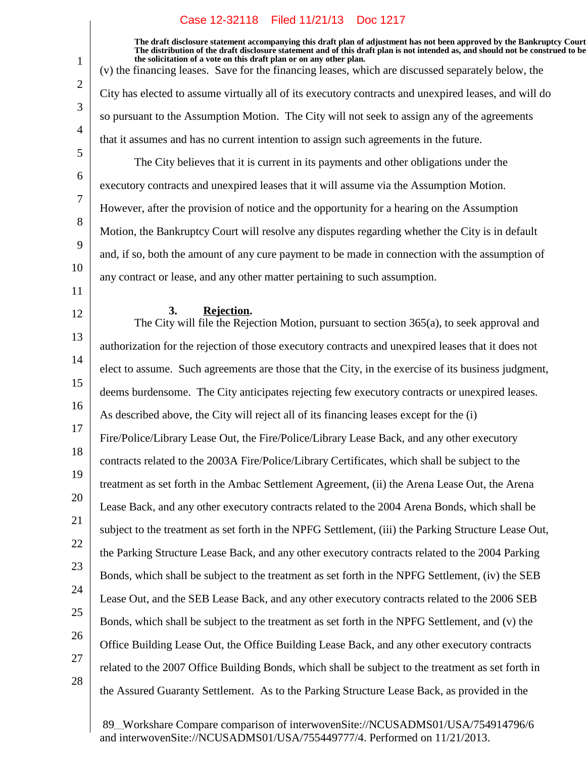**The draft disclosure statement accompanying this draft plan of adjustment has not been approved by the Bankruptcy Court. The distribution of the draft disclosure statement and of this draft plan is not intended as, and should not be construed to be, the solicitation of a vote on this draft plan or on any other plan.**

(v) the financing leases. Save for the financing leases, which are discussed separately below, the City has elected to assume virtually all of its executory contracts and unexpired leases, and will do so pursuant to the Assumption Motion. The City will not seek to assign any of the agreements that it assumes and has no current intention to assign such agreements in the future. The City believes that it is current in its payments and other obligations under the

executory contracts and unexpired leases that it will assume via the Assumption Motion. However, after the provision of notice and the opportunity for a hearing on the Assumption Motion, the Bankruptcy Court will resolve any disputes regarding whether the City is in default and, if so, both the amount of any cure payment to be made in connection with the assumption of any contract or lease, and any other matter pertaining to such assumption.

11

1

2

3

4

5

6

7

8

9

10

# 12

#### **Rejection.3.**

13 14 15 16 17 18 19 20 21 22 23 24 25 26 27 The City will file the Rejection Motion, pursuant to section 365(a), to seek approval and authorization for the rejection of those executory contracts and unexpired leases that it does not elect to assume. Such agreements are those that the City, in the exercise of its business judgment, deems burdensome. The City anticipates rejecting few executory contracts or unexpired leases. As described above, the City will reject all of its financing leases except for the (i) Fire/Police/Library Lease Out, the Fire/Police/Library Lease Back, and any other executory contracts related to the 2003A Fire/Police/Library Certificates, which shall be subject to the treatment as set forth in the Ambac Settlement Agreement, (ii) the Arena Lease Out, the Arena Lease Back, and any other executory contracts related to the 2004 Arena Bonds, which shall be subject to the treatment as set forth in the NPFG Settlement, (iii) the Parking Structure Lease Out, the Parking Structure Lease Back, and any other executory contracts related to the 2004 Parking Bonds, which shall be subject to the treatment as set forth in the NPFG Settlement, (iv) the SEB Lease Out, and the SEB Lease Back, and any other executory contracts related to the 2006 SEB Bonds, which shall be subject to the treatment as set forth in the NPFG Settlement, and (v) the Office Building Lease Out, the Office Building Lease Back, and any other executory contracts related to the 2007 Office Building Bonds, which shall be subject to the treatment as set forth in the Assured Guaranty Settlement. As to the Parking Structure Lease Back, as provided in the

28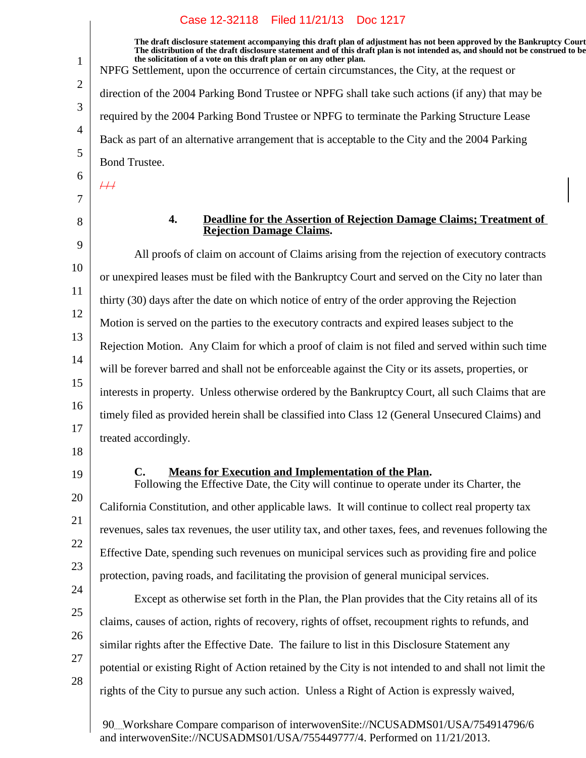**The draft disclosure statement accompanying this draft plan of adjustment has not been approved by the Bankruptcy Court. The distribution of the draft disclosure statement and of this draft plan is not intended as, and should not be construed to be, the solicitation of a vote on this draft plan or on any other plan.** NPFG Settlement, upon the occurrence of certain circumstances, the City, at the request or direction of the 2004 Parking Bond Trustee or NPFG shall take such actions (if any) that may be required by the 2004 Parking Bond Trustee or NPFG to terminate the Parking Structure Lease Back as part of an alternative arrangement that is acceptable to the City and the 2004 Parking Bond Trustee.  $#$ 

7

1

2

3

4

5

6

8

#### **4. Deadline for the Assertion of Rejection Damage Claims; Treatment of Rejection Damage Claims.**

9 10 11 12 13 14 15 16 17 All proofs of claim on account of Claims arising from the rejection of executory contracts or unexpired leases must be filed with the Bankruptcy Court and served on the City no later than thirty (30) days after the date on which notice of entry of the order approving the Rejection Motion is served on the parties to the executory contracts and expired leases subject to the Rejection Motion. Any Claim for which a proof of claim is not filed and served within such time will be forever barred and shall not be enforceable against the City or its assets, properties, or interests in property. Unless otherwise ordered by the Bankruptcy Court, all such Claims that are timely filed as provided herein shall be classified into Class 12 (General Unsecured Claims) and treated accordingly.

- 18
- 19

20

21

22

23

# **C.** Means for Execution and Implementation of the Plan.

Following the Effective Date, the City will continue to operate under its Charter, the California Constitution, and other applicable laws. It will continue to collect real property tax revenues, sales tax revenues, the user utility tax, and other taxes, fees, and revenues following the Effective Date, spending such revenues on municipal services such as providing fire and police protection, paving roads, and facilitating the provision of general municipal services.

24 25 26 27 28 Except as otherwise set forth in the Plan, the Plan provides that the City retains all of its claims, causes of action, rights of recovery, rights of offset, recoupment rights to refunds, and similar rights after the Effective Date. The failure to list in this Disclosure Statement any potential or existing Right of Action retained by the City is not intended to and shall not limit the rights of the City to pursue any such action. Unless a Right of Action is expressly waived,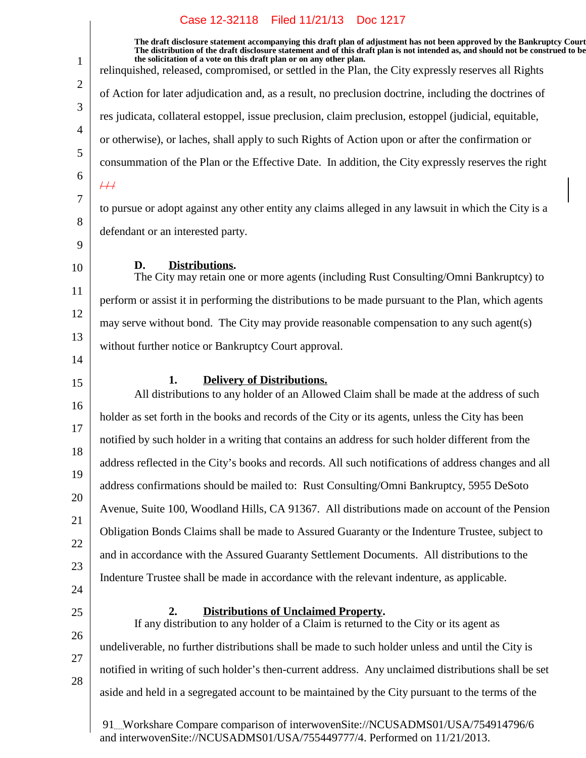|    | Case IZ-32110 FIEU II/21/13 DOC IZI7                                                                                                                                                                                                                                                                                                                                                                                                     |
|----|------------------------------------------------------------------------------------------------------------------------------------------------------------------------------------------------------------------------------------------------------------------------------------------------------------------------------------------------------------------------------------------------------------------------------------------|
| 1  | The draft disclosure statement accompanying this draft plan of adjustment has not been approved by the Bankruptcy Court<br>The distribution of the draft disclosure statement and of this draft plan is not intended as, and should not be construed to be<br>the solicitation of a vote on this draft plan or on any other plan.<br>relinquished, released, compromised, or settled in the Plan, the City expressly reserves all Rights |
| 2  | of Action for later adjudication and, as a result, no preclusion doctrine, including the doctrines of                                                                                                                                                                                                                                                                                                                                    |
| 3  | res judicata, collateral estoppel, issue preclusion, claim preclusion, estoppel (judicial, equitable,                                                                                                                                                                                                                                                                                                                                    |
| 4  | or otherwise), or laches, shall apply to such Rights of Action upon or after the confirmation or                                                                                                                                                                                                                                                                                                                                         |
| 5  | consummation of the Plan or the Effective Date. In addition, the City expressly reserves the right                                                                                                                                                                                                                                                                                                                                       |
| 6  | #                                                                                                                                                                                                                                                                                                                                                                                                                                        |
| 7  | to pursue or adopt against any other entity any claims alleged in any lawsuit in which the City is a                                                                                                                                                                                                                                                                                                                                     |
| 8  | defendant or an interested party.                                                                                                                                                                                                                                                                                                                                                                                                        |
| 9  |                                                                                                                                                                                                                                                                                                                                                                                                                                          |
| 10 | Distributions.<br>D.<br>The City may retain one or more agents (including Rust Consulting/Omni Bankruptcy) to                                                                                                                                                                                                                                                                                                                            |
| 11 | perform or assist it in performing the distributions to be made pursuant to the Plan, which agents                                                                                                                                                                                                                                                                                                                                       |
| 12 | may serve without bond. The City may provide reasonable compensation to any such agent(s)                                                                                                                                                                                                                                                                                                                                                |
| 13 | without further notice or Bankruptcy Court approval.                                                                                                                                                                                                                                                                                                                                                                                     |
| 14 |                                                                                                                                                                                                                                                                                                                                                                                                                                          |
| 15 | 1.<br><b>Delivery of Distributions.</b><br>All distributions to any holder of an Allowed Claim shall be made at the address of such                                                                                                                                                                                                                                                                                                      |
| 16 | holder as set forth in the books and records of the City or its agents, unless the City has been                                                                                                                                                                                                                                                                                                                                         |
| 17 | notified by such holder in a writing that contains an address for such holder different from the                                                                                                                                                                                                                                                                                                                                         |
| 18 | address reflected in the City's books and records. All such notifications of address changes and all                                                                                                                                                                                                                                                                                                                                     |
| 19 | address confirmations should be mailed to: Rust Consulting/Omni Bankruptcy, 5955 DeSoto                                                                                                                                                                                                                                                                                                                                                  |
| 20 | Avenue, Suite 100, Woodland Hills, CA 91367. All distributions made on account of the Pension                                                                                                                                                                                                                                                                                                                                            |
| 21 | Obligation Bonds Claims shall be made to Assured Guaranty or the Indenture Trustee, subject to                                                                                                                                                                                                                                                                                                                                           |
| 22 | and in accordance with the Assured Guaranty Settlement Documents. All distributions to the                                                                                                                                                                                                                                                                                                                                               |
| 23 | Indenture Trustee shall be made in accordance with the relevant indenture, as applicable.                                                                                                                                                                                                                                                                                                                                                |
| 24 |                                                                                                                                                                                                                                                                                                                                                                                                                                          |
| 25 | <b>Distributions of Unclaimed Property.</b><br>2.<br>If any distribution to any holder of a Claim is returned to the City or its agent as                                                                                                                                                                                                                                                                                                |
| 26 | undeliverable, no further distributions shall be made to such holder unless and until the City is                                                                                                                                                                                                                                                                                                                                        |
| 27 | notified in writing of such holder's then-current address. Any unclaimed distributions shall be set                                                                                                                                                                                                                                                                                                                                      |
| 28 | aside and held in a segregated account to be maintained by the City pursuant to the terms of the                                                                                                                                                                                                                                                                                                                                         |
|    | 91. Workshare Compare comparison of interwovenSite://NCUSADMS01/USA/754914796/6<br>and interwovenSite://NCUSADMS01/USA/755449777/4. Performed on 11/21/2013.                                                                                                                                                                                                                                                                             |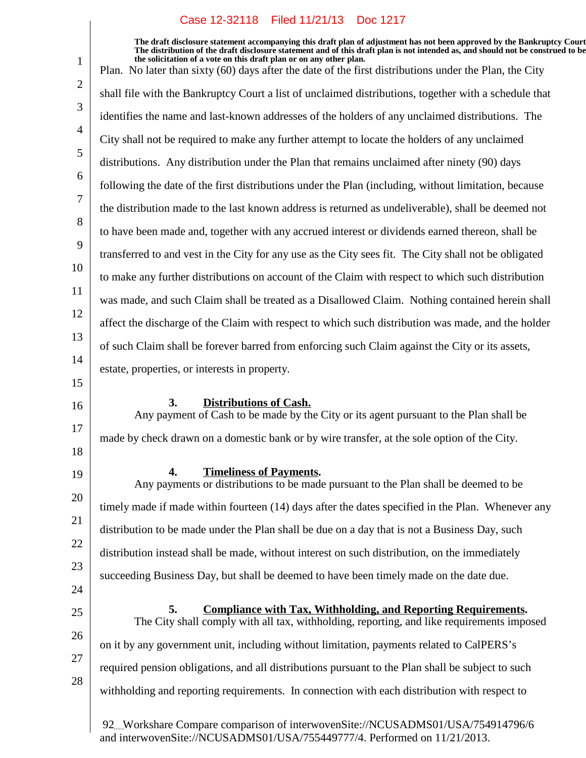**The draft disclosure statement accompanying this draft plan of adjustment has not been approved by the Bankruptcy Court. The distribution of the draft disclosure statement and of this draft plan is not intended as, and should not be construed to be, the solicitation of a vote on this draft plan or on any other plan.**

1 2 3 4 5 6 7 8 9 10 11 12 13 14 15 16 17 18 19 20 21 22 23 24 25 26 27 28 92 Workshare Compare comparison of interwovenSite://NCUSADMS01/USA/754914796/6 Plan. No later than sixty (60) days after the date of the first distributions under the Plan, the City shall file with the Bankruptcy Court a list of unclaimed distributions, together with a schedule that identifies the name and last-known addresses of the holders of any unclaimed distributions. The City shall not be required to make any further attempt to locate the holders of any unclaimed distributions. Any distribution under the Plan that remains unclaimed after ninety (90) days following the date of the first distributions under the Plan (including, without limitation, because the distribution made to the last known address is returned as undeliverable), shall be deemed not to have been made and, together with any accrued interest or dividends earned thereon, shall be transferred to and vest in the City for any use as the City sees fit. The City shall not be obligated to make any further distributions on account of the Claim with respect to which such distribution was made, and such Claim shall be treated as a Disallowed Claim. Nothing contained herein shall affect the discharge of the Claim with respect to which such distribution was made, and the holder of such Claim shall be forever barred from enforcing such Claim against the City or its assets, estate, properties, or interests in property. **3. Distributions of Cash.** Any payment of Cash to be made by the City or its agent pursuant to the Plan shall be made by check drawn on a domestic bank or by wire transfer, at the sole option of the City. **Timeliness of Payments.4.** Any payments or distributions to be made pursuant to the Plan shall be deemed to be timely made if made within fourteen (14) days after the dates specified in the Plan. Whenever any distribution to be made under the Plan shall be due on a day that is not a Business Day, such distribution instead shall be made, without interest on such distribution, on the immediately succeeding Business Day, but shall be deemed to have been timely made on the date due. **EXECOMBLE 5. EXECOMBLE 2.5 Compliance with Tax, Withholding, and Reporting Requirements.** The City shall comply with all tax, withholding, reporting, and like requirements imposed on it by any government unit, including without limitation, payments related to CalPERS's required pension obligations, and all distributions pursuant to the Plan shall be subject to such withholding and reporting requirements. In connection with each distribution with respect to

and interwovenSite://NCUSADMS01/USA/755449777/4. Performed on 11/21/2013.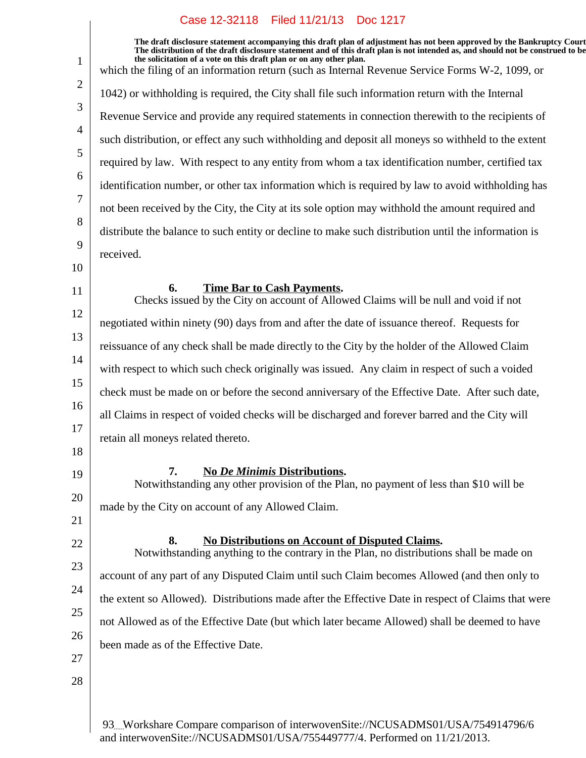$\overline{\phantom{a}}$ 

| $\mathbf{1}$   | The draft disclosure statement accompanying this draft plan of adjustment has not been approved by the Bankruptcy Court<br>The distribution of the draft disclosure statement and of this draft plan is not intended as, and should not be construed to be<br>the solicitation of a vote on this draft plan or on any other plan. |
|----------------|-----------------------------------------------------------------------------------------------------------------------------------------------------------------------------------------------------------------------------------------------------------------------------------------------------------------------------------|
|                | which the filing of an information return (such as Internal Revenue Service Forms W-2, 1099, or                                                                                                                                                                                                                                   |
| $\overline{2}$ | 1042) or withholding is required, the City shall file such information return with the Internal                                                                                                                                                                                                                                   |
| 3              | Revenue Service and provide any required statements in connection therewith to the recipients of                                                                                                                                                                                                                                  |
| 4              | such distribution, or effect any such withholding and deposit all moneys so withheld to the extent                                                                                                                                                                                                                                |
| 5              | required by law. With respect to any entity from whom a tax identification number, certified tax                                                                                                                                                                                                                                  |
| 6              | identification number, or other tax information which is required by law to avoid withholding has                                                                                                                                                                                                                                 |
| 7              | not been received by the City, the City at its sole option may withhold the amount required and                                                                                                                                                                                                                                   |
| 8              | distribute the balance to such entity or decline to make such distribution until the information is                                                                                                                                                                                                                               |
| 9              | received.                                                                                                                                                                                                                                                                                                                         |
| 10             |                                                                                                                                                                                                                                                                                                                                   |
| 11             | 6.<br><b>Time Bar to Cash Payments.</b><br>Checks issued by the City on account of Allowed Claims will be null and void if not                                                                                                                                                                                                    |
| 12             | negotiated within ninety (90) days from and after the date of issuance thereof. Requests for                                                                                                                                                                                                                                      |
| 13             | reissuance of any check shall be made directly to the City by the holder of the Allowed Claim                                                                                                                                                                                                                                     |
| 14             | with respect to which such check originally was issued. Any claim in respect of such a voided                                                                                                                                                                                                                                     |
| 15             | check must be made on or before the second anniversary of the Effective Date. After such date,                                                                                                                                                                                                                                    |
| 16             | all Claims in respect of voided checks will be discharged and forever barred and the City will                                                                                                                                                                                                                                    |
| 17             | retain all moneys related thereto.                                                                                                                                                                                                                                                                                                |
| 18             |                                                                                                                                                                                                                                                                                                                                   |
| 19             | 7.<br><b>No De Minimis Distributions.</b><br>Notwithstanding any other provision of the Plan, no payment of less than \$10 will be                                                                                                                                                                                                |
| 20             | made by the City on account of any Allowed Claim.                                                                                                                                                                                                                                                                                 |
| 21             |                                                                                                                                                                                                                                                                                                                                   |
| 22             | 8.<br><b>No Distributions on Account of Disputed Claims.</b><br>Notwithstanding anything to the contrary in the Plan, no distributions shall be made on                                                                                                                                                                           |
| 23             | account of any part of any Disputed Claim until such Claim becomes Allowed (and then only to                                                                                                                                                                                                                                      |
| 24             | the extent so Allowed). Distributions made after the Effective Date in respect of Claims that were                                                                                                                                                                                                                                |
| 25             |                                                                                                                                                                                                                                                                                                                                   |
| 26             | not Allowed as of the Effective Date (but which later became Allowed) shall be deemed to have                                                                                                                                                                                                                                     |
| 27             | been made as of the Effective Date.                                                                                                                                                                                                                                                                                               |
| 28             |                                                                                                                                                                                                                                                                                                                                   |
|                |                                                                                                                                                                                                                                                                                                                                   |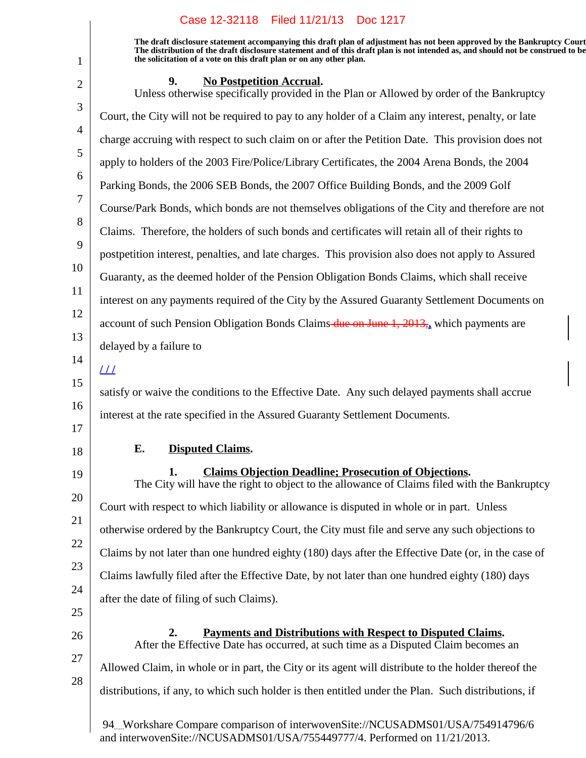**The draft disclosure statement accompanying this draft plan of adjustment has not been approved by the Bankruptcy Court. The distribution of the draft disclosure statement and of this draft plan is not intended as, and should not be construed to be, the solicitation of a vote on this draft plan or on any other plan.**

|--|

1

| $\overline{2}$ | 9.<br><u>No Postpetition Accrual.</u><br>Unless otherwise specifically provided in the Plan or Allowed by order of the Bankruptcy                                 |
|----------------|-------------------------------------------------------------------------------------------------------------------------------------------------------------------|
| 3              | Court, the City will not be required to pay to any holder of a Claim any interest, penalty, or late                                                               |
| $\overline{4}$ | charge accruing with respect to such claim on or after the Petition Date. This provision does not                                                                 |
| 5              | apply to holders of the 2003 Fire/Police/Library Certificates, the 2004 Arena Bonds, the 2004                                                                     |
| 6              | Parking Bonds, the 2006 SEB Bonds, the 2007 Office Building Bonds, and the 2009 Golf                                                                              |
| $\overline{7}$ | Course/Park Bonds, which bonds are not themselves obligations of the City and therefore are not                                                                   |
| 8              | Claims. Therefore, the holders of such bonds and certificates will retain all of their rights to                                                                  |
| 9              | postpetition interest, penalties, and late charges. This provision also does not apply to Assured                                                                 |
| 10             | Guaranty, as the deemed holder of the Pension Obligation Bonds Claims, which shall receive                                                                        |
| 11<br>12       | interest on any payments required of the City by the Assured Guaranty Settlement Documents on                                                                     |
| 13             | account of such Pension Obligation Bonds Claims-due on June 1, 2013, which payments are                                                                           |
| 14             | delayed by a failure to                                                                                                                                           |
| 15             | $\perp\!\!\!\perp$                                                                                                                                                |
| 16             | satisfy or waive the conditions to the Effective Date. Any such delayed payments shall accrue                                                                     |
| 17             | interest at the rate specified in the Assured Guaranty Settlement Documents.                                                                                      |
| 18             | E.<br><b>Disputed Claims.</b>                                                                                                                                     |
| 19             | <b>Claims Objection Deadline; Prosecution of Objections.</b><br>1.<br>The City will have the right to object to the allowance of Claims filed with the Bankruptcy |
| 20             | Court with respect to which liability or allowance is disputed in whole or in part. Unless                                                                        |
| 21             | otherwise ordered by the Bankruptcy Court, the City must file and serve any such objections to                                                                    |
| 22             | Claims by not later than one hundred eighty (180) days after the Effective Date (or, in the case of                                                               |
| 23             | Claims lawfully filed after the Effective Date, by not later than one hundred eighty (180) days                                                                   |
| 24             | after the date of filing of such Claims).                                                                                                                         |
| 25             | 2.<br><u>Payments and Distributions with Respect to Disputed Claims.</u>                                                                                          |
| 26             | After the Effective Date has occurred, at such time as a Disputed Claim becomes an                                                                                |
| 27<br>28       | Allowed Claim, in whole or in part, the City or its agent will distribute to the holder thereof the                                                               |
|                | distributions, if any, to which such holder is then entitled under the Plan. Such distributions, if                                                               |
|                |                                                                                                                                                                   |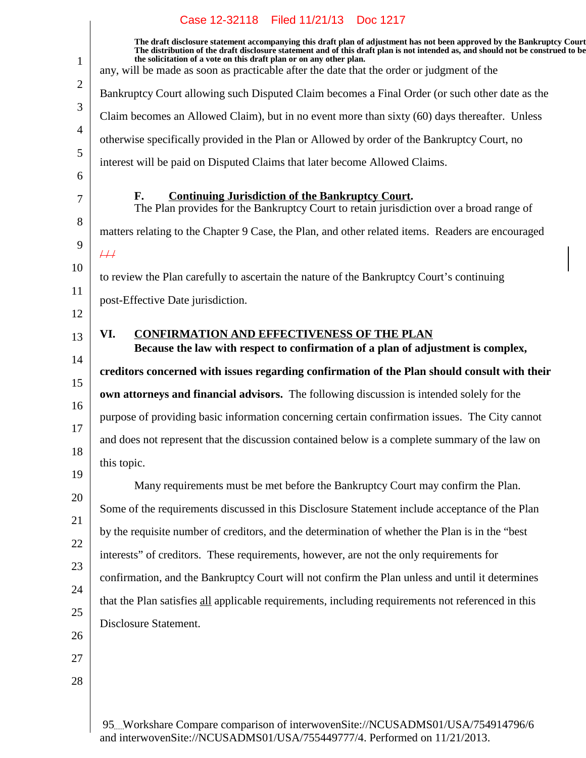1 2 3 4 5 6 7 8 9 10 11 12 13 14 15 16 17 18 19 20 21 22 23 24 25 26 27 28 **The draft disclosure statement accompanying this draft plan of adjustment has not been approved by the Bankruptcy Court. The distribution of the draft disclosure statement and of this draft plan is not intended as, and should not be construed to be, the solicitation of a vote on this draft plan or on any other plan.** any, will be made as soon as practicable after the date that the order or judgment of the Bankruptcy Court allowing such Disputed Claim becomes a Final Order (or such other date as the Claim becomes an Allowed Claim), but in no event more than sixty (60) days thereafter. Unless otherwise specifically provided in the Plan or Allowed by order of the Bankruptcy Court, no interest will be paid on Disputed Claims that later become Allowed Claims. **F.** Continuing Jurisdiction of the Bankruptcy Court. The Plan provides for the Bankruptcy Court to retain jurisdiction over a broad range of matters relating to the Chapter 9 Case, the Plan, and other related items. Readers are encouraged  $#$ to review the Plan carefully to ascertain the nature of the Bankruptcy Court's continuing post-Effective Date jurisdiction. **VI. CONFIRMATION AND EFFECTIVENESS OF THE PLAN Because the law with respect to confirmation of a plan of adjustment is complex, creditors concerned with issues regarding confirmation of the Plan should consult with their own attorneys and financial advisors.** The following discussion is intended solely for the purpose of providing basic information concerning certain confirmation issues. The City cannot and does not represent that the discussion contained below is a complete summary of the law on this topic. Many requirements must be met before the Bankruptcy Court may confirm the Plan. Some of the requirements discussed in this Disclosure Statement include acceptance of the Plan by the requisite number of creditors, and the determination of whether the Plan is in the "best interests" of creditors. These requirements, however, are not the only requirements for confirmation, and the Bankruptcy Court will not confirm the Plan unless and until it determines that the Plan satisfies all applicable requirements, including requirements not referenced in this Disclosure Statement.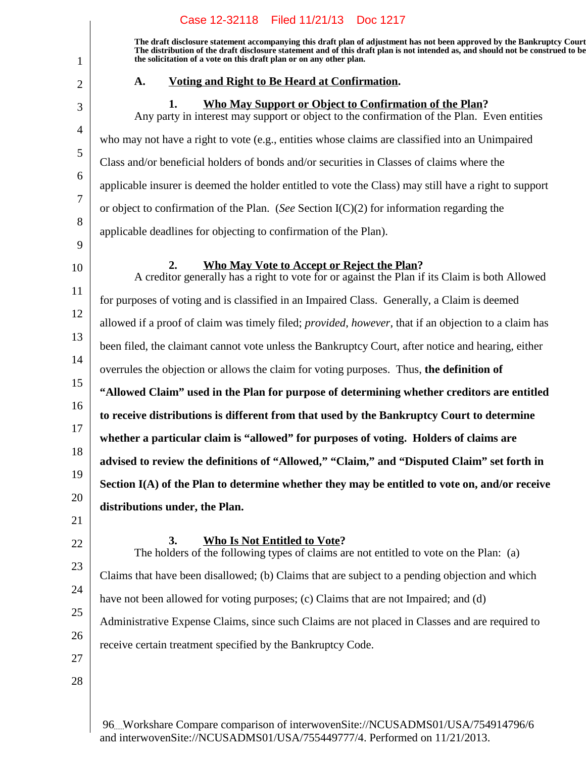|                                                                                                          | Case 12-32118 Filed 11/21/13 Doc 1217                                                                                                                                                                                                                                                                                                                                                                                                                                                                                                                                                                                                                                                                                                                                                                                                                                                                                                                                                                                                                                                                                                                                                                                                                                                                                                                                                                                                                                                                                                                                                                    |
|----------------------------------------------------------------------------------------------------------|----------------------------------------------------------------------------------------------------------------------------------------------------------------------------------------------------------------------------------------------------------------------------------------------------------------------------------------------------------------------------------------------------------------------------------------------------------------------------------------------------------------------------------------------------------------------------------------------------------------------------------------------------------------------------------------------------------------------------------------------------------------------------------------------------------------------------------------------------------------------------------------------------------------------------------------------------------------------------------------------------------------------------------------------------------------------------------------------------------------------------------------------------------------------------------------------------------------------------------------------------------------------------------------------------------------------------------------------------------------------------------------------------------------------------------------------------------------------------------------------------------------------------------------------------------------------------------------------------------|
| $\mathbf{1}$                                                                                             | The draft disclosure statement accompanying this draft plan of adjustment has not been approved by the Bankruptcy Court<br>The distribution of the draft disclosure statement and of this draft plan is not intended as, and should not be construed to be<br>the solicitation of a vote on this draft plan or on any other plan.                                                                                                                                                                                                                                                                                                                                                                                                                                                                                                                                                                                                                                                                                                                                                                                                                                                                                                                                                                                                                                                                                                                                                                                                                                                                        |
| $\overline{2}$                                                                                           | Voting and Right to Be Heard at Confirmation.<br>A.                                                                                                                                                                                                                                                                                                                                                                                                                                                                                                                                                                                                                                                                                                                                                                                                                                                                                                                                                                                                                                                                                                                                                                                                                                                                                                                                                                                                                                                                                                                                                      |
| 3                                                                                                        | Who May Support or Object to Confirmation of the Plan?<br>1.<br>Any party in interest may support or object to the confirmation of the Plan. Even entities                                                                                                                                                                                                                                                                                                                                                                                                                                                                                                                                                                                                                                                                                                                                                                                                                                                                                                                                                                                                                                                                                                                                                                                                                                                                                                                                                                                                                                               |
| $\overline{4}$<br>5<br>6<br>$\overline{7}$<br>8                                                          | who may not have a right to vote (e.g., entities whose claims are classified into an Unimpaired<br>Class and/or beneficial holders of bonds and/or securities in Classes of claims where the<br>applicable insurer is deemed the holder entitled to vote the Class) may still have a right to support<br>or object to confirmation of the Plan. (See Section $I(C)(2)$ for information regarding the                                                                                                                                                                                                                                                                                                                                                                                                                                                                                                                                                                                                                                                                                                                                                                                                                                                                                                                                                                                                                                                                                                                                                                                                     |
| 9                                                                                                        | applicable deadlines for objecting to confirmation of the Plan).                                                                                                                                                                                                                                                                                                                                                                                                                                                                                                                                                                                                                                                                                                                                                                                                                                                                                                                                                                                                                                                                                                                                                                                                                                                                                                                                                                                                                                                                                                                                         |
| 10<br>11<br>12<br>13<br>14<br>15<br>16<br>17<br>18<br>19<br>20<br>21<br>22<br>23<br>24<br>25<br>26<br>27 | <b>Who May Vote to Accept or Reject the Plan?</b><br>2.<br>A creditor generally has a right to vote for or against the Plan if its Claim is both Allowed<br>for purposes of voting and is classified in an Impaired Class. Generally, a Claim is deemed<br>allowed if a proof of claim was timely filed; <i>provided</i> , <i>however</i> , that if an objection to a claim has<br>been filed, the claimant cannot vote unless the Bankruptcy Court, after notice and hearing, either<br>overrules the objection or allows the claim for voting purposes. Thus, the definition of<br>"Allowed Claim" used in the Plan for purpose of determining whether creditors are entitled<br>to receive distributions is different from that used by the Bankruptcy Court to determine<br>whether a particular claim is "allowed" for purposes of voting. Holders of claims are<br>advised to review the definitions of "Allowed," "Claim," and "Disputed Claim" set forth in<br>Section I(A) of the Plan to determine whether they may be entitled to vote on, and/or receive<br>distributions under, the Plan.<br>3.<br><b>Who Is Not Entitled to Vote?</b><br>The holders of the following types of claims are not entitled to vote on the Plan: (a)<br>Claims that have been disallowed; (b) Claims that are subject to a pending objection and which<br>have not been allowed for voting purposes; (c) Claims that are not Impaired; and (d)<br>Administrative Expense Claims, since such Claims are not placed in Classes and are required to<br>receive certain treatment specified by the Bankruptcy Code. |
| 28                                                                                                       |                                                                                                                                                                                                                                                                                                                                                                                                                                                                                                                                                                                                                                                                                                                                                                                                                                                                                                                                                                                                                                                                                                                                                                                                                                                                                                                                                                                                                                                                                                                                                                                                          |
|                                                                                                          |                                                                                                                                                                                                                                                                                                                                                                                                                                                                                                                                                                                                                                                                                                                                                                                                                                                                                                                                                                                                                                                                                                                                                                                                                                                                                                                                                                                                                                                                                                                                                                                                          |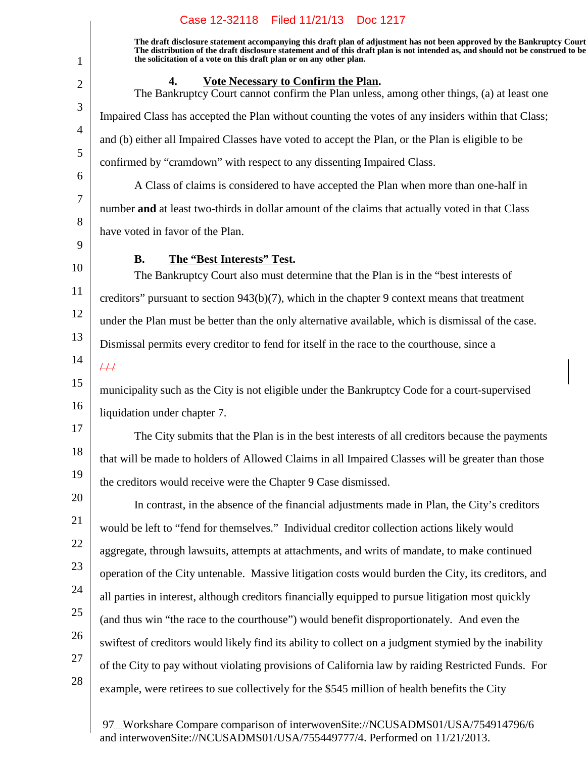**The draft disclosure statement accompanying this draft plan of adjustment has not been approved by the Bankruptcy Court. The distribution of the draft disclosure statement and of this draft plan is not intended as, and should not be construed to be, the solicitation of a vote on this draft plan or on any other plan.**

1 2 3 4 5 6 7 8 9 10 11 12 13 14 15 16 17 18 19 20 21 22 23 24 25 26 27 28 **4.** Vote Necessary to Confirm the Plan. The Bankruptcy Court cannot confirm the Plan unless, among other things, (a) at least one Impaired Class has accepted the Plan without counting the votes of any insiders within that Class; and (b) either all Impaired Classes have voted to accept the Plan, or the Plan is eligible to be confirmed by "cramdown" with respect to any dissenting Impaired Class. A Class of claims is considered to have accepted the Plan when more than one-half in number **and** at least two-thirds in dollar amount of the claims that actually voted in that Class have voted in favor of the Plan. **B.** The "Best Interests" Test. The Bankruptcy Court also must determine that the Plan is in the "best interests of creditors" pursuant to section  $943(b)(7)$ , which in the chapter 9 context means that treatment under the Plan must be better than the only alternative available, which is dismissal of the case. Dismissal permits every creditor to fend for itself in the race to the courthouse, since a  $\overline{++}$ municipality such as the City is not eligible under the Bankruptcy Code for a court-supervised liquidation under chapter 7. The City submits that the Plan is in the best interests of all creditors because the payments that will be made to holders of Allowed Claims in all Impaired Classes will be greater than those the creditors would receive were the Chapter 9 Case dismissed. In contrast, in the absence of the financial adjustments made in Plan, the City's creditors would be left to "fend for themselves." Individual creditor collection actions likely would aggregate, through lawsuits, attempts at attachments, and writs of mandate, to make continued operation of the City untenable. Massive litigation costs would burden the City, its creditors, and all parties in interest, although creditors financially equipped to pursue litigation most quickly (and thus win "the race to the courthouse") would benefit disproportionately. And even the swiftest of creditors would likely find its ability to collect on a judgment stymied by the inability of the City to pay without violating provisions of California law by raiding Restricted Funds. For example, were retirees to sue collectively for the \$545 million of health benefits the City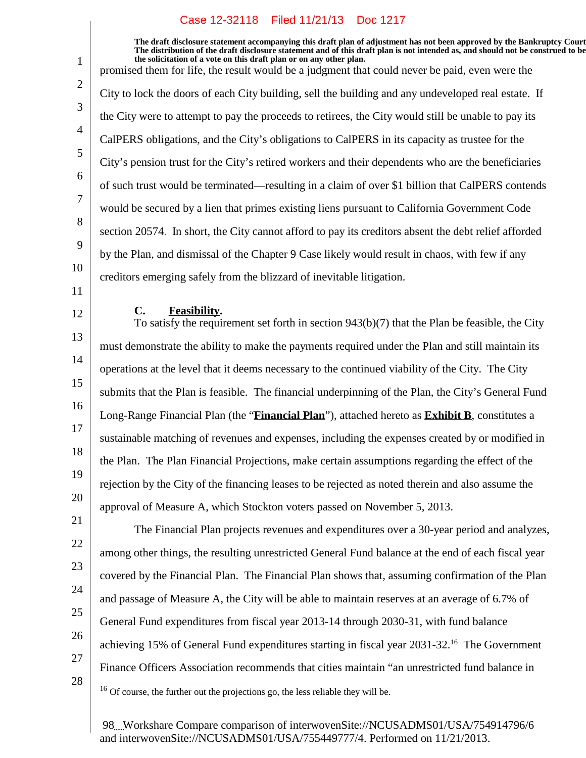**The draft disclosure statement accompanying this draft plan of adjustment has not been approved by the Bankruptcy Court. The distribution of the draft disclosure statement and of this draft plan is not intended as, and should not be construed to be, the solicitation of a vote on this draft plan or on any other plan.** promised them for life, the result would be a judgment that could never be paid, even were the City to lock the doors of each City building, sell the building and any undeveloped real estate. If the City were to attempt to pay the proceeds to retirees, the City would still be unable to pay its CalPERS obligations, and the City's obligations to CalPERS in its capacity as trustee for the City's pension trust for the City's retired workers and their dependents who are the beneficiaries of such trust would be terminated—resulting in a claim of over \$1 billion that CalPERS contends would be secured by a lien that primes existing liens pursuant to California Government Code section 20574. In short, the City cannot afford to pay its creditors absent the debt relief afforded by the Plan, and dismissal of the Chapter 9 Case likely would result in chaos, with few if any creditors emerging safely from the blizzard of inevitable litigation.

**C.** Feasibility.

13 14 15 16 17 18 19 20 To satisfy the requirement set forth in section 943(b)(7) that the Plan be feasible, the City must demonstrate the ability to make the payments required under the Plan and still maintain its operations at the level that it deems necessary to the continued viability of the City. The City submits that the Plan is feasible. The financial underpinning of the Plan, the City's General Fund Long-Range Financial Plan (the "**Financial Plan**"), attached hereto as **Exhibit B**, constitutes a sustainable matching of revenues and expenses, including the expenses created by or modified in the Plan. The Plan Financial Projections, make certain assumptions regarding the effect of the rejection by the City of the financing leases to be rejected as noted therein and also assume the approval of Measure A, which Stockton voters passed on November 5, 2013.

The Financial Plan projects revenues and expenditures over a 30-year period and analyzes, among other things, the resulting unrestricted General Fund balance at the end of each fiscal year covered by the Financial Plan. The Financial Plan shows that, assuming confirmation of the Plan and passage of Measure A, the City will be able to maintain reserves at an average of 6.7% of General Fund expenditures from fiscal year 2013-14 through 2030-31, with fund balance achieving 15% of General Fund expenditures starting in fiscal year  $2031-32<sup>16</sup>$  The Government Finance Officers Association recommends that cities maintain "an unrestricted fund balance in

28

21

22

23

24

25

26

27

1

2

3

4

5

6

7

8

9

10

11

12

 $16$  Of course, the further out the projections go, the less reliable they will be.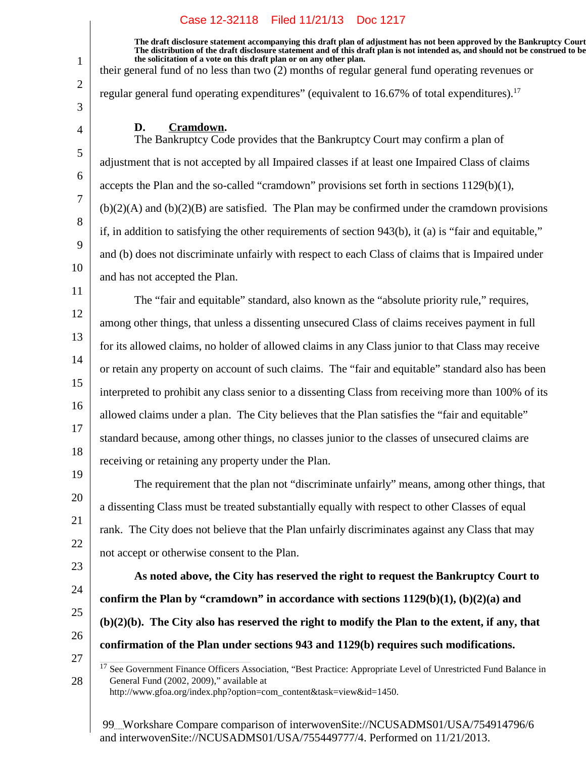**The draft disclosure statement accompanying this draft plan of adjustment has not been approved by the Bankruptcy Court. The distribution of the draft disclosure statement and of this draft plan is not intended as, and should not be construed to be, the solicitation of a vote on this draft plan or on any other plan.**

their general fund of no less than two (2) months of regular general fund operating revenues or

regular general fund operating expenditures" (equivalent to  $16.67\%$  of total expenditures).<sup>17</sup>

### D. Cramdown.

The Bankruptcy Code provides that the Bankruptcy Court may confirm a plan of adjustment that is not accepted by all Impaired classes if at least one Impaired Class of claims accepts the Plan and the so-called "cramdown" provisions set forth in sections  $1129(b)(1)$ ,  $(b)(2)(A)$  and  $(b)(2)(B)$  are satisfied. The Plan may be confirmed under the cramdown provisions if, in addition to satisfying the other requirements of section 943(b), it (a) is "fair and equitable," and (b) does not discriminate unfairly with respect to each Class of claims that is Impaired under and has not accepted the Plan.

11 12 13 14 15 16 17 18 The "fair and equitable" standard, also known as the "absolute priority rule," requires, among other things, that unless a dissenting unsecured Class of claims receives payment in full for its allowed claims, no holder of allowed claims in any Class junior to that Class may receive or retain any property on account of such claims. The "fair and equitable" standard also has been interpreted to prohibit any class senior to a dissenting Class from receiving more than 100% of its allowed claims under a plan. The City believes that the Plan satisfies the "fair and equitable" standard because, among other things, no classes junior to the classes of unsecured claims are receiving or retaining any property under the Plan.

19 20

21

22

1

2

3

4

5

6

7

8

9

10

The requirement that the plan not "discriminate unfairly" means, among other things, that a dissenting Class must be treated substantially equally with respect to other Classes of equal rank. The City does not believe that the Plan unfairly discriminates against any Class that may not accept or otherwise consent to the Plan.

**confirm the Plan by "cramdown" in accordance with sections 1129(b)(1), (b)(2)(a) and**

**confirmation of the Plan under sections 943 and 1129(b) requires such modifications.**

**As noted above, the City has reserved the right to request the Bankruptcy Court to**

- 23
- 24
- 25
- 26 27

28

<sup>17</sup> See Government Finance Officers Association, "Best Practice: Appropriate Level of Unrestricted Fund Balance in General Fund (2002, 2009)," available at

**(b)(2)(b). The City also has reserved the right to modify the Plan to the extent, if any, that**

http://www.gfoa.org/index.php?option=com\_content&task=view&id=1450.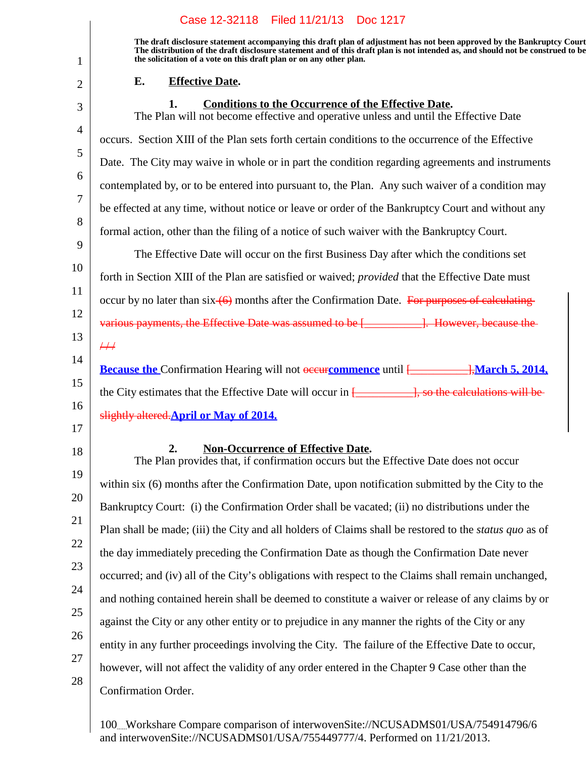|                | Case 12-32118   Filed 11/21/13   Doc 1217                                                                                                                                                                                                                                                                                         |
|----------------|-----------------------------------------------------------------------------------------------------------------------------------------------------------------------------------------------------------------------------------------------------------------------------------------------------------------------------------|
| 1              | The draft disclosure statement accompanying this draft plan of adjustment has not been approved by the Bankruptcy Court<br>The distribution of the draft disclosure statement and of this draft plan is not intended as, and should not be construed to be<br>the solicitation of a vote on this draft plan or on any other plan. |
| $\overline{2}$ | <b>Effective Date.</b><br>Е.                                                                                                                                                                                                                                                                                                      |
| 3              | 1.<br><b>Conditions to the Occurrence of the Effective Date.</b><br>The Plan will not become effective and operative unless and until the Effective Date                                                                                                                                                                          |
| $\overline{4}$ | occurs. Section XIII of the Plan sets forth certain conditions to the occurrence of the Effective                                                                                                                                                                                                                                 |
| 5              | Date. The City may waive in whole or in part the condition regarding agreements and instruments                                                                                                                                                                                                                                   |
| 6              | contemplated by, or to be entered into pursuant to, the Plan. Any such waiver of a condition may                                                                                                                                                                                                                                  |
| $\tau$         | be effected at any time, without notice or leave or order of the Bankruptcy Court and without any                                                                                                                                                                                                                                 |
| 8              | formal action, other than the filing of a notice of such waiver with the Bankruptcy Court.                                                                                                                                                                                                                                        |
| 9              | The Effective Date will occur on the first Business Day after which the conditions set                                                                                                                                                                                                                                            |
| 10             | forth in Section XIII of the Plan are satisfied or waived; <i>provided</i> that the Effective Date must                                                                                                                                                                                                                           |
| 11             | occur by no later than $\sin(\theta)$ months after the Confirmation Date. For purposes of calculating-                                                                                                                                                                                                                            |
| 12             | various payments, the Effective Date was assumed to be [____________]. However, because the                                                                                                                                                                                                                                       |
| 13             | $\#$                                                                                                                                                                                                                                                                                                                              |
| 14             | <b>Because the Confirmation Hearing will not <del>occur</del>commence</b> until [ <i>March</i> 5, 2014,                                                                                                                                                                                                                           |
| 15             |                                                                                                                                                                                                                                                                                                                                   |
| 16<br>17       | slightly altered. April or May of 2014.                                                                                                                                                                                                                                                                                           |
|                |                                                                                                                                                                                                                                                                                                                                   |
| 18             | <b>Non-Occurrence of Effective Date.</b><br>2.<br>The Plan provides that, if confirmation occurs but the Effective Date does not occur                                                                                                                                                                                            |
| 19             | within six (6) months after the Confirmation Date, upon notification submitted by the City to the                                                                                                                                                                                                                                 |
| 20             | Bankruptcy Court: (i) the Confirmation Order shall be vacated; (ii) no distributions under the                                                                                                                                                                                                                                    |
| 21             | Plan shall be made; (iii) the City and all holders of Claims shall be restored to the <i>status quo</i> as of                                                                                                                                                                                                                     |
| 22             | the day immediately preceding the Confirmation Date as though the Confirmation Date never                                                                                                                                                                                                                                         |
| 23             | occurred; and (iv) all of the City's obligations with respect to the Claims shall remain unchanged,                                                                                                                                                                                                                               |
| 24             | and nothing contained herein shall be deemed to constitute a waiver or release of any claims by or                                                                                                                                                                                                                                |
| 25             | against the City or any other entity or to prejudice in any manner the rights of the City or any                                                                                                                                                                                                                                  |
| 26             | entity in any further proceedings involving the City. The failure of the Effective Date to occur,                                                                                                                                                                                                                                 |
| 27             | however, will not affect the validity of any order entered in the Chapter 9 Case other than the                                                                                                                                                                                                                                   |
| 28             | Confirmation Order.                                                                                                                                                                                                                                                                                                               |
|                |                                                                                                                                                                                                                                                                                                                                   |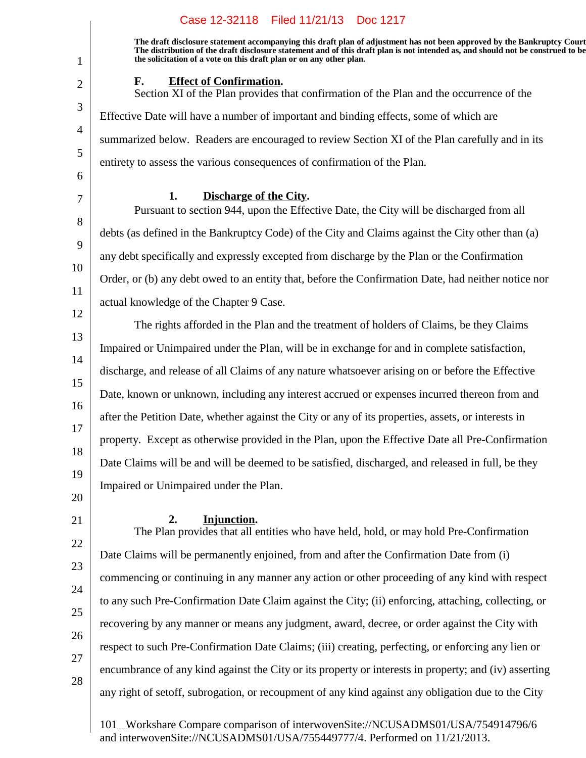| Case 12-32118 Filed 11/21/13 Doc 1217                                                                                                                                                                                                                                                                                             |
|-----------------------------------------------------------------------------------------------------------------------------------------------------------------------------------------------------------------------------------------------------------------------------------------------------------------------------------|
| The draft disclosure statement accompanying this draft plan of adjustment has not been approved by the Bankruptcy Court<br>The distribution of the draft disclosure statement and of this draft plan is not intended as, and should not be construed to be<br>the solicitation of a vote on this draft plan or on any other plan. |
| <b>Effect of Confirmation.</b><br>F.<br>Section XI of the Plan provides that confirmation of the Plan and the occurrence of the                                                                                                                                                                                                   |
| Effective Date will have a number of important and binding effects, some of which are                                                                                                                                                                                                                                             |
| summarized below. Readers are encouraged to review Section XI of the Plan carefully and in its                                                                                                                                                                                                                                    |
| entirety to assess the various consequences of confirmation of the Plan.                                                                                                                                                                                                                                                          |
| Discharge of the City.<br>1.<br>Pursuant to section 944, upon the Effective Date, the City will be discharged from all                                                                                                                                                                                                            |
| debts (as defined in the Bankruptcy Code) of the City and Claims against the City other than (a)                                                                                                                                                                                                                                  |
| any debt specifically and expressly excepted from discharge by the Plan or the Confirmation                                                                                                                                                                                                                                       |
| Order, or (b) any debt owed to an entity that, before the Confirmation Date, had neither notice nor                                                                                                                                                                                                                               |
| actual knowledge of the Chapter 9 Case.                                                                                                                                                                                                                                                                                           |
| The rights afforded in the Plan and the treatment of holders of Claims, be they Claims                                                                                                                                                                                                                                            |
| Impaired or Unimpaired under the Plan, will be in exchange for and in complete satisfaction,                                                                                                                                                                                                                                      |
| discharge, and release of all Claims of any nature whatsoever arising on or before the Effective                                                                                                                                                                                                                                  |
| Date, known or unknown, including any interest accrued or expenses incurred thereon from and                                                                                                                                                                                                                                      |
| after the Petition Date, whether against the City or any of its properties, assets, or interests in                                                                                                                                                                                                                               |
| property. Except as otherwise provided in the Plan, upon the Effective Date all Pre-Confirmation                                                                                                                                                                                                                                  |
| Date Claims will be and will be deemed to be satisfied, discharged, and released in full, be they                                                                                                                                                                                                                                 |
| Impaired or Unimpaired under the Plan.                                                                                                                                                                                                                                                                                            |
| 2.<br>Injunction.<br>The Plan provides that all entities who have held, hold, or may hold Pre-Confirmation                                                                                                                                                                                                                        |
| Date Claims will be permanently enjoined, from and after the Confirmation Date from (i)                                                                                                                                                                                                                                           |
| commencing or continuing in any manner any action or other proceeding of any kind with respect                                                                                                                                                                                                                                    |
| to any such Pre-Confirmation Date Claim against the City; (ii) enforcing, attaching, collecting, or                                                                                                                                                                                                                               |
| recovering by any manner or means any judgment, award, decree, or order against the City with                                                                                                                                                                                                                                     |
| respect to such Pre-Confirmation Date Claims; (iii) creating, perfecting, or enforcing any lien or                                                                                                                                                                                                                                |
| encumbrance of any kind against the City or its property or interests in property; and (iv) asserting                                                                                                                                                                                                                             |
| any right of setoff, subrogation, or recoupment of any kind against any obligation due to the City                                                                                                                                                                                                                                |
|                                                                                                                                                                                                                                                                                                                                   |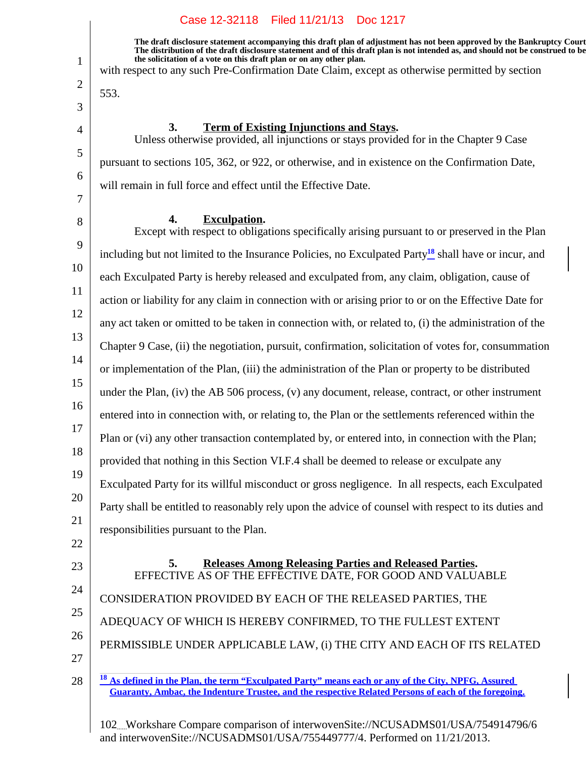**The draft disclosure statement accompanying this draft plan of adjustment has not been approved by the Bankruptcy Court. The distribution of the draft disclosure statement and of this draft plan is not intended as, and should not be construed to be, the solicitation of a vote on this draft plan or on any other plan.**

with respect to any such Pre-Confirmation Date Claim, except as otherwise permitted by section

553.

1

2

3

4

5

6

7

8

#### **3.** Term of Existing Injunctions and Stays.

Unless otherwise provided, all injunctions or stays provided for in the Chapter 9 Case pursuant to sections 105, 362, or 922, or otherwise, and in existence on the Confirmation Date, will remain in full force and effect until the Effective Date.

#### **Exculpation.4.**

9 10 11 12 13 14 15 16 17 18 19 20 21 Except with respect to obligations specifically arising pursuant to or preserved in the Plan including but not limited to the Insurance Policies, no Exculpated Party**<sup>18</sup>** shall have or incur, and each Exculpated Party is hereby released and exculpated from, any claim, obligation, cause of action or liability for any claim in connection with or arising prior to or on the Effective Date for any act taken or omitted to be taken in connection with, or related to, (i) the administration of the Chapter 9 Case, (ii) the negotiation, pursuit, confirmation, solicitation of votes for, consummation or implementation of the Plan, (iii) the administration of the Plan or property to be distributed under the Plan, (iv) the AB 506 process, (v) any document, release, contract, or other instrument entered into in connection with, or relating to, the Plan or the settlements referenced within the Plan or (vi) any other transaction contemplated by, or entered into, in connection with the Plan; provided that nothing in this Section VI.F.4 shall be deemed to release or exculpate any Exculpated Party for its willful misconduct or gross negligence. In all respects, each Exculpated Party shall be entitled to reasonably rely upon the advice of counsel with respect to its duties and responsibilities pursuant to the Plan.

- 22
- 23
- 24
- 25
- 26
- 27

CONSIDERATION PROVIDED BY EACH OF THE RELEASED PARTIES, THE

ADEQUACY OF WHICH IS HEREBY CONFIRMED, TO THE FULLEST EXTENT

102 Workshare Compare comparison of interwovenSite://NCUSADMS01/USA/754914796/6 and interwovenSite://NCUSADMS01/USA/755449777/4. Performed on 11/21/2013.

**Releases Among Releasing Parties and Released Parties.5.** EFFECTIVE AS OF THE EFFECTIVE DATE, FOR GOOD AND VALUABLE

PERMISSIBLE UNDER APPLICABLE LAW, (i) THE CITY AND EACH OF ITS RELATED

<sup>28</sup> **<sup>18</sup> As defined in the Plan, the term "Exculpated Party" means each or any of the City, NPFG, Assured Guaranty, Ambac, the Indenture Trustee, and the respective Related Persons of each of the foregoing.**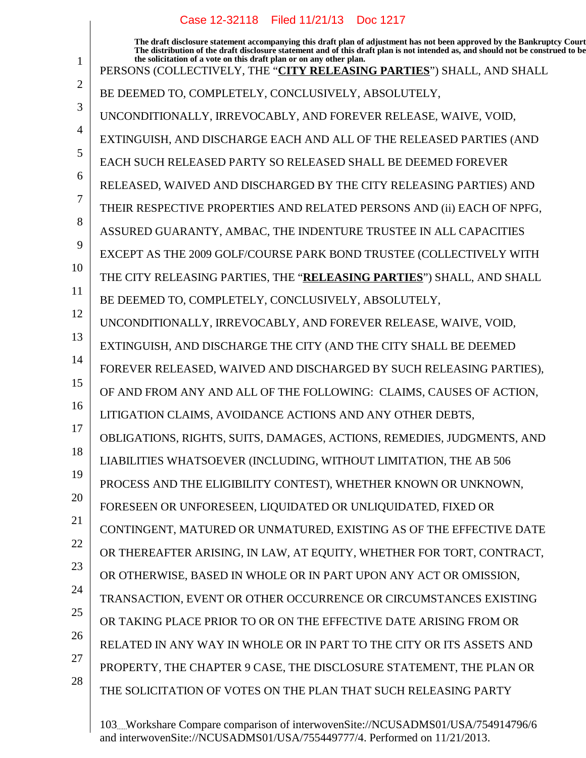**The draft disclosure statement accompanying this draft plan of adjustment has not been approved by the Bankruptcy Court. The distribution of the draft disclosure statement and of this draft plan is not intended as, and should not be construed to be, the solicitation of a vote on this draft plan or on any other plan.** PERSONS (COLLECTIVELY, THE "**CITY RELEASING PARTIES**") SHALL, AND SHALL BE DEEMED TO, COMPLETELY, CONCLUSIVELY, ABSOLUTELY, UNCONDITIONALLY, IRREVOCABLY, AND FOREVER RELEASE, WAIVE, VOID, EXTINGUISH, AND DISCHARGE EACH AND ALL OF THE RELEASED PARTIES (AND EACH SUCH RELEASED PARTY SO RELEASED SHALL BE DEEMED FOREVER RELEASED, WAIVED AND DISCHARGED BY THE CITY RELEASING PARTIES) AND THEIR RESPECTIVE PROPERTIES AND RELATED PERSONS AND (ii) EACH OF NPFG, ASSURED GUARANTY, AMBAC, THE INDENTURE TRUSTEE IN ALL CAPACITIES EXCEPT AS THE 2009 GOLF/COURSE PARK BOND TRUSTEE (COLLECTIVELY WITH THE CITY RELEASING PARTIES, THE "**RELEASING PARTIES**") SHALL, AND SHALL BE DEEMED TO, COMPLETELY, CONCLUSIVELY, ABSOLUTELY, UNCONDITIONALLY, IRREVOCABLY, AND FOREVER RELEASE, WAIVE, VOID, EXTINGUISH, AND DISCHARGE THE CITY (AND THE CITY SHALL BE DEEMED FOREVER RELEASED, WAIVED AND DISCHARGED BY SUCH RELEASING PARTIES), OF AND FROM ANY AND ALL OF THE FOLLOWING: CLAIMS, CAUSES OF ACTION, LITIGATION CLAIMS, AVOIDANCE ACTIONS AND ANY OTHER DEBTS, OBLIGATIONS, RIGHTS, SUITS, DAMAGES, ACTIONS, REMEDIES, JUDGMENTS, AND LIABILITIES WHATSOEVER (INCLUDING, WITHOUT LIMITATION, THE AB 506 PROCESS AND THE ELIGIBILITY CONTEST), WHETHER KNOWN OR UNKNOWN, FORESEEN OR UNFORESEEN, LIQUIDATED OR UNLIQUIDATED, FIXED OR CONTINGENT, MATURED OR UNMATURED, EXISTING AS OF THE EFFECTIVE DATE OR THEREAFTER ARISING, IN LAW, AT EQUITY, WHETHER FOR TORT, CONTRACT, OR OTHERWISE, BASED IN WHOLE OR IN PART UPON ANY ACT OR OMISSION, TRANSACTION, EVENT OR OTHER OCCURRENCE OR CIRCUMSTANCES EXISTING OR TAKING PLACE PRIOR TO OR ON THE EFFECTIVE DATE ARISING FROM OR RELATED IN ANY WAY IN WHOLE OR IN PART TO THE CITY OR ITS ASSETS AND Case 12-32118 Filed 11/21/13 Doc 1217

27

1

2

3

4

5

6

7

8

9

10

11

12

13

14

15

16

17

18

19

20

21

22

23

24

25

26

28

103 Workshare Compare comparison of interwovenSite://NCUSADMS01/USA/754914796/6 and interwovenSite://NCUSADMS01/USA/755449777/4. Performed on 11/21/2013.

PROPERTY, THE CHAPTER 9 CASE, THE DISCLOSURE STATEMENT, THE PLAN OR

THE SOLICITATION OF VOTES ON THE PLAN THAT SUCH RELEASING PARTY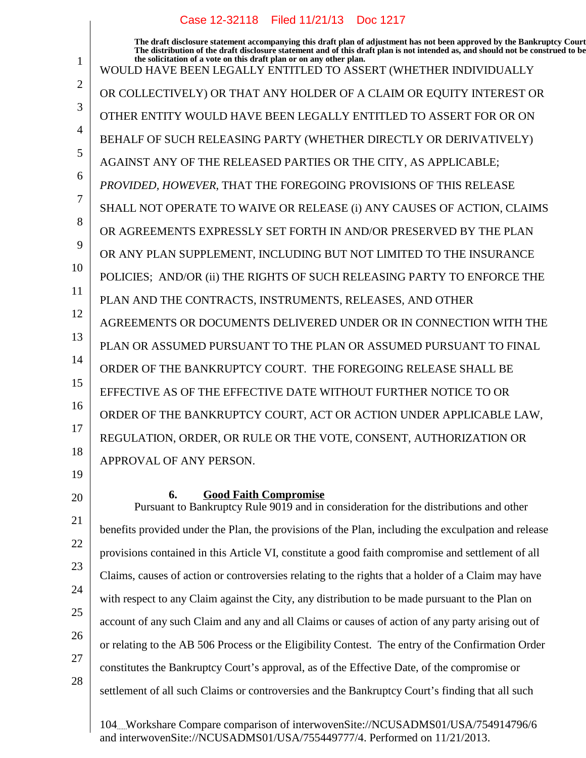1 2 3 4 5 6 7 8 9 10 11 12 13 14 15 16 17 18 **The draft disclosure statement accompanying this draft plan of adjustment has not been approved by the Bankruptcy Court. The distribution of the draft disclosure statement and of this draft plan is not intended as, and should not be construed to be, the solicitation of a vote on this draft plan or on any other plan.** WOULD HAVE BEEN LEGALLY ENTITLED TO ASSERT (WHETHER INDIVIDUALLY OR COLLECTIVELY) OR THAT ANY HOLDER OF A CLAIM OR EQUITY INTEREST OR OTHER ENTITY WOULD HAVE BEEN LEGALLY ENTITLED TO ASSERT FOR OR ON BEHALF OF SUCH RELEASING PARTY (WHETHER DIRECTLY OR DERIVATIVELY) AGAINST ANY OF THE RELEASED PARTIES OR THE CITY, AS APPLICABLE; *PROVIDED, HOWEVER*, THAT THE FOREGOING PROVISIONS OF THIS RELEASE SHALL NOT OPERATE TO WAIVE OR RELEASE (i) ANY CAUSES OF ACTION, CLAIMS OR AGREEMENTS EXPRESSLY SET FORTH IN AND/OR PRESERVED BY THE PLAN OR ANY PLAN SUPPLEMENT, INCLUDING BUT NOT LIMITED TO THE INSURANCE POLICIES; AND/OR (ii) THE RIGHTS OF SUCH RELEASING PARTY TO ENFORCE THE PLAN AND THE CONTRACTS, INSTRUMENTS, RELEASES, AND OTHER AGREEMENTS OR DOCUMENTS DELIVERED UNDER OR IN CONNECTION WITH THE PLAN OR ASSUMED PURSUANT TO THE PLAN OR ASSUMED PURSUANT TO FINAL ORDER OF THE BANKRUPTCY COURT. THE FOREGOING RELEASE SHALL BE EFFECTIVE AS OF THE EFFECTIVE DATE WITHOUT FURTHER NOTICE TO OR ORDER OF THE BANKRUPTCY COURT, ACT OR ACTION UNDER APPLICABLE LAW, REGULATION, ORDER, OR RULE OR THE VOTE, CONSENT, AUTHORIZATION OR APPROVAL OF ANY PERSON.

19 20

21

22

23

24

25

## **6. Good Faith Compromise**

26 Pursuant to Bankruptcy Rule 9019 and in consideration for the distributions and other benefits provided under the Plan, the provisions of the Plan, including the exculpation and release provisions contained in this Article VI, constitute a good faith compromise and settlement of all Claims, causes of action or controversies relating to the rights that a holder of a Claim may have with respect to any Claim against the City, any distribution to be made pursuant to the Plan on account of any such Claim and any and all Claims or causes of action of any party arising out of or relating to the AB 506 Process or the Eligibility Contest. The entry of the Confirmation Order constitutes the Bankruptcy Court's approval, as of the Effective Date, of the compromise or settlement of all such Claims or controversies and the Bankruptcy Court's finding that all such

27 28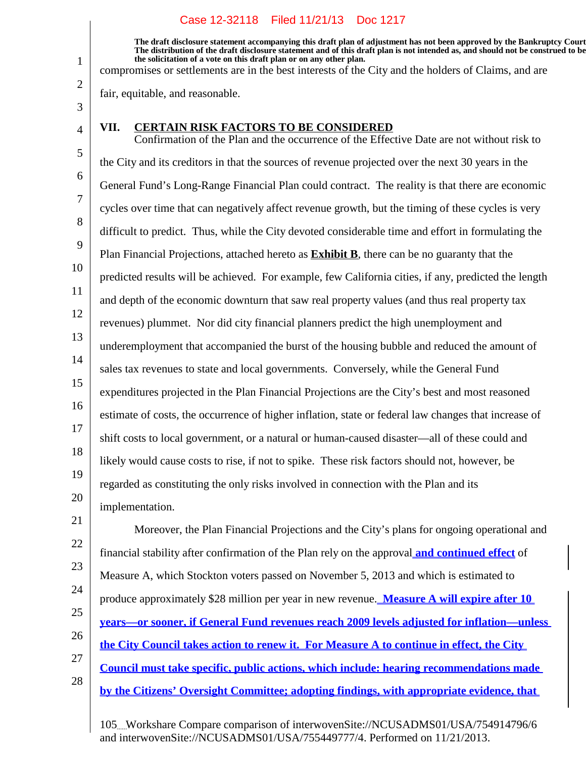**The draft disclosure statement accompanying this draft plan of adjustment has not been approved by the Bankruptcy Court. The distribution of the draft disclosure statement and of this draft plan is not intended as, and should not be construed to be, the solicitation of a vote on this draft plan or on any other plan.**

compromises or settlements are in the best interests of the City and the holders of Claims, and are

fair, equitable, and reasonable.

3 4

21

1

2

#### **VII. CERTAIN RISK FACTORS TO BE CONSIDERED**

5 6 7 8 9 10 11 12 13 14 15 16 17 18 19 20 Confirmation of the Plan and the occurrence of the Effective Date are not without risk to the City and its creditors in that the sources of revenue projected over the next 30 years in the General Fund's Long-Range Financial Plan could contract. The reality is that there are economic cycles over time that can negatively affect revenue growth, but the timing of these cycles is very difficult to predict. Thus, while the City devoted considerable time and effort in formulating the Plan Financial Projections, attached hereto as **Exhibit B**, there can be no guaranty that the predicted results will be achieved. For example, few California cities, if any, predicted the length and depth of the economic downturn that saw real property values (and thus real property tax revenues) plummet. Nor did city financial planners predict the high unemployment and underemployment that accompanied the burst of the housing bubble and reduced the amount of sales tax revenues to state and local governments. Conversely, while the General Fund expenditures projected in the Plan Financial Projections are the City's best and most reasoned estimate of costs, the occurrence of higher inflation, state or federal law changes that increase of shift costs to local government, or a natural or human-caused disaster—all of these could and likely would cause costs to rise, if not to spike. These risk factors should not, however, be regarded as constituting the only risks involved in connection with the Plan and its implementation.

22 23 24 25 26 27 28 Moreover, the Plan Financial Projections and the City's plans for ongoing operational and financial stability after confirmation of the Plan rely on the approval **and continued effect** of Measure A, which Stockton voters passed on November 5, 2013 and which is estimated to produce approximately \$28 million per year in new revenue. **Measure A will expire after 10 years—or sooner, if General Fund revenues reach 2009 levels adjusted for inflation—unless the City Council takes action to renew it. For Measure A to continue in effect, the City Council must take specific, public actions, which include: hearing recommendations made by the Citizens' Oversight Committee; adopting findings, with appropriate evidence, that**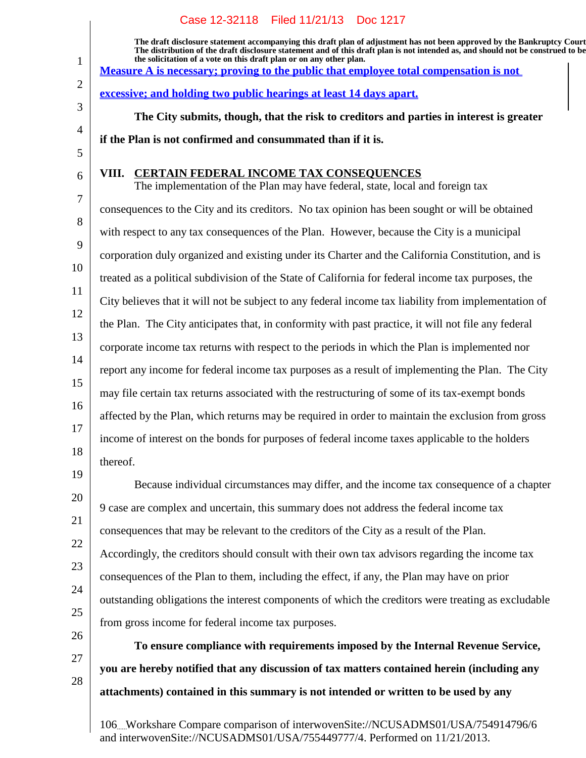|                     | Case 12-32118 Filed 11/21/13 Doc 1217                                                                                                                                                                                                                                                                                             |  |  |
|---------------------|-----------------------------------------------------------------------------------------------------------------------------------------------------------------------------------------------------------------------------------------------------------------------------------------------------------------------------------|--|--|
| $\mathbf{1}$        | The draft disclosure statement accompanying this draft plan of adjustment has not been approved by the Bankruptcy Court<br>The distribution of the draft disclosure statement and of this draft plan is not intended as, and should not be construed to be<br>the solicitation of a vote on this draft plan or on any other plan. |  |  |
| $\overline{2}$      | <u>Measure A is necessary; proving to the public that employee total compensation is not</u>                                                                                                                                                                                                                                      |  |  |
| 3                   | excessive; and holding two public hearings at least 14 days apart.                                                                                                                                                                                                                                                                |  |  |
|                     | The City submits, though, that the risk to creditors and parties in interest is greater                                                                                                                                                                                                                                           |  |  |
| $\overline{4}$<br>5 | if the Plan is not confirmed and consummated than if it is.                                                                                                                                                                                                                                                                       |  |  |
| 6                   | VIII. CERTAIN FEDERAL INCOME TAX CONSEQUENCES<br>The implementation of the Plan may have federal, state, local and foreign tax                                                                                                                                                                                                    |  |  |
| 7                   | consequences to the City and its creditors. No tax opinion has been sought or will be obtained                                                                                                                                                                                                                                    |  |  |
| 8                   | with respect to any tax consequences of the Plan. However, because the City is a municipal                                                                                                                                                                                                                                        |  |  |
| 9                   | corporation duly organized and existing under its Charter and the California Constitution, and is                                                                                                                                                                                                                                 |  |  |
| 10                  | treated as a political subdivision of the State of California for federal income tax purposes, the                                                                                                                                                                                                                                |  |  |
| 11                  | City believes that it will not be subject to any federal income tax liability from implementation of                                                                                                                                                                                                                              |  |  |
| 12<br>13            | the Plan. The City anticipates that, in conformity with past practice, it will not file any federal                                                                                                                                                                                                                               |  |  |
|                     | corporate income tax returns with respect to the periods in which the Plan is implemented nor                                                                                                                                                                                                                                     |  |  |
| 14                  | report any income for federal income tax purposes as a result of implementing the Plan. The City                                                                                                                                                                                                                                  |  |  |
| 15                  | may file certain tax returns associated with the restructuring of some of its tax-exempt bonds                                                                                                                                                                                                                                    |  |  |
| 16                  | affected by the Plan, which returns may be required in order to maintain the exclusion from gross                                                                                                                                                                                                                                 |  |  |
| 17                  | income of interest on the bonds for purposes of federal income taxes applicable to the holders                                                                                                                                                                                                                                    |  |  |
| 18<br>19            | thereof.                                                                                                                                                                                                                                                                                                                          |  |  |
|                     | Because individual circumstances may differ, and the income tax consequence of a chapter                                                                                                                                                                                                                                          |  |  |
| 20                  | 9 case are complex and uncertain, this summary does not address the federal income tax                                                                                                                                                                                                                                            |  |  |
| 21                  | consequences that may be relevant to the creditors of the City as a result of the Plan.                                                                                                                                                                                                                                           |  |  |
| 22                  | Accordingly, the creditors should consult with their own tax advisors regarding the income tax                                                                                                                                                                                                                                    |  |  |
| 23                  | consequences of the Plan to them, including the effect, if any, the Plan may have on prior                                                                                                                                                                                                                                        |  |  |
| 24                  | outstanding obligations the interest components of which the creditors were treating as excludable                                                                                                                                                                                                                                |  |  |
| 25                  | from gross income for federal income tax purposes.                                                                                                                                                                                                                                                                                |  |  |
| 26                  | To ensure compliance with requirements imposed by the Internal Revenue Service,                                                                                                                                                                                                                                                   |  |  |
| 27                  | you are hereby notified that any discussion of tax matters contained herein (including any                                                                                                                                                                                                                                        |  |  |
| 28                  | attachments) contained in this summary is not intended or written to be used by any                                                                                                                                                                                                                                               |  |  |
|                     |                                                                                                                                                                                                                                                                                                                                   |  |  |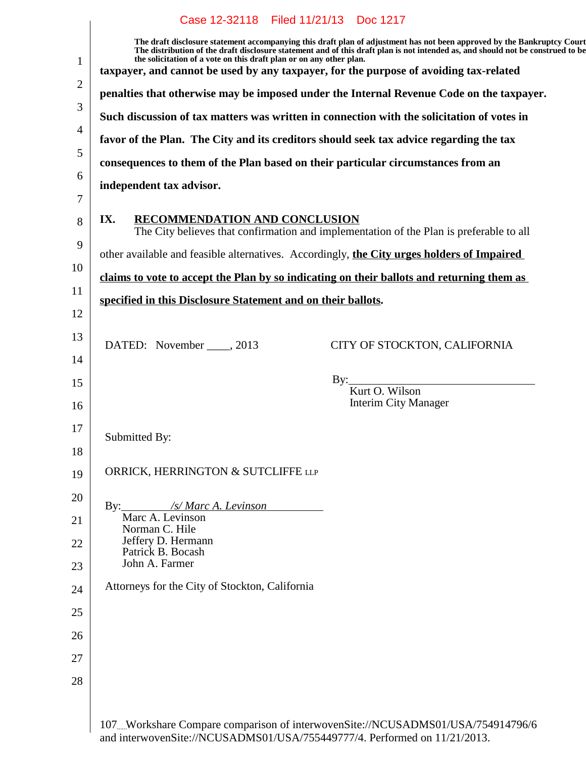|                                                                                  | Case 12-32118 Filed 11/21/13 Doc 1217                                                                                                                                                                                                                                                                                             |  |  |
|----------------------------------------------------------------------------------|-----------------------------------------------------------------------------------------------------------------------------------------------------------------------------------------------------------------------------------------------------------------------------------------------------------------------------------|--|--|
|                                                                                  | The draft disclosure statement accompanying this draft plan of adjustment has not been approved by the Bankruptcy Court<br>The distribution of the draft disclosure statement and of this draft plan is not intended as, and should not be construed to be<br>the solicitation of a vote on this draft plan or on any other plan. |  |  |
|                                                                                  | taxpayer, and cannot be used by any taxpayer, for the purpose of avoiding tax-related                                                                                                                                                                                                                                             |  |  |
|                                                                                  | penalties that otherwise may be imposed under the Internal Revenue Code on the taxpayer.                                                                                                                                                                                                                                          |  |  |
|                                                                                  | Such discussion of tax matters was written in connection with the solicitation of votes in<br>favor of the Plan. The City and its creditors should seek tax advice regarding the tax                                                                                                                                              |  |  |
|                                                                                  |                                                                                                                                                                                                                                                                                                                                   |  |  |
| consequences to them of the Plan based on their particular circumstances from an |                                                                                                                                                                                                                                                                                                                                   |  |  |
|                                                                                  | independent tax advisor.                                                                                                                                                                                                                                                                                                          |  |  |
|                                                                                  | <b>RECOMMENDATION AND CONCLUSION</b><br>IX.<br>The City believes that confirmation and implementation of the Plan is preferable to all                                                                                                                                                                                            |  |  |
|                                                                                  | other available and feasible alternatives. Accordingly, the City urges holders of Impaired                                                                                                                                                                                                                                        |  |  |
|                                                                                  | claims to vote to accept the Plan by so indicating on their ballots and returning them as                                                                                                                                                                                                                                         |  |  |
| specified in this Disclosure Statement and on their ballots.                     |                                                                                                                                                                                                                                                                                                                                   |  |  |
|                                                                                  |                                                                                                                                                                                                                                                                                                                                   |  |  |
|                                                                                  | DATED: November _____, 2013<br>CITY OF STOCKTON, CALIFORNIA                                                                                                                                                                                                                                                                       |  |  |
|                                                                                  | By: Kurt O. Wilson                                                                                                                                                                                                                                                                                                                |  |  |
|                                                                                  | <b>Interim City Manager</b>                                                                                                                                                                                                                                                                                                       |  |  |
|                                                                                  | Submitted By:                                                                                                                                                                                                                                                                                                                     |  |  |
|                                                                                  |                                                                                                                                                                                                                                                                                                                                   |  |  |
|                                                                                  | ORRICK, HERRINGTON & SUTCLIFFE LLP                                                                                                                                                                                                                                                                                                |  |  |
|                                                                                  | /s/ Marc A. Levinson<br>By:                                                                                                                                                                                                                                                                                                       |  |  |
|                                                                                  | Marc A. Levinson<br>Norman C. Hile                                                                                                                                                                                                                                                                                                |  |  |
|                                                                                  | Jeffery D. Hermann<br>Patrick B. Bocash                                                                                                                                                                                                                                                                                           |  |  |
|                                                                                  | John A. Farmer                                                                                                                                                                                                                                                                                                                    |  |  |
|                                                                                  | Attorneys for the City of Stockton, California                                                                                                                                                                                                                                                                                    |  |  |
|                                                                                  |                                                                                                                                                                                                                                                                                                                                   |  |  |
|                                                                                  |                                                                                                                                                                                                                                                                                                                                   |  |  |
|                                                                                  |                                                                                                                                                                                                                                                                                                                                   |  |  |
|                                                                                  |                                                                                                                                                                                                                                                                                                                                   |  |  |
|                                                                                  |                                                                                                                                                                                                                                                                                                                                   |  |  |

and interwovenSite://NCUSADMS01/USA/755449777/4. Performed on 11/21/2013.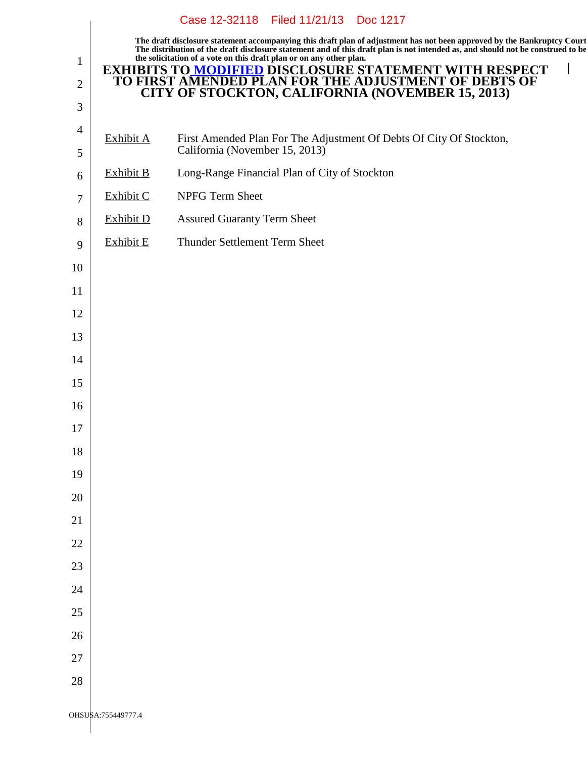|                                |                                                                                                                    | Case 12-32118 Filed 11/21/13<br>Doc 1217                                                                                                                                                                                                                                                                                          |  |  |  |
|--------------------------------|--------------------------------------------------------------------------------------------------------------------|-----------------------------------------------------------------------------------------------------------------------------------------------------------------------------------------------------------------------------------------------------------------------------------------------------------------------------------|--|--|--|
|                                |                                                                                                                    | The draft disclosure statement accompanying this draft plan of adjustment has not been approved by the Bankruptcy Court<br>The distribution of the draft disclosure statement and of this draft plan is not intended as, and should not be construed to be<br>the solicitation of a vote on this draft plan or on any other plan. |  |  |  |
| $\mathbf{1}$<br>$\overline{2}$ | <b>EXHIBITS TO MODIFIED DISCLOSURE STATEMENT WITH RESPECT TO FIRST AMENDED PLAN FOR THE ADJUSTMENT OF DEBTS OF</b> |                                                                                                                                                                                                                                                                                                                                   |  |  |  |
| 3                              |                                                                                                                    | <b>CITY OF STOCKTON, CALIFORNIA (NOVEMBER 15, 2013)</b>                                                                                                                                                                                                                                                                           |  |  |  |
| $\overline{4}$                 |                                                                                                                    |                                                                                                                                                                                                                                                                                                                                   |  |  |  |
| 5                              | Exhibit A                                                                                                          | First Amended Plan For The Adjustment Of Debts Of City Of Stockton,<br>California (November 15, 2013)                                                                                                                                                                                                                             |  |  |  |
| 6                              | Exhibit B                                                                                                          | Long-Range Financial Plan of City of Stockton                                                                                                                                                                                                                                                                                     |  |  |  |
| $\tau$                         | Exhibit C                                                                                                          | NPFG Term Sheet                                                                                                                                                                                                                                                                                                                   |  |  |  |
| 8                              | <b>Exhibit D</b>                                                                                                   | <b>Assured Guaranty Term Sheet</b>                                                                                                                                                                                                                                                                                                |  |  |  |
| 9                              | <b>Exhibit E</b>                                                                                                   | Thunder Settlement Term Sheet                                                                                                                                                                                                                                                                                                     |  |  |  |
| 10                             |                                                                                                                    |                                                                                                                                                                                                                                                                                                                                   |  |  |  |
| 11                             |                                                                                                                    |                                                                                                                                                                                                                                                                                                                                   |  |  |  |
| 12                             |                                                                                                                    |                                                                                                                                                                                                                                                                                                                                   |  |  |  |
| 13                             |                                                                                                                    |                                                                                                                                                                                                                                                                                                                                   |  |  |  |
| 14                             |                                                                                                                    |                                                                                                                                                                                                                                                                                                                                   |  |  |  |
| 15                             |                                                                                                                    |                                                                                                                                                                                                                                                                                                                                   |  |  |  |
| 16                             |                                                                                                                    |                                                                                                                                                                                                                                                                                                                                   |  |  |  |
| 17                             |                                                                                                                    |                                                                                                                                                                                                                                                                                                                                   |  |  |  |
| 18                             |                                                                                                                    |                                                                                                                                                                                                                                                                                                                                   |  |  |  |
| 19                             |                                                                                                                    |                                                                                                                                                                                                                                                                                                                                   |  |  |  |
| 20                             |                                                                                                                    |                                                                                                                                                                                                                                                                                                                                   |  |  |  |
| 21                             |                                                                                                                    |                                                                                                                                                                                                                                                                                                                                   |  |  |  |
| 22                             |                                                                                                                    |                                                                                                                                                                                                                                                                                                                                   |  |  |  |
| 23                             |                                                                                                                    |                                                                                                                                                                                                                                                                                                                                   |  |  |  |
| 24                             |                                                                                                                    |                                                                                                                                                                                                                                                                                                                                   |  |  |  |
| 25                             |                                                                                                                    |                                                                                                                                                                                                                                                                                                                                   |  |  |  |
| 26                             |                                                                                                                    |                                                                                                                                                                                                                                                                                                                                   |  |  |  |
| 27                             |                                                                                                                    |                                                                                                                                                                                                                                                                                                                                   |  |  |  |
| 28                             |                                                                                                                    |                                                                                                                                                                                                                                                                                                                                   |  |  |  |
|                                | OHSUSA:755449777.4                                                                                                 |                                                                                                                                                                                                                                                                                                                                   |  |  |  |
|                                |                                                                                                                    |                                                                                                                                                                                                                                                                                                                                   |  |  |  |